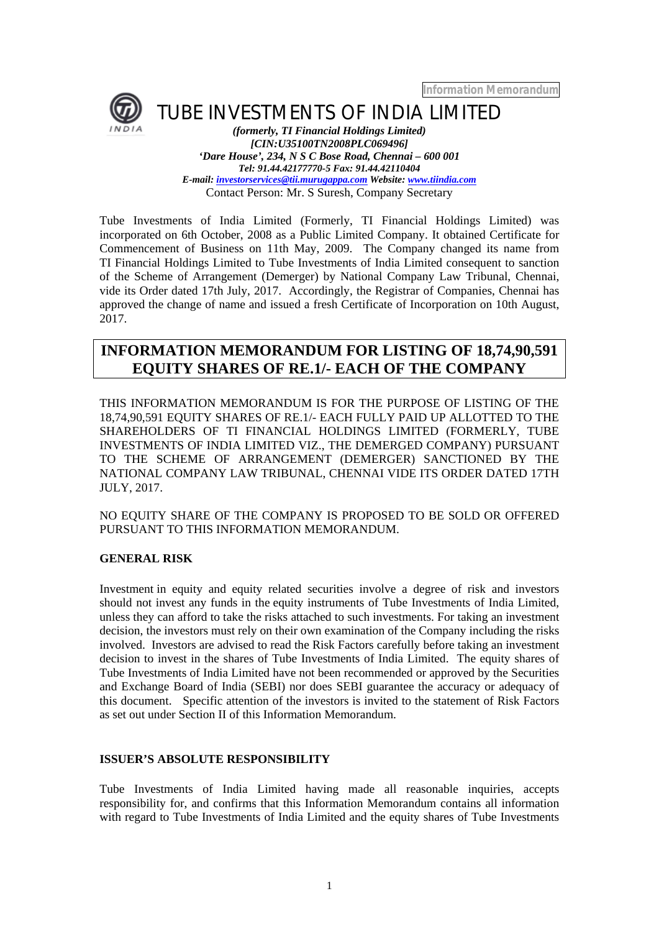*Information Memorandum*



TUBE INVESTMENTS OF INDIA LIMITED

*(formerly, TI Financial Holdings Limited) [CIN:U35100TN2008PLC069496] 'Dare House', 234, N S C Bose Road, Chennai – 600 001 Tel: 91.44.42177770-5 Fax: 91.44.42110404 E-mail: investorservices@tii.murugappa.com Website: www.tiindia.com* Contact Person: Mr. S Suresh, Company Secretary

Tube Investments of India Limited (Formerly, TI Financial Holdings Limited) was incorporated on 6th October, 2008 as a Public Limited Company. It obtained Certificate for Commencement of Business on 11th May, 2009. The Company changed its name from TI Financial Holdings Limited to Tube Investments of India Limited consequent to sanction of the Scheme of Arrangement (Demerger) by National Company Law Tribunal, Chennai, vide its Order dated 17th July, 2017. Accordingly, the Registrar of Companies, Chennai has approved the change of name and issued a fresh Certificate of Incorporation on 10th August, 2017.

# **INFORMATION MEMORANDUM FOR LISTING OF 18,74,90,591 EQUITY SHARES OF RE.1/- EACH OF THE COMPANY**

THIS INFORMATION MEMORANDUM IS FOR THE PURPOSE OF LISTING OF THE 18,74,90,591 EQUITY SHARES OF RE.1/- EACH FULLY PAID UP ALLOTTED TO THE SHAREHOLDERS OF TI FINANCIAL HOLDINGS LIMITED (FORMERLY, TUBE INVESTMENTS OF INDIA LIMITED VIZ., THE DEMERGED COMPANY) PURSUANT TO THE SCHEME OF ARRANGEMENT (DEMERGER) SANCTIONED BY THE NATIONAL COMPANY LAW TRIBUNAL, CHENNAI VIDE ITS ORDER DATED 17TH JULY, 2017.

NO EQUITY SHARE OF THE COMPANY IS PROPOSED TO BE SOLD OR OFFERED PURSUANT TO THIS INFORMATION MEMORANDUM.

# **GENERAL RISK**

Investment in equity and equity related securities involve a degree of risk and investors should not invest any funds in the equity instruments of Tube Investments of India Limited, unless they can afford to take the risks attached to such investments. For taking an investment decision, the investors must rely on their own examination of the Company including the risks involved. Investors are advised to read the Risk Factors carefully before taking an investment decision to invest in the shares of Tube Investments of India Limited. The equity shares of Tube Investments of India Limited have not been recommended or approved by the Securities and Exchange Board of India (SEBI) nor does SEBI guarantee the accuracy or adequacy of this document. Specific attention of the investors is invited to the statement of Risk Factors as set out under Section II of this Information Memorandum.

# **ISSUER'S ABSOLUTE RESPONSIBILITY**

Tube Investments of India Limited having made all reasonable inquiries, accepts responsibility for, and confirms that this Information Memorandum contains all information with regard to Tube Investments of India Limited and the equity shares of Tube Investments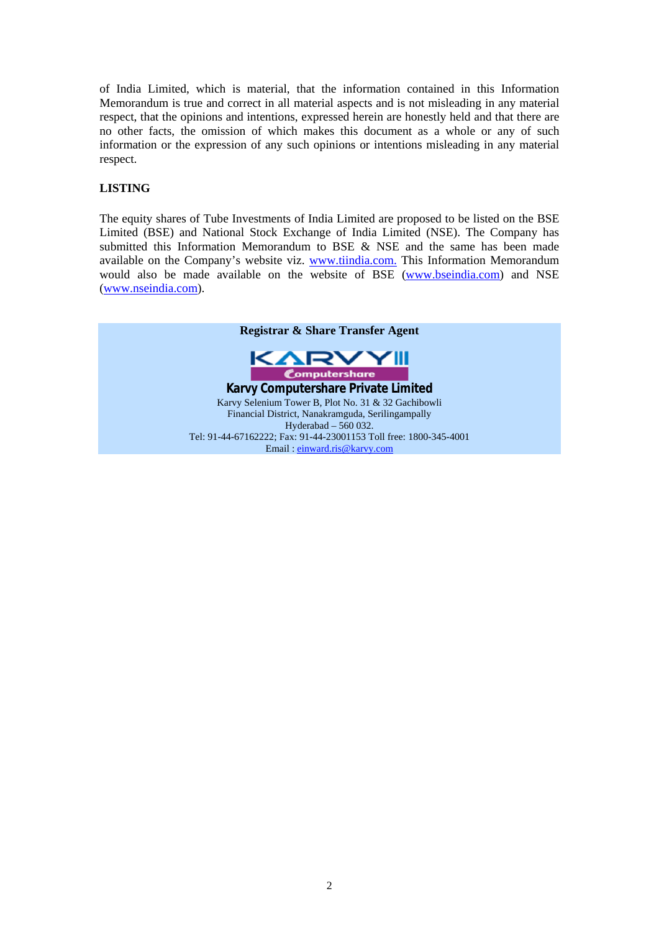of India Limited, which is material, that the information contained in this Information Memorandum is true and correct in all material aspects and is not misleading in any material respect, that the opinions and intentions, expressed herein are honestly held and that there are no other facts, the omission of which makes this document as a whole or any of such information or the expression of any such opinions or intentions misleading in any material respect.

# **LISTING**

The equity shares of Tube Investments of India Limited are proposed to be listed on the BSE Limited (BSE) and National Stock Exchange of India Limited (NSE). The Company has submitted this Information Memorandum to BSE & NSE and the same has been made available on the Company's website viz. www.tiindia.com. This Information Memorandum would also be made available on the website of BSE (www.bseindia.com) and NSE (www.nseindia.com).

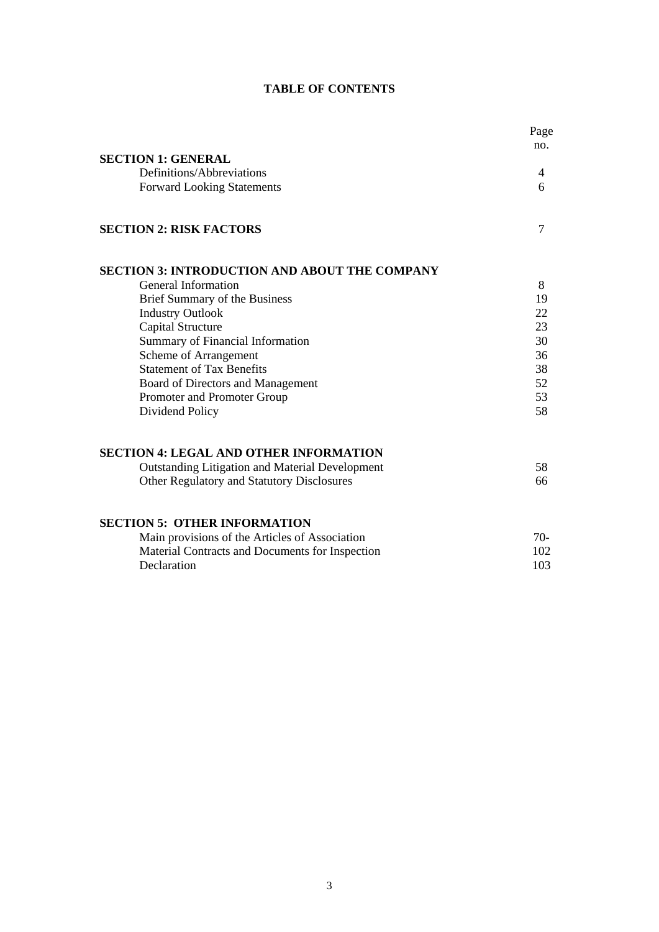|                                                      | Page  |
|------------------------------------------------------|-------|
| <b>SECTION 1: GENERAL</b>                            | no.   |
|                                                      |       |
| Definitions/Abbreviations                            | 4     |
| <b>Forward Looking Statements</b>                    | 6     |
| <b>SECTION 2: RISK FACTORS</b>                       | 7     |
| <b>SECTION 3: INTRODUCTION AND ABOUT THE COMPANY</b> |       |
| General Information                                  | 8     |
| Brief Summary of the Business                        | 19    |
| <b>Industry Outlook</b>                              | 22    |
| Capital Structure                                    | 23    |
| Summary of Financial Information                     | 30    |
| Scheme of Arrangement                                | 36    |
| <b>Statement of Tax Benefits</b>                     | 38    |
| Board of Directors and Management                    | 52    |
| Promoter and Promoter Group                          | 53    |
| Dividend Policy                                      | 58    |
| <b>SECTION 4: LEGAL AND OTHER INFORMATION</b>        |       |
| Outstanding Litigation and Material Development      | 58    |
| Other Regulatory and Statutory Disclosures           | 66    |
| <b>SECTION 5: OTHER INFORMATION</b>                  |       |
| Main provisions of the Articles of Association       | $70-$ |
| Material Contracts and Documents for Inspection      | 102   |
| Declaration                                          | 103   |

# **TABLE OF CONTENTS**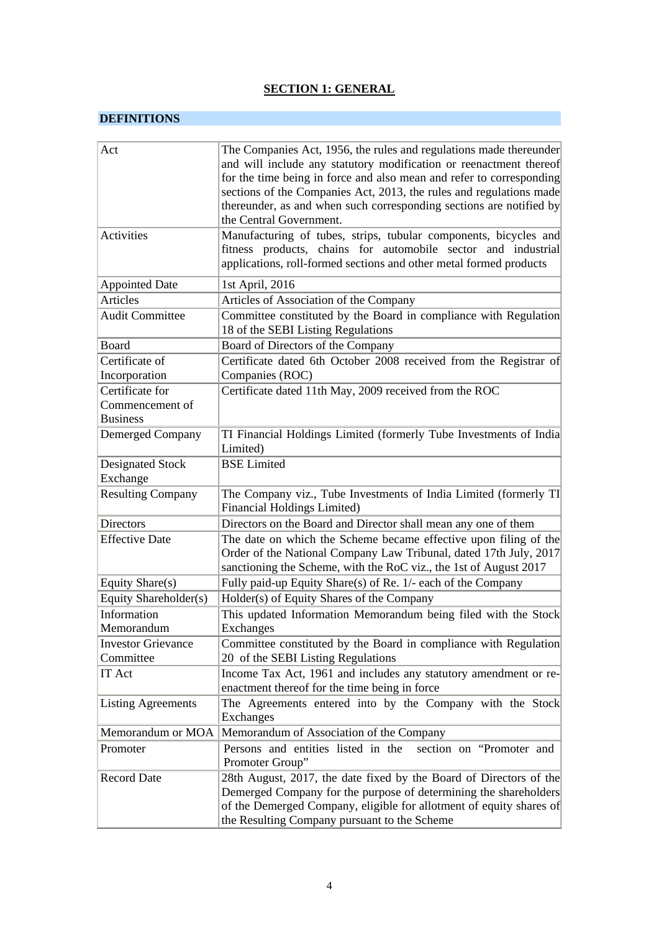# **SECTION 1: GENERAL**

# **DEFINITIONS**

| Act                                                   | The Companies Act, 1956, the rules and regulations made thereunder<br>and will include any statutory modification or reenactment thereof<br>for the time being in force and also mean and refer to corresponding<br>sections of the Companies Act, 2013, the rules and regulations made<br>thereunder, as and when such corresponding sections are notified by<br>the Central Government. |
|-------------------------------------------------------|-------------------------------------------------------------------------------------------------------------------------------------------------------------------------------------------------------------------------------------------------------------------------------------------------------------------------------------------------------------------------------------------|
| Activities                                            | Manufacturing of tubes, strips, tubular components, bicycles and<br>fitness products, chains for automobile sector and industrial<br>applications, roll-formed sections and other metal formed products                                                                                                                                                                                   |
| <b>Appointed Date</b>                                 | 1st April, 2016                                                                                                                                                                                                                                                                                                                                                                           |
| Articles                                              | Articles of Association of the Company                                                                                                                                                                                                                                                                                                                                                    |
| <b>Audit Committee</b>                                | Committee constituted by the Board in compliance with Regulation<br>18 of the SEBI Listing Regulations                                                                                                                                                                                                                                                                                    |
| Board                                                 | Board of Directors of the Company                                                                                                                                                                                                                                                                                                                                                         |
| Certificate of                                        | Certificate dated 6th October 2008 received from the Registrar of                                                                                                                                                                                                                                                                                                                         |
| Incorporation                                         | Companies (ROC)                                                                                                                                                                                                                                                                                                                                                                           |
| Certificate for<br>Commencement of<br><b>Business</b> | Certificate dated 11th May, 2009 received from the ROC                                                                                                                                                                                                                                                                                                                                    |
| Demerged Company                                      | TI Financial Holdings Limited (formerly Tube Investments of India)<br>Limited)                                                                                                                                                                                                                                                                                                            |
| Designated Stock<br>Exchange                          | <b>BSE</b> Limited                                                                                                                                                                                                                                                                                                                                                                        |
| <b>Resulting Company</b>                              | The Company viz., Tube Investments of India Limited (formerly TI<br>Financial Holdings Limited)                                                                                                                                                                                                                                                                                           |
| <b>Directors</b>                                      | Directors on the Board and Director shall mean any one of them                                                                                                                                                                                                                                                                                                                            |
| <b>Effective Date</b>                                 | The date on which the Scheme became effective upon filing of the<br>Order of the National Company Law Tribunal, dated 17th July, 2017<br>sanctioning the Scheme, with the RoC viz., the 1st of August 2017                                                                                                                                                                                |
| Equity Share(s)                                       | Fully paid-up Equity Share(s) of Re. 1/- each of the Company                                                                                                                                                                                                                                                                                                                              |
| Equity Shareholder(s)                                 | Holder(s) of Equity Shares of the Company                                                                                                                                                                                                                                                                                                                                                 |
| Information<br>Memorandum                             | This updated Information Memorandum being filed with the Stock<br>Exchanges                                                                                                                                                                                                                                                                                                               |
| <b>Investor Grievance</b>                             | Committee constituted by the Board in compliance with Regulation                                                                                                                                                                                                                                                                                                                          |
| Committee                                             | 20 of the SEBI Listing Regulations                                                                                                                                                                                                                                                                                                                                                        |
| IT Act                                                | Income Tax Act, 1961 and includes any statutory amendment or re-<br>enactment thereof for the time being in force                                                                                                                                                                                                                                                                         |
| <b>Listing Agreements</b>                             | The Agreements entered into by the Company with the Stock<br>Exchanges                                                                                                                                                                                                                                                                                                                    |
| Memorandum or MOA                                     | Memorandum of Association of the Company                                                                                                                                                                                                                                                                                                                                                  |
| Promoter                                              | Persons and entities listed in the<br>section on "Promoter and<br>Promoter Group"                                                                                                                                                                                                                                                                                                         |
| <b>Record Date</b>                                    | 28th August, 2017, the date fixed by the Board of Directors of the<br>Demerged Company for the purpose of determining the shareholders<br>of the Demerged Company, eligible for allotment of equity shares of<br>the Resulting Company pursuant to the Scheme                                                                                                                             |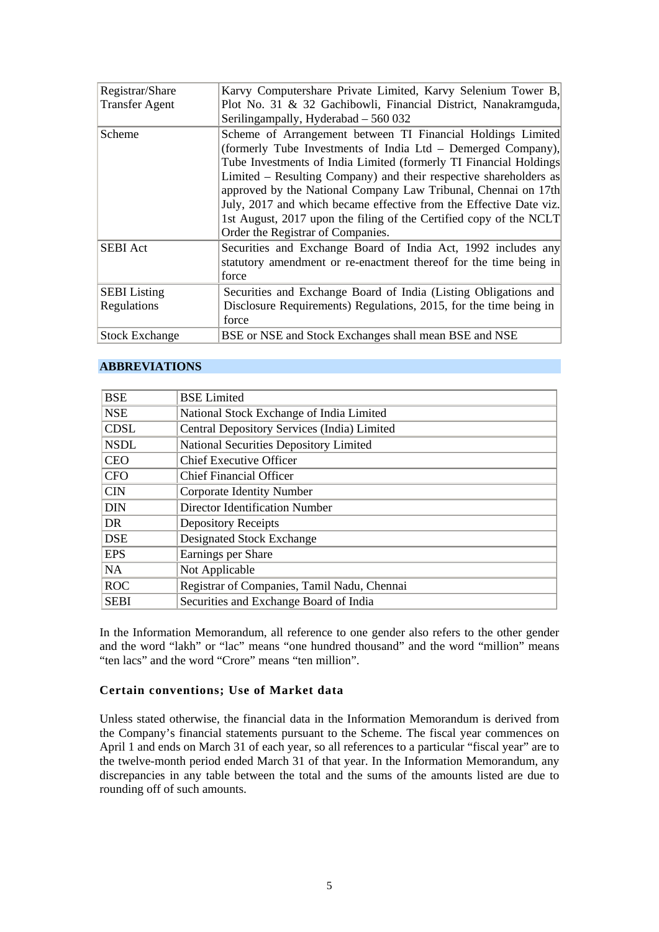| Registrar/Share       | Karvy Computershare Private Limited, Karvy Selenium Tower B,       |
|-----------------------|--------------------------------------------------------------------|
| <b>Transfer Agent</b> | Plot No. 31 & 32 Gachibowli, Financial District, Nanakramguda,     |
|                       | Seriling ampally, Hyderabad - 560 032                              |
| Scheme                | Scheme of Arrangement between TI Financial Holdings Limited        |
|                       | (formerly Tube Investments of India Ltd – Demerged Company),       |
|                       | Tube Investments of India Limited (formerly TI Financial Holdings) |
|                       | Limited – Resulting Company) and their respective shareholders as  |
|                       | approved by the National Company Law Tribunal, Chennai on 17th     |
|                       | July, 2017 and which became effective from the Effective Date viz. |
|                       | 1st August, 2017 upon the filing of the Certified copy of the NCLT |
|                       | Order the Registrar of Companies.                                  |
| <b>SEBI</b> Act       | Securities and Exchange Board of India Act, 1992 includes any      |
|                       | statutory amendment or re-enactment thereof for the time being in  |
|                       | force                                                              |
| <b>SEBI</b> Listing   | Securities and Exchange Board of India (Listing Obligations and    |
| Regulations           | Disclosure Requirements) Regulations, 2015, for the time being in  |
|                       | force                                                              |
| <b>Stock Exchange</b> | BSE or NSE and Stock Exchanges shall mean BSE and NSE              |

# **ABBREVIATIONS**

| <b>BSE</b>  | <b>BSE</b> Limited                            |
|-------------|-----------------------------------------------|
| <b>NSE</b>  | National Stock Exchange of India Limited      |
| <b>CDSL</b> | Central Depository Services (India) Limited   |
| <b>NSDL</b> | <b>National Securities Depository Limited</b> |
| <b>CEO</b>  | <b>Chief Executive Officer</b>                |
| <b>CFO</b>  | <b>Chief Financial Officer</b>                |
| <b>CIN</b>  | <b>Corporate Identity Number</b>              |
| <b>DIN</b>  | Director Identification Number                |
| DR          | <b>Depository Receipts</b>                    |
| <b>DSE</b>  | Designated Stock Exchange                     |
| <b>EPS</b>  | Earnings per Share                            |
| <b>NA</b>   | Not Applicable                                |
| <b>ROC</b>  | Registrar of Companies, Tamil Nadu, Chennai   |
| <b>SEBI</b> | Securities and Exchange Board of India        |

In the Information Memorandum, all reference to one gender also refers to the other gender and the word "lakh" or "lac" means "one hundred thousand" and the word "million" means "ten lacs" and the word "Crore" means "ten million".

# **Certain conventions; Use of Market data**

Unless stated otherwise, the financial data in the Information Memorandum is derived from the Company's financial statements pursuant to the Scheme. The fiscal year commences on April 1 and ends on March 31 of each year, so all references to a particular "fiscal year" are to the twelve-month period ended March 31 of that year. In the Information Memorandum, any discrepancies in any table between the total and the sums of the amounts listed are due to rounding off of such amounts.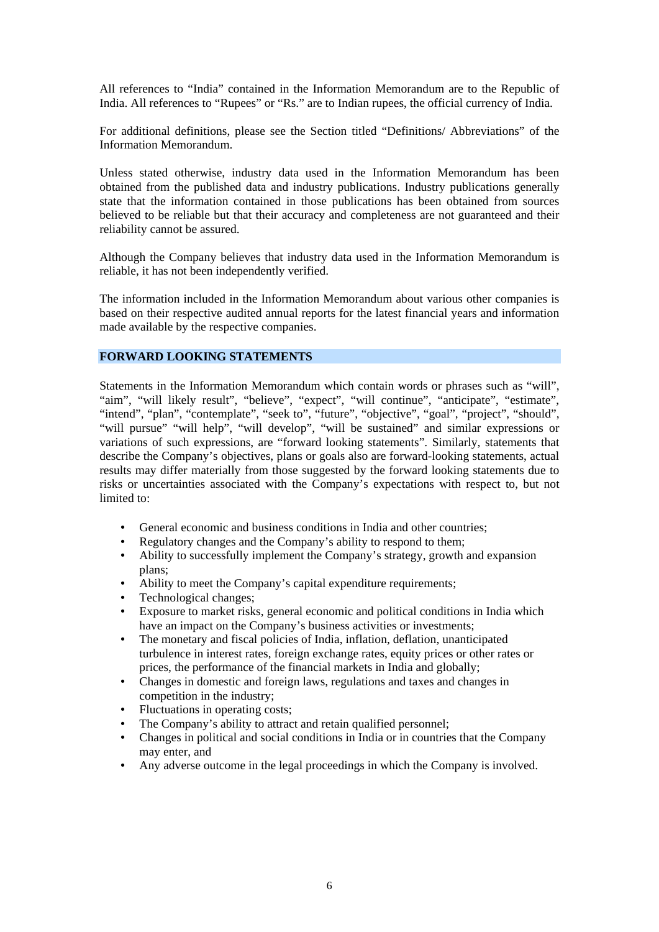All references to "India" contained in the Information Memorandum are to the Republic of India. All references to "Rupees" or "Rs." are to Indian rupees, the official currency of India.

For additional definitions, please see the Section titled "Definitions/ Abbreviations" of the Information Memorandum.

Unless stated otherwise, industry data used in the Information Memorandum has been obtained from the published data and industry publications. Industry publications generally state that the information contained in those publications has been obtained from sources believed to be reliable but that their accuracy and completeness are not guaranteed and their reliability cannot be assured.

Although the Company believes that industry data used in the Information Memorandum is reliable, it has not been independently verified.

The information included in the Information Memorandum about various other companies is based on their respective audited annual reports for the latest financial years and information made available by the respective companies.

# **FORWARD LOOKING STATEMENTS**

Statements in the Information Memorandum which contain words or phrases such as "will", "aim", "will likely result", "believe", "expect", "will continue", "anticipate", "estimate", "intend", "plan", "contemplate", "seek to", "future", "objective", "goal", "project", "should", "will pursue" "will help", "will develop", "will be sustained" and similar expressions or variations of such expressions, are "forward looking statements". Similarly, statements that describe the Company's objectives, plans or goals also are forward-looking statements, actual results may differ materially from those suggested by the forward looking statements due to risks or uncertainties associated with the Company's expectations with respect to, but not limited to:

- General economic and business conditions in India and other countries;
- Regulatory changes and the Company's ability to respond to them;
- Ability to successfully implement the Company's strategy, growth and expansion  $\mathbf{r}$ plans;
- Ability to meet the Company's capital expenditure requirements;
- Technological changes;
- Exposure to market risks, general economic and political conditions in India which have an impact on the Company's business activities or investments;
- The monetary and fiscal policies of India, inflation, deflation, unanticipated turbulence in interest rates, foreign exchange rates, equity prices or other rates or prices, the performance of the financial markets in India and globally;
- Changes in domestic and foreign laws, regulations and taxes and changes in competition in the industry;
- Fluctuations in operating costs;
- The Company's ability to attract and retain qualified personnel;
- Changes in political and social conditions in India or in countries that the Company may enter, and
- Any adverse outcome in the legal proceedings in which the Company is involved.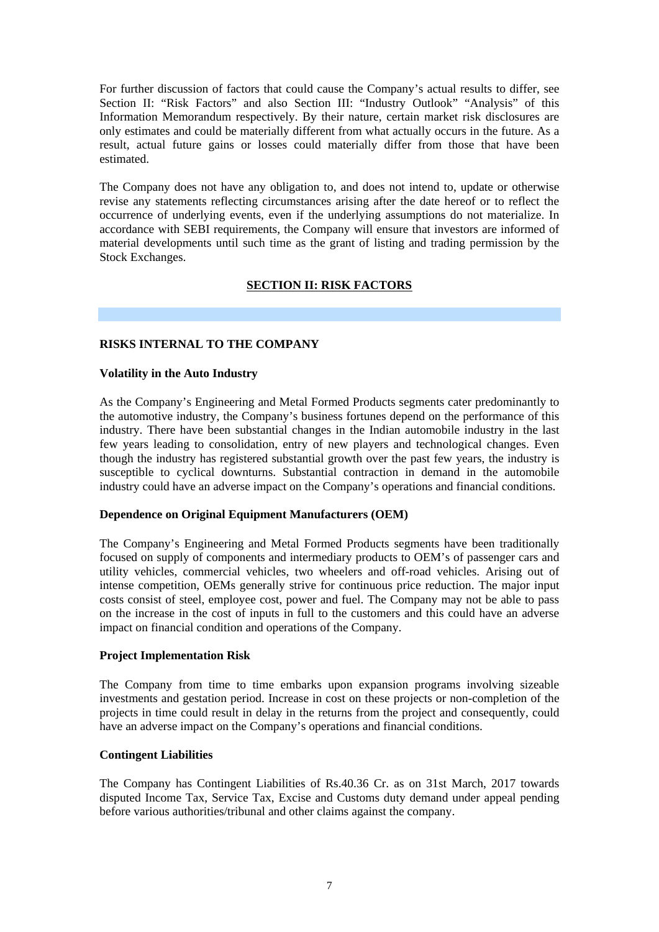For further discussion of factors that could cause the Company's actual results to differ, see Section II: "Risk Factors" and also Section III: "Industry Outlook" "Analysis" of this Information Memorandum respectively. By their nature, certain market risk disclosures are only estimates and could be materially different from what actually occurs in the future. As a result, actual future gains or losses could materially differ from those that have been estimated.

The Company does not have any obligation to, and does not intend to, update or otherwise revise any statements reflecting circumstances arising after the date hereof or to reflect the occurrence of underlying events, even if the underlying assumptions do not materialize. In accordance with SEBI requirements, the Company will ensure that investors are informed of material developments until such time as the grant of listing and trading permission by the Stock Exchanges.

# **SECTION II: RISK FACTORS**

# **RISKS INTERNAL TO THE COMPANY**

#### **Volatility in the Auto Industry**

As the Company's Engineering and Metal Formed Products segments cater predominantly to the automotive industry, the Company's business fortunes depend on the performance of this industry. There have been substantial changes in the Indian automobile industry in the last few years leading to consolidation, entry of new players and technological changes. Even though the industry has registered substantial growth over the past few years, the industry is susceptible to cyclical downturns. Substantial contraction in demand in the automobile industry could have an adverse impact on the Company's operations and financial conditions.

#### **Dependence on Original Equipment Manufacturers (OEM)**

The Company's Engineering and Metal Formed Products segments have been traditionally focused on supply of components and intermediary products to OEM's of passenger cars and utility vehicles, commercial vehicles, two wheelers and off-road vehicles. Arising out of intense competition, OEMs generally strive for continuous price reduction. The major input costs consist of steel, employee cost, power and fuel. The Company may not be able to pass on the increase in the cost of inputs in full to the customers and this could have an adverse impact on financial condition and operations of the Company.

#### **Project Implementation Risk**

The Company from time to time embarks upon expansion programs involving sizeable investments and gestation period. Increase in cost on these projects or non-completion of the projects in time could result in delay in the returns from the project and consequently, could have an adverse impact on the Company's operations and financial conditions.

#### **Contingent Liabilities**

The Company has Contingent Liabilities of Rs.40.36 Cr. as on 31st March, 2017 towards disputed Income Tax, Service Tax, Excise and Customs duty demand under appeal pending before various authorities/tribunal and other claims against the company.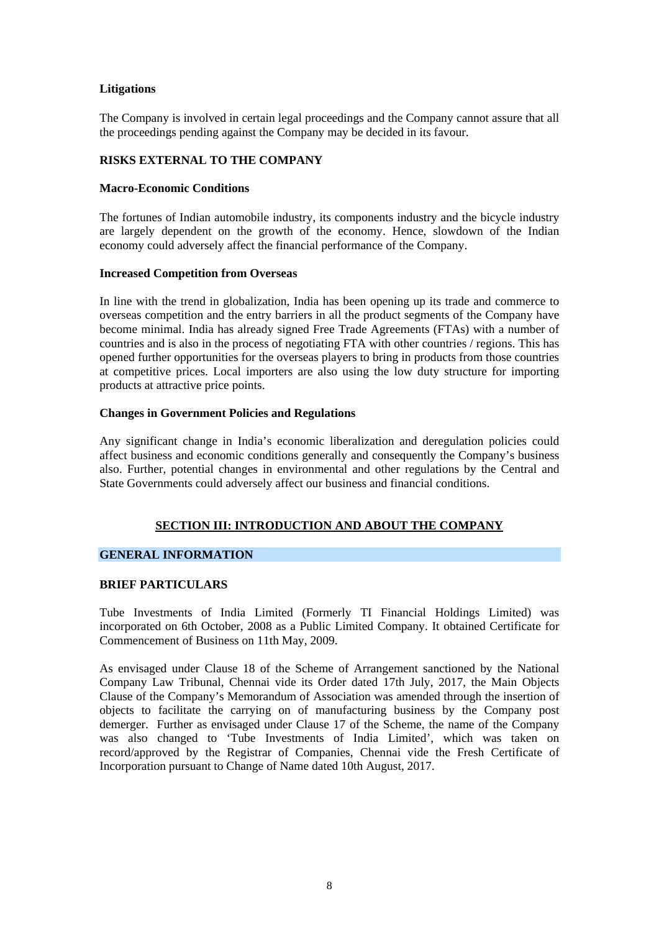# **Litigations**

The Company is involved in certain legal proceedings and the Company cannot assure that all the proceedings pending against the Company may be decided in its favour.

# **RISKS EXTERNAL TO THE COMPANY**

#### **Macro-Economic Conditions**

The fortunes of Indian automobile industry, its components industry and the bicycle industry are largely dependent on the growth of the economy. Hence, slowdown of the Indian economy could adversely affect the financial performance of the Company.

#### **Increased Competition from Overseas**

In line with the trend in globalization, India has been opening up its trade and commerce to overseas competition and the entry barriers in all the product segments of the Company have become minimal. India has already signed Free Trade Agreements (FTAs) with a number of countries and is also in the process of negotiating FTA with other countries / regions. This has opened further opportunities for the overseas players to bring in products from those countries at competitive prices. Local importers are also using the low duty structure for importing products at attractive price points.

#### **Changes in Government Policies and Regulations**

Any significant change in India's economic liberalization and deregulation policies could affect business and economic conditions generally and consequently the Company's business also. Further, potential changes in environmental and other regulations by the Central and State Governments could adversely affect our business and financial conditions.

# **SECTION III: INTRODUCTION AND ABOUT THE COMPANY**

# **GENERAL INFORMATION**

# **BRIEF PARTICULARS**

Tube Investments of India Limited (Formerly TI Financial Holdings Limited) was incorporated on 6th October, 2008 as a Public Limited Company. It obtained Certificate for Commencement of Business on 11th May, 2009.

As envisaged under Clause 18 of the Scheme of Arrangement sanctioned by the National Company Law Tribunal, Chennai vide its Order dated 17th July, 2017, the Main Objects Clause of the Company's Memorandum of Association was amended through the insertion of objects to facilitate the carrying on of manufacturing business by the Company post demerger. Further as envisaged under Clause 17 of the Scheme, the name of the Company was also changed to 'Tube Investments of India Limited', which was taken on record/approved by the Registrar of Companies, Chennai vide the Fresh Certificate of Incorporation pursuant to Change of Name dated 10th August, 2017.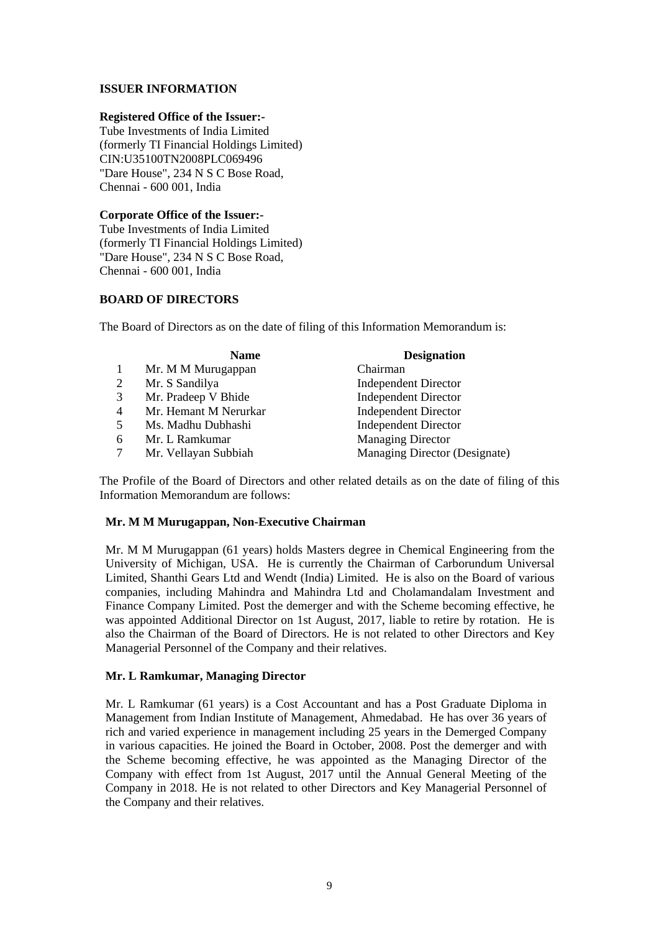# **ISSUER INFORMATION**

#### **Registered Office of the Issuer:-**

Tube Investments of India Limited (formerly TI Financial Holdings Limited) CIN:U35100TN2008PLC069496 "Dare House", 234 N S C Bose Road, Chennai - 600 001, India

#### **Corporate Office of the Issuer:-**

Tube Investments of India Limited (formerly TI Financial Holdings Limited) "Dare House", 234 N S C Bose Road, Chennai - 600 001, India

### **BOARD OF DIRECTORS**

The Board of Directors as on the date of filing of this Information Memorandum is:

|                | <b>Name</b>           | <b>Designation</b>            |
|----------------|-----------------------|-------------------------------|
|                | Mr. M M Murugappan    | Chairman                      |
| 2              | Mr. S Sandilya        | <b>Independent Director</b>   |
| 3              | Mr. Pradeep V Bhide   | <b>Independent Director</b>   |
| $\overline{4}$ | Mr. Hemant M Nerurkar | <b>Independent Director</b>   |
| 5              | Ms. Madhu Dubhashi    | <b>Independent Director</b>   |
| 6              | Mr. L Ramkumar        | <b>Managing Director</b>      |
|                | Mr. Vellayan Subbiah  | Managing Director (Designate) |

The Profile of the Board of Directors and other related details as on the date of filing of this Information Memorandum are follows:

#### **Mr. M M Murugappan, Non-Executive Chairman**

Mr. M M Murugappan (61 years) holds Masters degree in Chemical Engineering from the University of Michigan, USA. He is currently the Chairman of Carborundum Universal Limited, Shanthi Gears Ltd and Wendt (India) Limited. He is also on the Board of various companies, including Mahindra and Mahindra Ltd and Cholamandalam Investment and Finance Company Limited. Post the demerger and with the Scheme becoming effective, he was appointed Additional Director on 1st August, 2017, liable to retire by rotation. He is also the Chairman of the Board of Directors. He is not related to other Directors and Key Managerial Personnel of the Company and their relatives.

# **Mr. L Ramkumar, Managing Director**

Mr. L Ramkumar (61 years) is a Cost Accountant and has a Post Graduate Diploma in Management from Indian Institute of Management, Ahmedabad. He has over 36 years of rich and varied experience in management including 25 years in the Demerged Company in various capacities. He joined the Board in October, 2008. Post the demerger and with the Scheme becoming effective, he was appointed as the Managing Director of the Company with effect from 1st August, 2017 until the Annual General Meeting of the Company in 2018. He is not related to other Directors and Key Managerial Personnel of the Company and their relatives.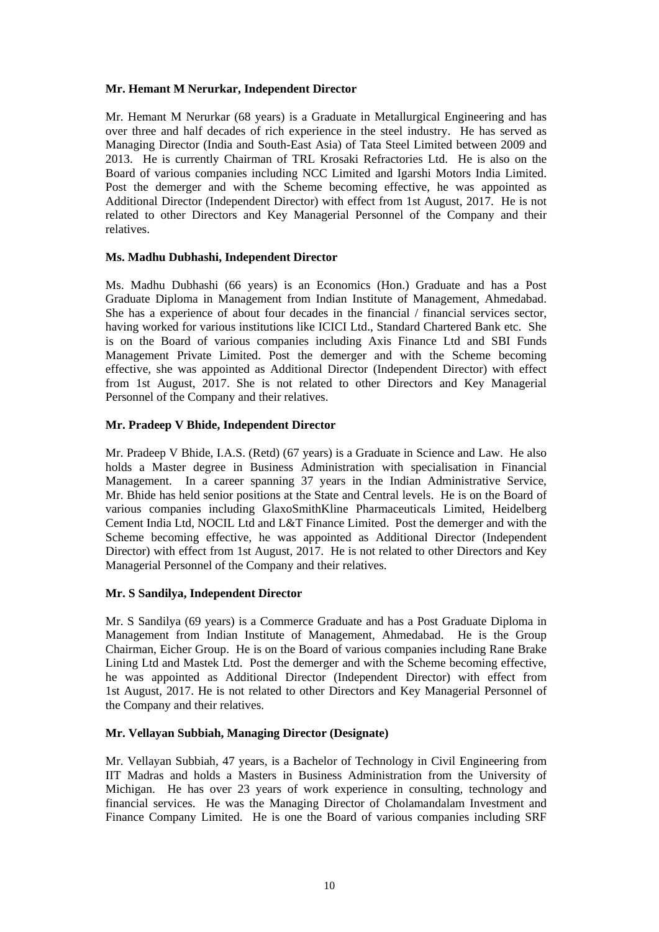# **Mr. Hemant M Nerurkar, Independent Director**

Mr. Hemant M Nerurkar (68 years) is a Graduate in Metallurgical Engineering and has over three and half decades of rich experience in the steel industry. He has served as Managing Director (India and South-East Asia) of Tata Steel Limited between 2009 and 2013. He is currently Chairman of TRL Krosaki Refractories Ltd. He is also on the Board of various companies including NCC Limited and Igarshi Motors India Limited. Post the demerger and with the Scheme becoming effective, he was appointed as Additional Director (Independent Director) with effect from 1st August, 2017. He is not related to other Directors and Key Managerial Personnel of the Company and their relatives.

# **Ms. Madhu Dubhashi, Independent Director**

Ms. Madhu Dubhashi (66 years) is an Economics (Hon.) Graduate and has a Post Graduate Diploma in Management from Indian Institute of Management, Ahmedabad. She has a experience of about four decades in the financial / financial services sector, having worked for various institutions like ICICI Ltd., Standard Chartered Bank etc. She is on the Board of various companies including Axis Finance Ltd and SBI Funds Management Private Limited. Post the demerger and with the Scheme becoming effective, she was appointed as Additional Director (Independent Director) with effect from 1st August, 2017. She is not related to other Directors and Key Managerial Personnel of the Company and their relatives.

# **Mr. Pradeep V Bhide, Independent Director**

Mr. Pradeep V Bhide, I.A.S. (Retd) (67 years) is a Graduate in Science and Law. He also holds a Master degree in Business Administration with specialisation in Financial Management. In a career spanning 37 years in the Indian Administrative Service, Mr. Bhide has held senior positions at the State and Central levels. He is on the Board of various companies including GlaxoSmithKline Pharmaceuticals Limited, Heidelberg Cement India Ltd, NOCIL Ltd and L&T Finance Limited. Post the demerger and with the Scheme becoming effective, he was appointed as Additional Director (Independent Director) with effect from 1st August, 2017. He is not related to other Directors and Key Managerial Personnel of the Company and their relatives.

# **Mr. S Sandilya, Independent Director**

Mr. S Sandilya (69 years) is a Commerce Graduate and has a Post Graduate Diploma in Management from Indian Institute of Management, Ahmedabad. He is the Group Chairman, Eicher Group. He is on the Board of various companies including Rane Brake Lining Ltd and Mastek Ltd. Post the demerger and with the Scheme becoming effective, he was appointed as Additional Director (Independent Director) with effect from 1st August, 2017. He is not related to other Directors and Key Managerial Personnel of the Company and their relatives.

# **Mr. Vellayan Subbiah, Managing Director (Designate)**

Mr. Vellayan Subbiah, 47 years, is a Bachelor of Technology in Civil Engineering from IIT Madras and holds a Masters in Business Administration from the University of Michigan. He has over 23 years of work experience in consulting, technology and financial services. He was the Managing Director of Cholamandalam Investment and Finance Company Limited. He is one the Board of various companies including SRF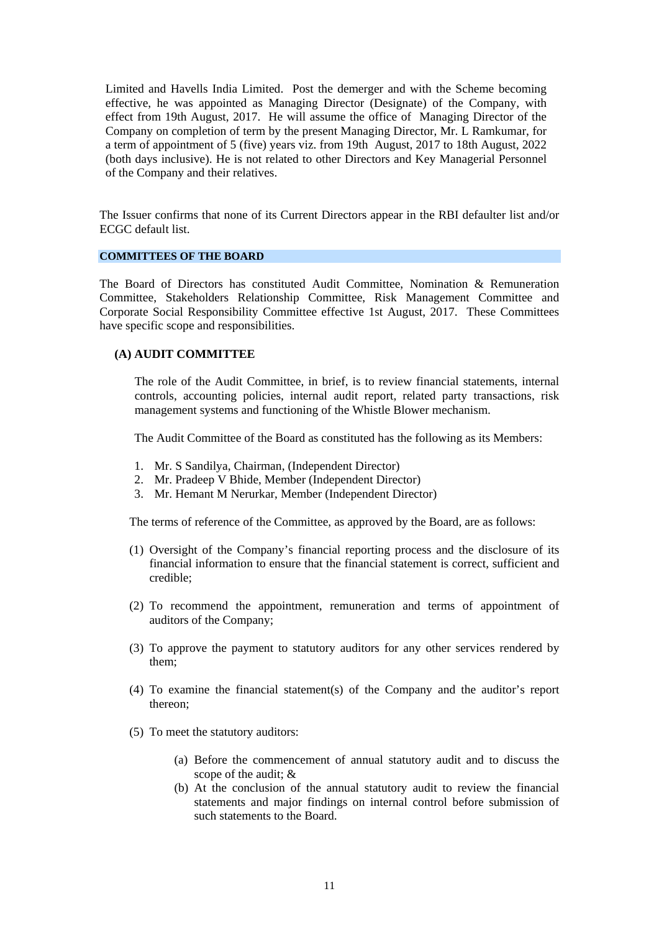Limited and Havells India Limited. Post the demerger and with the Scheme becoming effective, he was appointed as Managing Director (Designate) of the Company, with effect from 19th August, 2017. He will assume the office of Managing Director of the Company on completion of term by the present Managing Director, Mr. L Ramkumar, for a term of appointment of 5 (five) years viz. from 19th August, 2017 to 18th August, 2022 (both days inclusive). He is not related to other Directors and Key Managerial Personnel of the Company and their relatives.

The Issuer confirms that none of its Current Directors appear in the RBI defaulter list and/or ECGC default list.

#### **COMMITTEES OF THE BOARD**

The Board of Directors has constituted Audit Committee, Nomination & Remuneration Committee, Stakeholders Relationship Committee, Risk Management Committee and Corporate Social Responsibility Committee effective 1st August, 2017. These Committees have specific scope and responsibilities.

#### **(A) AUDIT COMMITTEE**

The role of the Audit Committee, in brief, is to review financial statements, internal controls, accounting policies, internal audit report, related party transactions, risk management systems and functioning of the Whistle Blower mechanism.

The Audit Committee of the Board as constituted has the following as its Members:

- 1. Mr. S Sandilya, Chairman, (Independent Director)
- 2. Mr. Pradeep V Bhide, Member (Independent Director)
- 3. Mr. Hemant M Nerurkar, Member (Independent Director)

The terms of reference of the Committee, as approved by the Board, are as follows:

- (1) Oversight of the Company's financial reporting process and the disclosure of its financial information to ensure that the financial statement is correct, sufficient and credible;
- (2) To recommend the appointment, remuneration and terms of appointment of auditors of the Company;
- (3) To approve the payment to statutory auditors for any other services rendered by them;
- (4) To examine the financial statement(s) of the Company and the auditor's report thereon;
- (5) To meet the statutory auditors:
	- (a) Before the commencement of annual statutory audit and to discuss the scope of the audit; &
	- (b) At the conclusion of the annual statutory audit to review the financial statements and major findings on internal control before submission of such statements to the Board.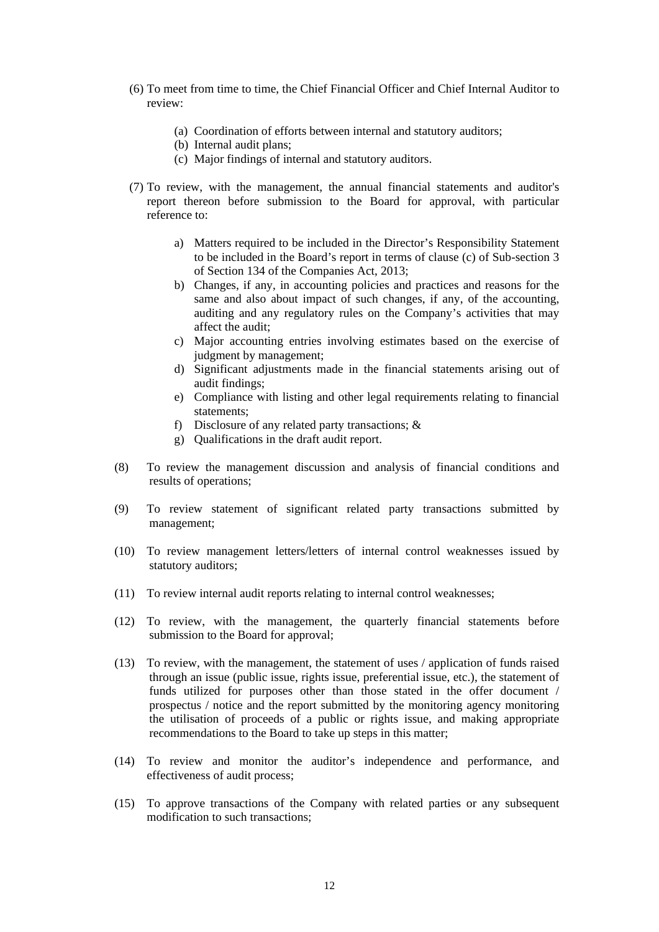- (6) To meet from time to time, the Chief Financial Officer and Chief Internal Auditor to review:
	- (a) Coordination of efforts between internal and statutory auditors;
	- (b) Internal audit plans;
	- (c) Major findings of internal and statutory auditors.
- (7) To review, with the management, the annual financial statements and auditor's report thereon before submission to the Board for approval, with particular reference to:
	- a) Matters required to be included in the Director's Responsibility Statement to be included in the Board's report in terms of clause (c) of Sub-section 3 of Section 134 of the Companies Act, 2013;
	- b) Changes, if any, in accounting policies and practices and reasons for the same and also about impact of such changes, if any, of the accounting, auditing and any regulatory rules on the Company's activities that may affect the audit;
	- c) Major accounting entries involving estimates based on the exercise of judgment by management;
	- d) Significant adjustments made in the financial statements arising out of audit findings;
	- e) Compliance with listing and other legal requirements relating to financial statements;
	- f) Disclosure of any related party transactions; &
	- g) Qualifications in the draft audit report.
- (8) To review the management discussion and analysis of financial conditions and results of operations;
- (9) To review statement of significant related party transactions submitted by management;
- (10) To review management letters/letters of internal control weaknesses issued by statutory auditors;
- (11) To review internal audit reports relating to internal control weaknesses;
- (12) To review, with the management, the quarterly financial statements before submission to the Board for approval;
- (13) To review, with the management, the statement of uses / application of funds raised through an issue (public issue, rights issue, preferential issue, etc.), the statement of funds utilized for purposes other than those stated in the offer document / prospectus / notice and the report submitted by the monitoring agency monitoring the utilisation of proceeds of a public or rights issue, and making appropriate recommendations to the Board to take up steps in this matter;
- (14) To review and monitor the auditor's independence and performance, and effectiveness of audit process;
- (15) To approve transactions of the Company with related parties or any subsequent modification to such transactions;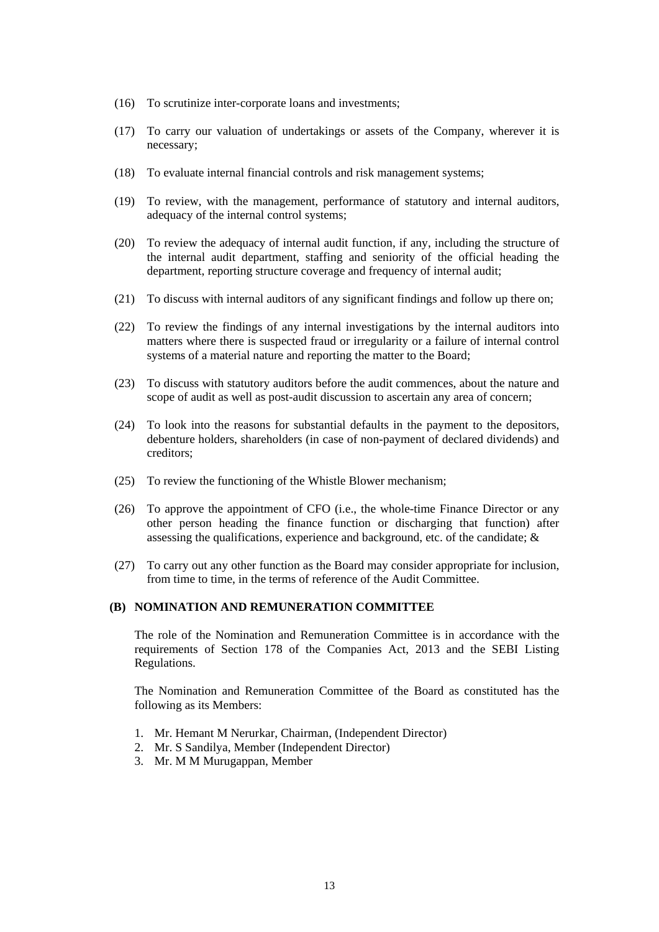- (16) To scrutinize inter-corporate loans and investments;
- (17) To carry our valuation of undertakings or assets of the Company, wherever it is necessary;
- (18) To evaluate internal financial controls and risk management systems;
- (19) To review, with the management, performance of statutory and internal auditors, adequacy of the internal control systems;
- (20) To review the adequacy of internal audit function, if any, including the structure of the internal audit department, staffing and seniority of the official heading the department, reporting structure coverage and frequency of internal audit;
- (21) To discuss with internal auditors of any significant findings and follow up there on;
- (22) To review the findings of any internal investigations by the internal auditors into matters where there is suspected fraud or irregularity or a failure of internal control systems of a material nature and reporting the matter to the Board;
- (23) To discuss with statutory auditors before the audit commences, about the nature and scope of audit as well as post-audit discussion to ascertain any area of concern;
- (24) To look into the reasons for substantial defaults in the payment to the depositors, debenture holders, shareholders (in case of non-payment of declared dividends) and creditors;
- (25) To review the functioning of the Whistle Blower mechanism;
- (26) To approve the appointment of CFO (i.e., the whole-time Finance Director or any other person heading the finance function or discharging that function) after assessing the qualifications, experience and background, etc. of the candidate; &
- (27) To carry out any other function as the Board may consider appropriate for inclusion, from time to time, in the terms of reference of the Audit Committee.

#### **(B) NOMINATION AND REMUNERATION COMMITTEE**

The role of the Nomination and Remuneration Committee is in accordance with the requirements of Section 178 of the Companies Act, 2013 and the SEBI Listing Regulations.

The Nomination and Remuneration Committee of the Board as constituted has the following as its Members:

- 1. Mr. Hemant M Nerurkar, Chairman, (Independent Director)
- 2. Mr. S Sandilya, Member (Independent Director)
- 3. Mr. M M Murugappan, Member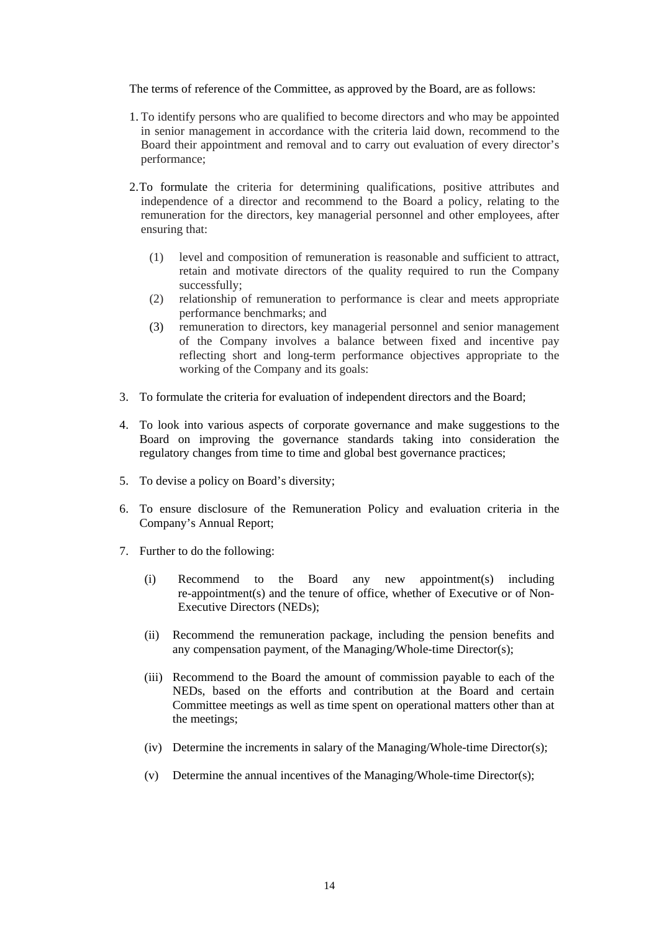The terms of reference of the Committee, as approved by the Board, are as follows:

- 1. To identify persons who are qualified to become directors and who may be appointed in senior management in accordance with the criteria laid down, recommend to the Board their appointment and removal and to carry out evaluation of every director's performance;
- 2.To formulate the criteria for determining qualifications, positive attributes and independence of a director and recommend to the Board a policy, relating to the remuneration for the directors, key managerial personnel and other employees, after ensuring that:
	- (1) level and composition of remuneration is reasonable and sufficient to attract, retain and motivate directors of the quality required to run the Company successfully;
	- (2) relationship of remuneration to performance is clear and meets appropriate performance benchmarks; and
	- (3) remuneration to directors, key managerial personnel and senior management of the Company involves a balance between fixed and incentive pay reflecting short and long-term performance objectives appropriate to the working of the Company and its goals:
- 3. To formulate the criteria for evaluation of independent directors and the Board;
- 4. To look into various aspects of corporate governance and make suggestions to the Board on improving the governance standards taking into consideration the regulatory changes from time to time and global best governance practices;
- 5. To devise a policy on Board's diversity;
- 6. To ensure disclosure of the Remuneration Policy and evaluation criteria in the Company's Annual Report;
- 7. Further to do the following:
	- (i) Recommend to the Board any new appointment(s) including re-appointment(s) and the tenure of office, whether of Executive or of Non-Executive Directors (NEDs);
	- (ii) Recommend the remuneration package, including the pension benefits and any compensation payment, of the Managing/Whole-time Director(s);
	- (iii) Recommend to the Board the amount of commission payable to each of the NEDs, based on the efforts and contribution at the Board and certain Committee meetings as well as time spent on operational matters other than at the meetings;
	- (iv) Determine the increments in salary of the Managing/Whole-time Director(s);
	- (v) Determine the annual incentives of the Managing/Whole-time Director(s);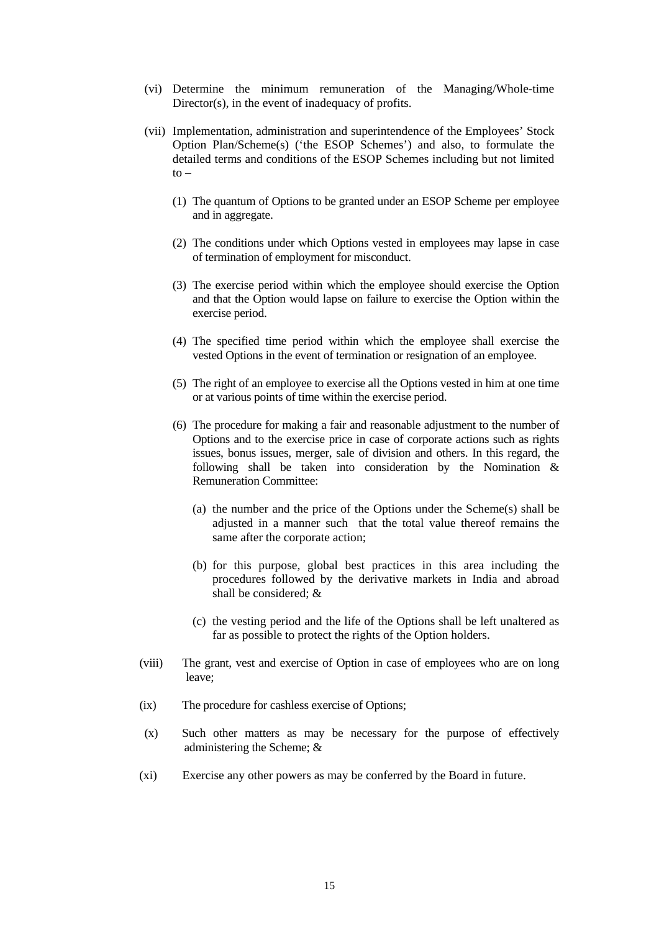- (vi) Determine the minimum remuneration of the Managing/Whole-time Director(s), in the event of inadequacy of profits.
- (vii) Implementation, administration and superintendence of the Employees' Stock Option Plan/Scheme(s) ('the ESOP Schemes') and also, to formulate the detailed terms and conditions of the ESOP Schemes including but not limited  $to -$ 
	- (1) The quantum of Options to be granted under an ESOP Scheme per employee and in aggregate.
	- (2) The conditions under which Options vested in employees may lapse in case of termination of employment for misconduct.
	- (3) The exercise period within which the employee should exercise the Option and that the Option would lapse on failure to exercise the Option within the exercise period.
	- (4) The specified time period within which the employee shall exercise the vested Options in the event of termination or resignation of an employee.
	- (5) The right of an employee to exercise all the Options vested in him at one time or at various points of time within the exercise period.
	- (6) The procedure for making a fair and reasonable adjustment to the number of Options and to the exercise price in case of corporate actions such as rights issues, bonus issues, merger, sale of division and others. In this regard, the following shall be taken into consideration by the Nomination & Remuneration Committee:
		- (a) the number and the price of the Options under the Scheme(s) shall be adjusted in a manner such that the total value thereof remains the same after the corporate action;
		- (b) for this purpose, global best practices in this area including the procedures followed by the derivative markets in India and abroad shall be considered; &
		- (c) the vesting period and the life of the Options shall be left unaltered as far as possible to protect the rights of the Option holders.
- (viii) The grant, vest and exercise of Option in case of employees who are on long leave;
- (ix) The procedure for cashless exercise of Options;
- (x) Such other matters as may be necessary for the purpose of effectively administering the Scheme; &
- (xi) Exercise any other powers as may be conferred by the Board in future.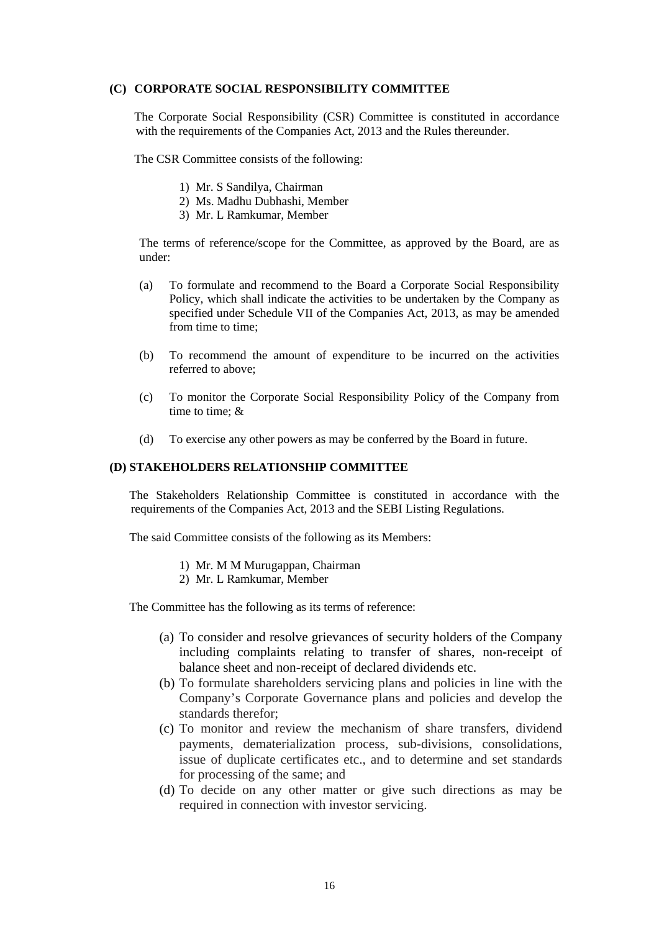### **(C) CORPORATE SOCIAL RESPONSIBILITY COMMITTEE**

The Corporate Social Responsibility (CSR) Committee is constituted in accordance with the requirements of the Companies Act, 2013 and the Rules thereunder.

The CSR Committee consists of the following:

- 1) Mr. S Sandilya, Chairman
- 2) Ms. Madhu Dubhashi, Member
- 3) Mr. L Ramkumar, Member

The terms of reference/scope for the Committee, as approved by the Board, are as under:

- (a) To formulate and recommend to the Board a Corporate Social Responsibility Policy, which shall indicate the activities to be undertaken by the Company as specified under Schedule VII of the Companies Act, 2013, as may be amended from time to time:
- (b) To recommend the amount of expenditure to be incurred on the activities referred to above;
- (c) To monitor the Corporate Social Responsibility Policy of the Company from time to time; &
- (d) To exercise any other powers as may be conferred by the Board in future.

# **(D) STAKEHOLDERS RELATIONSHIP COMMITTEE**

The Stakeholders Relationship Committee is constituted in accordance with the requirements of the Companies Act, 2013 and the SEBI Listing Regulations.

The said Committee consists of the following as its Members:

- 1) Mr. M M Murugappan, Chairman
- 2) Mr. L Ramkumar, Member

The Committee has the following as its terms of reference:

- (a) To consider and resolve grievances of security holders of the Company including complaints relating to transfer of shares, non-receipt of balance sheet and non-receipt of declared dividends etc.
- (b) To formulate shareholders servicing plans and policies in line with the Company's Corporate Governance plans and policies and develop the standards therefor;
- (c) To monitor and review the mechanism of share transfers, dividend payments, dematerialization process, sub-divisions, consolidations, issue of duplicate certificates etc., and to determine and set standards for processing of the same; and
- (d) To decide on any other matter or give such directions as may be required in connection with investor servicing.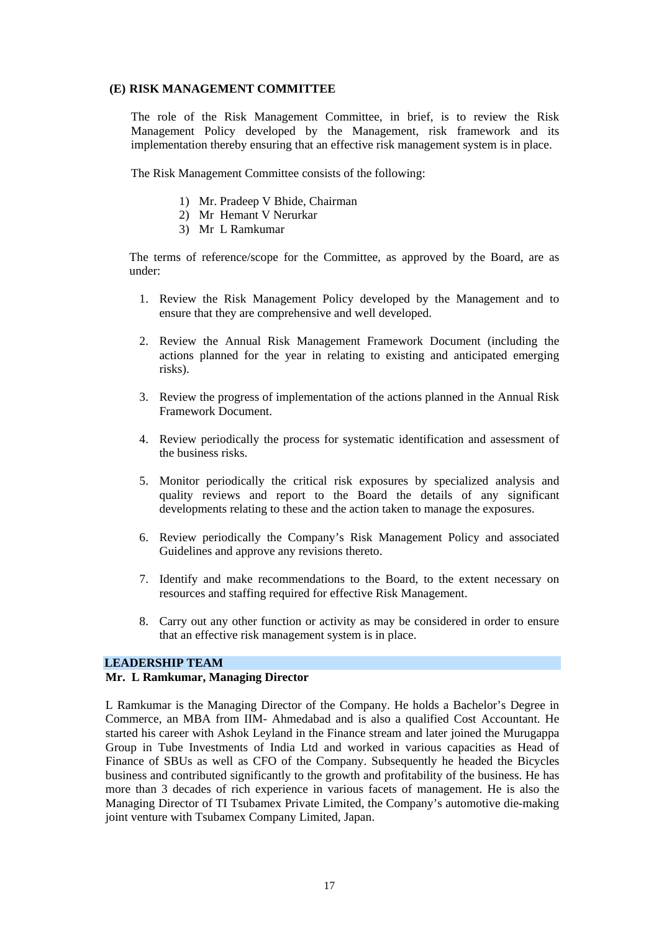# **(E) RISK MANAGEMENT COMMITTEE**

The role of the Risk Management Committee, in brief, is to review the Risk Management Policy developed by the Management, risk framework and its implementation thereby ensuring that an effective risk management system is in place.

The Risk Management Committee consists of the following:

- 1) Mr. Pradeep V Bhide, Chairman
- 2) Mr Hemant V Nerurkar
- 3) Mr L Ramkumar

The terms of reference/scope for the Committee, as approved by the Board, are as under:

- 1. Review the Risk Management Policy developed by the Management and to ensure that they are comprehensive and well developed.
- 2. Review the Annual Risk Management Framework Document (including the actions planned for the year in relating to existing and anticipated emerging risks).
- 3. Review the progress of implementation of the actions planned in the Annual Risk Framework Document.
- 4. Review periodically the process for systematic identification and assessment of the business risks.
- 5. Monitor periodically the critical risk exposures by specialized analysis and quality reviews and report to the Board the details of any significant developments relating to these and the action taken to manage the exposures.
- 6. Review periodically the Company's Risk Management Policy and associated Guidelines and approve any revisions thereto.
- 7. Identify and make recommendations to the Board, to the extent necessary on resources and staffing required for effective Risk Management.
- 8. Carry out any other function or activity as may be considered in order to ensure that an effective risk management system is in place.

# **LEADERSHIP TEAM**

# **Mr. L Ramkumar, Managing Director**

L Ramkumar is the Managing Director of the Company. He holds a Bachelor's Degree in Commerce, an MBA from IIM- Ahmedabad and is also a qualified Cost Accountant. He started his career with Ashok Leyland in the Finance stream and later joined the Murugappa Group in Tube Investments of India Ltd and worked in various capacities as Head of Finance of SBUs as well as CFO of the Company. Subsequently he headed the Bicycles business and contributed significantly to the growth and profitability of the business. He has more than 3 decades of rich experience in various facets of management. He is also the Managing Director of TI Tsubamex Private Limited, the Company's automotive die-making joint venture with Tsubamex Company Limited, Japan.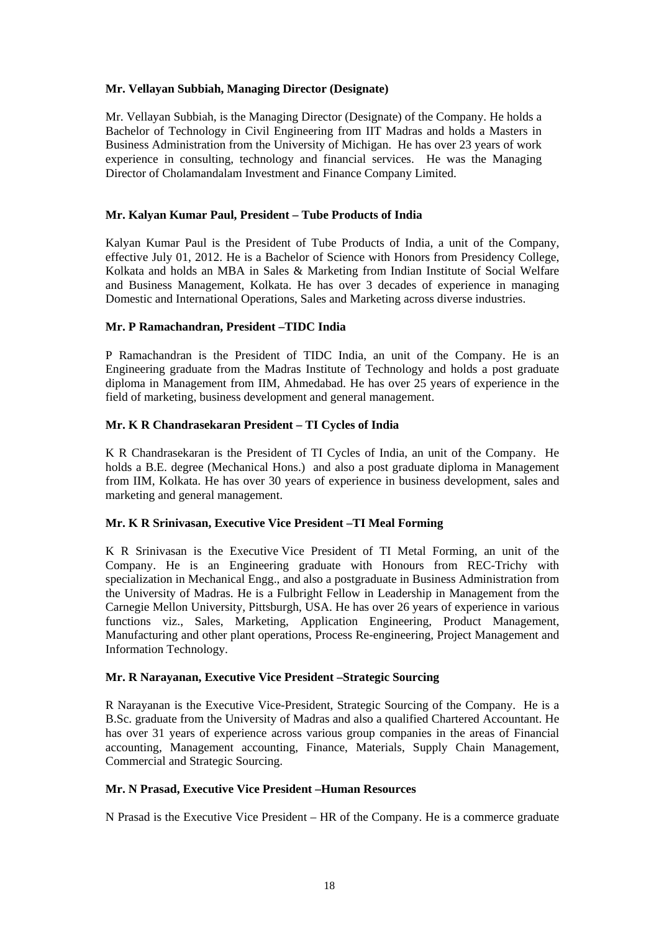# **Mr. Vellayan Subbiah, Managing Director (Designate)**

Mr. Vellayan Subbiah, is the Managing Director (Designate) of the Company. He holds a Bachelor of Technology in Civil Engineering from IIT Madras and holds a Masters in Business Administration from the University of Michigan. He has over 23 years of work experience in consulting, technology and financial services. He was the Managing Director of Cholamandalam Investment and Finance Company Limited.

# **Mr. Kalyan Kumar Paul, President – Tube Products of India**

Kalyan Kumar Paul is the President of Tube Products of India, a unit of the Company, effective July 01, 2012. He is a Bachelor of Science with Honors from Presidency College, Kolkata and holds an MBA in Sales & Marketing from Indian Institute of Social Welfare and Business Management, Kolkata. He has over 3 decades of experience in managing Domestic and International Operations, Sales and Marketing across diverse industries.

# **Mr. P Ramachandran, President –TIDC India**

P Ramachandran is the President of TIDC India, an unit of the Company. He is an Engineering graduate from the Madras Institute of Technology and holds a post graduate diploma in Management from IIM, Ahmedabad. He has over 25 years of experience in the field of marketing, business development and general management.

# **Mr. K R Chandrasekaran President – TI Cycles of India**

K R Chandrasekaran is the President of TI Cycles of India, an unit of the Company. He holds a B.E. degree (Mechanical Hons.) and also a post graduate diploma in Management from IIM, Kolkata. He has over 30 years of experience in business development, sales and marketing and general management.

# **Mr. K R Srinivasan, Executive Vice President –TI Meal Forming**

K R Srinivasan is the Executive Vice President of TI Metal Forming, an unit of the Company. He is an Engineering graduate with Honours from REC-Trichy with specialization in Mechanical Engg., and also a postgraduate in Business Administration from the University of Madras. He is a Fulbright Fellow in Leadership in Management from the Carnegie Mellon University, Pittsburgh, USA. He has over 26 years of experience in various functions viz., Sales, Marketing, Application Engineering, Product Management, Manufacturing and other plant operations, Process Re-engineering, Project Management and Information Technology.

# **Mr. R Narayanan, Executive Vice President –Strategic Sourcing**

R Narayanan is the Executive Vice-President, Strategic Sourcing of the Company. He is a B.Sc. graduate from the University of Madras and also a qualified Chartered Accountant. He has over 31 years of experience across various group companies in the areas of Financial accounting, Management accounting, Finance, Materials, Supply Chain Management, Commercial and Strategic Sourcing.

# **Mr. N Prasad, Executive Vice President –Human Resources**

N Prasad is the Executive Vice President – HR of the Company. He is a commerce graduate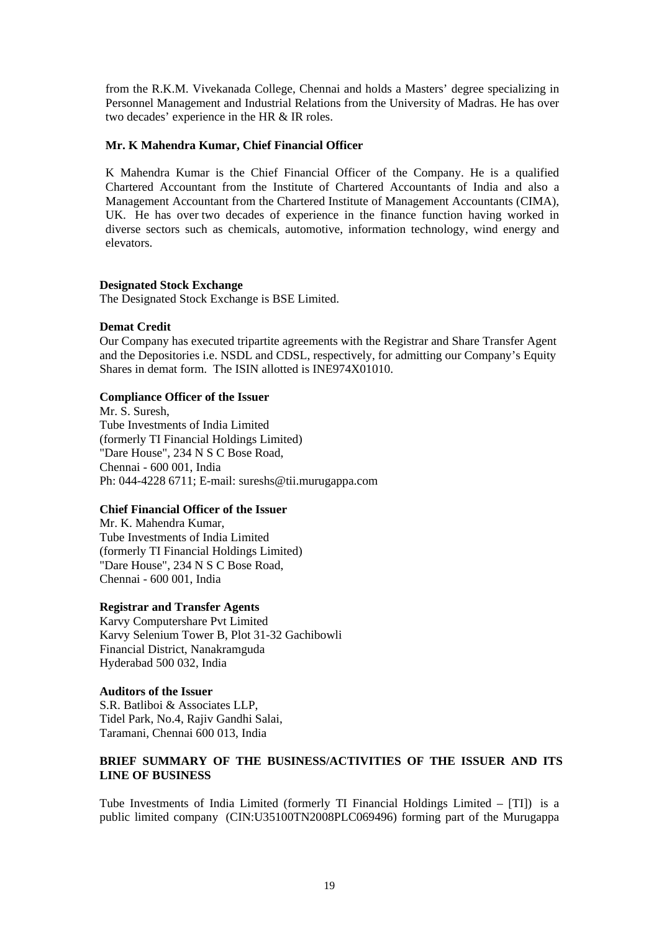from the R.K.M. Vivekanada College, Chennai and holds a Masters' degree specializing in Personnel Management and Industrial Relations from the University of Madras. He has over two decades' experience in the HR & IR roles.

#### **Mr. K Mahendra Kumar, Chief Financial Officer**

K Mahendra Kumar is the Chief Financial Officer of the Company. He is a qualified Chartered Accountant from the Institute of Chartered Accountants of India and also a Management Accountant from the Chartered Institute of Management Accountants (CIMA), UK. He has over two decades of experience in the finance function having worked in diverse sectors such as chemicals, automotive, information technology, wind energy and elevators.

### **Designated Stock Exchange**

The Designated Stock Exchange is BSE Limited.

#### **Demat Credit**

Our Company has executed tripartite agreements with the Registrar and Share Transfer Agent and the Depositories i.e. NSDL and CDSL, respectively, for admitting our Company's Equity Shares in demat form. The ISIN allotted is INE974X01010.

#### **Compliance Officer of the Issuer**

Mr. S. Suresh, Tube Investments of India Limited (formerly TI Financial Holdings Limited) "Dare House", 234 N S C Bose Road, Chennai - 600 001, India Ph: 044-4228 6711; E-mail: sureshs@tii.murugappa.com

#### **Chief Financial Officer of the Issuer**

Mr. K. Mahendra Kumar, Tube Investments of India Limited (formerly TI Financial Holdings Limited) "Dare House", 234 N S C Bose Road, Chennai - 600 001, India

### **Registrar and Transfer Agents**

Karvy Computershare Pvt Limited Karvy Selenium Tower B, Plot 31-32 Gachibowli Financial District, Nanakramguda Hyderabad 500 032, India

### **Auditors of the Issuer**

S.R. Batliboi & Associates LLP, Tidel Park, No.4, Rajiv Gandhi Salai, Taramani, Chennai 600 013, India

# **BRIEF SUMMARY OF THE BUSINESS/ACTIVITIES OF THE ISSUER AND ITS LINE OF BUSINESS**

Tube Investments of India Limited (formerly TI Financial Holdings Limited – [TI]) is a public limited company (CIN:U35100TN2008PLC069496) forming part of the Murugappa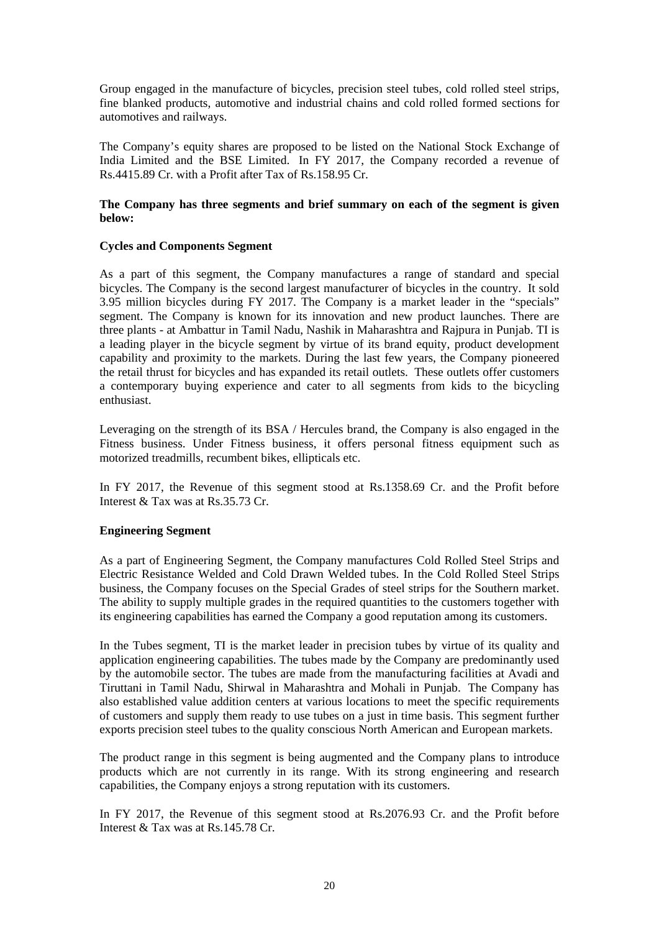Group engaged in the manufacture of bicycles, precision steel tubes, cold rolled steel strips, fine blanked products, automotive and industrial chains and cold rolled formed sections for automotives and railways.

The Company's equity shares are proposed to be listed on the National Stock Exchange of India Limited and the BSE Limited. In FY 2017, the Company recorded a revenue of Rs.4415.89 Cr. with a Profit after Tax of Rs.158.95 Cr.

# **The Company has three segments and brief summary on each of the segment is given below:**

# **Cycles and Components Segment**

As a part of this segment, the Company manufactures a range of standard and special bicycles. The Company is the second largest manufacturer of bicycles in the country. It sold 3.95 million bicycles during FY 2017. The Company is a market leader in the "specials" segment. The Company is known for its innovation and new product launches. There are three plants - at Ambattur in Tamil Nadu, Nashik in Maharashtra and Rajpura in Punjab. TI is a leading player in the bicycle segment by virtue of its brand equity, product development capability and proximity to the markets. During the last few years, the Company pioneered the retail thrust for bicycles and has expanded its retail outlets. These outlets offer customers a contemporary buying experience and cater to all segments from kids to the bicycling enthusiast.

Leveraging on the strength of its BSA / Hercules brand, the Company is also engaged in the Fitness business. Under Fitness business, it offers personal fitness equipment such as motorized treadmills, recumbent bikes, ellipticals etc.

In FY 2017, the Revenue of this segment stood at Rs.1358.69 Cr. and the Profit before Interest & Tax was at Rs.35.73 Cr.

# **Engineering Segment**

As a part of Engineering Segment, the Company manufactures Cold Rolled Steel Strips and Electric Resistance Welded and Cold Drawn Welded tubes. In the Cold Rolled Steel Strips business, the Company focuses on the Special Grades of steel strips for the Southern market. The ability to supply multiple grades in the required quantities to the customers together with its engineering capabilities has earned the Company a good reputation among its customers.

In the Tubes segment, TI is the market leader in precision tubes by virtue of its quality and application engineering capabilities. The tubes made by the Company are predominantly used by the automobile sector. The tubes are made from the manufacturing facilities at Avadi and Tiruttani in Tamil Nadu, Shirwal in Maharashtra and Mohali in Punjab. The Company has also established value addition centers at various locations to meet the specific requirements of customers and supply them ready to use tubes on a just in time basis. This segment further exports precision steel tubes to the quality conscious North American and European markets.

The product range in this segment is being augmented and the Company plans to introduce products which are not currently in its range. With its strong engineering and research capabilities, the Company enjoys a strong reputation with its customers.

In FY 2017, the Revenue of this segment stood at Rs.2076.93 Cr. and the Profit before Interest & Tax was at Rs.145.78 Cr.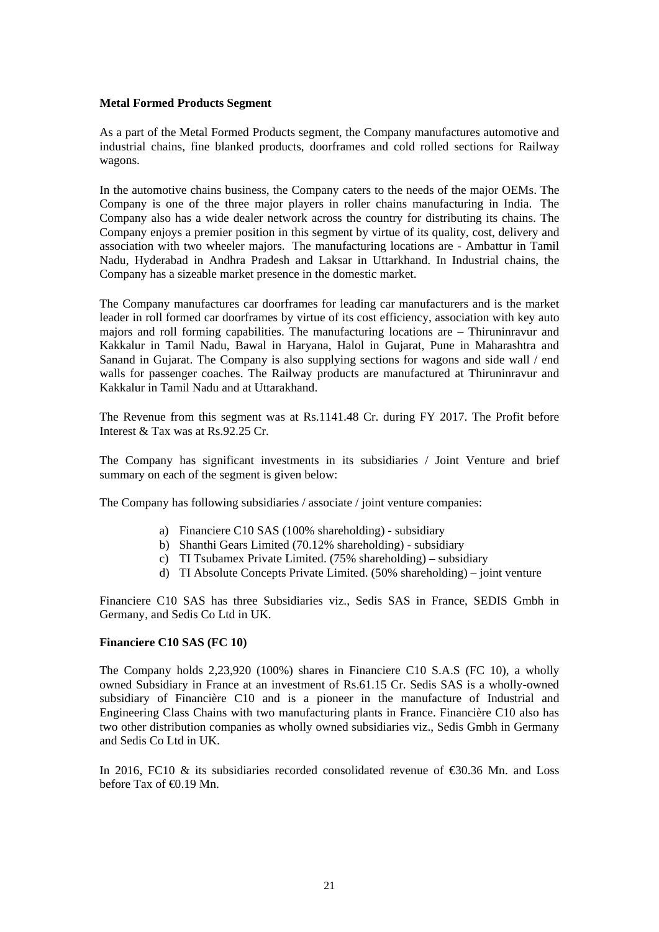#### **Metal Formed Products Segment**

As a part of the Metal Formed Products segment, the Company manufactures automotive and industrial chains, fine blanked products, doorframes and cold rolled sections for Railway wagons.

In the automotive chains business, the Company caters to the needs of the major OEMs. The Company is one of the three major players in roller chains manufacturing in India. The Company also has a wide dealer network across the country for distributing its chains. The Company enjoys a premier position in this segment by virtue of its quality, cost, delivery and association with two wheeler majors. The manufacturing locations are - Ambattur in Tamil Nadu, Hyderabad in Andhra Pradesh and Laksar in Uttarkhand. In Industrial chains, the Company has a sizeable market presence in the domestic market.

The Company manufactures car doorframes for leading car manufacturers and is the market leader in roll formed car doorframes by virtue of its cost efficiency, association with key auto majors and roll forming capabilities. The manufacturing locations are – Thiruninravur and Kakkalur in Tamil Nadu, Bawal in Haryana, Halol in Gujarat, Pune in Maharashtra and Sanand in Gujarat. The Company is also supplying sections for wagons and side wall / end walls for passenger coaches. The Railway products are manufactured at Thiruninravur and Kakkalur in Tamil Nadu and at Uttarakhand.

The Revenue from this segment was at Rs.1141.48 Cr. during FY 2017. The Profit before Interest & Tax was at Rs.92.25 Cr.

The Company has significant investments in its subsidiaries / Joint Venture and brief summary on each of the segment is given below:

The Company has following subsidiaries / associate / joint venture companies:

- a) Financiere C10 SAS (100% shareholding) subsidiary
- b) Shanthi Gears Limited (70.12% shareholding) subsidiary
- c) TI Tsubamex Private Limited. (75% shareholding) subsidiary
- d) TI Absolute Concepts Private Limited. (50% shareholding) joint venture

Financiere C10 SAS has three Subsidiaries viz., Sedis SAS in France, SEDIS Gmbh in Germany, and Sedis Co Ltd in UK.

#### **Financiere C10 SAS (FC 10)**

The Company holds 2,23,920 (100%) shares in Financiere C10 S.A.S (FC 10), a wholly owned Subsidiary in France at an investment of Rs.61.15 Cr. Sedis SAS is a wholly-owned subsidiary of Financière C10 and is a pioneer in the manufacture of Industrial and Engineering Class Chains with two manufacturing plants in France. Financière C10 also has two other distribution companies as wholly owned subsidiaries viz., Sedis Gmbh in Germany and Sedis Co Ltd in UK.

In 2016, FC10 & its subsidiaries recorded consolidated revenue of  $\epsilon$ 30.36 Mn. and Loss before Tax of  $\bigoplus$  19 Mn.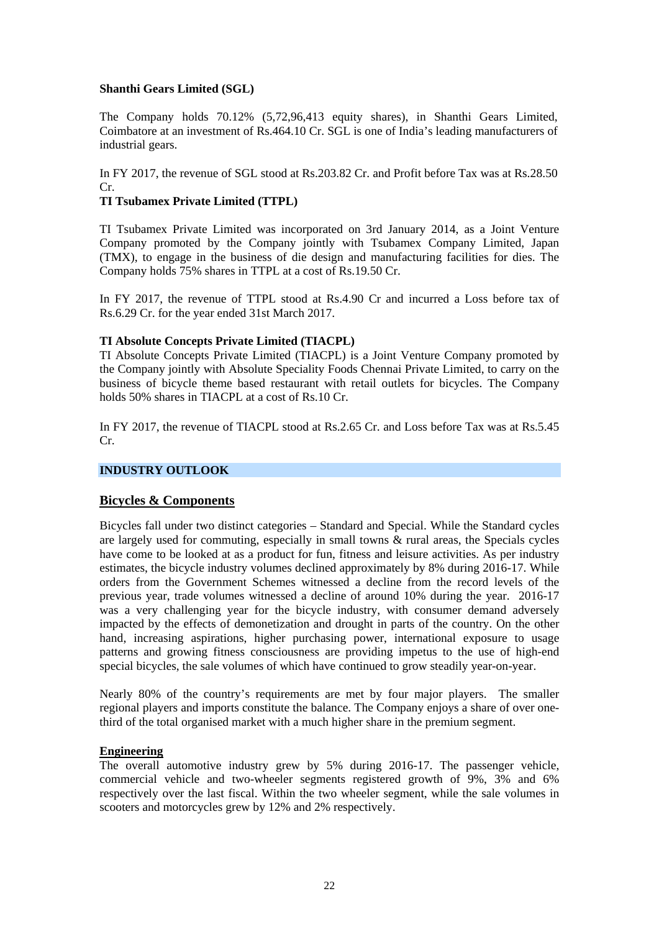# **Shanthi Gears Limited (SGL)**

The Company holds 70.12% (5,72,96,413 equity shares), in Shanthi Gears Limited, Coimbatore at an investment of Rs.464.10 Cr. SGL is one of India's leading manufacturers of industrial gears.

In FY 2017, the revenue of SGL stood at Rs.203.82 Cr. and Profit before Tax was at Rs.28.50 Cr.

# **TI Tsubamex Private Limited (TTPL)**

TI Tsubamex Private Limited was incorporated on 3rd January 2014, as a Joint Venture Company promoted by the Company jointly with Tsubamex Company Limited, Japan (TMX), to engage in the business of die design and manufacturing facilities for dies. The Company holds 75% shares in TTPL at a cost of Rs.19.50 Cr.

In FY 2017, the revenue of TTPL stood at Rs.4.90 Cr and incurred a Loss before tax of Rs.6.29 Cr. for the year ended 31st March 2017.

# **TI Absolute Concepts Private Limited (TIACPL)**

TI Absolute Concepts Private Limited (TIACPL) is a Joint Venture Company promoted by the Company jointly with Absolute Speciality Foods Chennai Private Limited, to carry on the business of bicycle theme based restaurant with retail outlets for bicycles. The Company holds 50% shares in TIACPL at a cost of Rs.10 Cr.

In FY 2017, the revenue of TIACPL stood at Rs.2.65 Cr. and Loss before Tax was at Rs.5.45 Cr.

# **INDUSTRY OUTLOOK**

# **Bicycles & Components**

Bicycles fall under two distinct categories – Standard and Special. While the Standard cycles are largely used for commuting, especially in small towns & rural areas, the Specials cycles have come to be looked at as a product for fun, fitness and leisure activities. As per industry estimates, the bicycle industry volumes declined approximately by 8% during 2016-17. While orders from the Government Schemes witnessed a decline from the record levels of the previous year, trade volumes witnessed a decline of around 10% during the year. 2016-17 was a very challenging year for the bicycle industry, with consumer demand adversely impacted by the effects of demonetization and drought in parts of the country. On the other hand, increasing aspirations, higher purchasing power, international exposure to usage patterns and growing fitness consciousness are providing impetus to the use of high-end special bicycles, the sale volumes of which have continued to grow steadily year-on-year.

Nearly 80% of the country's requirements are met by four major players. The smaller regional players and imports constitute the balance. The Company enjoys a share of over onethird of the total organised market with a much higher share in the premium segment.

#### **Engineering**

The overall automotive industry grew by 5% during 2016-17. The passenger vehicle, commercial vehicle and two-wheeler segments registered growth of 9%, 3% and 6% respectively over the last fiscal. Within the two wheeler segment, while the sale volumes in scooters and motorcycles grew by 12% and 2% respectively.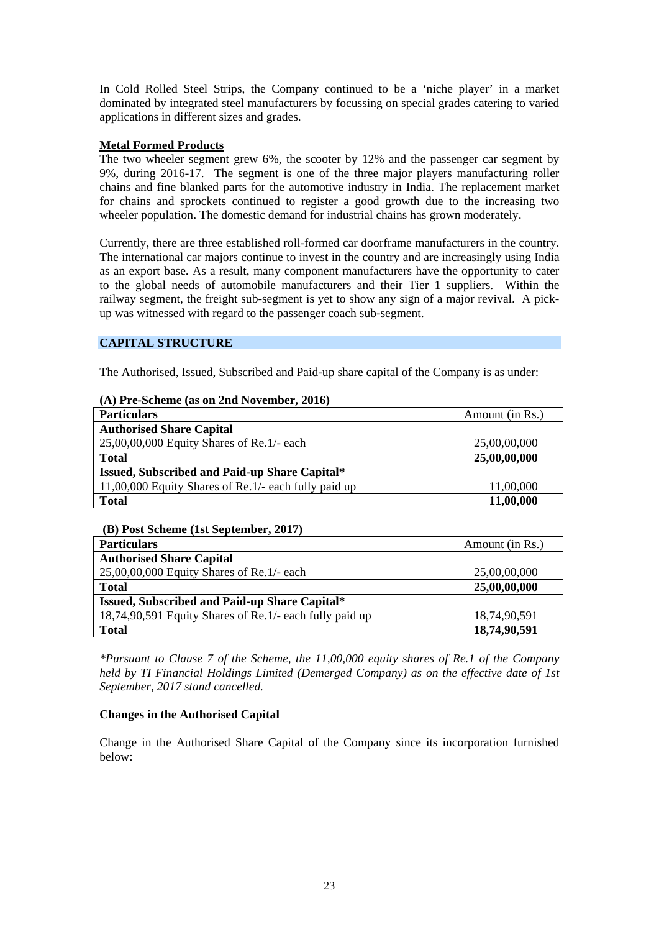In Cold Rolled Steel Strips, the Company continued to be a 'niche player' in a market dominated by integrated steel manufacturers by focussing on special grades catering to varied applications in different sizes and grades.

# **Metal Formed Products**

The two wheeler segment grew 6%, the scooter by 12% and the passenger car segment by 9%, during 2016-17. The segment is one of the three major players manufacturing roller chains and fine blanked parts for the automotive industry in India. The replacement market for chains and sprockets continued to register a good growth due to the increasing two wheeler population. The domestic demand for industrial chains has grown moderately.

Currently, there are three established roll-formed car doorframe manufacturers in the country. The international car majors continue to invest in the country and are increasingly using India as an export base. As a result, many component manufacturers have the opportunity to cater to the global needs of automobile manufacturers and their Tier 1 suppliers. Within the railway segment, the freight sub-segment is yet to show any sign of a major revival. A pickup was witnessed with regard to the passenger coach sub-segment.

# **CAPITAL STRUCTURE**

The Authorised, Issued, Subscribed and Paid-up share capital of the Company is as under:

| (A) Pre-Scheme (as on 2nd November, 2016) |  |  |  |
|-------------------------------------------|--|--|--|
|-------------------------------------------|--|--|--|

| <b>Particulars</b>                                   | Amount (in Rs.) |
|------------------------------------------------------|-----------------|
| <b>Authorised Share Capital</b>                      |                 |
| $25,00,00,000$ Equity Shares of Re.1/- each          | 25,00,00,000    |
| <b>Total</b>                                         | 25,00,00,000    |
| Issued, Subscribed and Paid-up Share Capital*        |                 |
| 11,00,000 Equity Shares of Re.1/- each fully paid up | 11,00,000       |
| <b>Total</b>                                         | 11,00,000       |

# **(B) Post Scheme (1st September, 2017)**

| <b>Particulars</b>                                      | Amount (in Rs.) |
|---------------------------------------------------------|-----------------|
| <b>Authorised Share Capital</b>                         |                 |
| $25,00,00,000$ Equity Shares of Re.1/- each             | 25,00,00,000    |
| <b>Total</b>                                            | 25,00,00,000    |
| Issued, Subscribed and Paid-up Share Capital*           |                 |
| 18,74,90,591 Equity Shares of Re.1/- each fully paid up | 18,74,90,591    |
| <b>Total</b>                                            | 18,74,90,591    |

*\*Pursuant to Clause 7 of the Scheme, the 11,00,000 equity shares of Re.1 of the Company held by TI Financial Holdings Limited (Demerged Company) as on the effective date of 1st September, 2017 stand cancelled.*

# **Changes in the Authorised Capital**

Change in the Authorised Share Capital of the Company since its incorporation furnished below: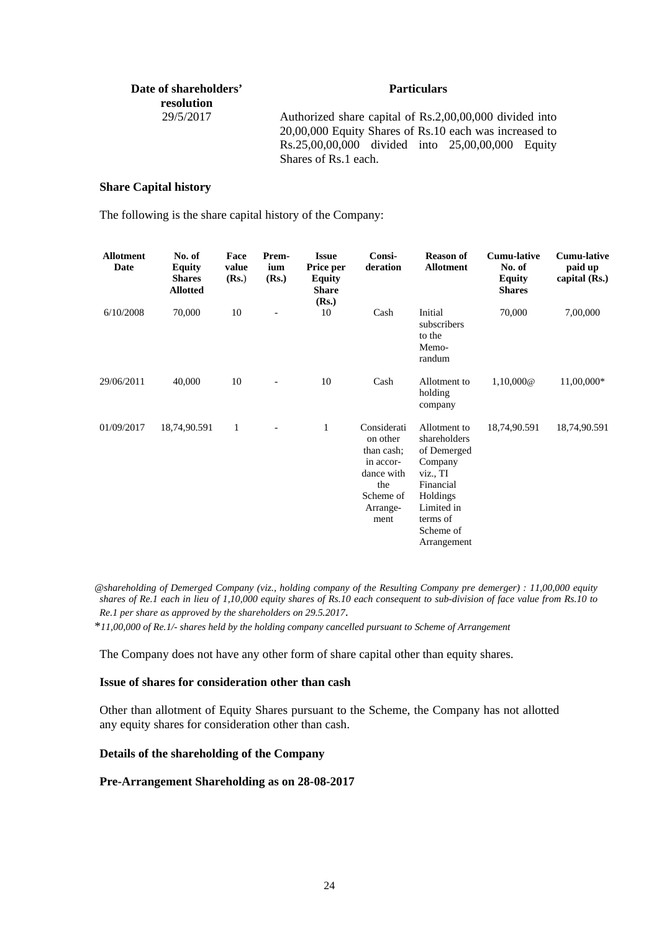| Date of shareholders'<br>resolution | <b>Particulars</b>                                                                                                                                                                            |
|-------------------------------------|-----------------------------------------------------------------------------------------------------------------------------------------------------------------------------------------------|
| 29/5/2017                           | Authorized share capital of Rs.2,00,00,000 divided into<br>20,00,000 Equity Shares of Rs.10 each was increased to<br>Rs.25,00,00,000 divided into 25,00,00,000 Equity<br>Shares of Rs.1 each. |

### **Share Capital history**

The following is the share capital history of the Company:

| <b>Allotment</b><br>Date | No. of<br><b>Equity</b><br><b>Shares</b><br><b>Allotted</b> | Face<br>value<br>(Rs.) | Prem-<br>ium<br>(Rs.) | <b>Issue</b><br>Price per<br><b>Equity</b><br><b>Share</b><br>(Rs.) | Consi-<br>deration                                                                                       | <b>Reason of</b><br><b>Allotment</b>                                                                                                              | <b>Cumu-lative</b><br>No. of<br><b>Equity</b><br><b>Shares</b> | <b>Cumu-lative</b><br>paid up<br>capital $(Rs.)$ |
|--------------------------|-------------------------------------------------------------|------------------------|-----------------------|---------------------------------------------------------------------|----------------------------------------------------------------------------------------------------------|---------------------------------------------------------------------------------------------------------------------------------------------------|----------------------------------------------------------------|--------------------------------------------------|
| 6/10/2008                | 70,000                                                      | 10                     |                       | 10                                                                  | Cash                                                                                                     | Initial<br>subscribers<br>to the<br>Memo-<br>randum                                                                                               | 70,000                                                         | 7,00,000                                         |
| 29/06/2011               | 40,000                                                      | 10                     |                       | 10                                                                  | Cash                                                                                                     | Allotment to<br>holding<br>company                                                                                                                | 1,10,000@                                                      | 11,00,000*                                       |
| 01/09/2017               | 18,74,90.591                                                | 1                      |                       | $\mathbf{1}$                                                        | Considerati<br>on other<br>than cash;<br>in accor-<br>dance with<br>the<br>Scheme of<br>Arrange-<br>ment | Allotment to<br>shareholders<br>of Demerged<br>Company<br>viz., TI<br>Financial<br>Holdings<br>Limited in<br>terms of<br>Scheme of<br>Arrangement | 18,74,90.591                                                   | 18,74,90.591                                     |

*@shareholding of Demerged Company (viz., holding company of the Resulting Company pre demerger) : 11,00,000 equity shares of Re.1 each in lieu of 1,10,000 equity shares of Rs.10 each consequent to sub-division of face value from Rs.10 to Re.1 per share as approved by the shareholders on 29.5.2017*.

\**11,00,000 of Re.1/- shares held by the holding company cancelled pursuant to Scheme of Arrangement*

The Company does not have any other form of share capital other than equity shares.

### **Issue of shares for consideration other than cash**

Other than allotment of Equity Shares pursuant to the Scheme, the Company has not allotted any equity shares for consideration other than cash.

### **Details of the shareholding of the Company**

### **Pre-Arrangement Shareholding as on 28-08-2017**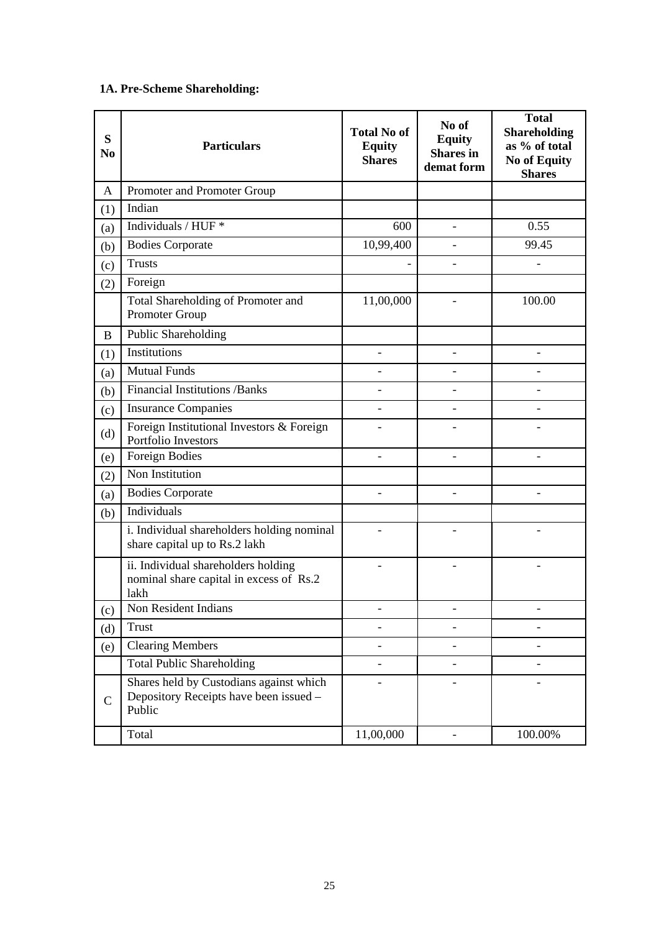# **1A. Pre-Scheme Shareholding:**

| S<br>N <sub>0</sub> | <b>Particulars</b>                                                                          | <b>Total No of</b><br><b>Equity</b><br><b>Shares</b> | No of<br><b>Equity</b><br><b>Shares</b> in<br>demat form | <b>Total</b><br><b>Shareholding</b><br>as % of total<br><b>No of Equity</b><br><b>Shares</b> |
|---------------------|---------------------------------------------------------------------------------------------|------------------------------------------------------|----------------------------------------------------------|----------------------------------------------------------------------------------------------|
| A                   | Promoter and Promoter Group                                                                 |                                                      |                                                          |                                                                                              |
| (1)                 | Indian                                                                                      |                                                      |                                                          |                                                                                              |
| (a)                 | Individuals / HUF *                                                                         | 600                                                  |                                                          | 0.55                                                                                         |
| (b)                 | <b>Bodies Corporate</b>                                                                     | 10,99,400                                            | $\equiv$                                                 | 99.45                                                                                        |
| (c)                 | <b>Trusts</b>                                                                               |                                                      |                                                          | ÷,                                                                                           |
| (2)                 | Foreign                                                                                     |                                                      |                                                          |                                                                                              |
|                     | Total Shareholding of Promoter and<br>Promoter Group                                        | 11,00,000                                            |                                                          | 100.00                                                                                       |
| B                   | Public Shareholding                                                                         |                                                      |                                                          |                                                                                              |
| (1)                 | <b>Institutions</b>                                                                         |                                                      |                                                          |                                                                                              |
| (a)                 | <b>Mutual Funds</b>                                                                         |                                                      |                                                          |                                                                                              |
| (b)                 | <b>Financial Institutions /Banks</b>                                                        | $\overline{\phantom{a}}$                             |                                                          | $\overline{a}$                                                                               |
| (c)                 | <b>Insurance Companies</b>                                                                  |                                                      |                                                          |                                                                                              |
| (d)                 | Foreign Institutional Investors & Foreign<br>Portfolio Investors                            |                                                      |                                                          |                                                                                              |
| (e)                 | <b>Foreign Bodies</b>                                                                       | $\overline{a}$                                       | $\overline{a}$                                           | L,                                                                                           |
| (2)                 | Non Institution                                                                             |                                                      |                                                          |                                                                                              |
| (a)                 | <b>Bodies Corporate</b>                                                                     |                                                      |                                                          |                                                                                              |
| (b)                 | Individuals                                                                                 |                                                      |                                                          |                                                                                              |
|                     | i. Individual shareholders holding nominal<br>share capital up to Rs.2 lakh                 |                                                      |                                                          |                                                                                              |
|                     | ii. Individual shareholders holding<br>nominal share capital in excess of Rs.2<br>lakh      |                                                      |                                                          |                                                                                              |
| (c)                 | Non Resident Indians                                                                        |                                                      |                                                          |                                                                                              |
| (d)                 | <b>Trust</b>                                                                                |                                                      |                                                          |                                                                                              |
| (e)                 | <b>Clearing Members</b>                                                                     |                                                      |                                                          |                                                                                              |
|                     | <b>Total Public Shareholding</b>                                                            |                                                      |                                                          |                                                                                              |
| $\mathsf{C}$        | Shares held by Custodians against which<br>Depository Receipts have been issued -<br>Public |                                                      |                                                          |                                                                                              |
|                     | Total                                                                                       | 11,00,000                                            |                                                          | 100.00%                                                                                      |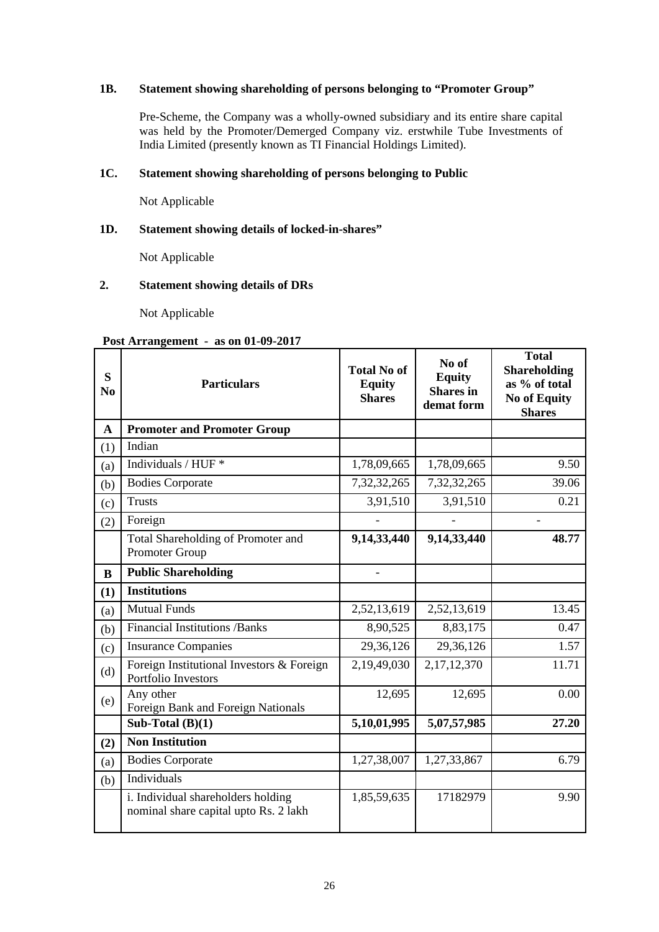# **1B. Statement showing shareholding of persons belonging to "Promoter Group"**

Pre-Scheme, the Company was a wholly-owned subsidiary and its entire share capital was held by the Promoter/Demerged Company viz. erstwhile Tube Investments of India Limited (presently known as TI Financial Holdings Limited).

# **1C. Statement showing shareholding of persons belonging to Public**

Not Applicable

# **1D. Statement showing details of locked-in-shares"**

Not Applicable

# **2. Statement showing details of DRs**

Not Applicable

# **Post Arrangement - as on 01-09-2017**

| S<br>N <sub>0</sub> | <b>Particulars</b>                                                          | <b>Total No of</b><br><b>Equity</b><br><b>Shares</b> | No of<br><b>Equity</b><br><b>Shares</b> in<br>demat form | <b>Total</b><br><b>Shareholding</b><br>as % of total<br><b>No of Equity</b><br><b>Shares</b> |
|---------------------|-----------------------------------------------------------------------------|------------------------------------------------------|----------------------------------------------------------|----------------------------------------------------------------------------------------------|
| A                   | <b>Promoter and Promoter Group</b>                                          |                                                      |                                                          |                                                                                              |
| (1)                 | Indian                                                                      |                                                      |                                                          |                                                                                              |
| (a)                 | Individuals / HUF *                                                         | 1,78,09,665                                          | 1,78,09,665                                              | 9.50                                                                                         |
| (b)                 | <b>Bodies Corporate</b>                                                     | 7, 32, 32, 265                                       | 7, 32, 32, 265                                           | 39.06                                                                                        |
| (c)                 | <b>Trusts</b>                                                               | 3,91,510                                             | 3,91,510                                                 | 0.21                                                                                         |
| (2)                 | Foreign                                                                     |                                                      |                                                          |                                                                                              |
|                     | Total Shareholding of Promoter and<br>Promoter Group                        | 9,14,33,440                                          | 9,14,33,440                                              | 48.77                                                                                        |
| B                   | <b>Public Shareholding</b>                                                  | $\overline{a}$                                       |                                                          |                                                                                              |
| (1)                 | <b>Institutions</b>                                                         |                                                      |                                                          |                                                                                              |
| (a)                 | <b>Mutual Funds</b>                                                         | 2,52,13,619                                          | 2,52,13,619                                              | 13.45                                                                                        |
| (b)                 | <b>Financial Institutions /Banks</b>                                        | 8,90,525                                             | 8,83,175                                                 | 0.47                                                                                         |
| (c)                 | <b>Insurance Companies</b>                                                  | 29,36,126                                            | 29,36,126                                                | 1.57                                                                                         |
| (d)                 | Foreign Institutional Investors & Foreign<br>Portfolio Investors            | 2,19,49,030                                          | 2,17,12,370                                              | 11.71                                                                                        |
| (e)                 | Any other<br>Foreign Bank and Foreign Nationals                             | 12,695                                               | 12,695                                                   | 0.00                                                                                         |
|                     | Sub-Total $(B)(1)$                                                          | 5,10,01,995                                          | 5,07,57,985                                              | 27.20                                                                                        |
| (2)                 | <b>Non Institution</b>                                                      |                                                      |                                                          |                                                                                              |
| (a)                 | <b>Bodies Corporate</b>                                                     | 1,27,38,007                                          | 1,27,33,867                                              | 6.79                                                                                         |
| (b)                 | Individuals                                                                 |                                                      |                                                          |                                                                                              |
|                     | i. Individual shareholders holding<br>nominal share capital upto Rs. 2 lakh | 1,85,59,635                                          | 17182979                                                 | 9.90                                                                                         |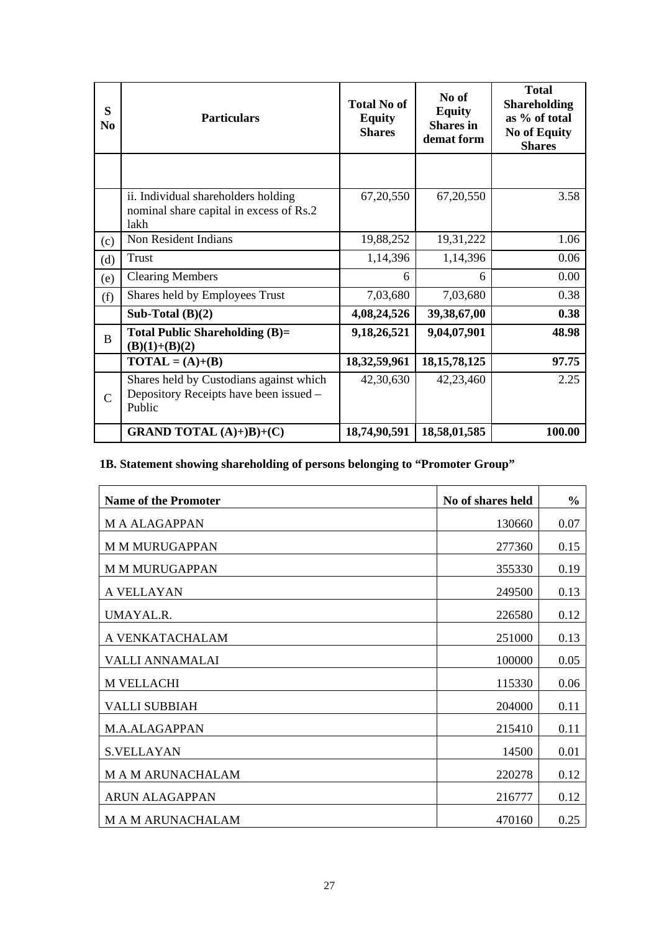| S<br>N <sub>0</sub> | <b>Particulars</b>                                                                          | <b>Total No of</b><br><b>Equity</b><br><b>Shares</b> | No of<br><b>Equity</b><br><b>Shares</b> in<br>demat form | <b>Total</b><br><b>Shareholding</b><br>as % of total<br><b>No of Equity</b><br><b>Shares</b> |
|---------------------|---------------------------------------------------------------------------------------------|------------------------------------------------------|----------------------------------------------------------|----------------------------------------------------------------------------------------------|
|                     |                                                                                             |                                                      |                                                          |                                                                                              |
|                     | ii. Individual shareholders holding<br>nominal share capital in excess of Rs.2<br>lakh      | 67,20,550                                            | 67, 20, 550                                              | 3.58                                                                                         |
| (c)                 | Non Resident Indians                                                                        | 19,88,252                                            | 19,31,222                                                | 1.06                                                                                         |
| (d)                 | <b>Trust</b>                                                                                | 1,14,396                                             | 1,14,396                                                 | 0.06                                                                                         |
| (e)                 | <b>Clearing Members</b>                                                                     | 6                                                    | 6                                                        | 0.00                                                                                         |
| (f)                 | Shares held by Employees Trust                                                              | 7,03,680                                             | 7,03,680                                                 | 0.38                                                                                         |
|                     | Sub-Total $(B)(2)$                                                                          | 4,08,24,526                                          | 39, 38, 67, 00                                           | 0.38                                                                                         |
| B                   | <b>Total Public Shareholding (B)=</b><br>$(B)(1)+(B)(2)$                                    | 9,18,26,521                                          | 9,04,07,901                                              | 48.98                                                                                        |
|                     | $\textbf{TOTAL} = (\textbf{A}) + (\textbf{B})$                                              | 18, 32, 59, 961                                      | 18, 15, 78, 125                                          | 97.75                                                                                        |
| $\mathcal{C}$       | Shares held by Custodians against which<br>Depository Receipts have been issued -<br>Public | 42,30,630                                            | 42,23,460                                                | 2.25                                                                                         |
|                     | <b>GRAND TOTAL</b> $(A)+B)+(C)$                                                             | 18,74,90,591                                         | 18,58,01,585                                             | 100.00                                                                                       |

# **1B. Statement showing shareholding of persons belonging to "Promoter Group"**

| <b>Name of the Promoter</b> | No of shares held | $\frac{6}{6}$ |
|-----------------------------|-------------------|---------------|
| <b>MAALAGAPPAN</b>          | 130660            | 0.07          |
| <b>M M MURUGAPPAN</b>       | 277360            | 0.15          |
| <b>M M MURUGAPPAN</b>       | 355330            | 0.19          |
| A VELLAYAN                  | 249500            | 0.13          |
| UMAYAL.R.                   | 226580            | 0.12          |
| A VENKATACHALAM             | 251000            | 0.13          |
| VALLI ANNAMALAI             | 100000            | 0.05          |
| M VELLACHI                  | 115330            | 0.06          |
| <b>VALLI SUBBIAH</b>        | 204000            | 0.11          |
| M.A.ALAGAPPAN               | 215410            | 0.11          |
| <b>S.VELLAYAN</b>           | 14500             | 0.01          |
| <b>MAM ARUNACHALAM</b>      | 220278            | 0.12          |
| <b>ARUN ALAGAPPAN</b>       | 216777            | 0.12          |
| <b>MAM ARUNACHALAM</b>      | 470160            | 0.25          |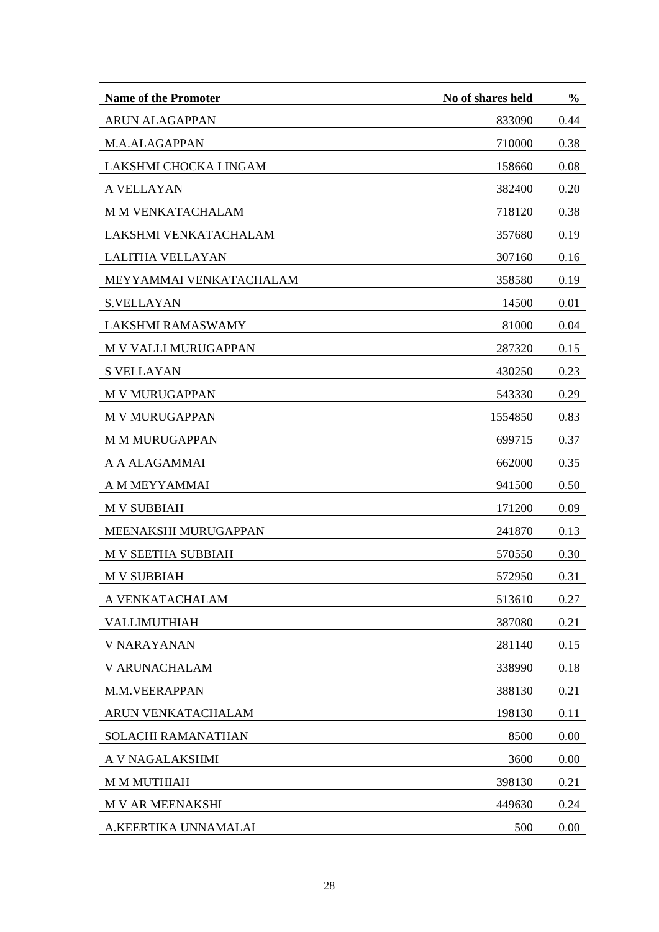| <b>Name of the Promoter</b> | No of shares held | $\frac{0}{0}$ |
|-----------------------------|-------------------|---------------|
| <b>ARUN ALAGAPPAN</b>       | 833090            | 0.44          |
| M.A.ALAGAPPAN               | 710000            | 0.38          |
| LAKSHMI CHOCKA LINGAM       | 158660            | 0.08          |
| A VELLAYAN                  | 382400            | 0.20          |
| M M VENKATACHALAM           | 718120            | 0.38          |
| LAKSHMI VENKATACHALAM       | 357680            | 0.19          |
| <b>LALITHA VELLAYAN</b>     | 307160            | 0.16          |
| MEYYAMMAI VENKATACHALAM     | 358580            | 0.19          |
| <b>S.VELLAYAN</b>           | 14500             | 0.01          |
| <b>LAKSHMI RAMASWAMY</b>    | 81000             | 0.04          |
| M V VALLI MURUGAPPAN        | 287320            | 0.15          |
| <b>S VELLAYAN</b>           | 430250            | 0.23          |
| <b>M V MURUGAPPAN</b>       | 543330            | 0.29          |
| <b>M V MURUGAPPAN</b>       | 1554850           | 0.83          |
| <b>M M MURUGAPPAN</b>       | 699715            | 0.37          |
| A A ALAGAMMAI               | 662000            | 0.35          |
| A M MEYYAMMAI               | 941500            | 0.50          |
| <b>M V SUBBIAH</b>          | 171200            | 0.09          |
| MEENAKSHI MURUGAPPAN        | 241870            | 0.13          |
| <b>M V SEETHA SUBBIAH</b>   | 570550            | 0.30          |
| <b>M V SUBBIAH</b>          | 572950            | 0.31          |
| A VENKATACHALAM             | 513610            | 0.27          |
| VALLIMUTHIAH                | 387080            | 0.21          |
| <b>V NARAYANAN</b>          | 281140            | 0.15          |
| V ARUNACHALAM               | 338990            | 0.18          |
| M.M.VEERAPPAN               | 388130            | 0.21          |
| ARUN VENKATACHALAM          | 198130            | 0.11          |
| SOLACHI RAMANATHAN          | 8500              | 0.00          |
| A V NAGALAKSHMI             | 3600              | 0.00          |
| <b>M M MUTHIAH</b>          | 398130            | 0.21          |
| <b>M V AR MEENAKSHI</b>     | 449630            | 0.24          |
| A.KEERTIKA UNNAMALAI        | 500               | 0.00          |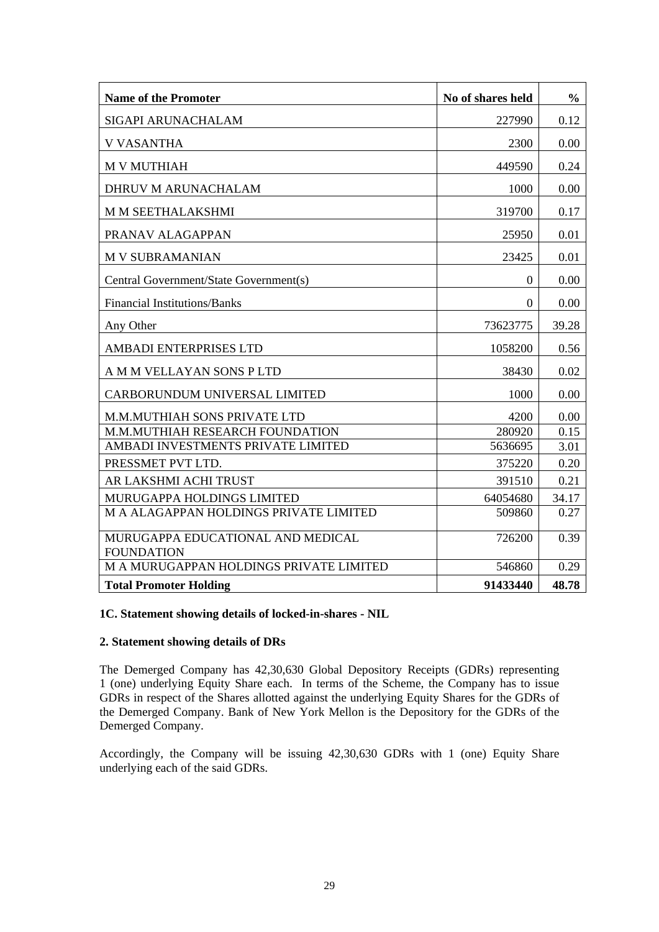| <b>Name of the Promoter</b>                            | No of shares held | $\frac{0}{0}$ |
|--------------------------------------------------------|-------------------|---------------|
| SIGAPI ARUNACHALAM                                     | 227990            | 0.12          |
| <b>V VASANTHA</b>                                      | 2300              | 0.00          |
| <b>M V MUTHIAH</b>                                     | 449590            | 0.24          |
| DHRUV M ARUNACHALAM                                    | 1000              | 0.00          |
| M M SEETHALAKSHMI                                      | 319700            | 0.17          |
| PRANAV ALAGAPPAN                                       | 25950             | 0.01          |
| <b>M V SUBRAMANIAN</b>                                 | 23425             | 0.01          |
| Central Government/State Government(s)                 | $\overline{0}$    | 0.00          |
| <b>Financial Institutions/Banks</b>                    | $\overline{0}$    | 0.00          |
| Any Other                                              | 73623775          | 39.28         |
| AMBADI ENTERPRISES LTD                                 | 1058200           | 0.56          |
| A M M VELLAYAN SONS P LTD                              | 38430             | 0.02          |
| CARBORUNDUM UNIVERSAL LIMITED                          | 1000              | 0.00          |
| M.M.MUTHIAH SONS PRIVATE LTD                           | 4200              | 0.00          |
| M.M.MUTHIAH RESEARCH FOUNDATION                        | 280920            | 0.15          |
| AMBADI INVESTMENTS PRIVATE LIMITED                     | 5636695           | 3.01          |
| PRESSMET PVT LTD.                                      | 375220            | 0.20          |
| AR LAKSHMI ACHI TRUST                                  | 391510            | 0.21          |
| MURUGAPPA HOLDINGS LIMITED                             | 64054680          | 34.17         |
| M A ALAGAPPAN HOLDINGS PRIVATE LIMITED                 | 509860            | 0.27          |
| MURUGAPPA EDUCATIONAL AND MEDICAL<br><b>FOUNDATION</b> | 726200            | 0.39          |
| M A MURUGAPPAN HOLDINGS PRIVATE LIMITED                | 546860            | 0.29          |
| <b>Total Promoter Holding</b>                          | 91433440          | 48.78         |

# **1C. Statement showing details of locked-in-shares - NIL**

### **2. Statement showing details of DRs**

The Demerged Company has 42,30,630 Global Depository Receipts (GDRs) representing 1 (one) underlying Equity Share each. In terms of the Scheme, the Company has to issue GDRs in respect of the Shares allotted against the underlying Equity Shares for the GDRs of the Demerged Company. Bank of New York Mellon is the Depository for the GDRs of the Demerged Company.

Accordingly, the Company will be issuing 42,30,630 GDRs with 1 (one) Equity Share underlying each of the said GDRs.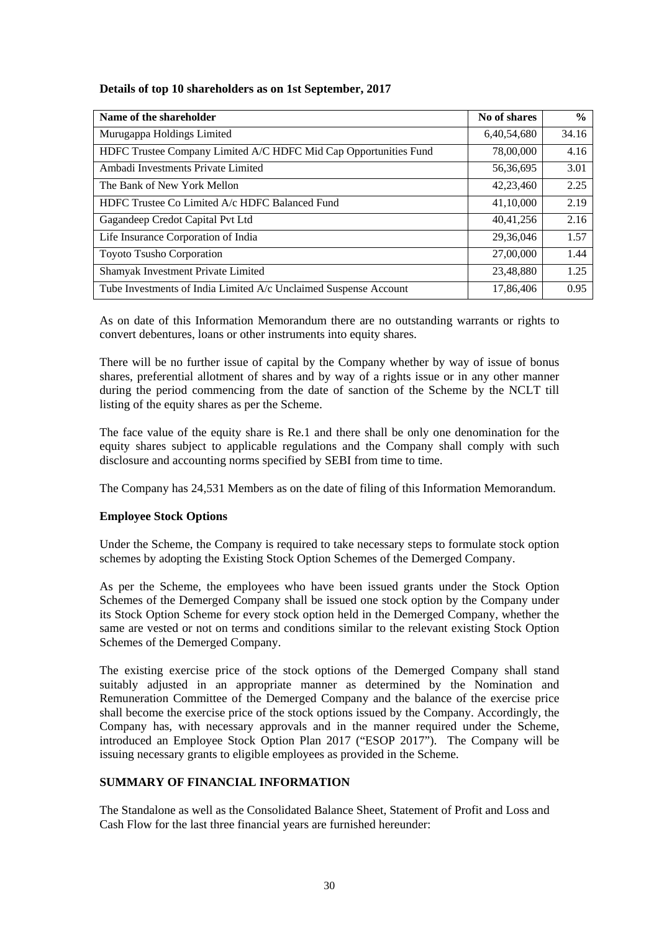# **Details of top 10 shareholders as on 1st September, 2017**

| Name of the shareholder                                          | No of shares | $\frac{0}{0}$ |
|------------------------------------------------------------------|--------------|---------------|
| Murugappa Holdings Limited                                       | 6,40,54,680  | 34.16         |
| HDFC Trustee Company Limited A/C HDFC Mid Cap Opportunities Fund | 78,00,000    | 4.16          |
| Ambadi Investments Private Limited                               | 56,36,695    | 3.01          |
| The Bank of New York Mellon                                      | 42,23,460    | 2.25          |
| HDFC Trustee Co Limited A/c HDFC Balanced Fund                   | 41,10,000    | 2.19          |
| Gagandeep Credot Capital Pvt Ltd                                 | 40,41,256    | 2.16          |
| Life Insurance Corporation of India                              | 29,36,046    | 1.57          |
| Toyoto Tsusho Corporation                                        | 27,00,000    | 1.44          |
| Shamyak Investment Private Limited                               | 23,48,880    | 1.25          |
| Tube Investments of India Limited A/c Unclaimed Suspense Account | 17,86,406    | 0.95          |

As on date of this Information Memorandum there are no outstanding warrants or rights to convert debentures, loans or other instruments into equity shares.

There will be no further issue of capital by the Company whether by way of issue of bonus shares, preferential allotment of shares and by way of a rights issue or in any other manner during the period commencing from the date of sanction of the Scheme by the NCLT till listing of the equity shares as per the Scheme.

The face value of the equity share is Re.1 and there shall be only one denomination for the equity shares subject to applicable regulations and the Company shall comply with such disclosure and accounting norms specified by SEBI from time to time.

The Company has 24,531 Members as on the date of filing of this Information Memorandum.

# **Employee Stock Options**

Under the Scheme, the Company is required to take necessary steps to formulate stock option schemes by adopting the Existing Stock Option Schemes of the Demerged Company.

As per the Scheme, the employees who have been issued grants under the Stock Option Schemes of the Demerged Company shall be issued one stock option by the Company under its Stock Option Scheme for every stock option held in the Demerged Company, whether the same are vested or not on terms and conditions similar to the relevant existing Stock Option Schemes of the Demerged Company.

The existing exercise price of the stock options of the Demerged Company shall stand suitably adjusted in an appropriate manner as determined by the Nomination and Remuneration Committee of the Demerged Company and the balance of the exercise price shall become the exercise price of the stock options issued by the Company. Accordingly, the Company has, with necessary approvals and in the manner required under the Scheme, introduced an Employee Stock Option Plan 2017 ("ESOP 2017"). The Company will be issuing necessary grants to eligible employees as provided in the Scheme.

# **SUMMARY OF FINANCIAL INFORMATION**

The Standalone as well as the Consolidated Balance Sheet, Statement of Profit and Loss and Cash Flow for the last three financial years are furnished hereunder: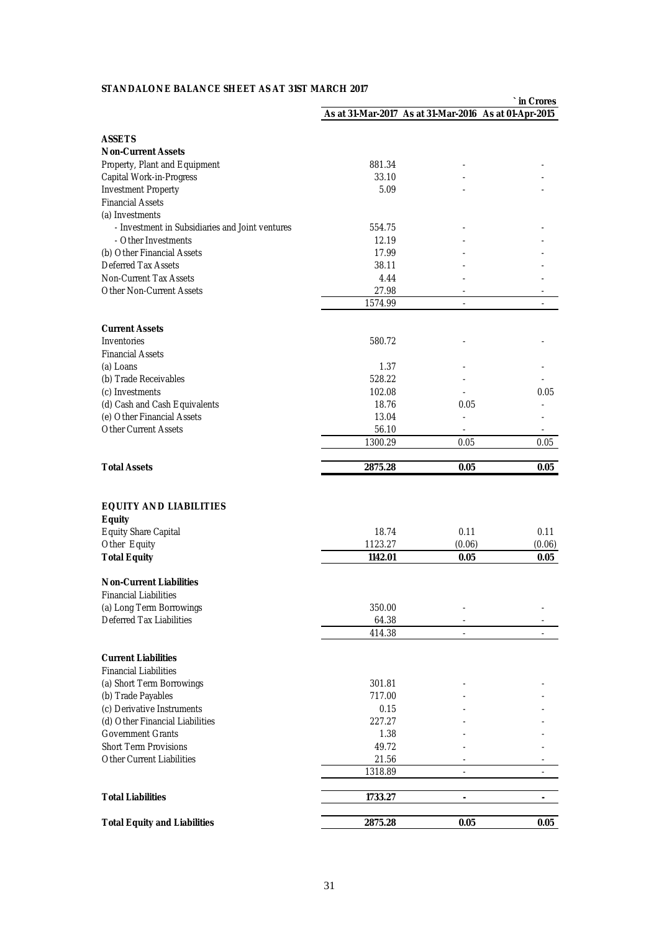### **STANDALONE BALANCE SHEET AS AT 31ST MARCH 2017**

|                                                  |         |                                                       | in Crores      |
|--------------------------------------------------|---------|-------------------------------------------------------|----------------|
|                                                  |         | As at 31-Mar-2017 As at 31-Mar-2016 As at 01-Apr-2015 |                |
|                                                  |         |                                                       |                |
| <b>ASSETS</b>                                    |         |                                                       |                |
| <b>Non-Current Assets</b>                        |         |                                                       |                |
| Property, Plant and Equipment                    | 881.34  |                                                       |                |
| Capital Work-in-Progress                         | 33.10   |                                                       |                |
| <b>Investment Property</b>                       | 5.09    |                                                       |                |
| <b>Financial Assets</b>                          |         |                                                       |                |
| (a) Investments                                  |         |                                                       |                |
| - Investment in Subsidiaries and Joint ventures  | 554.75  |                                                       |                |
| - Other Investments                              | 12.19   |                                                       |                |
| (b) Other Financial Assets                       | 17.99   |                                                       |                |
| Deferred Tax Assets                              | 38.11   |                                                       |                |
| Non-Current Tax Assets                           | 4.44    |                                                       |                |
| Other Non-Current Assets                         | 27.98   |                                                       |                |
|                                                  | 1574.99 |                                                       |                |
|                                                  |         |                                                       |                |
| <b>Current Assets</b>                            |         |                                                       |                |
| <b>Inventories</b>                               | 580.72  |                                                       |                |
| <b>Financial Assets</b>                          |         |                                                       |                |
| (a) Loans                                        | 1.37    |                                                       |                |
| (b) Trade Receivables                            | 528.22  |                                                       |                |
| (c) Investments                                  | 102.08  |                                                       | 0.05           |
| (d) Cash and Cash Equivalents                    | 18.76   | 0.05                                                  |                |
| (e) Other Financial Assets                       | 13.04   |                                                       |                |
| <b>Other Current Assets</b>                      | 56.10   |                                                       |                |
|                                                  | 1300.29 | 0.05                                                  | 0.05           |
|                                                  |         |                                                       |                |
| <b>Total Assets</b>                              | 2875.28 | 0.05                                                  | 0.05           |
|                                                  |         |                                                       |                |
|                                                  |         |                                                       |                |
| <b>EQUITY AND LIABILITIES</b>                    |         |                                                       |                |
| <b>Equity</b>                                    |         |                                                       |                |
| <b>Equity Share Capital</b>                      | 18.74   | 0.11                                                  | 0.11           |
| Other Equity                                     | 1123.27 | (0.06)                                                | (0.06)         |
| <b>Total Equity</b>                              | 1142.01 | 0.05                                                  | 0.05           |
|                                                  |         |                                                       |                |
| <b>Non-Current Liabilities</b>                   |         |                                                       |                |
| <b>Financial Liabilities</b>                     |         |                                                       |                |
| (a) Long Term Borrowings                         | 350.00  |                                                       |                |
| Deferred Tax Liabilities                         | 64.38   |                                                       |                |
|                                                  | 414.38  | $\sim$                                                | ÷              |
|                                                  |         |                                                       |                |
| <b>Current Liabilities</b>                       |         |                                                       |                |
| <b>Financial Liabilities</b>                     |         |                                                       |                |
| (a) Short Term Borrowings                        | 301.81  |                                                       |                |
|                                                  | 717.00  |                                                       |                |
| (b) Trade Payables<br>(c) Derivative Instruments |         |                                                       |                |
|                                                  | 0.15    |                                                       |                |
| (d) Other Financial Liabilities                  | 227.27  |                                                       |                |
| <b>Government Grants</b>                         | 1.38    |                                                       |                |
| <b>Short Term Provisions</b>                     | 49.72   |                                                       |                |
| Other Current Liabilities                        | 21.56   |                                                       |                |
|                                                  | 1318.89 | $\overline{\phantom{a}}$                              | ÷              |
|                                                  |         |                                                       |                |
| <b>Total Liabilities</b>                         | 1733.27 | L.                                                    | $\overline{a}$ |
| <b>Total Equity and Liabilities</b>              | 2875.28 | 0.05                                                  | 0.05           |
|                                                  |         |                                                       |                |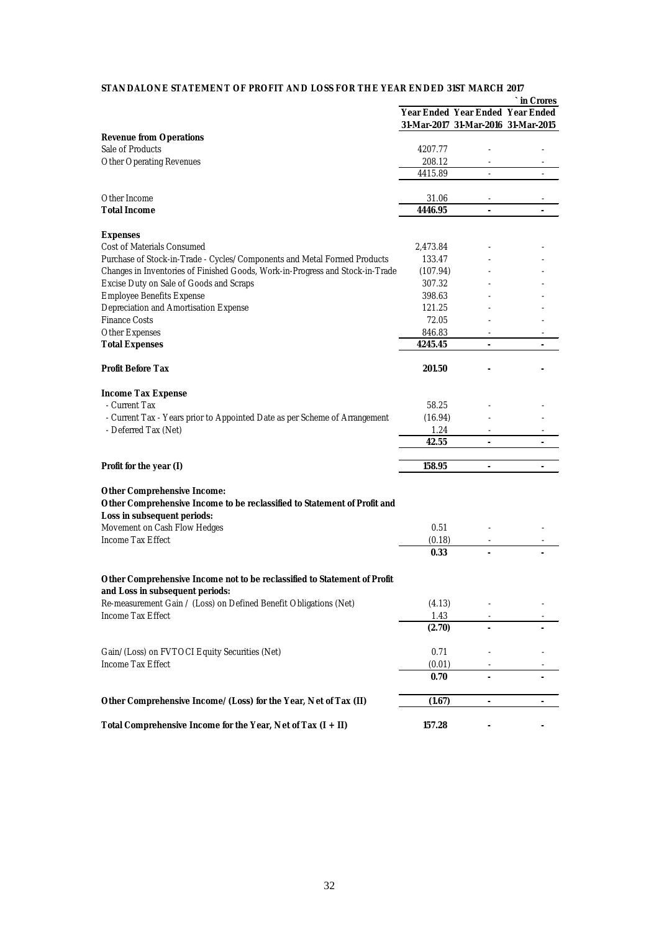### **STANDALONE STATEMENT OF PROFIT AND LOSS FOR THE YEAR ENDED 31ST MARCH 2017**

|                                                                               |          |                                     | in Crores                        |
|-------------------------------------------------------------------------------|----------|-------------------------------------|----------------------------------|
|                                                                               |          |                                     | Year Ended Year Ended Year Ended |
|                                                                               |          | 31-Mar-2017 31-Mar-2016 31-Mar-2015 |                                  |
| <b>Revenue from Operations</b>                                                |          |                                     |                                  |
| Sale of Products                                                              | 4207.77  |                                     |                                  |
| <b>Other Operating Revenues</b>                                               | 208.12   |                                     |                                  |
|                                                                               | 4415.89  |                                     |                                  |
|                                                                               |          |                                     |                                  |
| Other Income                                                                  | 31.06    | $\overline{\phantom{a}}$            | $\overline{a}$                   |
| <b>Total Income</b>                                                           | 4446.95  | $\overline{a}$                      |                                  |
|                                                                               |          |                                     |                                  |
| <b>Expenses</b>                                                               |          |                                     |                                  |
| Cost of Materials Consumed                                                    | 2,473.84 |                                     |                                  |
| Purchase of Stock-in-Trade - Cycles/Components and Metal Formed Products      | 133.47   |                                     |                                  |
| Changes in Inventories of Finished Goods, Work-in-Progress and Stock-in-Trade | (107.94) |                                     |                                  |
| Excise Duty on Sale of Goods and Scraps                                       | 307.32   |                                     |                                  |
| <b>Employee Benefits Expense</b>                                              | 398.63   |                                     |                                  |
| Depreciation and Amortisation Expense                                         | 121.25   |                                     |                                  |
| <b>Finance Costs</b>                                                          | 72.05    |                                     |                                  |
| Other Expenses                                                                | 846.83   |                                     |                                  |
| <b>Total Expenses</b>                                                         | 4245.45  | $\overline{\phantom{a}}$            | $\overline{\phantom{a}}$         |
|                                                                               |          |                                     |                                  |
| <b>Profit Before Tax</b>                                                      | 201.50   |                                     |                                  |
|                                                                               |          |                                     |                                  |
| <b>Income Tax Expense</b>                                                     |          |                                     |                                  |
| - Current Tax                                                                 | 58.25    |                                     |                                  |
| - Current Tax - Years prior to Appointed Date as per Scheme of Arrangement    | (16.94)  |                                     |                                  |
| - Deferred Tax (Net)                                                          | 1.24     |                                     |                                  |
|                                                                               | 42.55    |                                     |                                  |
|                                                                               |          |                                     |                                  |
| Profit for the year (I)                                                       | 158.95   |                                     |                                  |
|                                                                               |          |                                     |                                  |
| <b>Other Comprehensive Income:</b>                                            |          |                                     |                                  |
| Other Comprehensive Income to be reclassified to Statement of Profit and      |          |                                     |                                  |
| Loss in subsequent periods:                                                   |          |                                     |                                  |
| Movement on Cash Flow Hedges                                                  | 0.51     |                                     |                                  |
| Income Tax Effect                                                             | (0.18)   |                                     |                                  |
|                                                                               | 0.33     |                                     |                                  |
|                                                                               |          |                                     |                                  |
| Other Comprehensive Income not to be reclassified to Statement of Profit      |          |                                     |                                  |
| and Loss in subsequent periods:                                               |          |                                     |                                  |
| Re-measurement Gain / (Loss) on Defined Benefit Obligations (Net)             | (4.13)   |                                     |                                  |
| Income Tax Effect                                                             | 1.43     |                                     |                                  |
|                                                                               | (2.70)   |                                     |                                  |
|                                                                               |          |                                     |                                  |
| Gain/(Loss) on FVTOCI Equity Securities (Net)                                 | 0.71     |                                     |                                  |
| Income Tax Effect                                                             | (0.01)   |                                     |                                  |
|                                                                               | 0.70     | $\tilde{\phantom{a}}$               |                                  |
|                                                                               |          |                                     |                                  |
| Other Comprehensive Income/(Loss) for the Year, Net of Tax (II)               | (1.67)   | $\overline{\phantom{m}}$            |                                  |
|                                                                               |          |                                     |                                  |
| Total Comprehensive Income for the Year, Net of Tax $(I + II)$                | 157.28   |                                     |                                  |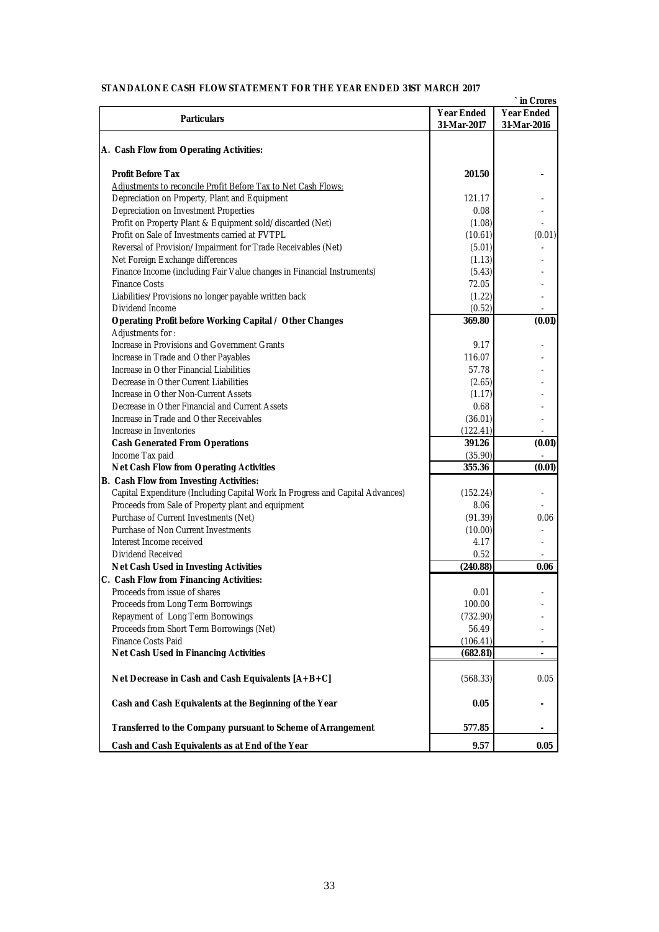| STANDALONE CASH FLOW STATEMENT FOR THE YEAR ENDED 31ST MARCH 2017             |                   | ` in Crores              |
|-------------------------------------------------------------------------------|-------------------|--------------------------|
| <b>Particulars</b>                                                            | <b>Year Ended</b> | <b>Year Ended</b>        |
|                                                                               | 31-Mar-2017       | 31-Mar-2016              |
| A. Cash Flow from Operating Activities:                                       |                   |                          |
|                                                                               |                   |                          |
| <b>Profit Before Tax</b>                                                      | 201.50            |                          |
| Adjustments to reconcile Profit Before Tax to Net Cash Flows:                 |                   |                          |
| Depreciation on Property, Plant and Equipment                                 | 121.17            |                          |
| Depreciation on Investment Properties                                         | 0.08              |                          |
| Profit on Property Plant & Equipment sold/discarded (Net)                     | (1.08)            |                          |
| Profit on Sale of Investments carried at FVTPL                                | (10.61)           | (0.01)                   |
| Reversal of Provision/Impairment for Trade Receivables (Net)                  | (5.01)            |                          |
| Net Foreign Exchange differences                                              | (1.13)            |                          |
| Finance Income (including Fair Value changes in Financial Instruments)        | (5.43)            |                          |
| <b>Finance Costs</b>                                                          | 72.05             |                          |
| Liabilities/Provisions no longer payable written back                         | (1.22)            |                          |
| Dividend Income                                                               | (0.52)            |                          |
| Operating Profit before Working Capital / Other Changes                       | 369.80            | (0.01)                   |
| Adjustments for:                                                              |                   |                          |
| Increase in Provisions and Government Grants                                  | 9.17              |                          |
| Increase in Trade and Other Payables                                          | 116.07            |                          |
| Increase in Other Financial Liabilities                                       | 57.78             |                          |
| Decrease in Other Current Liabilities                                         | (2.65)            |                          |
| Increase in Other Non-Current Assets                                          | (1.17)            |                          |
| Decrease in Other Financial and Current Assets                                | 0.68              |                          |
| Increase in Trade and Other Receivables                                       | (36.01)           |                          |
| Increase in Inventories                                                       | (122.41)          |                          |
| <b>Cash Generated From Operations</b>                                         | 391.26            | (0.01)                   |
| Income Tax paid                                                               | (35.90)           |                          |
| <b>Net Cash Flow from Operating Activities</b>                                | 355.36            | (0.01)                   |
| <b>B.</b> Cash Flow from Investing Activities:                                |                   |                          |
| Capital Expenditure (Including Capital Work In Progress and Capital Advances) | (152.24)          |                          |
| Proceeds from Sale of Property plant and equipment                            | 8.06              |                          |
| Purchase of Current Investments (Net)                                         | (91.39)           | 0.06                     |
| Purchase of Non Current Investments                                           | (10.00)           |                          |
| Interest Income received                                                      | 4.17              |                          |
| Dividend Received                                                             | 0.52              |                          |
| Net Cash Used in Investing Activities                                         | (240.88)          | 0.06                     |
|                                                                               |                   |                          |
| C. Cash Flow from Financing Activities:                                       |                   |                          |
| Proceeds from issue of shares                                                 | 0.01              |                          |
| Proceeds from Long Term Borrowings                                            | 100.00            |                          |
| Repayment of Long Term Borrowings                                             | (732.90)          |                          |
| Proceeds from Short Term Borrowings (Net)                                     | 56.49             |                          |
| Finance Costs Paid                                                            | (106.41)          | $\overline{\phantom{a}}$ |
| <b>Net Cash Used in Financing Activities</b>                                  | (682.81)          |                          |
| Net Decrease in Cash and Cash Equivalents [A+B+C]                             | (568.33)          | 0.05                     |
| Cash and Cash Equivalents at the Beginning of the Year                        | 0.05              |                          |
| Transferred to the Company pursuant to Scheme of Arrangement                  | 577.85            | ۰                        |
| Cash and Cash Equivalents as at End of the Year                               | 9.57              | 0.05                     |

### **STANDALONE CASH FLOW STATEMENT FOR THE YEAR ENDED 31ST MARCH 2017**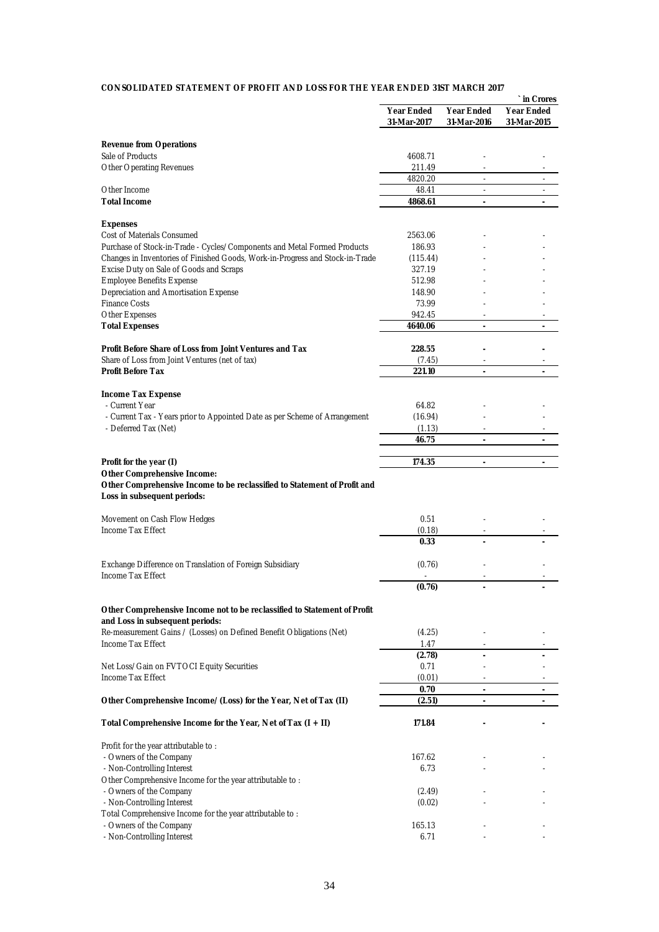### **CONSOLIDATED STATEMENT OF PROFIT AND LOSS FOR THE YEAR ENDED 31ST MARCH 2017**

|                                                                                                                                                           |                    |                   | in Crores                |
|-----------------------------------------------------------------------------------------------------------------------------------------------------------|--------------------|-------------------|--------------------------|
|                                                                                                                                                           | <b>Year Ended</b>  | <b>Year Ended</b> | Year Ended               |
|                                                                                                                                                           | 31-Mar-2017        | 31-Mar-2016       | 31-Mar-2015              |
| <b>Revenue from Operations</b>                                                                                                                            |                    |                   |                          |
| Sale of Products                                                                                                                                          | 4608.71            |                   |                          |
| <b>Other Operating Revenues</b>                                                                                                                           | 211.49             |                   |                          |
|                                                                                                                                                           | 4820.20            | $\blacksquare$    | $\overline{\phantom{a}}$ |
| Other Income                                                                                                                                              | 48.41              | ä,                | ÷,                       |
| <b>Total Income</b>                                                                                                                                       | 4868.61            | $\blacksquare$    |                          |
|                                                                                                                                                           |                    |                   |                          |
| <b>Expenses</b>                                                                                                                                           |                    |                   |                          |
| Cost of Materials Consumed                                                                                                                                | 2563.06            |                   |                          |
| Purchase of Stock-in-Trade - Cycles/Components and Metal Formed Products<br>Changes in Inventories of Finished Goods, Work-in-Progress and Stock-in-Trade | 186.93             |                   |                          |
| Excise Duty on Sale of Goods and Scraps                                                                                                                   | (115.44)<br>327.19 |                   |                          |
| <b>Employee Benefits Expense</b>                                                                                                                          | 512.98             |                   |                          |
| Depreciation and Amortisation Expense                                                                                                                     | 148.90             |                   |                          |
| <b>Finance Costs</b>                                                                                                                                      | 73.99              |                   |                          |
| Other Expenses                                                                                                                                            | 942.45             |                   |                          |
| <b>Total Expenses</b>                                                                                                                                     | 4640.06            | $\sim$            | $\blacksquare$           |
|                                                                                                                                                           |                    |                   |                          |
| Profit Before Share of Loss from Joint Ventures and Tax                                                                                                   | 228.55             |                   |                          |
| Share of Loss from Joint Ventures (net of tax)                                                                                                            | (7.45)             |                   |                          |
| <b>Profit Before Tax</b>                                                                                                                                  | 221.10             | $\omega$          | ä,                       |
|                                                                                                                                                           |                    |                   |                          |
| <b>Income Tax Expense</b><br>- Current Year                                                                                                               | 64.82              |                   |                          |
| - Current Tax - Years prior to Appointed Date as per Scheme of Arrangement                                                                                | (16.94)            |                   |                          |
| - Deferred Tax (Net)                                                                                                                                      | (1.13)             |                   |                          |
|                                                                                                                                                           | 46.75              | ä,                | $\overline{a}$           |
|                                                                                                                                                           |                    |                   |                          |
| Profit for the year (I)                                                                                                                                   | 174.35             | $\sim$            | ÷,                       |
| <b>Other Comprehensive Income:</b>                                                                                                                        |                    |                   |                          |
| Other Comprehensive Income to be reclassified to Statement of Profit and                                                                                  |                    |                   |                          |
| Loss in subsequent periods:                                                                                                                               |                    |                   |                          |
|                                                                                                                                                           |                    |                   |                          |
| Movement on Cash Flow Hedges<br>Income Tax Effect                                                                                                         | 0.51               |                   |                          |
|                                                                                                                                                           | (0.18)<br>0.33     |                   |                          |
|                                                                                                                                                           |                    |                   |                          |
| Exchange Difference on Translation of Foreign Subsidiary                                                                                                  | (0.76)             |                   |                          |
| Income Tax Effect                                                                                                                                         |                    |                   |                          |
|                                                                                                                                                           | (0.76)             |                   |                          |
|                                                                                                                                                           |                    |                   |                          |
| Other Comprehensive Income not to be reclassified to Statement of Profit                                                                                  |                    |                   |                          |
| and Loss in subsequent periods:                                                                                                                           |                    |                   |                          |
| Re-measurement Gains / (Losses) on Defined Benefit Obligations (Net)                                                                                      | (4.25)             |                   |                          |
| Income Tax Effect                                                                                                                                         | 1.47               | ٠                 |                          |
|                                                                                                                                                           | (2.78)<br>0.71     |                   |                          |
| Net Loss/Gain on FVTOCI Equity Securities<br>Income Tax Effect                                                                                            | (0.01)             |                   |                          |
|                                                                                                                                                           | 0.70               | -                 | ٠                        |
| Other Comprehensive Income/(Loss) for the Year, Net of Tax (II)                                                                                           | (2.51)             |                   |                          |
|                                                                                                                                                           |                    |                   |                          |
| Total Comprehensive Income for the Year, Net of Tax $(I + II)$                                                                                            | 171.84             |                   |                          |
| Profit for the year attributable to:                                                                                                                      |                    |                   |                          |
| - Owners of the Company                                                                                                                                   | 167.62             |                   |                          |
| - Non-Controlling Interest                                                                                                                                | 6.73               |                   |                          |
| Other Comprehensive Income for the year attributable to:                                                                                                  |                    |                   |                          |
| - Owners of the Company                                                                                                                                   | (2.49)             |                   |                          |
| - Non-Controlling Interest                                                                                                                                | (0.02)             |                   |                          |
| Total Comprehensive Income for the year attributable to:                                                                                                  |                    |                   |                          |
| - Owners of the Company                                                                                                                                   | 165.13             |                   |                          |
| - Non-Controlling Interest                                                                                                                                | 6.71               |                   |                          |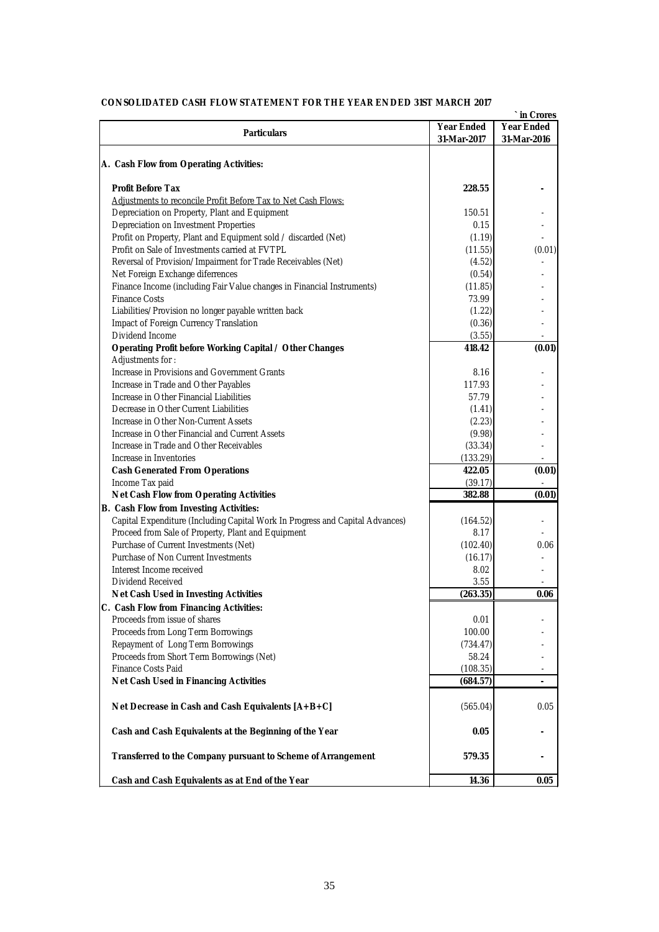| <b>CONSOLIDATED CASH FLOW STATEMENT FOR THE YEAR ENDED 31ST MARCH 2017</b>    |                   | in Crores         |
|-------------------------------------------------------------------------------|-------------------|-------------------|
|                                                                               | <b>Year Ended</b> | <b>Year Ended</b> |
| <b>Particulars</b>                                                            | 31-Mar-2017       | 31-Mar-2016       |
|                                                                               |                   |                   |
| A. Cash Flow from Operating Activities:                                       |                   |                   |
| <b>Profit Before Tax</b>                                                      | 228.55            |                   |
| Adjustments to reconcile Profit Before Tax to Net Cash Flows:                 |                   |                   |
| Depreciation on Property, Plant and Equipment                                 | 150.51            |                   |
| Depreciation on Investment Properties                                         | 0.15              |                   |
| Profit on Property, Plant and Equipment sold / discarded (Net)                | (1.19)            |                   |
| Profit on Sale of Investments carried at FVTPL                                | (11.55)           | (0.01)            |
| Reversal of Provision/Impairment for Trade Receivables (Net)                  | (4.52)            |                   |
| Net Foreign Exchange diferrences                                              | (0.54)            |                   |
| Finance Income (including Fair Value changes in Financial Instruments)        | (11.85)           |                   |
| <b>Finance Costs</b>                                                          | 73.99             |                   |
| Liabilities/Provision no longer payable written back                          | (1.22)            |                   |
| Impact of Foreign Currency Translation                                        | (0.36)            |                   |
| Dividend Income                                                               | (3.55)            |                   |
| Operating Profit before Working Capital / Other Changes                       | 418.42            | (0.01)            |
| Adjustments for:                                                              |                   |                   |
| Increase in Provisions and Government Grants                                  | 8.16              |                   |
| Increase in Trade and Other Payables                                          | 117.93            |                   |
| Increase in Other Financial Liabilities                                       | 57.79             |                   |
| Decrease in Other Current Liabilities                                         | (1.41)            |                   |
| Increase in Other Non-Current Assets                                          | (2.23)            |                   |
| Increase in Other Financial and Current Assets                                | (9.98)            |                   |
| Increase in Trade and Other Receivables                                       | (33.34)           |                   |
| Increase in Inventories                                                       | (133.29)          |                   |
| <b>Cash Generated From Operations</b>                                         | 422.05            | (0.01)            |
| Income Tax paid                                                               | (39.17)           |                   |
| <b>Net Cash Flow from Operating Activities</b>                                | 382.88            | (0.01)            |
| <b>B.</b> Cash Flow from Investing Activities:                                |                   |                   |
| Capital Expenditure (Including Capital Work In Progress and Capital Advances) | (164.52)          |                   |
| Proceed from Sale of Property, Plant and Equipment                            | 8.17              |                   |
| Purchase of Current Investments (Net)                                         | (102.40)          | 0.06              |
| Purchase of Non Current Investments                                           | (16.17)           |                   |
| Interest Income received                                                      | 8.02              |                   |
| Dividend Received                                                             | 3.55              |                   |
| Net Cash Used in Investing Activities                                         | (263.35)          | 0.06              |
| C. Cash Flow from Financing Activities:                                       |                   |                   |
| Proceeds from issue of shares                                                 | 0.01              |                   |
| Proceeds from Long Term Borrowings                                            | 100.00            |                   |
| Repayment of Long Term Borrowings                                             | (734.47)          |                   |
| Proceeds from Short Term Borrowings (Net)                                     | 58.24             |                   |
| Finance Costs Paid                                                            | (108.35)          |                   |
| <b>Net Cash Used in Financing Activities</b>                                  | (684.57)          |                   |
| Net Decrease in Cash and Cash Equivalents [A+B+C]                             | (565.04)          | 0.05              |
| Cash and Cash Equivalents at the Beginning of the Year                        | 0.05              |                   |
| Transferred to the Company pursuant to Scheme of Arrangement                  | 579.35            |                   |
| Cash and Cash Equivalents as at End of the Year                               | 14.36             | 0.05              |

### **CONSOLIDATED CASH FLOW STATEMENT FOR THE YEAR ENDED 31ST MARCH 2017**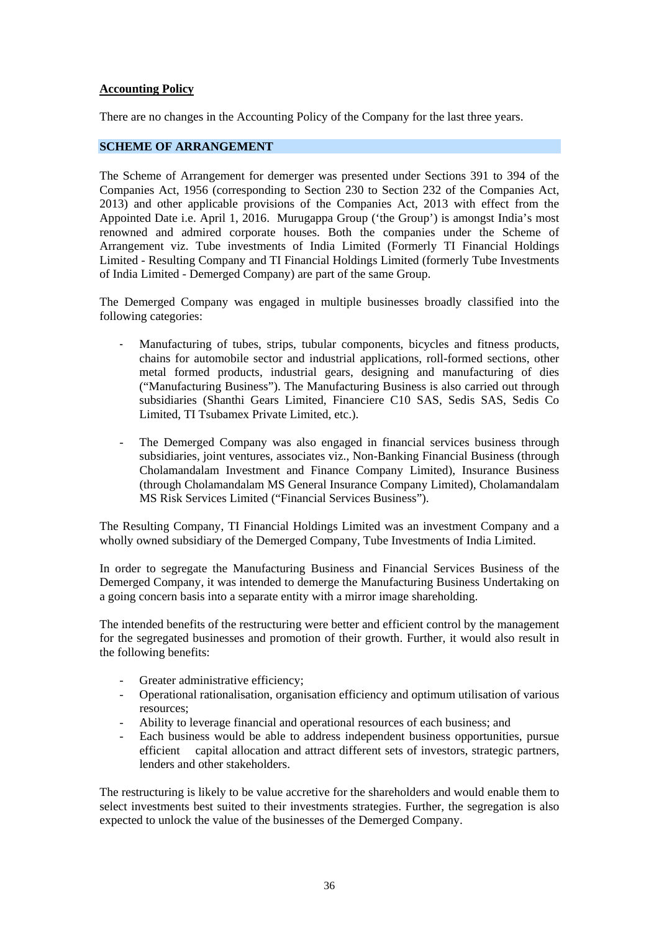# **Accounting Policy**

There are no changes in the Accounting Policy of the Company for the last three years.

# **SCHEME OF ARRANGEMENT**

The Scheme of Arrangement for demerger was presented under Sections 391 to 394 of the Companies Act, 1956 (corresponding to Section 230 to Section 232 of the Companies Act, 2013) and other applicable provisions of the Companies Act, 2013 with effect from the Appointed Date i.e. April 1, 2016. Murugappa Group ('the Group') is amongst India's most renowned and admired corporate houses. Both the companies under the Scheme of Arrangement viz. Tube investments of India Limited (Formerly TI Financial Holdings Limited - Resulting Company and TI Financial Holdings Limited (formerly Tube Investments of India Limited - Demerged Company) are part of the same Group.

The Demerged Company was engaged in multiple businesses broadly classified into the following categories:

- Manufacturing of tubes, strips, tubular components, bicycles and fitness products, chains for automobile sector and industrial applications, roll-formed sections, other metal formed products, industrial gears, designing and manufacturing of dies ("Manufacturing Business"). The Manufacturing Business is also carried out through subsidiaries (Shanthi Gears Limited, Financiere C10 SAS, Sedis SAS, Sedis Co Limited, TI Tsubamex Private Limited, etc.).
- The Demerged Company was also engaged in financial services business through subsidiaries, joint ventures, associates viz., Non-Banking Financial Business (through Cholamandalam Investment and Finance Company Limited), Insurance Business (through Cholamandalam MS General Insurance Company Limited), Cholamandalam MS Risk Services Limited ("Financial Services Business").

The Resulting Company, TI Financial Holdings Limited was an investment Company and a wholly owned subsidiary of the Demerged Company, Tube Investments of India Limited.

In order to segregate the Manufacturing Business and Financial Services Business of the Demerged Company, it was intended to demerge the Manufacturing Business Undertaking on a going concern basis into a separate entity with a mirror image shareholding.

The intended benefits of the restructuring were better and efficient control by the management for the segregated businesses and promotion of their growth. Further, it would also result in the following benefits:

- Greater administrative efficiency;
- Operational rationalisation, organisation efficiency and optimum utilisation of various resources;
- Ability to leverage financial and operational resources of each business; and
- Each business would be able to address independent business opportunities, pursue efficient capital allocation and attract different sets of investors, strategic partners, lenders and other stakeholders.

The restructuring is likely to be value accretive for the shareholders and would enable them to select investments best suited to their investments strategies. Further, the segregation is also expected to unlock the value of the businesses of the Demerged Company.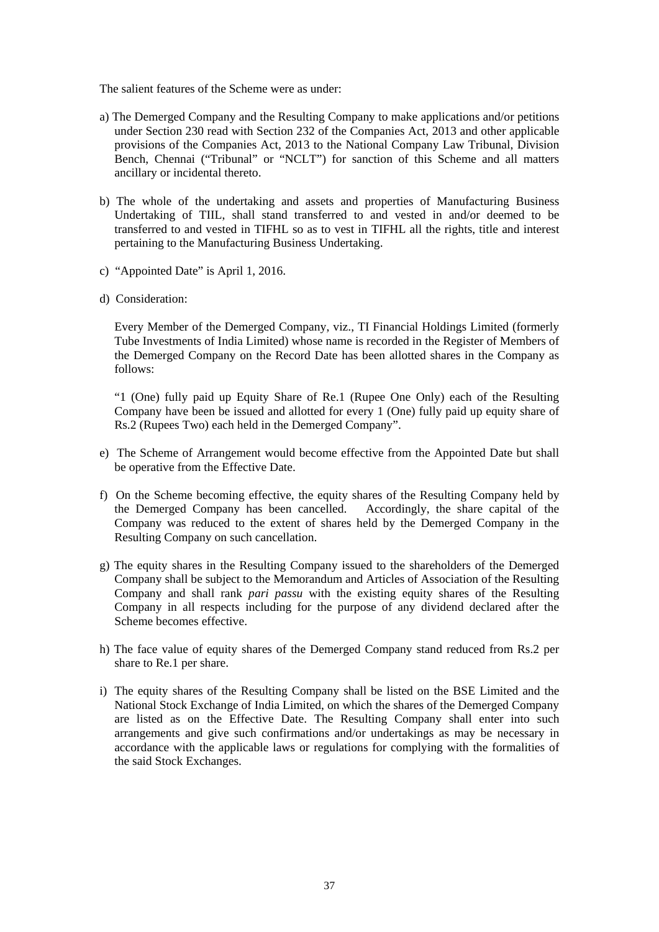The salient features of the Scheme were as under:

- a) The Demerged Company and the Resulting Company to make applications and/or petitions under Section 230 read with Section 232 of the Companies Act, 2013 and other applicable provisions of the Companies Act, 2013 to the National Company Law Tribunal, Division Bench, Chennai ("Tribunal" or "NCLT") for sanction of this Scheme and all matters ancillary or incidental thereto.
- b) The whole of the undertaking and assets and properties of Manufacturing Business Undertaking of TIIL, shall stand transferred to and vested in and/or deemed to be transferred to and vested in TIFHL so as to vest in TIFHL all the rights, title and interest pertaining to the Manufacturing Business Undertaking.
- c) "Appointed Date" is April 1, 2016.
- d) Consideration:

Every Member of the Demerged Company, viz., TI Financial Holdings Limited (formerly Tube Investments of India Limited) whose name is recorded in the Register of Members of the Demerged Company on the Record Date has been allotted shares in the Company as follows:

"1 (One) fully paid up Equity Share of Re.1 (Rupee One Only) each of the Resulting Company have been be issued and allotted for every 1 (One) fully paid up equity share of Rs.2 (Rupees Two) each held in the Demerged Company".

- e) The Scheme of Arrangement would become effective from the Appointed Date but shall be operative from the Effective Date.
- f) On the Scheme becoming effective, the equity shares of the Resulting Company held by the Demerged Company has been cancelled. Accordingly, the share capital of the Company was reduced to the extent of shares held by the Demerged Company in the Resulting Company on such cancellation.
- g) The equity shares in the Resulting Company issued to the shareholders of the Demerged Company shall be subject to the Memorandum and Articles of Association of the Resulting Company and shall rank *pari passu* with the existing equity shares of the Resulting Company in all respects including for the purpose of any dividend declared after the Scheme becomes effective.
- h) The face value of equity shares of the Demerged Company stand reduced from Rs.2 per share to Re.1 per share.
- i) The equity shares of the Resulting Company shall be listed on the BSE Limited and the National Stock Exchange of India Limited, on which the shares of the Demerged Company are listed as on the Effective Date. The Resulting Company shall enter into such arrangements and give such confirmations and/or undertakings as may be necessary in accordance with the applicable laws or regulations for complying with the formalities of the said Stock Exchanges.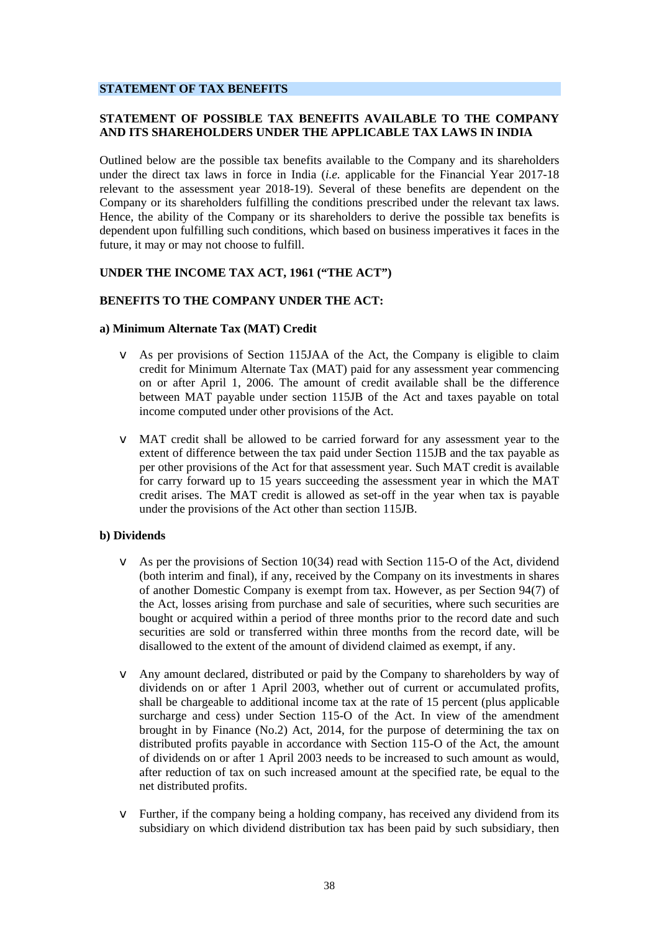### **STATEMENT OF TAX BENEFITS**

## **STATEMENT OF POSSIBLE TAX BENEFITS AVAILABLE TO THE COMPANY AND ITS SHAREHOLDERS UNDER THE APPLICABLE TAX LAWS IN INDIA**

Outlined below are the possible tax benefits available to the Company and its shareholders under the direct tax laws in force in India (*i.e.* applicable for the Financial Year 2017-18 relevant to the assessment year 2018-19). Several of these benefits are dependent on the Company or its shareholders fulfilling the conditions prescribed under the relevant tax laws. Hence, the ability of the Company or its shareholders to derive the possible tax benefits is dependent upon fulfilling such conditions, which based on business imperatives it faces in the future, it may or may not choose to fulfill.

## **UNDER THE INCOME TAX ACT, 1961 ("THE ACT")**

#### **BENEFITS TO THE COMPANY UNDER THE ACT:**

#### **a) Minimum Alternate Tax (MAT) Credit**

- v As per provisions of Section 115JAA of the Act, the Company is eligible to claim credit for Minimum Alternate Tax (MAT) paid for any assessment year commencing on or after April 1, 2006. The amount of credit available shall be the difference between MAT payable under section 115JB of the Act and taxes payable on total income computed under other provisions of the Act.
- v MAT credit shall be allowed to be carried forward for any assessment year to the extent of difference between the tax paid under Section 115JB and the tax payable as per other provisions of the Act for that assessment year. Such MAT credit is available for carry forward up to 15 years succeeding the assessment year in which the MAT credit arises. The MAT credit is allowed as set-off in the year when tax is payable under the provisions of the Act other than section 115JB.

#### **b) Dividends**

- v As per the provisions of Section 10(34) read with Section 115-O of the Act, dividend (both interim and final), if any, received by the Company on its investments in shares of another Domestic Company is exempt from tax. However, as per Section 94(7) of the Act, losses arising from purchase and sale of securities, where such securities are bought or acquired within a period of three months prior to the record date and such securities are sold or transferred within three months from the record date, will be disallowed to the extent of the amount of dividend claimed as exempt, if any.
- v Any amount declared, distributed or paid by the Company to shareholders by way of dividends on or after 1 April 2003, whether out of current or accumulated profits, shall be chargeable to additional income tax at the rate of 15 percent (plus applicable surcharge and cess) under Section 115-O of the Act. In view of the amendment brought in by Finance (No.2) Act, 2014, for the purpose of determining the tax on distributed profits payable in accordance with Section 115-O of the Act, the amount of dividends on or after 1 April 2003 needs to be increased to such amount as would, after reduction of tax on such increased amount at the specified rate, be equal to the net distributed profits.
- v Further, if the company being a holding company, has received any dividend from its subsidiary on which dividend distribution tax has been paid by such subsidiary, then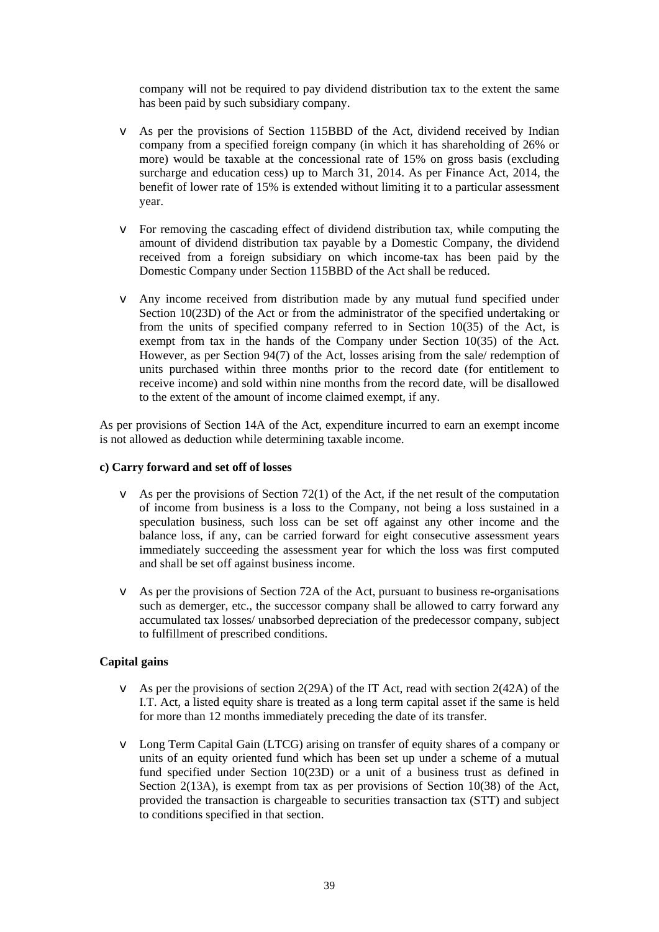company will not be required to pay dividend distribution tax to the extent the same has been paid by such subsidiary company.

- v As per the provisions of Section 115BBD of the Act, dividend received by Indian company from a specified foreign company (in which it has shareholding of 26% or more) would be taxable at the concessional rate of 15% on gross basis (excluding surcharge and education cess) up to March 31, 2014. As per Finance Act, 2014, the benefit of lower rate of 15% is extended without limiting it to a particular assessment year.
- v For removing the cascading effect of dividend distribution tax, while computing the amount of dividend distribution tax payable by a Domestic Company, the dividend received from a foreign subsidiary on which income-tax has been paid by the Domestic Company under Section 115BBD of the Act shall be reduced.
- v Any income received from distribution made by any mutual fund specified under Section 10(23D) of the Act or from the administrator of the specified undertaking or from the units of specified company referred to in Section 10(35) of the Act, is exempt from tax in the hands of the Company under Section 10(35) of the Act. However, as per Section 94(7) of the Act, losses arising from the sale/ redemption of units purchased within three months prior to the record date (for entitlement to receive income) and sold within nine months from the record date, will be disallowed to the extent of the amount of income claimed exempt, if any.

As per provisions of Section 14A of the Act, expenditure incurred to earn an exempt income is not allowed as deduction while determining taxable income.

## **c) Carry forward and set off of losses**

- $\bullet$  As per the provisions of Section 72(1) of the Act, if the net result of the computation of income from business is a loss to the Company, not being a loss sustained in a speculation business, such loss can be set off against any other income and the balance loss, if any, can be carried forward for eight consecutive assessment years immediately succeeding the assessment year for which the loss was first computed and shall be set off against business income.
- v As per the provisions of Section 72A of the Act, pursuant to business re-organisations such as demerger, etc., the successor company shall be allowed to carry forward any accumulated tax losses/ unabsorbed depreciation of the predecessor company, subject to fulfillment of prescribed conditions.

## **Capital gains**

- $\blacktriangleright$  As per the provisions of section 2(29A) of the IT Act, read with section 2(42A) of the I.T. Act, a listed equity share is treated as a long term capital asset if the same is held for more than 12 months immediately preceding the date of its transfer.
- v Long Term Capital Gain (LTCG) arising on transfer of equity shares of a company or units of an equity oriented fund which has been set up under a scheme of a mutual fund specified under Section 10(23D) or a unit of a business trust as defined in Section 2(13A), is exempt from tax as per provisions of Section 10(38) of the Act, provided the transaction is chargeable to securities transaction tax (STT) and subject to conditions specified in that section.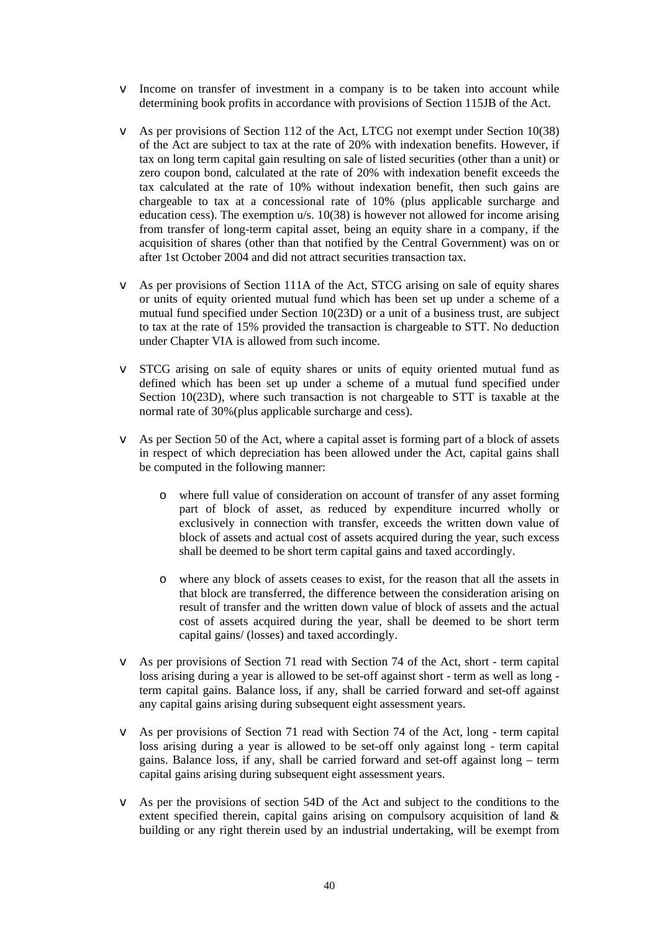- v Income on transfer of investment in a company is to be taken into account while determining book profits in accordance with provisions of Section 115JB of the Act.
- v As per provisions of Section 112 of the Act, LTCG not exempt under Section 10(38) of the Act are subject to tax at the rate of 20% with indexation benefits. However, if tax on long term capital gain resulting on sale of listed securities (other than a unit) or zero coupon bond, calculated at the rate of 20% with indexation benefit exceeds the tax calculated at the rate of 10% without indexation benefit, then such gains are chargeable to tax at a concessional rate of 10% (plus applicable surcharge and education cess). The exemption u/s. 10(38) is however not allowed for income arising from transfer of long-term capital asset, being an equity share in a company, if the acquisition of shares (other than that notified by the Central Government) was on or after 1st October 2004 and did not attract securities transaction tax.
- v As per provisions of Section 111A of the Act, STCG arising on sale of equity shares or units of equity oriented mutual fund which has been set up under a scheme of a mutual fund specified under Section 10(23D) or a unit of a business trust, are subject to tax at the rate of 15% provided the transaction is chargeable to STT. No deduction under Chapter VIA is allowed from such income.
- v STCG arising on sale of equity shares or units of equity oriented mutual fund as defined which has been set up under a scheme of a mutual fund specified under Section 10(23D), where such transaction is not chargeable to STT is taxable at the normal rate of 30%(plus applicable surcharge and cess).
- v As per Section 50 of the Act, where a capital asset is forming part of a block of assets in respect of which depreciation has been allowed under the Act, capital gains shall be computed in the following manner:
	- o where full value of consideration on account of transfer of any asset forming part of block of asset, as reduced by expenditure incurred wholly or exclusively in connection with transfer, exceeds the written down value of block of assets and actual cost of assets acquired during the year, such excess shall be deemed to be short term capital gains and taxed accordingly.
	- o where any block of assets ceases to exist, for the reason that all the assets in that block are transferred, the difference between the consideration arising on result of transfer and the written down value of block of assets and the actual cost of assets acquired during the year, shall be deemed to be short term capital gains/ (losses) and taxed accordingly.
- v As per provisions of Section 71 read with Section 74 of the Act, short term capital loss arising during a year is allowed to be set-off against short - term as well as long term capital gains. Balance loss, if any, shall be carried forward and set-off against any capital gains arising during subsequent eight assessment years.
- v As per provisions of Section 71 read with Section 74 of the Act, long term capital loss arising during a year is allowed to be set-off only against long - term capital gains. Balance loss, if any, shall be carried forward and set-off against long – term capital gains arising during subsequent eight assessment years.
- v As per the provisions of section 54D of the Act and subject to the conditions to the extent specified therein, capital gains arising on compulsory acquisition of land & building or any right therein used by an industrial undertaking, will be exempt from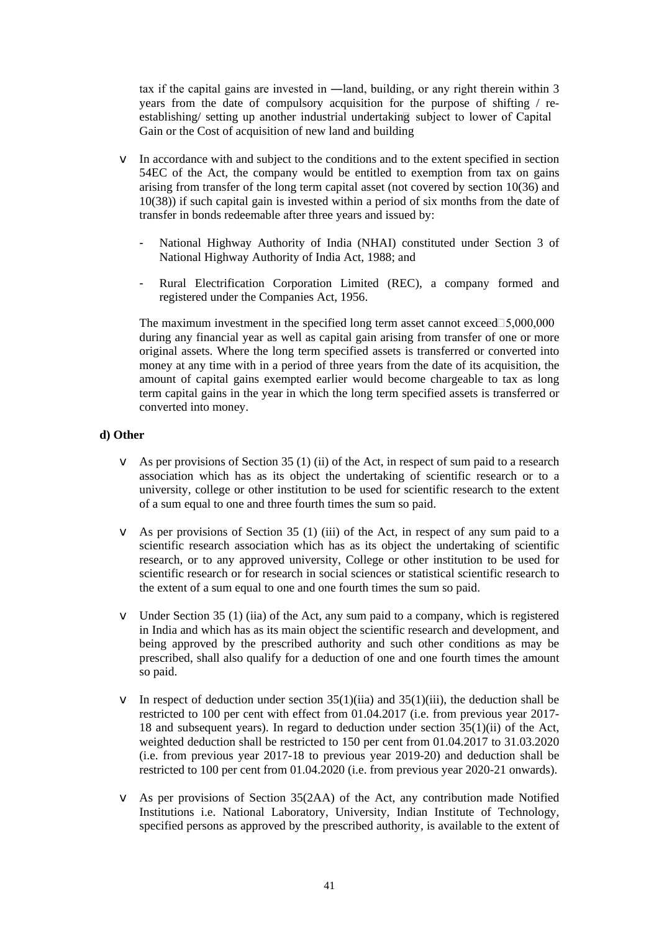tax if the capital gains are invested in ―land, building, or any right therein within 3 years from the date of compulsory acquisition for the purpose of shifting / reestablishing/ setting up another industrial undertaking subject to lower of Capital Gain or the Cost of acquisition of new land and building

- v In accordance with and subject to the conditions and to the extent specified in section 54EC of the Act, the company would be entitled to exemption from tax on gains arising from transfer of the long term capital asset (not covered by section 10(36) and 10(38)) if such capital gain is invested within a period of six months from the date of transfer in bonds redeemable after three years and issued by:
	- National Highway Authority of India (NHAI) constituted under Section 3 of National Highway Authority of India Act, 1988; and
	- Rural Electrification Corporation Limited (REC), a company formed and registered under the Companies Act, 1956.

The maximum investment in the specified long term asset cannot exceed  $\Box 5,000,000$ during any financial year as well as capital gain arising from transfer of one or more original assets. Where the long term specified assets is transferred or converted into money at any time with in a period of three years from the date of its acquisition, the amount of capital gains exempted earlier would become chargeable to tax as long term capital gains in the year in which the long term specified assets is transferred or converted into money.

## **d) Other**

- $\blacktriangleright$  As per provisions of Section 35 (1) (ii) of the Act, in respect of sum paid to a research association which has as its object the undertaking of scientific research or to a university, college or other institution to be used for scientific research to the extent of a sum equal to one and three fourth times the sum so paid.
- v As per provisions of Section 35 (1) (iii) of the Act, in respect of any sum paid to a scientific research association which has as its object the undertaking of scientific research, or to any approved university, College or other institution to be used for scientific research or for research in social sciences or statistical scientific research to the extent of a sum equal to one and one fourth times the sum so paid.
- v Under Section 35 (1) (iia) of the Act, any sum paid to a company, which is registered in India and which has as its main object the scientific research and development, and being approved by the prescribed authority and such other conditions as may be prescribed, shall also qualify for a deduction of one and one fourth times the amount so paid.
- $\bullet$  In respect of deduction under section 35(1)(iii) and 35(1)(iii), the deduction shall be restricted to 100 per cent with effect from 01.04.2017 (i.e. from previous year 2017- 18 and subsequent years). In regard to deduction under section 35(1)(ii) of the Act, weighted deduction shall be restricted to 150 per cent from 01.04.2017 to 31.03.2020 (i.e. from previous year 2017-18 to previous year 2019-20) and deduction shall be restricted to 100 per cent from 01.04.2020 (i.e. from previous year 2020-21 onwards).
- v As per provisions of Section 35(2AA) of the Act, any contribution made Notified Institutions i.e. National Laboratory, University, Indian Institute of Technology, specified persons as approved by the prescribed authority, is available to the extent of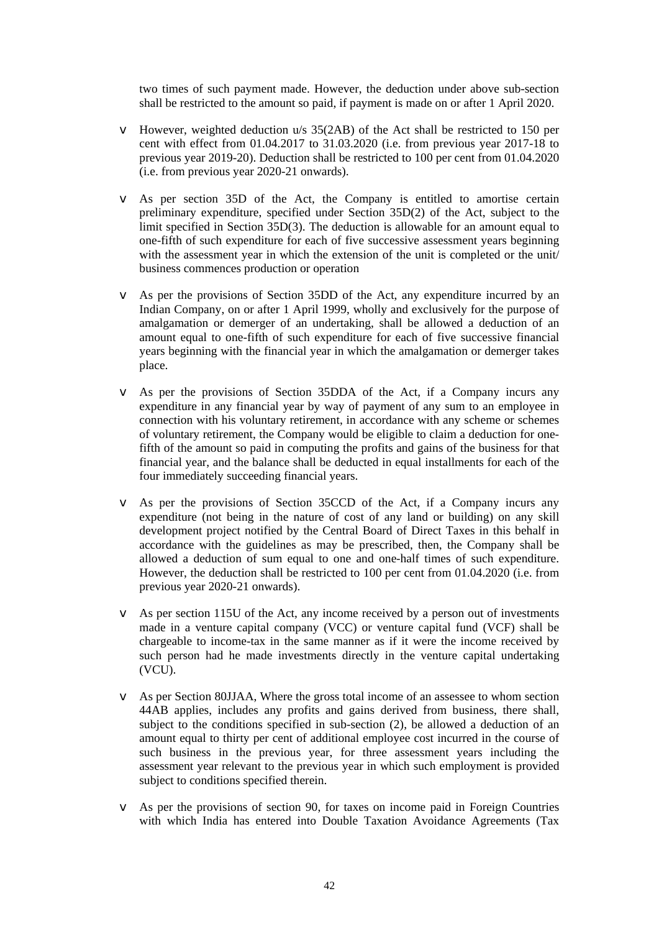two times of such payment made. However, the deduction under above sub-section shall be restricted to the amount so paid, if payment is made on or after 1 April 2020.

- v However, weighted deduction u/s 35(2AB) of the Act shall be restricted to 150 per cent with effect from 01.04.2017 to 31.03.2020 (i.e. from previous year 2017-18 to previous year 2019-20). Deduction shall be restricted to 100 per cent from 01.04.2020 (i.e. from previous year 2020-21 onwards).
- v As per section 35D of the Act, the Company is entitled to amortise certain preliminary expenditure, specified under Section 35D(2) of the Act, subject to the limit specified in Section 35D(3). The deduction is allowable for an amount equal to one-fifth of such expenditure for each of five successive assessment years beginning with the assessment year in which the extension of the unit is completed or the unit/ business commences production or operation
- v As per the provisions of Section 35DD of the Act, any expenditure incurred by an Indian Company, on or after 1 April 1999, wholly and exclusively for the purpose of amalgamation or demerger of an undertaking, shall be allowed a deduction of an amount equal to one-fifth of such expenditure for each of five successive financial years beginning with the financial year in which the amalgamation or demerger takes place.
- v As per the provisions of Section 35DDA of the Act, if a Company incurs any expenditure in any financial year by way of payment of any sum to an employee in connection with his voluntary retirement, in accordance with any scheme or schemes of voluntary retirement, the Company would be eligible to claim a deduction for onefifth of the amount so paid in computing the profits and gains of the business for that financial year, and the balance shall be deducted in equal installments for each of the four immediately succeeding financial years.
- v As per the provisions of Section 35CCD of the Act, if a Company incurs any expenditure (not being in the nature of cost of any land or building) on any skill development project notified by the Central Board of Direct Taxes in this behalf in accordance with the guidelines as may be prescribed, then, the Company shall be allowed a deduction of sum equal to one and one-half times of such expenditure. However, the deduction shall be restricted to 100 per cent from 01.04.2020 (i.e. from previous year 2020-21 onwards).
- v As per section 115U of the Act, any income received by a person out of investments made in a venture capital company (VCC) or venture capital fund (VCF) shall be chargeable to income-tax in the same manner as if it were the income received by such person had he made investments directly in the venture capital undertaking (VCU).
- v As per Section 80JJAA, Where the gross total income of an assessee to whom section 44AB applies, includes any profits and gains derived from business, there shall, subject to the conditions specified in sub-section (2), be allowed a deduction of an amount equal to thirty per cent of additional employee cost incurred in the course of such business in the previous year, for three assessment years including the assessment year relevant to the previous year in which such employment is provided subject to conditions specified therein.
- v As per the provisions of section 90, for taxes on income paid in Foreign Countries with which India has entered into Double Taxation Avoidance Agreements (Tax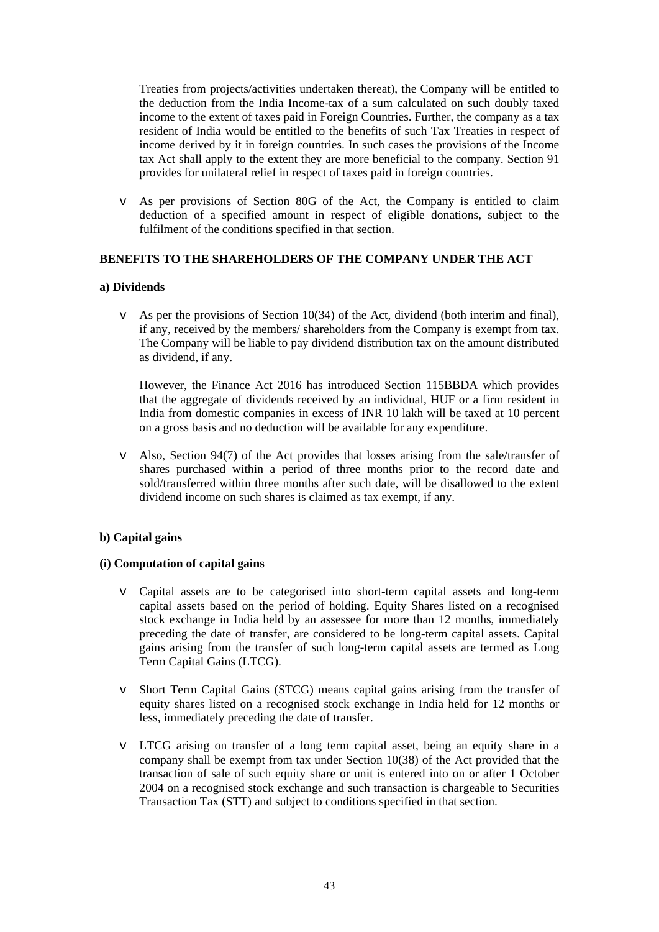Treaties from projects/activities undertaken thereat), the Company will be entitled to the deduction from the India Income-tax of a sum calculated on such doubly taxed income to the extent of taxes paid in Foreign Countries. Further, the company as a tax resident of India would be entitled to the benefits of such Tax Treaties in respect of income derived by it in foreign countries. In such cases the provisions of the Income tax Act shall apply to the extent they are more beneficial to the company. Section 91 provides for unilateral relief in respect of taxes paid in foreign countries.

v As per provisions of Section 80G of the Act, the Company is entitled to claim deduction of a specified amount in respect of eligible donations, subject to the fulfilment of the conditions specified in that section.

## **BENEFITS TO THE SHAREHOLDERS OF THE COMPANY UNDER THE ACT**

#### **a) Dividends**

v As per the provisions of Section 10(34) of the Act, dividend (both interim and final), if any, received by the members/ shareholders from the Company is exempt from tax. The Company will be liable to pay dividend distribution tax on the amount distributed as dividend, if any.

However, the Finance Act 2016 has introduced Section 115BBDA which provides that the aggregate of dividends received by an individual, HUF or a firm resident in India from domestic companies in excess of INR 10 lakh will be taxed at 10 percent on a gross basis and no deduction will be available for any expenditure.

v Also, Section 94(7) of the Act provides that losses arising from the sale/transfer of shares purchased within a period of three months prior to the record date and sold/transferred within three months after such date, will be disallowed to the extent dividend income on such shares is claimed as tax exempt, if any.

## **b) Capital gains**

#### **(i) Computation of capital gains**

- v Capital assets are to be categorised into short-term capital assets and long-term capital assets based on the period of holding. Equity Shares listed on a recognised stock exchange in India held by an assessee for more than 12 months, immediately preceding the date of transfer, are considered to be long-term capital assets. Capital gains arising from the transfer of such long-term capital assets are termed as Long Term Capital Gains (LTCG).
- v Short Term Capital Gains (STCG) means capital gains arising from the transfer of equity shares listed on a recognised stock exchange in India held for 12 months or less, immediately preceding the date of transfer.
- v LTCG arising on transfer of a long term capital asset, being an equity share in a company shall be exempt from tax under Section 10(38) of the Act provided that the transaction of sale of such equity share or unit is entered into on or after 1 October 2004 on a recognised stock exchange and such transaction is chargeable to Securities Transaction Tax (STT) and subject to conditions specified in that section.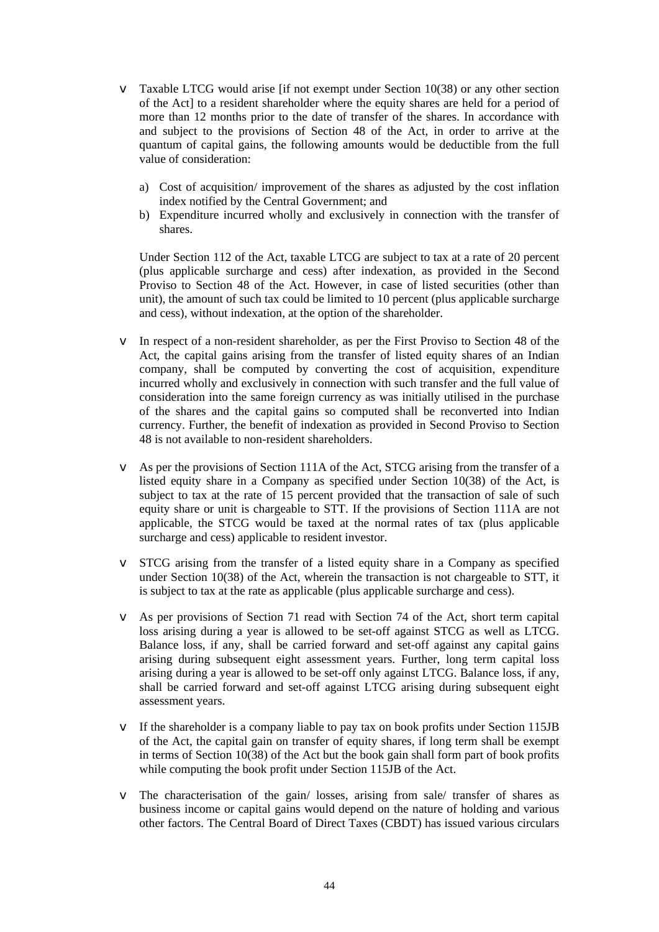- $\blacktriangledown$  Taxable LTCG would arise [if not exempt under Section 10(38) or any other section of the Act] to a resident shareholder where the equity shares are held for a period of more than 12 months prior to the date of transfer of the shares. In accordance with and subject to the provisions of Section 48 of the Act, in order to arrive at the quantum of capital gains, the following amounts would be deductible from the full value of consideration:
	- a) Cost of acquisition/ improvement of the shares as adjusted by the cost inflation index notified by the Central Government; and
	- b) Expenditure incurred wholly and exclusively in connection with the transfer of shares.

Under Section 112 of the Act, taxable LTCG are subject to tax at a rate of 20 percent (plus applicable surcharge and cess) after indexation, as provided in the Second Proviso to Section 48 of the Act. However, in case of listed securities (other than unit), the amount of such tax could be limited to 10 percent (plus applicable surcharge and cess), without indexation, at the option of the shareholder.

- v In respect of a non-resident shareholder, as per the First Proviso to Section 48 of the Act, the capital gains arising from the transfer of listed equity shares of an Indian company, shall be computed by converting the cost of acquisition, expenditure incurred wholly and exclusively in connection with such transfer and the full value of consideration into the same foreign currency as was initially utilised in the purchase of the shares and the capital gains so computed shall be reconverted into Indian currency. Further, the benefit of indexation as provided in Second Proviso to Section 48 is not available to non-resident shareholders.
- v As per the provisions of Section 111A of the Act, STCG arising from the transfer of a listed equity share in a Company as specified under Section 10(38) of the Act, is subject to tax at the rate of 15 percent provided that the transaction of sale of such equity share or unit is chargeable to STT. If the provisions of Section 111A are not applicable, the STCG would be taxed at the normal rates of tax (plus applicable surcharge and cess) applicable to resident investor.
- v STCG arising from the transfer of a listed equity share in a Company as specified under Section 10(38) of the Act, wherein the transaction is not chargeable to STT, it is subject to tax at the rate as applicable (plus applicable surcharge and cess).
- v As per provisions of Section 71 read with Section 74 of the Act, short term capital loss arising during a year is allowed to be set-off against STCG as well as LTCG. Balance loss, if any, shall be carried forward and set-off against any capital gains arising during subsequent eight assessment years. Further, long term capital loss arising during a year is allowed to be set-off only against LTCG. Balance loss, if any, shall be carried forward and set-off against LTCG arising during subsequent eight assessment years.
- v If the shareholder is a company liable to pay tax on book profits under Section 115JB of the Act, the capital gain on transfer of equity shares, if long term shall be exempt in terms of Section 10(38) of the Act but the book gain shall form part of book profits while computing the book profit under Section 115JB of the Act.
- v The characterisation of the gain/ losses, arising from sale/ transfer of shares as business income or capital gains would depend on the nature of holding and various other factors. The Central Board of Direct Taxes (CBDT) has issued various circulars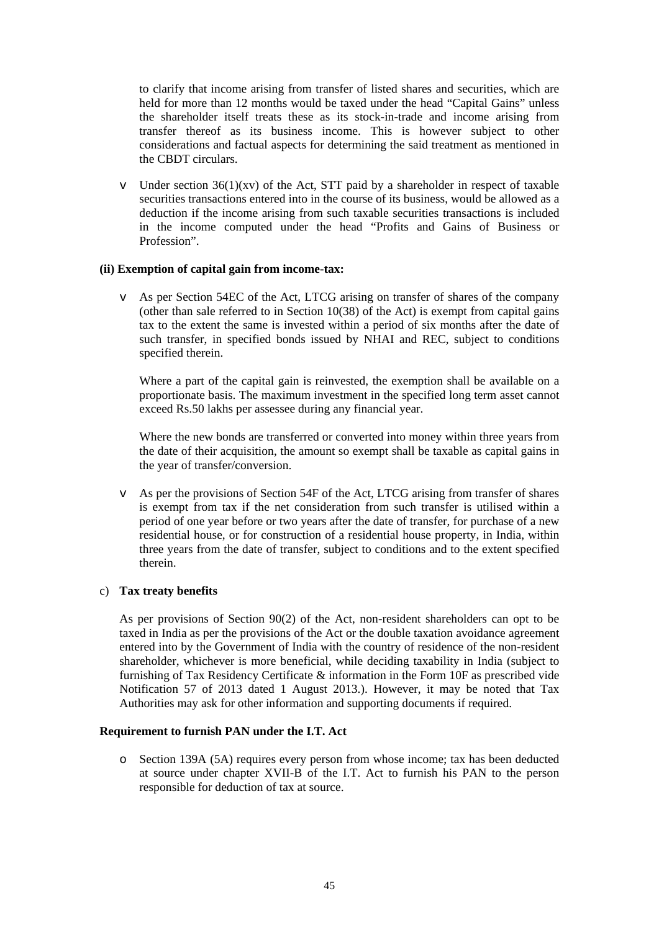to clarify that income arising from transfer of listed shares and securities, which are held for more than 12 months would be taxed under the head "Capital Gains" unless the shareholder itself treats these as its stock-in-trade and income arising from transfer thereof as its business income. This is however subject to other considerations and factual aspects for determining the said treatment as mentioned in the CBDT circulars.

 $\blacktriangleright$  Under section 36(1)(xv) of the Act, STT paid by a shareholder in respect of taxable securities transactions entered into in the course of its business, would be allowed as a deduction if the income arising from such taxable securities transactions is included in the income computed under the head "Profits and Gains of Business or Profession".

#### **(ii) Exemption of capital gain from income-tax:**

v As per Section 54EC of the Act, LTCG arising on transfer of shares of the company (other than sale referred to in Section 10(38) of the Act) is exempt from capital gains tax to the extent the same is invested within a period of six months after the date of such transfer, in specified bonds issued by NHAI and REC, subject to conditions specified therein.

Where a part of the capital gain is reinvested, the exemption shall be available on a proportionate basis. The maximum investment in the specified long term asset cannot exceed Rs.50 lakhs per assessee during any financial year.

Where the new bonds are transferred or converted into money within three years from the date of their acquisition, the amount so exempt shall be taxable as capital gains in the year of transfer/conversion.

v As per the provisions of Section 54F of the Act, LTCG arising from transfer of shares is exempt from tax if the net consideration from such transfer is utilised within a period of one year before or two years after the date of transfer, for purchase of a new residential house, or for construction of a residential house property, in India, within three years from the date of transfer, subject to conditions and to the extent specified therein.

## c) **Tax treaty benefits**

As per provisions of Section 90(2) of the Act, non-resident shareholders can opt to be taxed in India as per the provisions of the Act or the double taxation avoidance agreement entered into by the Government of India with the country of residence of the non-resident shareholder, whichever is more beneficial, while deciding taxability in India (subject to furnishing of Tax Residency Certificate & information in the Form 10F as prescribed vide Notification 57 of 2013 dated 1 August 2013.). However, it may be noted that Tax Authorities may ask for other information and supporting documents if required.

#### **Requirement to furnish PAN under the I.T. Act**

o Section 139A (5A) requires every person from whose income; tax has been deducted at source under chapter XVII-B of the I.T. Act to furnish his PAN to the person responsible for deduction of tax at source.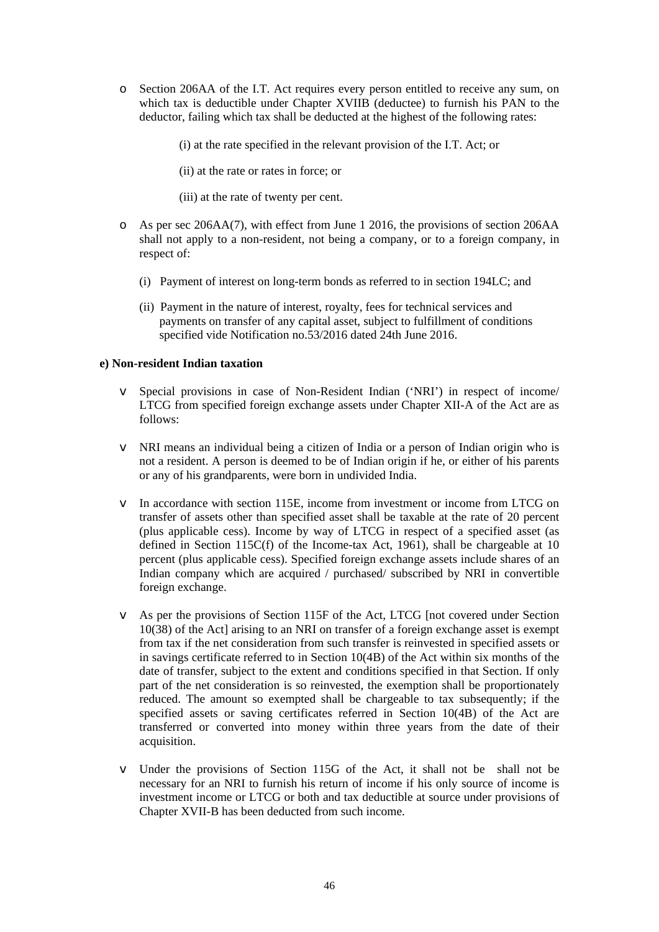o Section 206AA of the I.T. Act requires every person entitled to receive any sum, on which tax is deductible under Chapter XVIIB (deductee) to furnish his PAN to the deductor, failing which tax shall be deducted at the highest of the following rates:

(i) at the rate specified in the relevant provision of the I.T. Act; or

(ii) at the rate or rates in force; or

(iii) at the rate of twenty per cent.

- o As per sec 206AA(7), with effect from June 1 2016, the provisions of section 206AA shall not apply to a non-resident, not being a company, or to a foreign company, in respect of:
	- (i) Payment of interest on long-term bonds as referred to in section 194LC; and
	- (ii) Payment in the nature of interest, royalty, fees for technical services and payments on transfer of any capital asset, subject to fulfillment of conditions specified vide Notification no.53/2016 dated 24th June 2016.

### **e) Non-resident Indian taxation**

- v Special provisions in case of Non-Resident Indian ('NRI') in respect of income/ LTCG from specified foreign exchange assets under Chapter XII-A of the Act are as follows:
- v NRI means an individual being a citizen of India or a person of Indian origin who is not a resident. A person is deemed to be of Indian origin if he, or either of his parents or any of his grandparents, were born in undivided India.
- v In accordance with section 115E, income from investment or income from LTCG on transfer of assets other than specified asset shall be taxable at the rate of 20 percent (plus applicable cess). Income by way of LTCG in respect of a specified asset (as defined in Section 115C(f) of the Income-tax Act, 1961), shall be chargeable at 10 percent (plus applicable cess). Specified foreign exchange assets include shares of an Indian company which are acquired / purchased/ subscribed by NRI in convertible foreign exchange.
- v As per the provisions of Section 115F of the Act, LTCG [not covered under Section 10(38) of the Act] arising to an NRI on transfer of a foreign exchange asset is exempt from tax if the net consideration from such transfer is reinvested in specified assets or in savings certificate referred to in Section 10(4B) of the Act within six months of the date of transfer, subject to the extent and conditions specified in that Section. If only part of the net consideration is so reinvested, the exemption shall be proportionately reduced. The amount so exempted shall be chargeable to tax subsequently; if the specified assets or saving certificates referred in Section 10(4B) of the Act are transferred or converted into money within three years from the date of their acquisition.
- v Under the provisions of Section 115G of the Act, it shall not be shall not be necessary for an NRI to furnish his return of income if his only source of income is investment income or LTCG or both and tax deductible at source under provisions of Chapter XVII-B has been deducted from such income.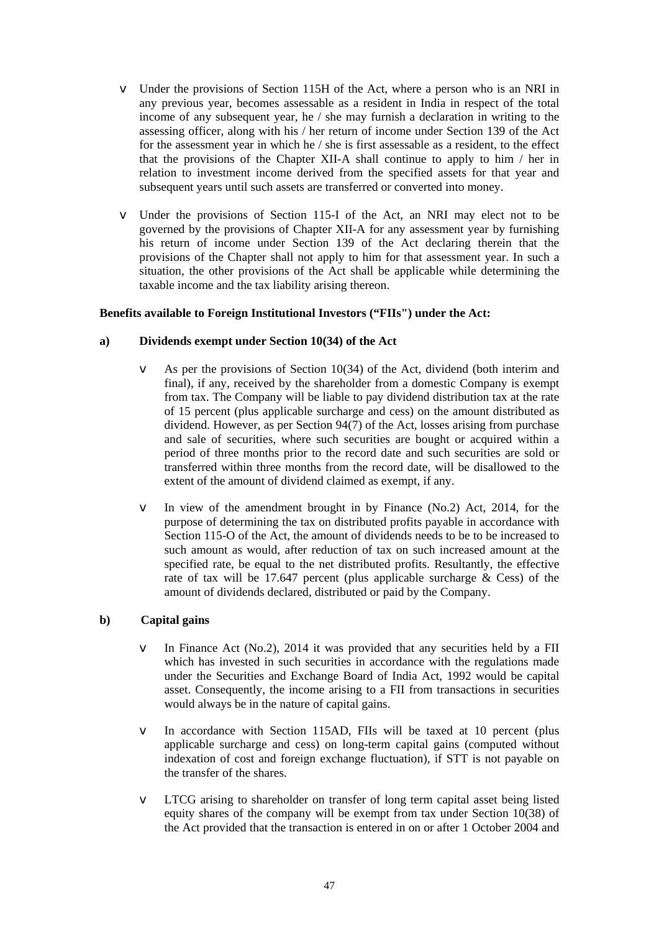- v Under the provisions of Section 115H of the Act, where a person who is an NRI in any previous year, becomes assessable as a resident in India in respect of the total income of any subsequent year, he / she may furnish a declaration in writing to the assessing officer, along with his / her return of income under Section 139 of the Act for the assessment year in which he / she is first assessable as a resident, to the effect that the provisions of the Chapter XII-A shall continue to apply to him / her in relation to investment income derived from the specified assets for that year and subsequent years until such assets are transferred or converted into money.
- v Under the provisions of Section 115-I of the Act, an NRI may elect not to be governed by the provisions of Chapter XII-A for any assessment year by furnishing his return of income under Section 139 of the Act declaring therein that the provisions of the Chapter shall not apply to him for that assessment year. In such a situation, the other provisions of the Act shall be applicable while determining the taxable income and the tax liability arising thereon.

## **Benefits available to Foreign Institutional Investors ("FIIs") under the Act:**

### **a) Dividends exempt under Section 10(34) of the Act**

- As per the provisions of Section  $10(34)$  of the Act, dividend (both interim and final), if any, received by the shareholder from a domestic Company is exempt from tax. The Company will be liable to pay dividend distribution tax at the rate of 15 percent (plus applicable surcharge and cess) on the amount distributed as dividend. However, as per Section 94(7) of the Act, losses arising from purchase and sale of securities, where such securities are bought or acquired within a period of three months prior to the record date and such securities are sold or transferred within three months from the record date, will be disallowed to the extent of the amount of dividend claimed as exempt, if any.
- v In view of the amendment brought in by Finance (No.2) Act, 2014, for the purpose of determining the tax on distributed profits payable in accordance with Section 115-O of the Act, the amount of dividends needs to be to be increased to such amount as would, after reduction of tax on such increased amount at the specified rate, be equal to the net distributed profits. Resultantly, the effective rate of tax will be 17.647 percent (plus applicable surcharge  $\&$  Cess) of the amount of dividends declared, distributed or paid by the Company.

## **b) Capital gains**

- v In Finance Act (No.2), 2014 it was provided that any securities held by a FII which has invested in such securities in accordance with the regulations made under the Securities and Exchange Board of India Act, 1992 would be capital asset. Consequently, the income arising to a FII from transactions in securities would always be in the nature of capital gains.
- v In accordance with Section 115AD, FIIs will be taxed at 10 percent (plus applicable surcharge and cess) on long-term capital gains (computed without indexation of cost and foreign exchange fluctuation), if STT is not payable on the transfer of the shares.
- v LTCG arising to shareholder on transfer of long term capital asset being listed equity shares of the company will be exempt from tax under Section 10(38) of the Act provided that the transaction is entered in on or after 1 October 2004 and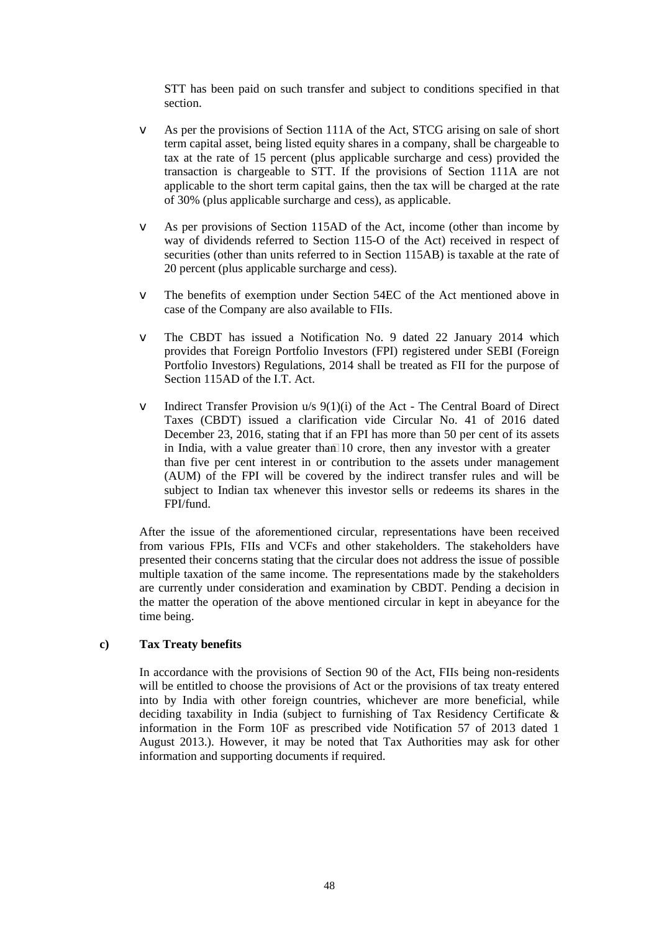STT has been paid on such transfer and subject to conditions specified in that section.

- v As per the provisions of Section 111A of the Act, STCG arising on sale of short term capital asset, being listed equity shares in a company, shall be chargeable to tax at the rate of 15 percent (plus applicable surcharge and cess) provided the transaction is chargeable to STT. If the provisions of Section 111A are not applicable to the short term capital gains, then the tax will be charged at the rate of 30% (plus applicable surcharge and cess), as applicable.
- v As per provisions of Section 115AD of the Act, income (other than income by way of dividends referred to Section 115-O of the Act) received in respect of securities (other than units referred to in Section 115AB) is taxable at the rate of 20 percent (plus applicable surcharge and cess).
- v The benefits of exemption under Section 54EC of the Act mentioned above in case of the Company are also available to FIIs.
- v The CBDT has issued a Notification No. 9 dated 22 January 2014 which provides that Foreign Portfolio Investors (FPI) registered under SEBI (Foreign Portfolio Investors) Regulations, 2014 shall be treated as FII for the purpose of Section 115AD of the I.T. Act.
- v Indirect Transfer Provision u/s 9(1)(i) of the Act The Central Board of Direct Taxes (CBDT) issued a clarification vide Circular No. 41 of 2016 dated December 23, 2016, stating that if an FPI has more than 50 per cent of its assets in India, with a value greater than  $10$  crore, then any investor with a greater than five per cent interest in or contribution to the assets under management (AUM) of the FPI will be covered by the indirect transfer rules and will be subject to Indian tax whenever this investor sells or redeems its shares in the FPI/fund.

After the issue of the aforementioned circular, representations have been received from various FPIs, FIIs and VCFs and other stakeholders. The stakeholders have presented their concerns stating that the circular does not address the issue of possible multiple taxation of the same income. The representations made by the stakeholders are currently under consideration and examination by CBDT. Pending a decision in the matter the operation of the above mentioned circular in kept in abeyance for the time being.

#### **c) Tax Treaty benefits**

In accordance with the provisions of Section 90 of the Act, FIIs being non-residents will be entitled to choose the provisions of Act or the provisions of tax treaty entered into by India with other foreign countries, whichever are more beneficial, while deciding taxability in India (subject to furnishing of Tax Residency Certificate & information in the Form 10F as prescribed vide Notification 57 of 2013 dated 1 August 2013.). However, it may be noted that Tax Authorities may ask for other information and supporting documents if required.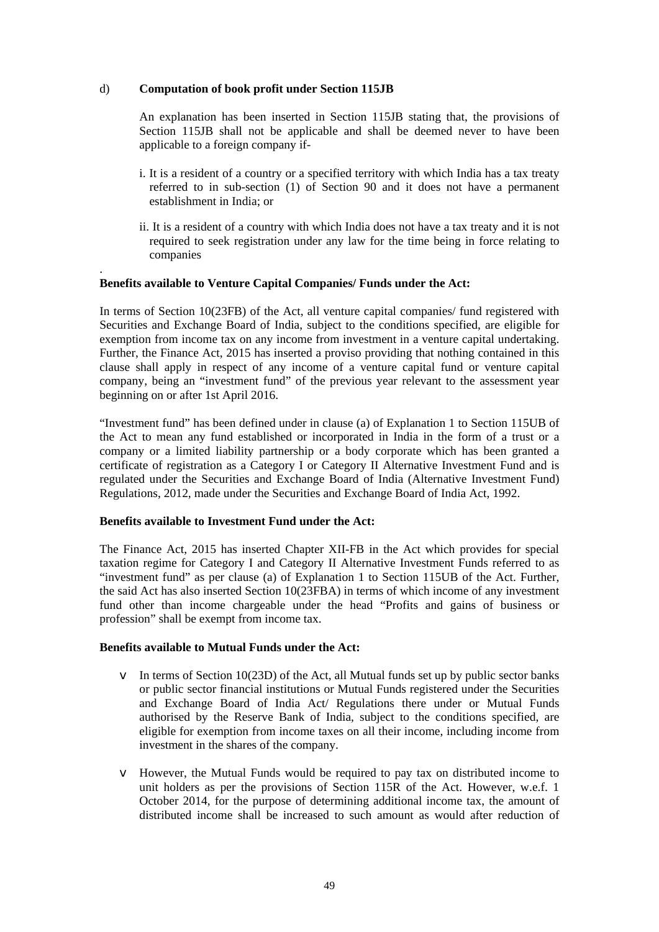## d) **Computation of book profit under Section 115JB**

.

An explanation has been inserted in Section 115JB stating that, the provisions of Section 115JB shall not be applicable and shall be deemed never to have been applicable to a foreign company if-

- i. It is a resident of a country or a specified territory with which India has a tax treaty referred to in sub-section (1) of Section 90 and it does not have a permanent establishment in India; or
- ii. It is a resident of a country with which India does not have a tax treaty and it is not required to seek registration under any law for the time being in force relating to companies

## **Benefits available to Venture Capital Companies/ Funds under the Act:**

In terms of Section 10(23FB) of the Act, all venture capital companies/ fund registered with Securities and Exchange Board of India, subject to the conditions specified, are eligible for exemption from income tax on any income from investment in a venture capital undertaking. Further, the Finance Act, 2015 has inserted a proviso providing that nothing contained in this clause shall apply in respect of any income of a venture capital fund or venture capital company, being an "investment fund" of the previous year relevant to the assessment year beginning on or after 1st April 2016.

"Investment fund" has been defined under in clause (a) of Explanation 1 to Section 115UB of the Act to mean any fund established or incorporated in India in the form of a trust or a company or a limited liability partnership or a body corporate which has been granted a certificate of registration as a Category I or Category II Alternative Investment Fund and is regulated under the Securities and Exchange Board of India (Alternative Investment Fund) Regulations, 2012, made under the Securities and Exchange Board of India Act, 1992.

## **Benefits available to Investment Fund under the Act:**

The Finance Act, 2015 has inserted Chapter XII-FB in the Act which provides for special taxation regime for Category I and Category II Alternative Investment Funds referred to as "investment fund" as per clause (a) of Explanation 1 to Section 115UB of the Act. Further, the said Act has also inserted Section 10(23FBA) in terms of which income of any investment fund other than income chargeable under the head "Profits and gains of business or profession" shall be exempt from income tax.

## **Benefits available to Mutual Funds under the Act:**

- v In terms of Section 10(23D) of the Act, all Mutual funds set up by public sector banks or public sector financial institutions or Mutual Funds registered under the Securities and Exchange Board of India Act/ Regulations there under or Mutual Funds authorised by the Reserve Bank of India, subject to the conditions specified, are eligible for exemption from income taxes on all their income, including income from investment in the shares of the company.
- v However, the Mutual Funds would be required to pay tax on distributed income to unit holders as per the provisions of Section 115R of the Act. However, w.e.f. 1 October 2014, for the purpose of determining additional income tax, the amount of distributed income shall be increased to such amount as would after reduction of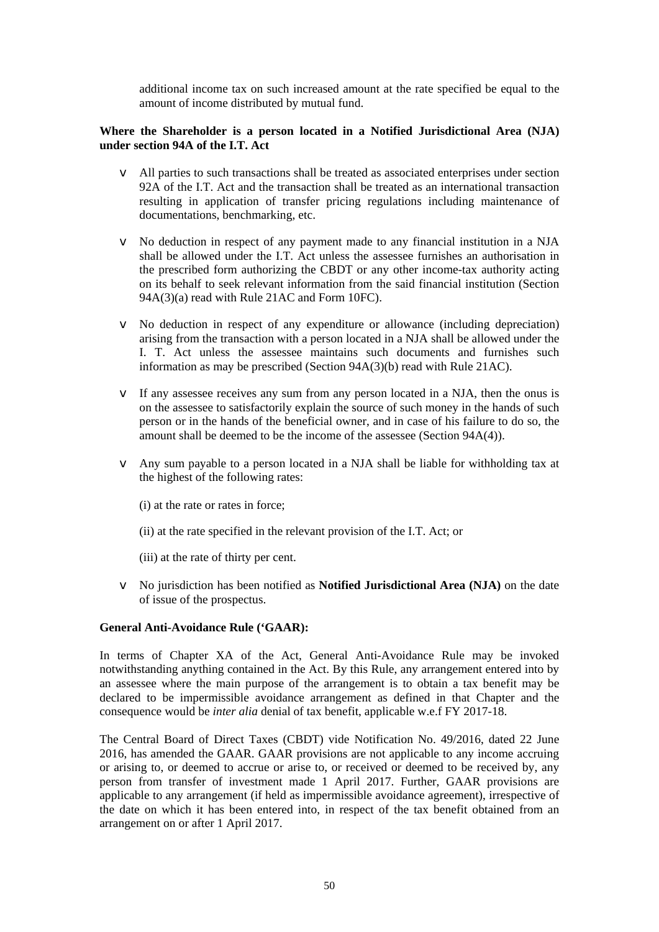additional income tax on such increased amount at the rate specified be equal to the amount of income distributed by mutual fund.

## **Where the Shareholder is a person located in a Notified Jurisdictional Area (NJA) under section 94A of the I.T. Act**

- v All parties to such transactions shall be treated as associated enterprises under section 92A of the I.T. Act and the transaction shall be treated as an international transaction resulting in application of transfer pricing regulations including maintenance of documentations, benchmarking, etc.
- v No deduction in respect of any payment made to any financial institution in a NJA shall be allowed under the I.T. Act unless the assessee furnishes an authorisation in the prescribed form authorizing the CBDT or any other income-tax authority acting on its behalf to seek relevant information from the said financial institution (Section 94A(3)(a) read with Rule 21AC and Form 10FC).
- v No deduction in respect of any expenditure or allowance (including depreciation) arising from the transaction with a person located in a NJA shall be allowed under the I. T. Act unless the assessee maintains such documents and furnishes such information as may be prescribed (Section 94A(3)(b) read with Rule 21AC).
- v If any assessee receives any sum from any person located in a NJA, then the onus is on the assessee to satisfactorily explain the source of such money in the hands of such person or in the hands of the beneficial owner, and in case of his failure to do so, the amount shall be deemed to be the income of the assessee (Section 94A(4)).
- v Any sum payable to a person located in a NJA shall be liable for withholding tax at the highest of the following rates:
	- (i) at the rate or rates in force;
	- (ii) at the rate specified in the relevant provision of the I.T. Act; or
	- (iii) at the rate of thirty per cent.
- v No jurisdiction has been notified as **Notified Jurisdictional Area (NJA)** on the date of issue of the prospectus.

#### **General Anti-Avoidance Rule ('GAAR):**

In terms of Chapter XA of the Act, General Anti-Avoidance Rule may be invoked notwithstanding anything contained in the Act. By this Rule, any arrangement entered into by an assessee where the main purpose of the arrangement is to obtain a tax benefit may be declared to be impermissible avoidance arrangement as defined in that Chapter and the consequence would be *inter alia* denial of tax benefit, applicable w.e.f FY 2017-18.

The Central Board of Direct Taxes (CBDT) vide Notification No. 49/2016, dated 22 June 2016, has amended the GAAR. GAAR provisions are not applicable to any income accruing or arising to, or deemed to accrue or arise to, or received or deemed to be received by, any person from transfer of investment made 1 April 2017. Further, GAAR provisions are applicable to any arrangement (if held as impermissible avoidance agreement), irrespective of the date on which it has been entered into, in respect of the tax benefit obtained from an arrangement on or after 1 April 2017.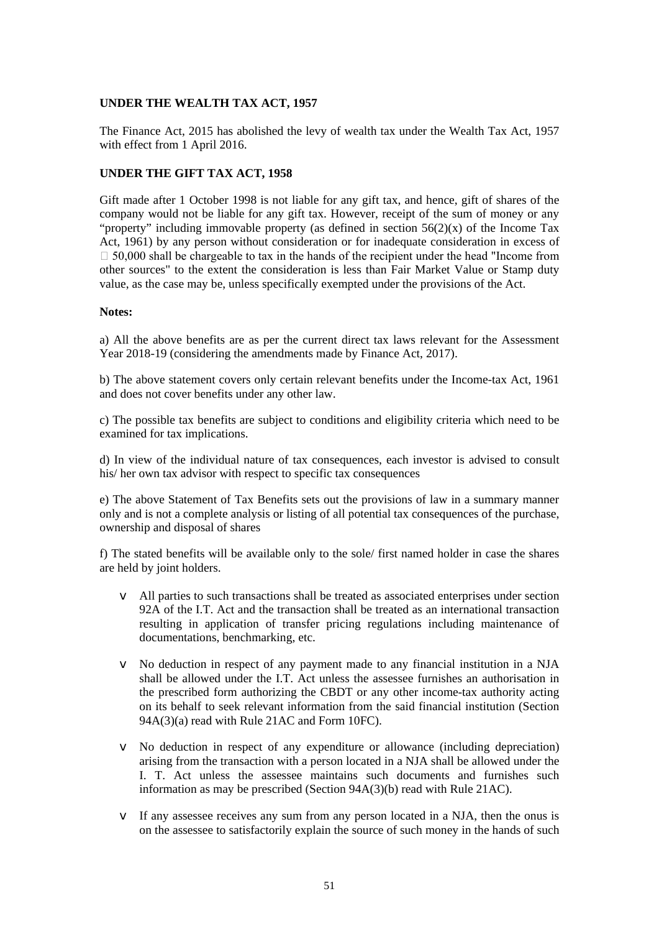## **UNDER THE WEALTH TAX ACT, 1957**

The Finance Act, 2015 has abolished the levy of wealth tax under the Wealth Tax Act, 1957 with effect from 1 April 2016.

## **UNDER THE GIFT TAX ACT, 1958**

Gift made after 1 October 1998 is not liable for any gift tax, and hence, gift of shares of the company would not be liable for any gift tax. However, receipt of the sum of money or any "property" including immovable property (as defined in section  $56(2)(x)$  of the Income Tax Act, 1961) by any person without consideration or for inadequate consideration in excess of  $\Box$  50,000 shall be chargeable to tax in the hands of the recipient under the head "Income from other sources" to the extent the consideration is less than Fair Market Value or Stamp duty value, as the case may be, unless specifically exempted under the provisions of the Act.

### **Notes:**

a) All the above benefits are as per the current direct tax laws relevant for the Assessment Year 2018-19 (considering the amendments made by Finance Act, 2017).

b) The above statement covers only certain relevant benefits under the Income-tax Act, 1961 and does not cover benefits under any other law.

c) The possible tax benefits are subject to conditions and eligibility criteria which need to be examined for tax implications.

d) In view of the individual nature of tax consequences, each investor is advised to consult his/ her own tax advisor with respect to specific tax consequences

e) The above Statement of Tax Benefits sets out the provisions of law in a summary manner only and is not a complete analysis or listing of all potential tax consequences of the purchase, ownership and disposal of shares

f) The stated benefits will be available only to the sole/ first named holder in case the shares are held by joint holders.

- v All parties to such transactions shall be treated as associated enterprises under section 92A of the I.T. Act and the transaction shall be treated as an international transaction resulting in application of transfer pricing regulations including maintenance of documentations, benchmarking, etc.
- v No deduction in respect of any payment made to any financial institution in a NJA shall be allowed under the I.T. Act unless the assessee furnishes an authorisation in the prescribed form authorizing the CBDT or any other income-tax authority acting on its behalf to seek relevant information from the said financial institution (Section 94A(3)(a) read with Rule 21AC and Form 10FC).
- v No deduction in respect of any expenditure or allowance (including depreciation) arising from the transaction with a person located in a NJA shall be allowed under the I. T. Act unless the assessee maintains such documents and furnishes such information as may be prescribed (Section 94A(3)(b) read with Rule 21AC).
- v If any assessee receives any sum from any person located in a NJA, then the onus is on the assessee to satisfactorily explain the source of such money in the hands of such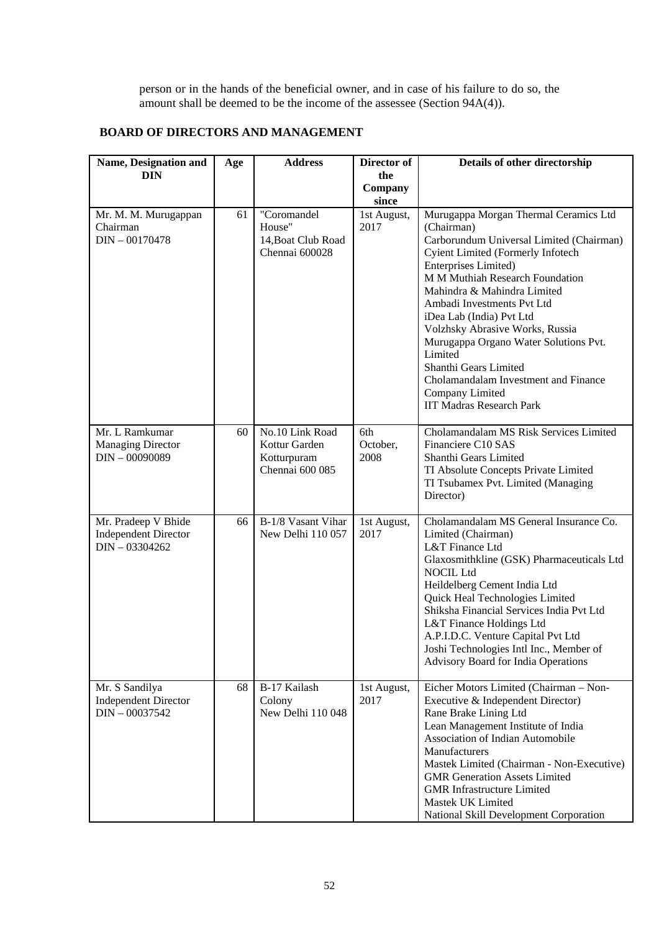person or in the hands of the beneficial owner, and in case of his failure to do so, the amount shall be deemed to be the income of the assessee (Section 94A(4)).

## **BOARD OF DIRECTORS AND MANAGEMENT**

| Name, Designation and                                                  | Age | <b>Address</b>                                                     | Director of             | Details of other directorship                                                                                                                                                                                                                                                                                                                                                                                                                                                                                 |
|------------------------------------------------------------------------|-----|--------------------------------------------------------------------|-------------------------|---------------------------------------------------------------------------------------------------------------------------------------------------------------------------------------------------------------------------------------------------------------------------------------------------------------------------------------------------------------------------------------------------------------------------------------------------------------------------------------------------------------|
| <b>DIN</b>                                                             |     |                                                                    | the<br>Company          |                                                                                                                                                                                                                                                                                                                                                                                                                                                                                                               |
|                                                                        |     |                                                                    | since                   |                                                                                                                                                                                                                                                                                                                                                                                                                                                                                                               |
| Mr. M. M. Murugappan<br>Chairman<br>$DIN - 00170478$                   | 61  | "Coromandel<br>House"<br>14, Boat Club Road<br>Chennai 600028      | 1st August,<br>2017     | Murugappa Morgan Thermal Ceramics Ltd<br>(Chairman)<br>Carborundum Universal Limited (Chairman)<br><b>Cyient Limited (Formerly Infotech</b><br>Enterprises Limited)<br>M M Muthiah Research Foundation<br>Mahindra & Mahindra Limited<br>Ambadi Investments Pvt Ltd<br>iDea Lab (India) Pvt Ltd<br>Volzhsky Abrasive Works, Russia<br>Murugappa Organo Water Solutions Pvt.<br>Limited<br>Shanthi Gears Limited<br>Cholamandalam Investment and Finance<br>Company Limited<br><b>IIT Madras Research Park</b> |
| Mr. L Ramkumar<br><b>Managing Director</b><br>$DIN - 00090089$         | 60  | No.10 Link Road<br>Kottur Garden<br>Kotturpuram<br>Chennai 600 085 | 6th<br>October,<br>2008 | Cholamandalam MS Risk Services Limited<br>Financiere C10 SAS<br>Shanthi Gears Limited<br>TI Absolute Concepts Private Limited<br>TI Tsubamex Pvt. Limited (Managing<br>Director)                                                                                                                                                                                                                                                                                                                              |
| Mr. Pradeep V Bhide<br><b>Independent Director</b><br>$DIN - 03304262$ | 66  | B-1/8 Vasant Vihar<br>New Delhi 110 057                            | 1st August,<br>2017     | Cholamandalam MS General Insurance Co.<br>Limited (Chairman)<br>L&T Finance Ltd<br>Glaxosmithkline (GSK) Pharmaceuticals Ltd<br><b>NOCIL Ltd</b><br>Heildelberg Cement India Ltd<br>Quick Heal Technologies Limited<br>Shiksha Financial Services India Pvt Ltd<br>L&T Finance Holdings Ltd<br>A.P.I.D.C. Venture Capital Pvt Ltd<br>Joshi Technologies Intl Inc., Member of<br><b>Advisory Board for India Operations</b>                                                                                    |
| Mr. S Sandilya<br><b>Independent Director</b><br>$DIN - 00037542$      | 68  | B-17 Kailash<br>Colony<br>New Delhi 110 048                        | 1st August,<br>2017     | Eicher Motors Limited (Chairman - Non-<br>Executive & Independent Director)<br>Rane Brake Lining Ltd<br>Lean Management Institute of India<br>Association of Indian Automobile<br>Manufacturers<br>Mastek Limited (Chairman - Non-Executive)<br><b>GMR</b> Generation Assets Limited<br><b>GMR</b> Infrastructure Limited<br>Mastek UK Limited<br>National Skill Development Corporation                                                                                                                      |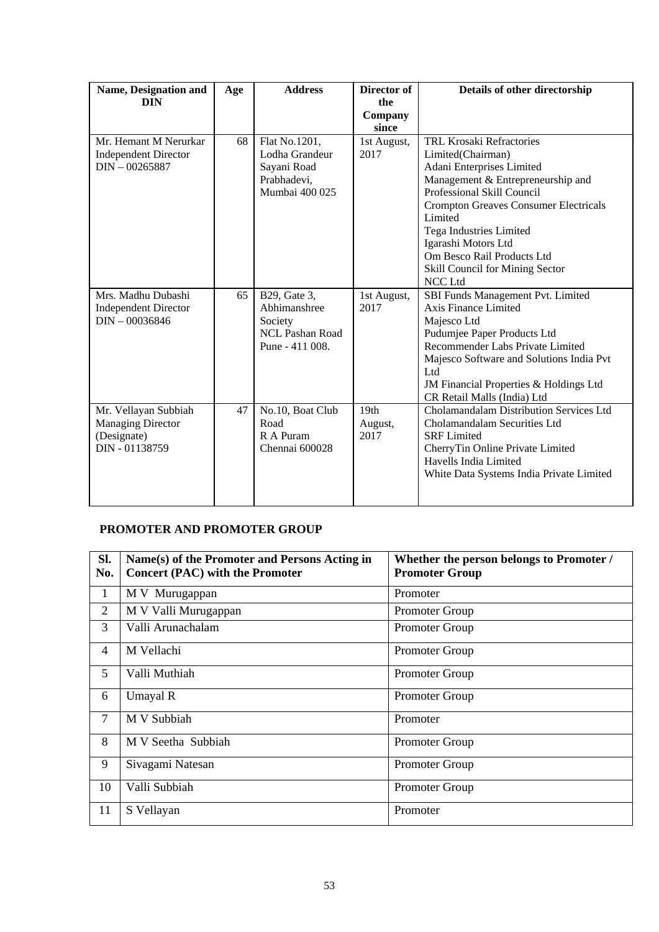| <b>Name, Designation and</b><br><b>DIN</b>                                        | Age | <b>Address</b>                                                                       | Director of<br>the<br>Company       | Details of other directorship                                                                                                                                                                                                                                                                                                                 |
|-----------------------------------------------------------------------------------|-----|--------------------------------------------------------------------------------------|-------------------------------------|-----------------------------------------------------------------------------------------------------------------------------------------------------------------------------------------------------------------------------------------------------------------------------------------------------------------------------------------------|
|                                                                                   |     |                                                                                      | since                               |                                                                                                                                                                                                                                                                                                                                               |
| Mr. Hemant M Nerurkar<br><b>Independent Director</b><br>$DIN - 00265887$          | 68  | Flat No.1201,<br>Lodha Grandeur<br>Sayani Road<br>Prabhadevi,<br>Mumbai 400 025      | 1st August,<br>2017                 | <b>TRL Krosaki Refractories</b><br>Limited(Chairman)<br>Adani Enterprises Limited<br>Management & Entrepreneurship and<br>Professional Skill Council<br><b>Crompton Greaves Consumer Electricals</b><br>Limited<br>Tega Industries Limited<br>Igarashi Motors Ltd<br>Om Besco Rail Products Ltd<br>Skill Council for Mining Sector<br>NCC Ltd |
| Mrs. Madhu Dubashi<br><b>Independent Director</b><br>$DIN - 00036846$             | 65  | B29, Gate 3,<br>Abhimanshree<br>Society<br><b>NCL Pashan Road</b><br>Pune - 411 008. | 1st August,<br>2017                 | SBI Funds Management Pvt. Limited<br>Axis Finance Limited<br>Majesco Ltd<br>Pudumjee Paper Products Ltd<br>Recommender Labs Private Limited<br>Majesco Software and Solutions India Pvt<br>Ltd<br>JM Financial Properties & Holdings Ltd<br>CR Retail Malls (India) Ltd                                                                       |
| Mr. Vellayan Subbiah<br><b>Managing Director</b><br>(Designate)<br>DIN - 01138759 | 47  | No.10, Boat Club<br>Road<br>R A Puram<br>Chennai 600028                              | 19 <sub>th</sub><br>August,<br>2017 | Cholamandalam Distribution Services Ltd<br>Cholamandalam Securities Ltd<br><b>SRF</b> Limited<br>CherryTin Online Private Limited<br>Havells India Limited<br>White Data Systems India Private Limited                                                                                                                                        |

# **PROMOTER AND PROMOTER GROUP**

| Sl.<br>No.     | Name(s) of the Promoter and Persons Acting in<br><b>Concert (PAC) with the Promoter</b> | Whether the person belongs to Promoter /<br><b>Promoter Group</b> |
|----------------|-----------------------------------------------------------------------------------------|-------------------------------------------------------------------|
| 1              | M V Murugappan                                                                          | Promoter                                                          |
| $\overline{2}$ | M V Valli Murugappan                                                                    | Promoter Group                                                    |
| 3              | Valli Arunachalam                                                                       | Promoter Group                                                    |
| $\overline{4}$ | M Vellachi                                                                              | <b>Promoter Group</b>                                             |
| 5              | Valli Muthiah                                                                           | Promoter Group                                                    |
| 6              | Umayal R                                                                                | Promoter Group                                                    |
| 7              | M V Subbiah                                                                             | Promoter                                                          |
| 8              | M V Seetha Subbiah                                                                      | Promoter Group                                                    |
| 9              | Sivagami Natesan                                                                        | Promoter Group                                                    |
| 10             | Valli Subbiah                                                                           | Promoter Group                                                    |
| 11             | S Vellayan                                                                              | Promoter                                                          |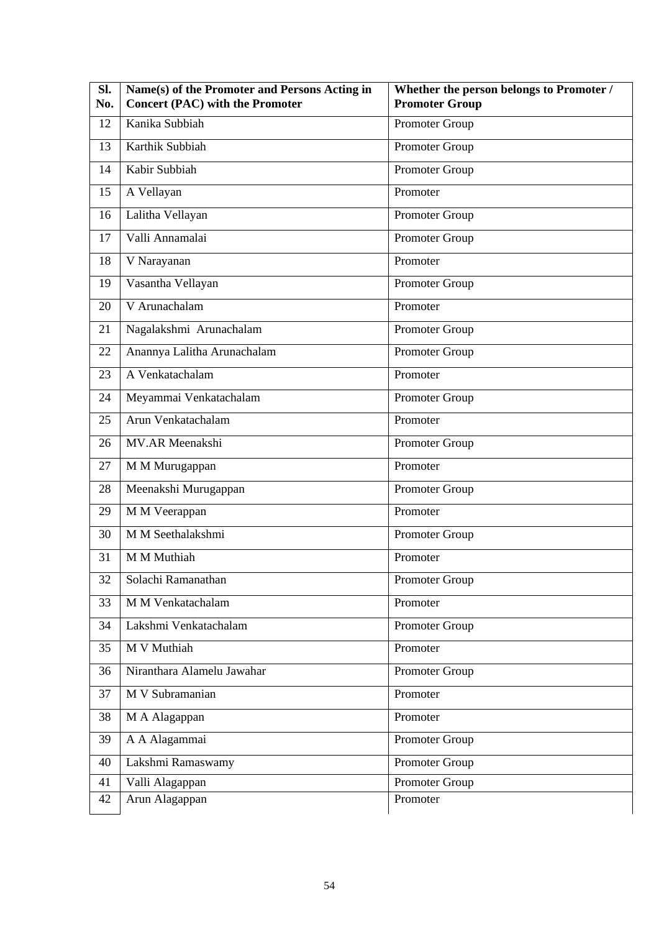| SI.<br>No. | Name(s) of the Promoter and Persons Acting in<br><b>Concert (PAC) with the Promoter</b> | Whether the person belongs to Promoter /<br><b>Promoter Group</b> |
|------------|-----------------------------------------------------------------------------------------|-------------------------------------------------------------------|
| 12         | Kanika Subbiah                                                                          | Promoter Group                                                    |
| 13         | Karthik Subbiah                                                                         | Promoter Group                                                    |
| 14         | Kabir Subbiah                                                                           | Promoter Group                                                    |
| 15         | A Vellayan                                                                              | Promoter                                                          |
| 16         | Lalitha Vellayan                                                                        | Promoter Group                                                    |
| 17         | Valli Annamalai                                                                         | Promoter Group                                                    |
| 18         | V Narayanan                                                                             | Promoter                                                          |
| 19         | Vasantha Vellayan                                                                       | Promoter Group                                                    |
| 20         | V Arunachalam                                                                           | Promoter                                                          |
| 21         | Nagalakshmi Arunachalam                                                                 | Promoter Group                                                    |
| 22         | Anannya Lalitha Arunachalam                                                             | Promoter Group                                                    |
| 23         | A Venkatachalam                                                                         | Promoter                                                          |
| 24         | Meyammai Venkatachalam                                                                  | Promoter Group                                                    |
| 25         | Arun Venkatachalam                                                                      | Promoter                                                          |
| 26         | MV.AR Meenakshi                                                                         | Promoter Group                                                    |
| 27         | M M Murugappan                                                                          | Promoter                                                          |
| 28         | Meenakshi Murugappan                                                                    | Promoter Group                                                    |
| 29         | M M Veerappan                                                                           | Promoter                                                          |
| 30         | M M Seethalakshmi                                                                       | Promoter Group                                                    |
| 31         | M M Muthiah                                                                             | Promoter                                                          |
| 32         | Solachi Ramanathan                                                                      | Promoter Group                                                    |
| 33         | M M Venkatachalam                                                                       | Promoter                                                          |
| 34         | Lakshmi Venkatachalam                                                                   | Promoter Group                                                    |
| 35         | M V Muthiah                                                                             | Promoter                                                          |
| 36         | Niranthara Alamelu Jawahar                                                              | Promoter Group                                                    |
| 37         | M V Subramanian                                                                         | Promoter                                                          |
| 38         | M A Alagappan                                                                           | Promoter                                                          |
| 39         | A A Alagammai                                                                           | Promoter Group                                                    |
| 40         | Lakshmi Ramaswamy                                                                       | Promoter Group                                                    |
| 41         | Valli Alagappan                                                                         | Promoter Group                                                    |
| 42         | Arun Alagappan                                                                          | Promoter                                                          |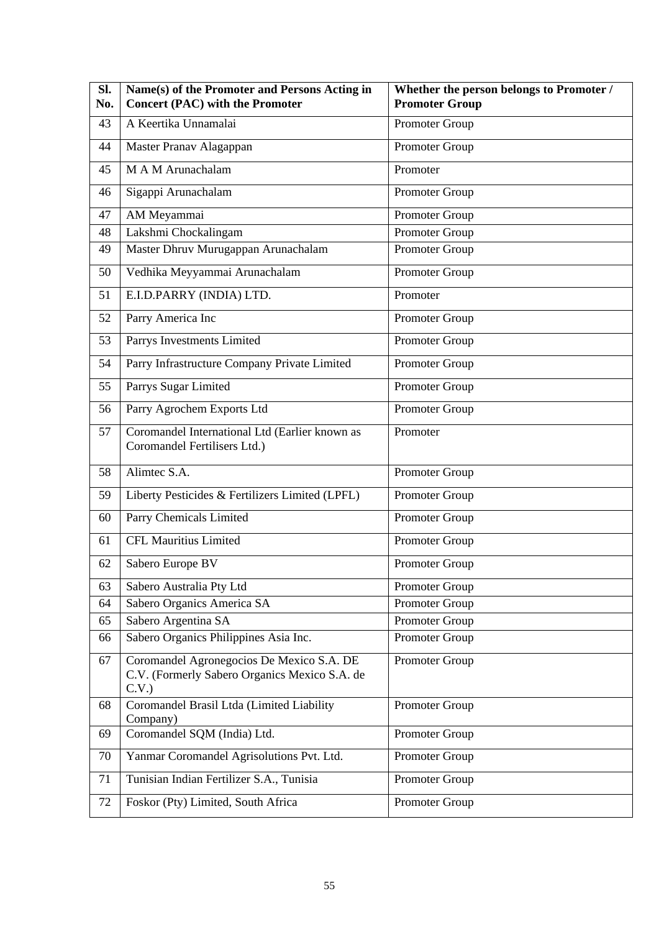| Sl.<br>No. | Name(s) of the Promoter and Persons Acting in<br><b>Concert (PAC) with the Promoter</b>            | Whether the person belongs to Promoter /<br><b>Promoter Group</b> |
|------------|----------------------------------------------------------------------------------------------------|-------------------------------------------------------------------|
| 43         | A Keertika Unnamalai                                                                               | Promoter Group                                                    |
| 44         | Master Pranav Alagappan                                                                            | Promoter Group                                                    |
| 45         | M A M Arunachalam                                                                                  | Promoter                                                          |
| 46         | Sigappi Arunachalam                                                                                | Promoter Group                                                    |
| 47         | AM Meyammai                                                                                        | Promoter Group                                                    |
| 48         | Lakshmi Chockalingam                                                                               | Promoter Group                                                    |
| 49         | Master Dhruv Murugappan Arunachalam                                                                | Promoter Group                                                    |
| 50         | Vedhika Meyyammai Arunachalam                                                                      | Promoter Group                                                    |
| 51         | E.I.D.PARRY (INDIA) LTD.                                                                           | Promoter                                                          |
| 52         | Parry America Inc                                                                                  | Promoter Group                                                    |
| 53         | Parrys Investments Limited                                                                         | Promoter Group                                                    |
| 54         | Parry Infrastructure Company Private Limited                                                       | Promoter Group                                                    |
| 55         | Parrys Sugar Limited                                                                               | Promoter Group                                                    |
| 56         | Parry Agrochem Exports Ltd                                                                         | Promoter Group                                                    |
| 57         | Coromandel International Ltd (Earlier known as<br>Coromandel Fertilisers Ltd.)                     | Promoter                                                          |
| 58         | Alimtec S.A.                                                                                       | Promoter Group                                                    |
| 59         | Liberty Pesticides & Fertilizers Limited (LPFL)                                                    | Promoter Group                                                    |
| 60         | Parry Chemicals Limited                                                                            | Promoter Group                                                    |
| 61         | <b>CFL Mauritius Limited</b>                                                                       | Promoter Group                                                    |
| 62         | Sabero Europe BV                                                                                   | Promoter Group                                                    |
| 63         | Sabero Australia Pty Ltd                                                                           | Promoter Group                                                    |
| 64         | Sabero Organics America SA                                                                         | Promoter Group                                                    |
| 65         | Sabero Argentina SA                                                                                | Promoter Group                                                    |
| 66         | Sabero Organics Philippines Asia Inc.                                                              | Promoter Group                                                    |
| 67         | Coromandel Agronegocios De Mexico S.A. DE<br>C.V. (Formerly Sabero Organics Mexico S.A. de<br>C.V. | Promoter Group                                                    |
| 68         | Coromandel Brasil Ltda (Limited Liability<br>Company)                                              | Promoter Group                                                    |
| 69         | Coromandel SQM (India) Ltd.                                                                        | Promoter Group                                                    |
| 70         | Yanmar Coromandel Agrisolutions Pvt. Ltd.                                                          | Promoter Group                                                    |
| 71         | Tunisian Indian Fertilizer S.A., Tunisia                                                           | Promoter Group                                                    |
| 72         | Foskor (Pty) Limited, South Africa                                                                 | Promoter Group                                                    |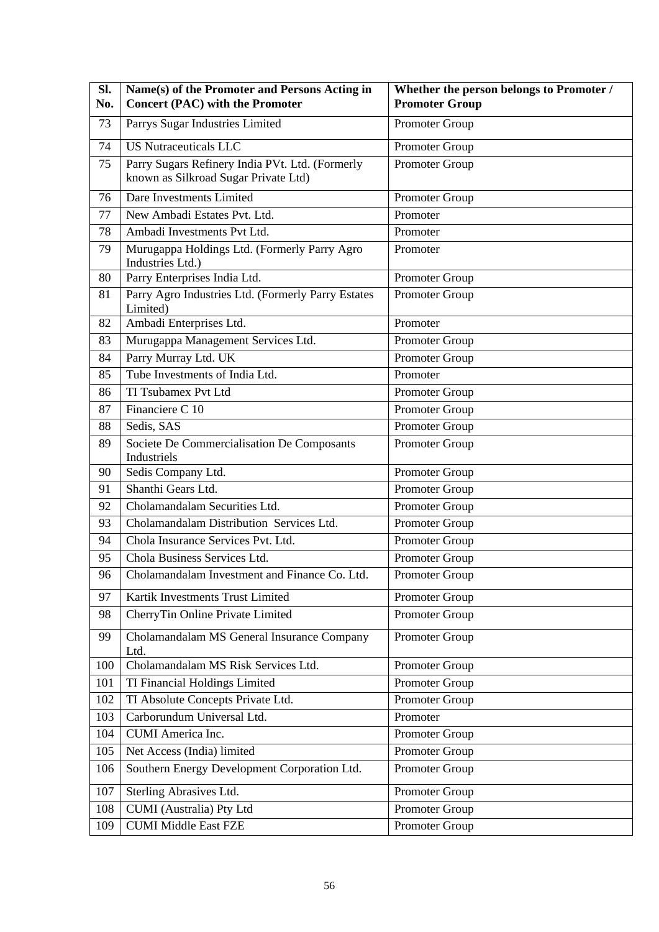| Sl.<br>No. | Name(s) of the Promoter and Persons Acting in<br><b>Concert (PAC) with the Promoter</b> | Whether the person belongs to Promoter /<br><b>Promoter Group</b> |
|------------|-----------------------------------------------------------------------------------------|-------------------------------------------------------------------|
| 73         | Parrys Sugar Industries Limited                                                         | Promoter Group                                                    |
| 74         | <b>US Nutraceuticals LLC</b>                                                            | Promoter Group                                                    |
| 75         | Parry Sugars Refinery India PVt. Ltd. (Formerly<br>known as Silkroad Sugar Private Ltd) | Promoter Group                                                    |
| 76         | Dare Investments Limited                                                                | Promoter Group                                                    |
| 77         | New Ambadi Estates Pvt. Ltd.                                                            | Promoter                                                          |
| 78         | Ambadi Investments Pvt Ltd.                                                             | Promoter                                                          |
| 79         | Murugappa Holdings Ltd. (Formerly Parry Agro<br>Industries Ltd.)                        | Promoter                                                          |
| 80         | Parry Enterprises India Ltd.                                                            | Promoter Group                                                    |
| 81         | Parry Agro Industries Ltd. (Formerly Parry Estates<br>Limited)                          | Promoter Group                                                    |
| 82         | Ambadi Enterprises Ltd.                                                                 | Promoter                                                          |
| 83         | Murugappa Management Services Ltd.                                                      | Promoter Group                                                    |
| 84         | Parry Murray Ltd. UK                                                                    | Promoter Group                                                    |
| 85         | Tube Investments of India Ltd.                                                          | Promoter                                                          |
| 86         | TI Tsubamex Pvt Ltd                                                                     | Promoter Group                                                    |
| 87         | Financiere C 10                                                                         | Promoter Group                                                    |
| 88         | Sedis, SAS                                                                              | Promoter Group                                                    |
| 89         | Societe De Commercialisation De Composants<br>Industriels                               | Promoter Group                                                    |
| 90         | Sedis Company Ltd.                                                                      | Promoter Group                                                    |
| 91         | Shanthi Gears Ltd.                                                                      | Promoter Group                                                    |
| 92         | Cholamandalam Securities Ltd.                                                           | Promoter Group                                                    |
| 93         | Cholamandalam Distribution Services Ltd.                                                | Promoter Group                                                    |
| 94         | Chola Insurance Services Pvt. Ltd.                                                      | Promoter Group                                                    |
| 95         | Chola Business Services Ltd.                                                            | Promoter Group                                                    |
| 96         | Cholamandalam Investment and Finance Co. Ltd.                                           | Promoter Group                                                    |
| 97         | Kartik Investments Trust Limited                                                        | Promoter Group                                                    |
| 98         | CherryTin Online Private Limited                                                        | Promoter Group                                                    |
| 99         | Cholamandalam MS General Insurance Company<br>Ltd.                                      | Promoter Group                                                    |
| 100        | Cholamandalam MS Risk Services Ltd.                                                     | Promoter Group                                                    |
| 101        | TI Financial Holdings Limited                                                           | Promoter Group                                                    |
| 102        | TI Absolute Concepts Private Ltd.                                                       | Promoter Group                                                    |
| 103        | Carborundum Universal Ltd.                                                              | Promoter                                                          |
| 104        | CUMI America Inc.                                                                       | Promoter Group                                                    |
| 105        | Net Access (India) limited                                                              | Promoter Group                                                    |
| 106        | Southern Energy Development Corporation Ltd.                                            | Promoter Group                                                    |
| 107        | Sterling Abrasives Ltd.                                                                 | Promoter Group                                                    |
| 108        | CUMI (Australia) Pty Ltd                                                                | Promoter Group                                                    |
| 109        | <b>CUMI Middle East FZE</b>                                                             | Promoter Group                                                    |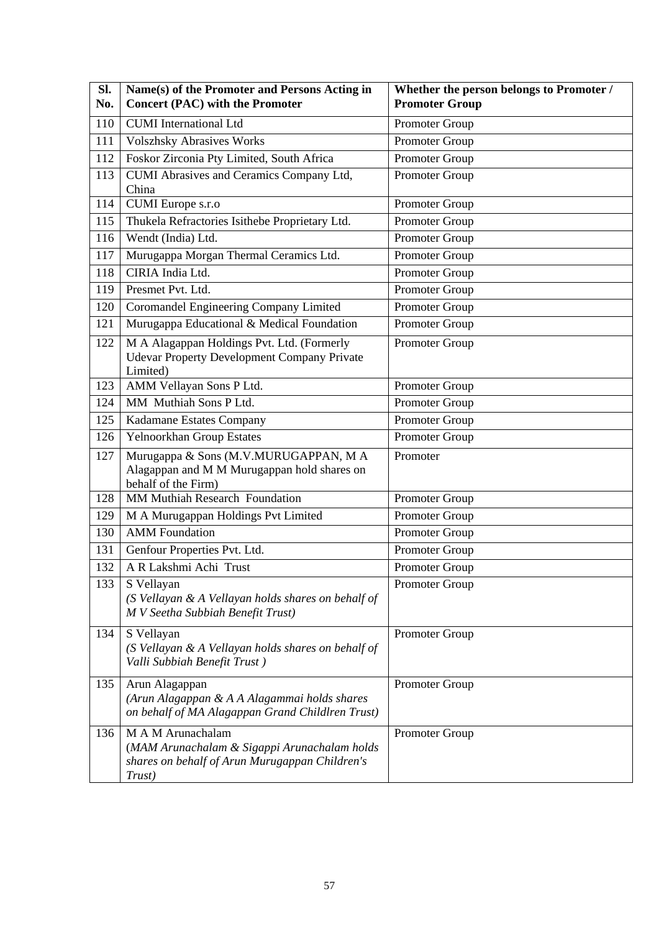| Sl. | Name(s) of the Promoter and Persons Acting in                                                                                 | Whether the person belongs to Promoter / |
|-----|-------------------------------------------------------------------------------------------------------------------------------|------------------------------------------|
| No. | <b>Concert (PAC) with the Promoter</b>                                                                                        | <b>Promoter Group</b>                    |
| 110 | <b>CUMI</b> International Ltd                                                                                                 | Promoter Group                           |
| 111 | <b>Volszhsky Abrasives Works</b>                                                                                              | Promoter Group                           |
| 112 | Foskor Zirconia Pty Limited, South Africa                                                                                     | Promoter Group                           |
| 113 | CUMI Abrasives and Ceramics Company Ltd,                                                                                      | Promoter Group                           |
|     | China                                                                                                                         |                                          |
| 114 | CUMI Europe s.r.o                                                                                                             | Promoter Group                           |
| 115 | Thukela Refractories Isithebe Proprietary Ltd.                                                                                | Promoter Group                           |
| 116 | Wendt (India) Ltd.                                                                                                            | Promoter Group                           |
| 117 | Murugappa Morgan Thermal Ceramics Ltd.                                                                                        | Promoter Group                           |
| 118 | CIRIA India Ltd.                                                                                                              | Promoter Group                           |
| 119 | Presmet Pvt. Ltd.                                                                                                             | Promoter Group                           |
| 120 | Coromandel Engineering Company Limited                                                                                        | Promoter Group                           |
| 121 | Murugappa Educational & Medical Foundation                                                                                    | Promoter Group                           |
| 122 | M A Alagappan Holdings Pvt. Ltd. (Formerly<br><b>Udevar Property Development Company Private</b><br>Limited)                  | Promoter Group                           |
| 123 | AMM Vellayan Sons P Ltd.                                                                                                      | Promoter Group                           |
| 124 | MM Muthiah Sons P Ltd.                                                                                                        | Promoter Group                           |
| 125 | Kadamane Estates Company                                                                                                      | Promoter Group                           |
| 126 | Yelnoorkhan Group Estates                                                                                                     | Promoter Group                           |
| 127 | Murugappa & Sons (M.V.MURUGAPPAN, MA                                                                                          | Promoter                                 |
|     | Alagappan and M M Murugappan hold shares on<br>behalf of the Firm)                                                            |                                          |
| 128 | MM Muthiah Research Foundation                                                                                                | Promoter Group                           |
| 129 | M A Murugappan Holdings Pvt Limited                                                                                           | Promoter Group                           |
| 130 | <b>AMM</b> Foundation                                                                                                         | Promoter Group                           |
| 131 | Genfour Properties Pvt. Ltd.                                                                                                  | Promoter Group                           |
| 132 | A R Lakshmi Achi Trust                                                                                                        | Promoter Group                           |
| 133 | S Vellayan<br>(S Vellayan & A Vellayan holds shares on behalf of<br>M V Seetha Subbiah Benefit Trust)                         | Promoter Group                           |
| 134 | S Vellayan<br>(S Vellayan & A Vellayan holds shares on behalf of<br>Valli Subbiah Benefit Trust)                              | Promoter Group                           |
| 135 | Arun Alagappan<br>(Arun Alagappan & A A Alagammai holds shares<br>on behalf of MA Alagappan Grand Childlren Trust)            | Promoter Group                           |
| 136 | M A M Arunachalam<br>(MAM Arunachalam & Sigappi Arunachalam holds<br>shares on behalf of Arun Murugappan Children's<br>Trust) | Promoter Group                           |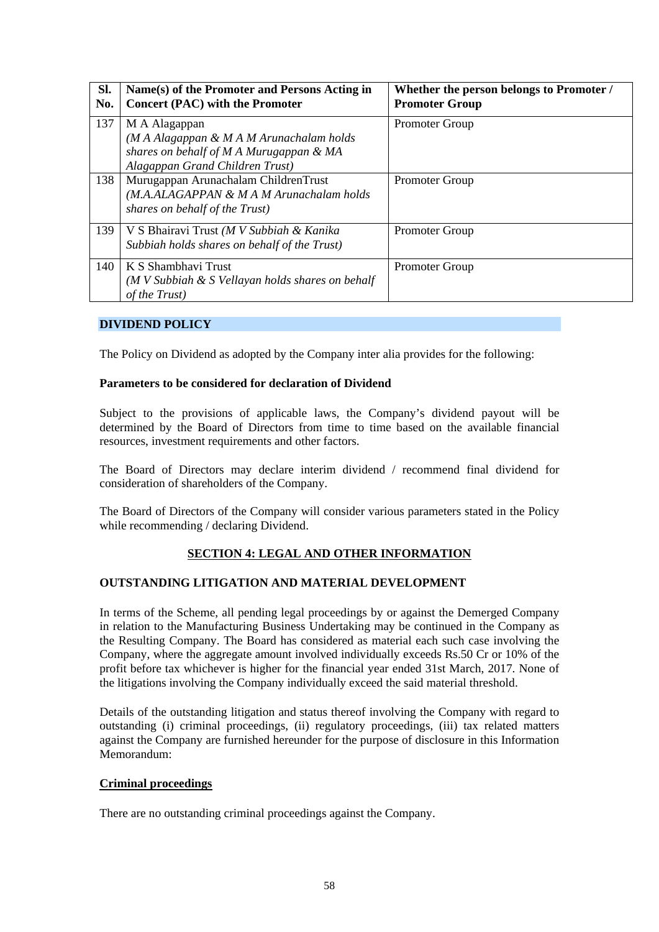| Sl.<br>No. | Name(s) of the Promoter and Persons Acting in<br><b>Concert (PAC) with the Promoter</b>                                                 | Whether the person belongs to Promoter /<br><b>Promoter Group</b> |
|------------|-----------------------------------------------------------------------------------------------------------------------------------------|-------------------------------------------------------------------|
| 137        | M A Alagappan<br>(M A Alagappan & M A M Arunachalam holds<br>shares on behalf of M A Murugappan & MA<br>Alagappan Grand Children Trust) | <b>Promoter Group</b>                                             |
| 138        | Murugappan Arunachalam ChildrenTrust<br>(M.A.ALAGAPPAN & M A M Arunachalam holds<br>shares on behalf of the Trust)                      | <b>Promoter Group</b>                                             |
| 139        | V S Bhairavi Trust (M V Subbiah & Kanika<br>Subbiah holds shares on behalf of the Trust)                                                | <b>Promoter Group</b>                                             |
| 140        | K S Shambhavi Trust<br>$(M V Subbih & S Vellayan holds shares on behalf$<br>of the Trust)                                               | <b>Promoter Group</b>                                             |

## **DIVIDEND POLICY**

The Policy on Dividend as adopted by the Company inter alia provides for the following:

### **Parameters to be considered for declaration of Dividend**

Subject to the provisions of applicable laws, the Company's dividend payout will be determined by the Board of Directors from time to time based on the available financial resources, investment requirements and other factors.

The Board of Directors may declare interim dividend / recommend final dividend for consideration of shareholders of the Company.

The Board of Directors of the Company will consider various parameters stated in the Policy while recommending / declaring Dividend.

## **SECTION 4: LEGAL AND OTHER INFORMATION**

## **OUTSTANDING LITIGATION AND MATERIAL DEVELOPMENT**

In terms of the Scheme, all pending legal proceedings by or against the Demerged Company in relation to the Manufacturing Business Undertaking may be continued in the Company as the Resulting Company. The Board has considered as material each such case involving the Company, where the aggregate amount involved individually exceeds Rs.50 Cr or 10% of the profit before tax whichever is higher for the financial year ended 31st March, 2017. None of the litigations involving the Company individually exceed the said material threshold.

Details of the outstanding litigation and status thereof involving the Company with regard to outstanding (i) criminal proceedings, (ii) regulatory proceedings, (iii) tax related matters against the Company are furnished hereunder for the purpose of disclosure in this Information Memorandum:

#### **Criminal proceedings**

There are no outstanding criminal proceedings against the Company.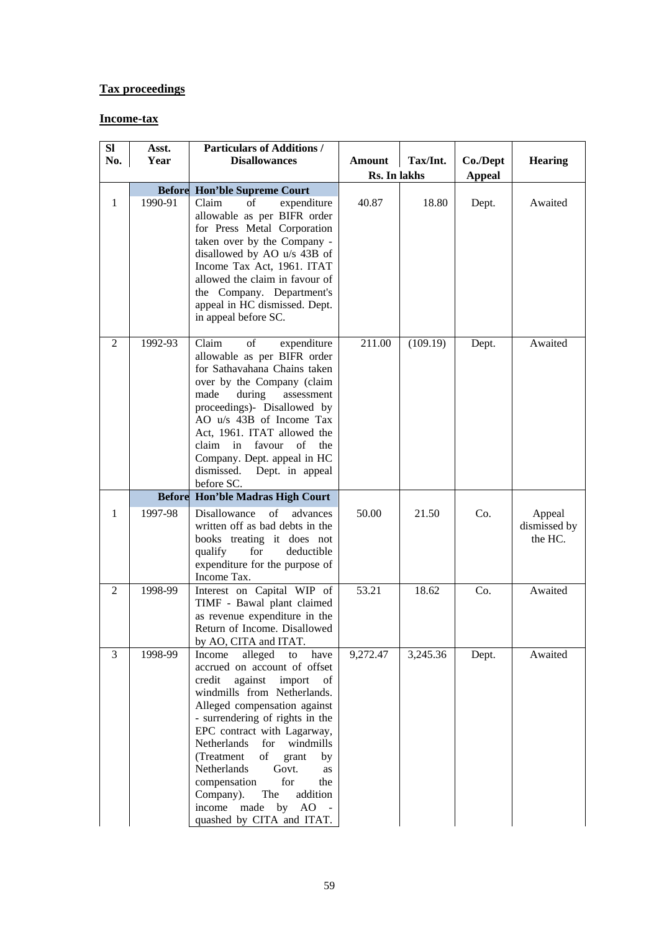# **Tax proceedings**

# **Income-tax**

| <b>SI</b>      | Asst.                    | <b>Particulars of Additions /</b>                                                                                                                                                                                                                                                                                                                                                                                                                                   |               |          |               |                                   |
|----------------|--------------------------|---------------------------------------------------------------------------------------------------------------------------------------------------------------------------------------------------------------------------------------------------------------------------------------------------------------------------------------------------------------------------------------------------------------------------------------------------------------------|---------------|----------|---------------|-----------------------------------|
| No.            | Year                     | <b>Disallowances</b>                                                                                                                                                                                                                                                                                                                                                                                                                                                | <b>Amount</b> | Tax/Int. | Co./Dept      | <b>Hearing</b>                    |
|                |                          |                                                                                                                                                                                                                                                                                                                                                                                                                                                                     | Rs. In lakhs  |          | <b>Appeal</b> |                                   |
| $\mathbf{1}$   | <b>Before</b><br>1990-91 | <b>Hon'ble Supreme Court</b><br>Claim<br>of<br>expenditure<br>allowable as per BIFR order<br>for Press Metal Corporation<br>taken over by the Company -<br>disallowed by AO u/s 43B of<br>Income Tax Act, 1961. ITAT<br>allowed the claim in favour of<br>the Company. Department's<br>appeal in HC dismissed. Dept.<br>in appeal before SC.                                                                                                                        | 40.87         | 18.80    | Dept.         | Awaited                           |
| $\overline{2}$ | 1992-93                  | expenditure<br>Claim<br>of<br>allowable as per BIFR order<br>for Sathavahana Chains taken<br>over by the Company (claim<br>during<br>made<br>assessment<br>proceedings)- Disallowed by<br>AO u/s 43B of Income Tax<br>Act, 1961. ITAT allowed the<br>in<br>favour<br>of<br>the<br>claim<br>Company. Dept. appeal in HC<br>dismissed.<br>Dept. in appeal<br>before SC.                                                                                               | 211.00        | (109.19) | Dept.         | Awaited                           |
|                | <b>Before</b>            | Hon'ble Madras High Court                                                                                                                                                                                                                                                                                                                                                                                                                                           |               |          |               |                                   |
| 1              | 1997-98                  | Disallowance<br>of<br>advances<br>written off as bad debts in the<br>books treating it does not<br>for<br>qualify<br>deductible<br>expenditure for the purpose of<br>Income Tax.                                                                                                                                                                                                                                                                                    | 50.00         | 21.50    | Co.           | Appeal<br>dismissed by<br>the HC. |
| 2              | 1998-99                  | Interest on Capital WIP of<br>TIMF - Bawal plant claimed<br>as revenue expenditure in the<br>Return of Income. Disallowed<br>by AO, CITA and ITAT.                                                                                                                                                                                                                                                                                                                  | 53.21         | 18.62    | Co.           | Awaited                           |
| 3              | 1998-99                  | alleged<br>Income<br>to<br>have<br>accrued on account of offset<br>against<br>import<br>credit<br>of<br>windmills from Netherlands.<br>Alleged compensation against<br>- surrendering of rights in the<br>EPC contract with Lagarway,<br>Netherlands<br>for windmills<br>of<br>(Treatment<br>grant<br>by<br>Netherlands<br>Govt.<br>as<br>for<br>compensation<br>the<br>Company).<br>The<br>addition<br>income<br>made<br>$AO -$<br>by<br>quashed by CITA and ITAT. | 9,272.47      | 3,245.36 | Dept.         | Awaited                           |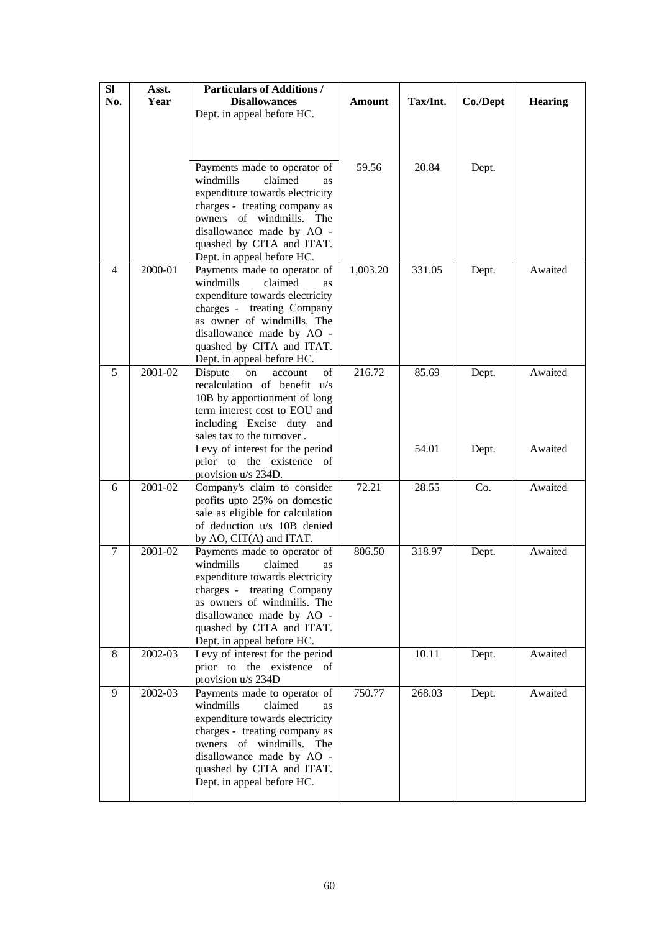| <b>SI</b><br>No. | Asst.<br>Year | <b>Particulars of Additions /</b><br><b>Disallowances</b><br>Dept. in appeal before HC.                                                                                                                                                                   | <b>Amount</b> | Tax/Int. | Co./Dept | <b>Hearing</b> |
|------------------|---------------|-----------------------------------------------------------------------------------------------------------------------------------------------------------------------------------------------------------------------------------------------------------|---------------|----------|----------|----------------|
|                  |               |                                                                                                                                                                                                                                                           |               |          |          |                |
|                  |               | Payments made to operator of<br>windmills<br>claimed<br><b>as</b><br>expenditure towards electricity<br>charges - treating company as<br>owners of windmills. The<br>disallowance made by AO -<br>quashed by CITA and ITAT.<br>Dept. in appeal before HC. | 59.56         | 20.84    | Dept.    |                |
| 4                | 2000-01       | Payments made to operator of<br>windmills<br>claimed<br><b>as</b><br>expenditure towards electricity<br>charges - treating Company<br>as owner of windmills. The<br>disallowance made by AO -<br>quashed by CITA and ITAT.<br>Dept. in appeal before HC.  | 1,003.20      | 331.05   | Dept.    | Awaited        |
| 5                | 2001-02       | Dispute<br>account<br>of<br>on<br>recalculation of benefit u/s<br>10B by apportionment of long<br>term interest cost to EOU and<br>including Excise duty and<br>sales tax to the turnover.                                                                | 216.72        | 85.69    | Dept.    | Awaited        |
|                  |               | Levy of interest for the period<br>prior to the existence of<br>provision $u/s$ 234D.                                                                                                                                                                     |               | 54.01    | Dept.    | Awaited        |
| 6                | 2001-02       | Company's claim to consider<br>profits upto 25% on domestic<br>sale as eligible for calculation<br>of deduction u/s 10B denied<br>by AO, CIT(A) and ITAT.                                                                                                 | 72.21         | 28.55    | Co.      | Awaited        |
| 7                | 2001-02       | Payments made to operator of<br>windmills<br>claimed<br>as<br>expenditure towards electricity<br>charges - treating Company<br>as owners of windmills. The<br>disallowance made by AO -<br>quashed by CITA and ITAT.<br>Dept. in appeal before HC.        | 806.50        | 318.97   | Dept.    | Awaited        |
| 8                | 2002-03       | Levy of interest for the period<br>prior to the existence of<br>provision u/s 234D                                                                                                                                                                        |               | 10.11    | Dept.    | Awaited        |
| 9                | 2002-03       | Payments made to operator of<br>claimed<br>windmills<br><b>as</b><br>expenditure towards electricity<br>charges - treating company as<br>owners of windmills. The<br>disallowance made by AO -<br>quashed by CITA and ITAT.<br>Dept. in appeal before HC. | 750.77        | 268.03   | Dept.    | Awaited        |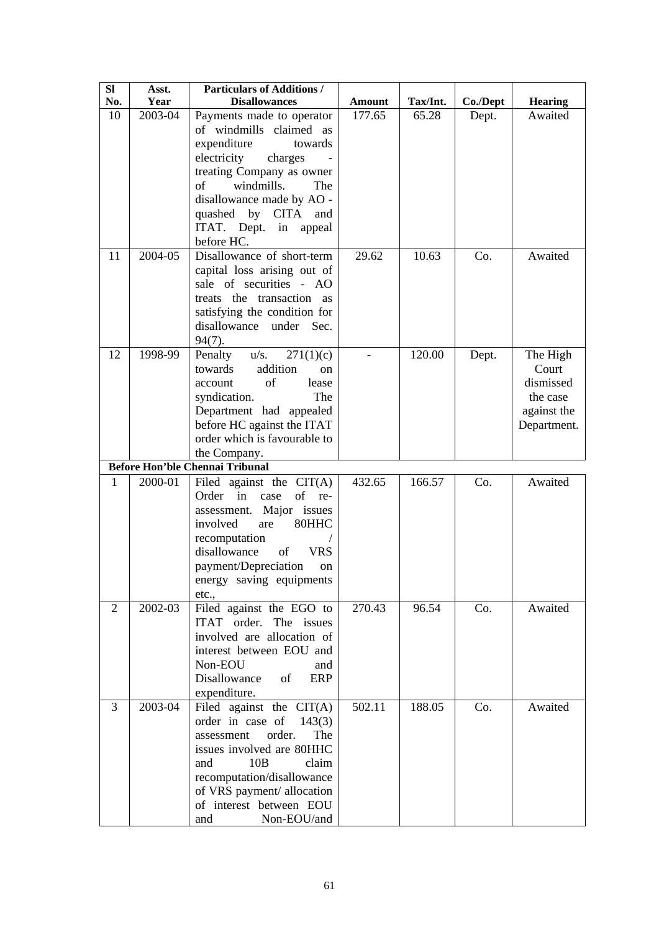| <b>SI</b><br>No. | Asst.<br>Year | <b>Particulars of Additions /</b><br><b>Disallowances</b> | <b>Amount</b> | Tax/Int. | Co./Dept | <b>Hearing</b> |
|------------------|---------------|-----------------------------------------------------------|---------------|----------|----------|----------------|
| 10               | 2003-04       | Payments made to operator                                 | 177.65        | 65.28    | Dept.    | Awaited        |
|                  |               | of windmills claimed as                                   |               |          |          |                |
|                  |               | expenditure<br>towards                                    |               |          |          |                |
|                  |               | electricity<br>charges                                    |               |          |          |                |
|                  |               | treating Company as owner                                 |               |          |          |                |
|                  |               | windmills.<br>of<br>The                                   |               |          |          |                |
|                  |               | disallowance made by AO -                                 |               |          |          |                |
|                  |               | quashed by<br><b>CITA</b><br>and                          |               |          |          |                |
|                  |               | ITAT. Dept. in<br>appeal                                  |               |          |          |                |
|                  |               | before HC.                                                |               |          |          |                |
| 11               | 2004-05       | Disallowance of short-term                                | 29.62         | 10.63    | Co.      | Awaited        |
|                  |               | capital loss arising out of                               |               |          |          |                |
|                  |               | sale of securities - AO                                   |               |          |          |                |
|                  |               | treats the transaction as                                 |               |          |          |                |
|                  |               | satisfying the condition for                              |               |          |          |                |
|                  |               | disallowance<br>under Sec.                                |               |          |          |                |
|                  |               | $94(7)$ .                                                 |               |          |          |                |
| 12               | 1998-99       | $u/s$ .<br>Penalty<br>271(1)(c)                           |               | 120.00   | Dept.    | The High       |
|                  |               | addition<br>towards<br><sub>on</sub>                      |               |          |          | Court          |
|                  |               | of<br>account<br>lease                                    |               |          |          | dismissed      |
|                  |               | The<br>syndication.                                       |               |          |          | the case       |
|                  |               | Department had appealed                                   |               |          |          | against the    |
|                  |               | before HC against the ITAT                                |               |          |          | Department.    |
|                  |               | order which is favourable to                              |               |          |          |                |
|                  |               | the Company.<br><b>Before Hon'ble Chennai Tribunal</b>    |               |          |          |                |
| 1                | 2000-01       | Filed against the $CIT(A)$                                | 432.65        | 166.57   | Co.      | Awaited        |
|                  |               | of re-<br>Order in<br>case                                |               |          |          |                |
|                  |               | assessment. Major issues                                  |               |          |          |                |
|                  |               | 80HHC<br>involved<br>are                                  |               |          |          |                |
|                  |               | recomputation                                             |               |          |          |                |
|                  |               | disallowance<br><b>VRS</b><br>of                          |               |          |          |                |
|                  |               | payment/Depreciation<br>on                                |               |          |          |                |
|                  |               | energy saving equipments                                  |               |          |          |                |
|                  |               | etc.,                                                     |               |          |          |                |
| 2                | 2002-03       | Filed against the EGO to                                  | 270.43        | 96.54    | Co.      | Awaited        |
|                  |               | ITAT order. The issues                                    |               |          |          |                |
|                  |               | involved are allocation of                                |               |          |          |                |
|                  |               | interest between EOU and                                  |               |          |          |                |
|                  |               | Non-EOU<br>and                                            |               |          |          |                |
|                  |               | Disallowance<br><b>ERP</b><br>of                          |               |          |          |                |
|                  |               | expenditure.                                              |               |          |          |                |
| 3                | 2003-04       | Filed against the $CIT(A)$                                | 502.11        | 188.05   | Co.      | Awaited        |
|                  |               | order in case of<br>143(3)                                |               |          |          |                |
|                  |               | order.<br>The<br>assessment                               |               |          |          |                |
|                  |               | issues involved are 80HHC                                 |               |          |          |                |
|                  |               | 10B<br>claim<br>and                                       |               |          |          |                |
|                  |               | recomputation/disallowance                                |               |          |          |                |
|                  |               | of VRS payment/ allocation                                |               |          |          |                |
|                  |               | of interest between EOU                                   |               |          |          |                |
|                  |               | Non-EOU/and<br>and                                        |               |          |          |                |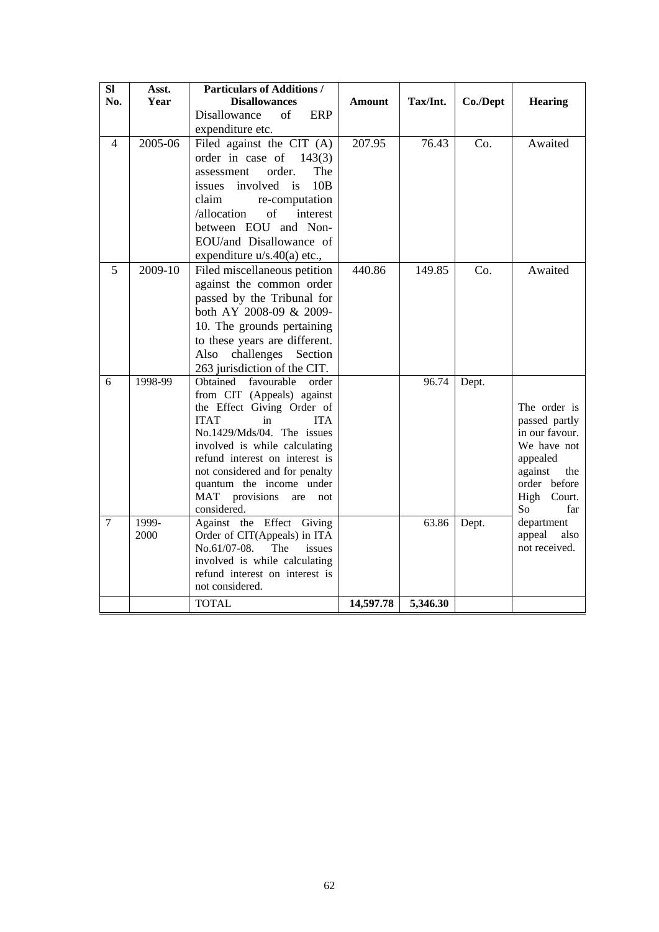| SI             | Asst.   | <b>Particulars of Additions /</b>                             |           |          |          |                                 |
|----------------|---------|---------------------------------------------------------------|-----------|----------|----------|---------------------------------|
| No.            | Year    | <b>Disallowances</b><br>Disallowance<br>of<br><b>ERP</b>      | Amount    | Tax/Int. | Co./Dept | <b>Hearing</b>                  |
|                |         |                                                               |           |          |          |                                 |
|                | 2005-06 | expenditure etc.                                              |           |          |          |                                 |
| 4              |         | Filed against the CIT (A)                                     | 207.95    | 76.43    | Co.      | Awaited                         |
|                |         | order in case of<br>143(3)                                    |           |          |          |                                 |
|                |         | order.<br>The<br>assessment                                   |           |          |          |                                 |
|                |         | issues involved<br>10B<br>$\frac{1}{1}$                       |           |          |          |                                 |
|                |         | claim<br>re-computation<br>/allocation<br>of<br>interest      |           |          |          |                                 |
|                |         | between EOU and Non-                                          |           |          |          |                                 |
|                |         | EOU/and Disallowance of                                       |           |          |          |                                 |
|                |         | expenditure u/s.40(a) etc.,                                   |           |          |          |                                 |
| 5              | 2009-10 | Filed miscellaneous petition                                  | 440.86    | 149.85   | Co.      | Awaited                         |
|                |         | against the common order                                      |           |          |          |                                 |
|                |         | passed by the Tribunal for                                    |           |          |          |                                 |
|                |         | both AY 2008-09 & 2009-                                       |           |          |          |                                 |
|                |         | 10. The grounds pertaining                                    |           |          |          |                                 |
|                |         | to these years are different.                                 |           |          |          |                                 |
|                |         | challenges<br>Also<br>Section                                 |           |          |          |                                 |
|                |         | 263 jurisdiction of the CIT.                                  |           |          |          |                                 |
| 6              | 1998-99 | Obtained<br>favourable<br>order                               |           | 96.74    | Dept.    |                                 |
|                |         | from CIT (Appeals) against                                    |           |          |          |                                 |
|                |         | the Effect Giving Order of                                    |           |          |          | The order is                    |
|                |         | <b>ITA</b><br><b>ITAT</b><br>in<br>No.1429/Mds/04. The issues |           |          |          | passed partly<br>in our favour. |
|                |         | involved is while calculating                                 |           |          |          | We have not                     |
|                |         | refund interest on interest is                                |           |          |          | appealed                        |
|                |         | not considered and for penalty                                |           |          |          | against<br>the                  |
|                |         | quantum the income under                                      |           |          |          | order before                    |
|                |         | provisions<br>MAT<br>are<br>not                               |           |          |          | High Court.                     |
|                |         | considered.                                                   |           |          |          | So<br>far                       |
| $\overline{7}$ | 1999-   | Against the Effect Giving                                     |           | 63.86    | Dept.    | department                      |
|                | 2000    | Order of CIT(Appeals) in ITA<br>No.61/07-08.<br>The<br>issues |           |          |          | appeal<br>also<br>not received. |
|                |         | involved is while calculating                                 |           |          |          |                                 |
|                |         | refund interest on interest is                                |           |          |          |                                 |
|                |         | not considered.                                               |           |          |          |                                 |
|                |         | <b>TOTAL</b>                                                  | 14,597.78 | 5,346.30 |          |                                 |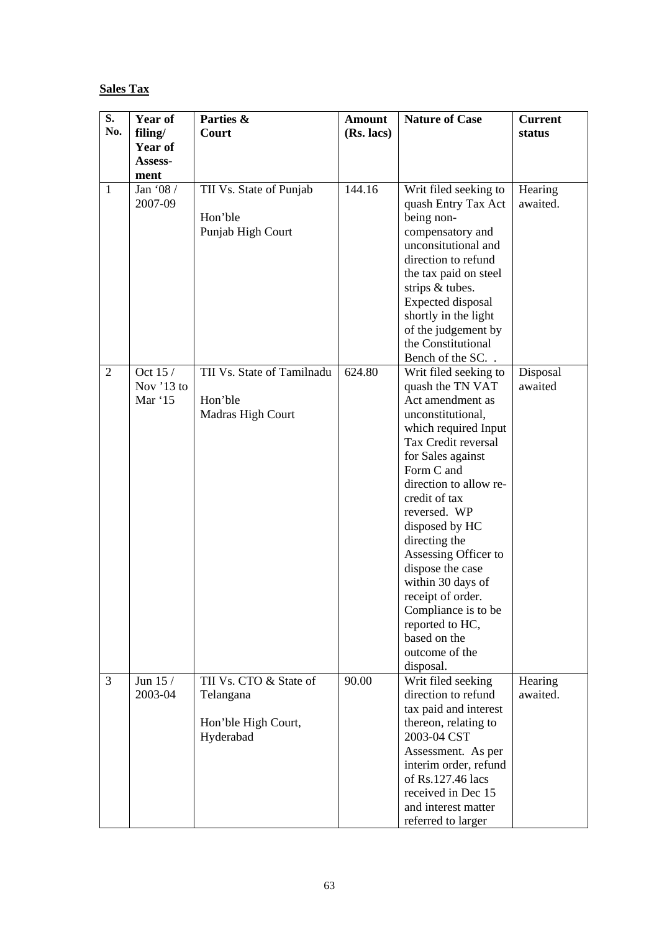# **Sales Tax**

| S.             | Year of        | Parties &                        | <b>Amount</b> | <b>Nature of Case</b>               | <b>Current</b> |
|----------------|----------------|----------------------------------|---------------|-------------------------------------|----------------|
| No.            | filing/        | Court                            | (Rs. lacs)    |                                     | status         |
|                | <b>Year of</b> |                                  |               |                                     |                |
|                | Assess-        |                                  |               |                                     |                |
|                | ment           |                                  |               |                                     |                |
| $\mathbf{1}$   | Jan '08 /      | TII Vs. State of Punjab          | 144.16        | Writ filed seeking to               | Hearing        |
|                | 2007-09        |                                  |               | quash Entry Tax Act                 | awaited.       |
|                |                | Hon'ble                          |               | being non-                          |                |
|                |                | Punjab High Court                |               | compensatory and                    |                |
|                |                |                                  |               | unconsitutional and                 |                |
|                |                |                                  |               | direction to refund                 |                |
|                |                |                                  |               | the tax paid on steel               |                |
|                |                |                                  |               | strips & tubes.                     |                |
|                |                |                                  |               | Expected disposal                   |                |
|                |                |                                  |               | shortly in the light                |                |
|                |                |                                  |               | of the judgement by                 |                |
|                |                |                                  |               | the Constitutional                  |                |
|                |                |                                  |               | Bench of the SC                     |                |
| $\overline{2}$ | Oct 15 /       | TII Vs. State of Tamilnadu       | 624.80        | Writ filed seeking to               | Disposal       |
|                | Nov '13 to     |                                  |               | quash the TN VAT                    | awaited        |
|                | Mar '15        | Hon'ble                          |               | Act amendment as                    |                |
|                |                | Madras High Court                |               | unconstitutional,                   |                |
|                |                |                                  |               | which required Input                |                |
|                |                |                                  |               | Tax Credit reversal                 |                |
|                |                |                                  |               | for Sales against                   |                |
|                |                |                                  |               | Form C and                          |                |
|                |                |                                  |               | direction to allow re-              |                |
|                |                |                                  |               | credit of tax                       |                |
|                |                |                                  |               | reversed. WP                        |                |
|                |                |                                  |               | disposed by HC                      |                |
|                |                |                                  |               | directing the                       |                |
|                |                |                                  |               | Assessing Officer to                |                |
|                |                |                                  |               | dispose the case                    |                |
|                |                |                                  |               | within 30 days of                   |                |
|                |                |                                  |               | receipt of order.                   |                |
|                |                |                                  |               | Compliance is to be                 |                |
|                |                |                                  |               | reported to HC,                     |                |
|                |                |                                  |               | based on the                        |                |
|                |                |                                  |               | outcome of the                      |                |
|                |                |                                  |               | disposal.                           |                |
| 3              | Jun 15 /       | TII Vs. CTO & State of           | 90.00         | Writ filed seeking                  | Hearing        |
|                | 2003-04        | Telangana                        |               | direction to refund                 | awaited.       |
|                |                |                                  |               | tax paid and interest               |                |
|                |                | Hon'ble High Court,<br>Hyderabad |               | thereon, relating to<br>2003-04 CST |                |
|                |                |                                  |               | Assessment. As per                  |                |
|                |                |                                  |               | interim order, refund               |                |
|                |                |                                  |               | of Rs.127.46 lacs                   |                |
|                |                |                                  |               | received in Dec 15                  |                |
|                |                |                                  |               | and interest matter                 |                |
|                |                |                                  |               | referred to larger                  |                |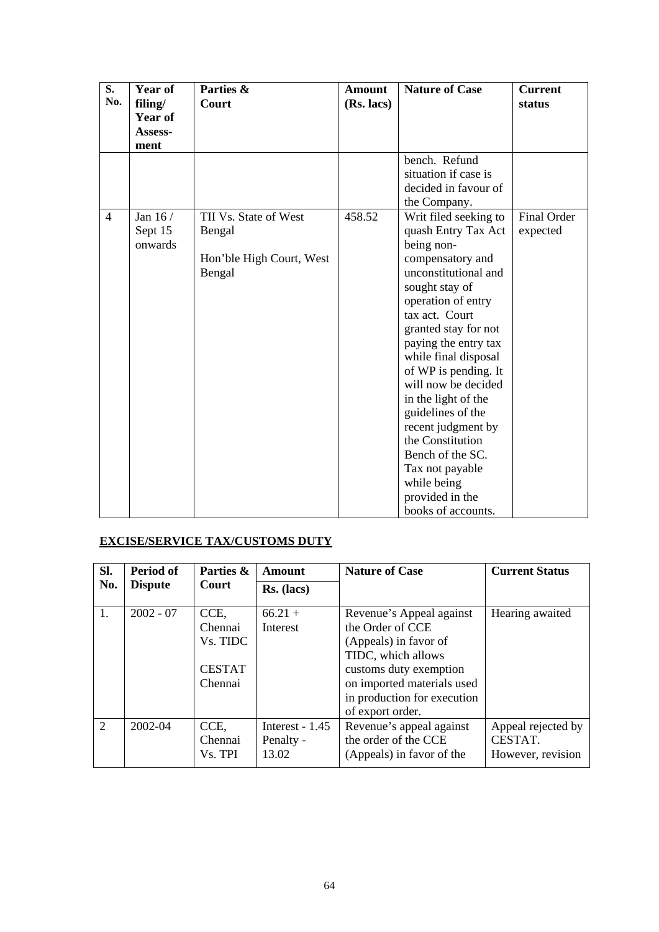| S.<br>No.      | Year of<br>filing/<br>Year of<br>Assess-<br>ment | Parties &<br>Court                                                    | <b>Amount</b><br>(Rs. lacs) | <b>Nature of Case</b>                                                                                                                                                                                                                                                                                                                                                                                                                                                        | <b>Current</b><br>status |
|----------------|--------------------------------------------------|-----------------------------------------------------------------------|-----------------------------|------------------------------------------------------------------------------------------------------------------------------------------------------------------------------------------------------------------------------------------------------------------------------------------------------------------------------------------------------------------------------------------------------------------------------------------------------------------------------|--------------------------|
|                |                                                  |                                                                       |                             | bench. Refund<br>situation if case is<br>decided in favour of<br>the Company.                                                                                                                                                                                                                                                                                                                                                                                                |                          |
| $\overline{4}$ | Jan 16 /<br>Sept 15<br>onwards                   | TII Vs. State of West<br>Bengal<br>Hon'ble High Court, West<br>Bengal | 458.52                      | Writ filed seeking to<br>quash Entry Tax Act<br>being non-<br>compensatory and<br>unconstitutional and<br>sought stay of<br>operation of entry<br>tax act. Court<br>granted stay for not<br>paying the entry tax<br>while final disposal<br>of WP is pending. It<br>will now be decided<br>in the light of the<br>guidelines of the<br>recent judgment by<br>the Constitution<br>Bench of the SC.<br>Tax not payable<br>while being<br>provided in the<br>books of accounts. | Final Order<br>expected  |

# **EXCISE/SERVICE TAX/CUSTOMS DUTY**

| Sl. | Period of      | Parties &                                               | Amount                                | <b>Nature of Case</b>                                                                                                                                                                                  | <b>Current Status</b>                              |
|-----|----------------|---------------------------------------------------------|---------------------------------------|--------------------------------------------------------------------------------------------------------------------------------------------------------------------------------------------------------|----------------------------------------------------|
| No. | <b>Dispute</b> | Court                                                   | $Rs.$ (lacs)                          |                                                                                                                                                                                                        |                                                    |
| 1.  | $2002 - 07$    | CCE,<br>Chennai<br>Vs. TIDC<br><b>CESTAT</b><br>Chennai | $66.21 +$<br>Interest                 | Revenue's Appeal against<br>the Order of CCE<br>(Appeals) in favor of<br>TIDC, which allows<br>customs duty exemption<br>on imported materials used<br>in production for execution<br>of export order. | Hearing awaited                                    |
| 2   | 2002-04        | CCE.<br>Chennai<br>Vs. TPI                              | Interest - 1.45<br>Penalty -<br>13.02 | Revenue's appeal against<br>the order of the CCE<br>(Appeals) in favor of the                                                                                                                          | Appeal rejected by<br>CESTAT.<br>However, revision |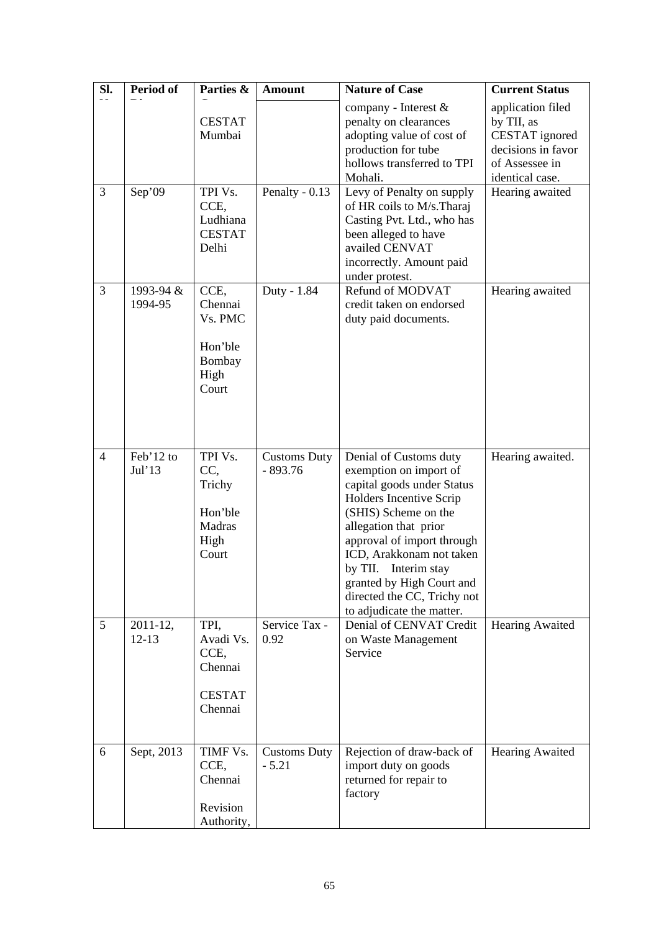| SI.<br>$- -$   | <b>Period of</b>           | Parties &                                                        | <b>Amount</b>                    | <b>Nature of Case</b>                                                                                                                                                                                                                                                                                                                 | <b>Current Status</b>                                                                                        |
|----------------|----------------------------|------------------------------------------------------------------|----------------------------------|---------------------------------------------------------------------------------------------------------------------------------------------------------------------------------------------------------------------------------------------------------------------------------------------------------------------------------------|--------------------------------------------------------------------------------------------------------------|
|                |                            | <b>CESTAT</b><br>Mumbai                                          |                                  | company - Interest &<br>penalty on clearances<br>adopting value of cost of<br>production for tube<br>hollows transferred to TPI<br>Mohali.                                                                                                                                                                                            | application filed<br>by TII, as<br>CESTAT ignored<br>decisions in favor<br>of Assessee in<br>identical case. |
| $\overline{3}$ | Sep'09                     | TPI Vs.<br>CCE.<br>Ludhiana<br><b>CESTAT</b><br>Delhi            | Penalty - $0.13$                 | Levy of Penalty on supply<br>of HR coils to M/s. Tharaj<br>Casting Pvt. Ltd., who has<br>been alleged to have<br>availed CENVAT<br>incorrectly. Amount paid<br>under protest.                                                                                                                                                         | Hearing awaited                                                                                              |
| 3              | 1993-94 &<br>1994-95       | CCE,<br>Chennai<br>Vs. PMC<br>Hon'ble<br>Bombay<br>High<br>Court | Duty - 1.84                      | Refund of MODVAT<br>credit taken on endorsed<br>duty paid documents.                                                                                                                                                                                                                                                                  | Hearing awaited                                                                                              |
| $\overline{4}$ | Feb'12 to<br>Jul'13        | TPI Vs.<br>CC,<br>Trichy<br>Hon'ble<br>Madras<br>High<br>Court   | <b>Customs Duty</b><br>$-893.76$ | Denial of Customs duty<br>exemption on import of<br>capital goods under Status<br>Holders Incentive Scrip<br>(SHIS) Scheme on the<br>allegation that prior<br>approval of import through<br>ICD, Arakkonam not taken<br>by TII. Interim stay<br>granted by High Court and<br>directed the CC, Trichy not<br>to adjudicate the matter. | Hearing awaited.                                                                                             |
| 5              | $2011 - 12$ ,<br>$12 - 13$ | TPI.<br>Avadi Vs.<br>CCE,<br>Chennai<br><b>CESTAT</b><br>Chennai | Service Tax -<br>0.92            | Denial of CENVAT Credit<br>on Waste Management<br>Service                                                                                                                                                                                                                                                                             | <b>Hearing Awaited</b>                                                                                       |
| 6              | Sept, 2013                 | TIMF Vs.<br>CCE,<br>Chennai<br>Revision<br>Authority,            | <b>Customs Duty</b><br>$-5.21$   | Rejection of draw-back of<br>import duty on goods<br>returned for repair to<br>factory                                                                                                                                                                                                                                                | <b>Hearing Awaited</b>                                                                                       |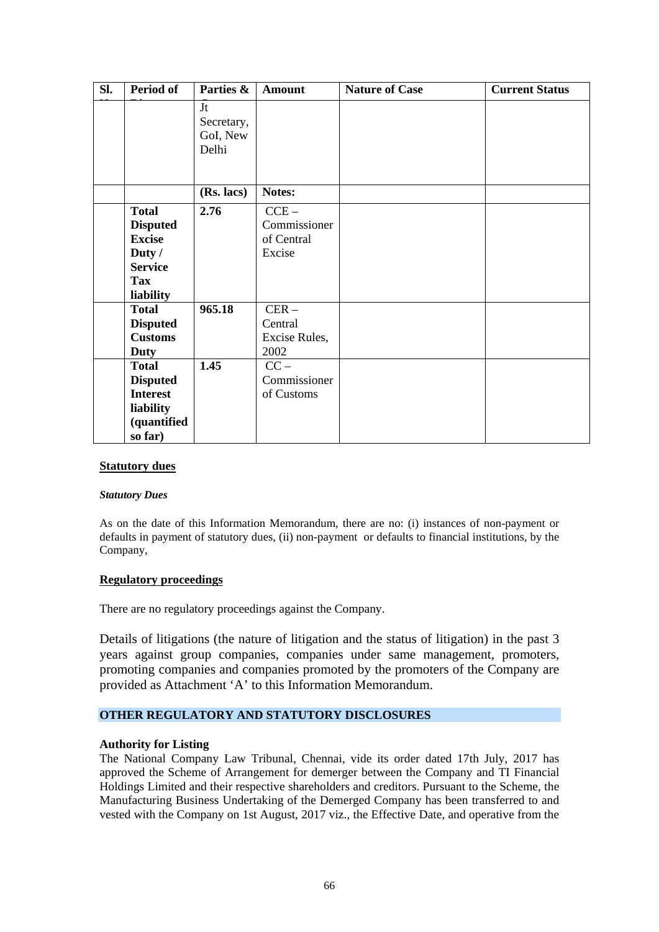| SI. | Period of       | Parties &  | <b>Amount</b> | <b>Nature of Case</b> | <b>Current Status</b> |
|-----|-----------------|------------|---------------|-----------------------|-----------------------|
|     |                 | Jt         |               |                       |                       |
|     |                 | Secretary, |               |                       |                       |
|     |                 | GoI, New   |               |                       |                       |
|     |                 | Delhi      |               |                       |                       |
|     |                 |            |               |                       |                       |
|     |                 |            |               |                       |                       |
|     |                 | (Rs. lacs) | Notes:        |                       |                       |
|     | <b>Total</b>    | 2.76       | $CCE -$       |                       |                       |
|     | <b>Disputed</b> |            | Commissioner  |                       |                       |
|     | <b>Excise</b>   |            | of Central    |                       |                       |
|     | Duty /          |            | Excise        |                       |                       |
|     | <b>Service</b>  |            |               |                       |                       |
|     | <b>Tax</b>      |            |               |                       |                       |
|     | liability       |            |               |                       |                       |
|     | <b>Total</b>    | 965.18     | $CER -$       |                       |                       |
|     | <b>Disputed</b> |            | Central       |                       |                       |
|     | <b>Customs</b>  |            | Excise Rules, |                       |                       |
|     | Duty            |            | 2002          |                       |                       |
|     | <b>Total</b>    | 1.45       | $CC -$        |                       |                       |
|     | <b>Disputed</b> |            | Commissioner  |                       |                       |
|     | <b>Interest</b> |            | of Customs    |                       |                       |
|     | liability       |            |               |                       |                       |
|     | (quantified     |            |               |                       |                       |
|     | so far)         |            |               |                       |                       |

#### **Statutory dues**

#### *Statutory Dues*

As on the date of this Information Memorandum, there are no: (i) instances of non-payment or defaults in payment of statutory dues, (ii) non-payment or defaults to financial institutions, by the Company,

#### **Regulatory proceedings**

There are no regulatory proceedings against the Company.

Details of litigations (the nature of litigation and the status of litigation) in the past 3 years against group companies, companies under same management, promoters, promoting companies and companies promoted by the promoters of the Company are provided as Attachment 'A' to this Information Memorandum.

## **OTHER REGULATORY AND STATUTORY DISCLOSURES**

## **Authority for Listing**

The National Company Law Tribunal, Chennai, vide its order dated 17th July, 2017 has approved the Scheme of Arrangement for demerger between the Company and TI Financial Holdings Limited and their respective shareholders and creditors. Pursuant to the Scheme, the Manufacturing Business Undertaking of the Demerged Company has been transferred to and vested with the Company on 1st August, 2017 viz., the Effective Date, and operative from the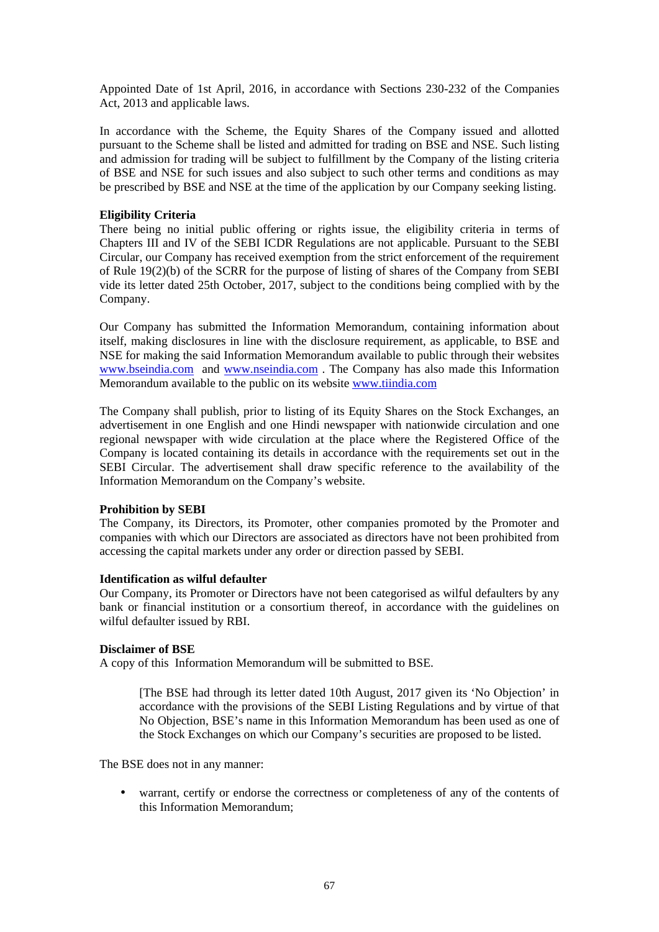Appointed Date of 1st April, 2016, in accordance with Sections 230-232 of the Companies Act, 2013 and applicable laws.

In accordance with the Scheme, the Equity Shares of the Company issued and allotted pursuant to the Scheme shall be listed and admitted for trading on BSE and NSE. Such listing and admission for trading will be subject to fulfillment by the Company of the listing criteria of BSE and NSE for such issues and also subject to such other terms and conditions as may be prescribed by BSE and NSE at the time of the application by our Company seeking listing.

### **Eligibility Criteria**

There being no initial public offering or rights issue, the eligibility criteria in terms of Chapters III and IV of the SEBI ICDR Regulations are not applicable. Pursuant to the SEBI Circular, our Company has received exemption from the strict enforcement of the requirement of Rule 19(2)(b) of the SCRR for the purpose of listing of shares of the Company from SEBI vide its letter dated 25th October, 2017, subject to the conditions being complied with by the Company.

Our Company has submitted the Information Memorandum, containing information about itself, making disclosures in line with the disclosure requirement, as applicable, to BSE and NSE for making the said Information Memorandum available to public through their websites www.bseindia.com and www.nseindia.com . The Company has also made this Information Memorandum available to the public on its website www.tiindia.com

The Company shall publish, prior to listing of its Equity Shares on the Stock Exchanges, an advertisement in one English and one Hindi newspaper with nationwide circulation and one regional newspaper with wide circulation at the place where the Registered Office of the Company is located containing its details in accordance with the requirements set out in the SEBI Circular. The advertisement shall draw specific reference to the availability of the Information Memorandum on the Company's website.

#### **Prohibition by SEBI**

The Company, its Directors, its Promoter, other companies promoted by the Promoter and companies with which our Directors are associated as directors have not been prohibited from accessing the capital markets under any order or direction passed by SEBI.

#### **Identification as wilful defaulter**

Our Company, its Promoter or Directors have not been categorised as wilful defaulters by any bank or financial institution or a consortium thereof, in accordance with the guidelines on wilful defaulter issued by RBI.

#### **Disclaimer of BSE**

A copy of this Information Memorandum will be submitted to BSE.

[The BSE had through its letter dated 10th August, 2017 given its 'No Objection' in accordance with the provisions of the SEBI Listing Regulations and by virtue of that No Objection, BSE's name in this Information Memorandum has been used as one of the Stock Exchanges on which our Company's securities are proposed to be listed.

The BSE does not in any manner:

warrant, certify or endorse the correctness or completeness of any of the contents of this Information Memorandum;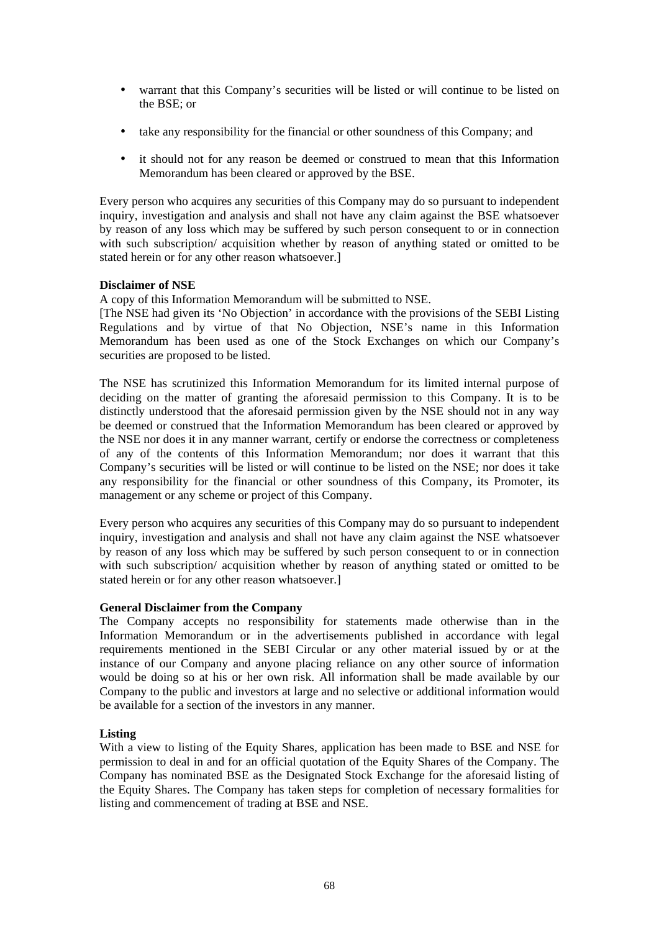- $\mathcal{L}^{\text{max}}$ warrant that this Company's securities will be listed or will continue to be listed on the BSE; or
- take any responsibility for the financial or other soundness of this Company; and
- it should not for any reason be deemed or construed to mean that this Information Memorandum has been cleared or approved by the BSE.

Every person who acquires any securities of this Company may do so pursuant to independent inquiry, investigation and analysis and shall not have any claim against the BSE whatsoever by reason of any loss which may be suffered by such person consequent to or in connection with such subscription/ acquisition whether by reason of anything stated or omitted to be stated herein or for any other reason whatsoever.]

## **Disclaimer of NSE**

A copy of this Information Memorandum will be submitted to NSE.

[The NSE had given its 'No Objection' in accordance with the provisions of the SEBI Listing Regulations and by virtue of that No Objection, NSE's name in this Information Memorandum has been used as one of the Stock Exchanges on which our Company's securities are proposed to be listed.

The NSE has scrutinized this Information Memorandum for its limited internal purpose of deciding on the matter of granting the aforesaid permission to this Company. It is to be distinctly understood that the aforesaid permission given by the NSE should not in any way be deemed or construed that the Information Memorandum has been cleared or approved by the NSE nor does it in any manner warrant, certify or endorse the correctness or completeness of any of the contents of this Information Memorandum; nor does it warrant that this Company's securities will be listed or will continue to be listed on the NSE; nor does it take any responsibility for the financial or other soundness of this Company, its Promoter, its management or any scheme or project of this Company.

Every person who acquires any securities of this Company may do so pursuant to independent inquiry, investigation and analysis and shall not have any claim against the NSE whatsoever by reason of any loss which may be suffered by such person consequent to or in connection with such subscription/ acquisition whether by reason of anything stated or omitted to be stated herein or for any other reason whatsoever.]

#### **General Disclaimer from the Company**

The Company accepts no responsibility for statements made otherwise than in the Information Memorandum or in the advertisements published in accordance with legal requirements mentioned in the SEBI Circular or any other material issued by or at the instance of our Company and anyone placing reliance on any other source of information would be doing so at his or her own risk. All information shall be made available by our Company to the public and investors at large and no selective or additional information would be available for a section of the investors in any manner.

## **Listing**

With a view to listing of the Equity Shares, application has been made to BSE and NSE for permission to deal in and for an official quotation of the Equity Shares of the Company. The Company has nominated BSE as the Designated Stock Exchange for the aforesaid listing of the Equity Shares. The Company has taken steps for completion of necessary formalities for listing and commencement of trading at BSE and NSE.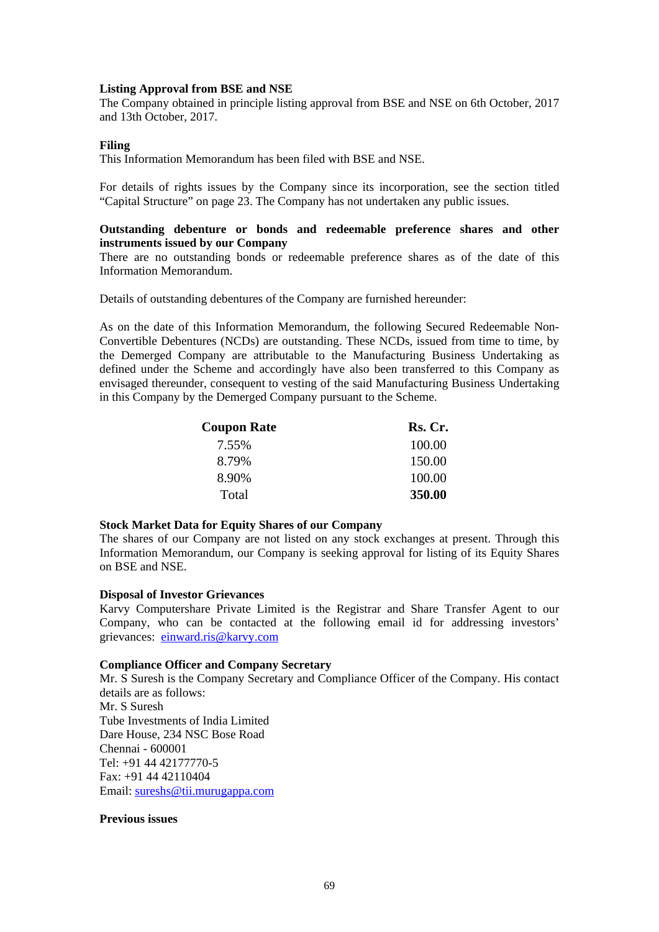#### **Listing Approval from BSE and NSE**

The Company obtained in principle listing approval from BSE and NSE on 6th October, 2017 and 13th October, 2017.

#### **Filing**

This Information Memorandum has been filed with BSE and NSE.

For details of rights issues by the Company since its incorporation, see the section titled "Capital Structure" on page 23. The Company has not undertaken any public issues.

## **Outstanding debenture or bonds and redeemable preference shares and other instruments issued by our Company**

There are no outstanding bonds or redeemable preference shares as of the date of this Information Memorandum.

Details of outstanding debentures of the Company are furnished hereunder:

As on the date of this Information Memorandum, the following Secured Redeemable Non-Convertible Debentures (NCDs) are outstanding. These NCDs, issued from time to time, by the Demerged Company are attributable to the Manufacturing Business Undertaking as defined under the Scheme and accordingly have also been transferred to this Company as envisaged thereunder, consequent to vesting of the said Manufacturing Business Undertaking in this Company by the Demerged Company pursuant to the Scheme.

| <b>Coupon Rate</b> | Rs. Cr. |  |
|--------------------|---------|--|
| 7.55%              | 100.00  |  |
| 8.79%              | 150.00  |  |
| 8.90%              | 100.00  |  |
| Total              | 350.00  |  |

#### **Stock Market Data for Equity Shares of our Company**

The shares of our Company are not listed on any stock exchanges at present. Through this Information Memorandum, our Company is seeking approval for listing of its Equity Shares on BSE and NSE.

#### **Disposal of Investor Grievances**

Karvy Computershare Private Limited is the Registrar and Share Transfer Agent to our Company, who can be contacted at the following email id for addressing investors' grievances: einward.ris@karvy.com

#### **Compliance Officer and Company Secretary**

Mr. S Suresh is the Company Secretary and Compliance Officer of the Company. His contact details are as follows: Mr. S Suresh Tube Investments of India Limited Dare House, 234 NSC Bose Road Chennai - 600001 Tel: +91 44 42177770-5 Fax: +91 44 42110404 Email: sureshs@tii.murugappa.com

#### **Previous issues**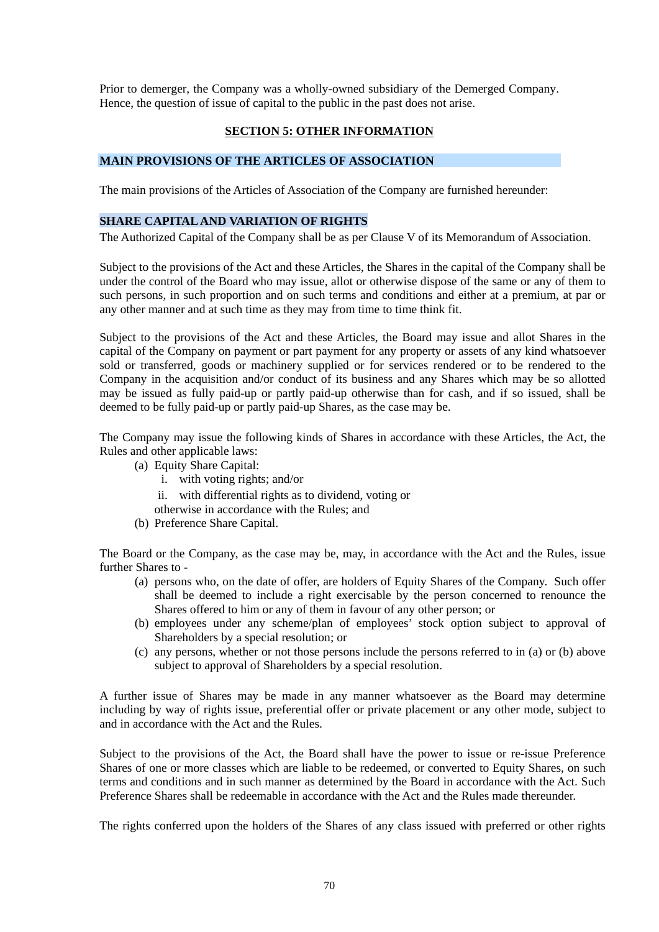Prior to demerger, the Company was a wholly-owned subsidiary of the Demerged Company. Hence, the question of issue of capital to the public in the past does not arise.

## **SECTION 5: OTHER INFORMATION**

## **MAIN PROVISIONS OF THE ARTICLES OF ASSOCIATION**

The main provisions of the Articles of Association of the Company are furnished hereunder:

## **SHARE CAPITAL AND VARIATION OF RIGHTS**

The Authorized Capital of the Company shall be as per Clause V of its Memorandum of Association.

Subject to the provisions of the Act and these Articles, the Shares in the capital of the Company shall be under the control of the Board who may issue, allot or otherwise dispose of the same or any of them to such persons, in such proportion and on such terms and conditions and either at a premium, at par or any other manner and at such time as they may from time to time think fit.

Subject to the provisions of the Act and these Articles, the Board may issue and allot Shares in the capital of the Company on payment or part payment for any property or assets of any kind whatsoever sold or transferred, goods or machinery supplied or for services rendered or to be rendered to the Company in the acquisition and/or conduct of its business and any Shares which may be so allotted may be issued as fully paid-up or partly paid-up otherwise than for cash, and if so issued, shall be deemed to be fully paid-up or partly paid-up Shares, as the case may be.

The Company may issue the following kinds of Shares in accordance with these Articles, the Act, the Rules and other applicable laws:

- (a) Equity Share Capital:
	- i. with voting rights; and/or
	- ii. with differential rights as to dividend, voting or
	- otherwise in accordance with the Rules; and
- (b) Preference Share Capital.

The Board or the Company, as the case may be, may, in accordance with the Act and the Rules, issue further Shares to -

- (a) persons who, on the date of offer, are holders of Equity Shares of the Company. Such offer shall be deemed to include a right exercisable by the person concerned to renounce the Shares offered to him or any of them in favour of any other person; or
- (b) employees under any scheme/plan of employees' stock option subject to approval of Shareholders by a special resolution; or
- (c) any persons, whether or not those persons include the persons referred to in (a) or (b) above subject to approval of Shareholders by a special resolution.

A further issue of Shares may be made in any manner whatsoever as the Board may determine including by way of rights issue, preferential offer or private placement or any other mode, subject to and in accordance with the Act and the Rules.

Subject to the provisions of the Act, the Board shall have the power to issue or re-issue Preference Shares of one or more classes which are liable to be redeemed, or converted to Equity Shares, on such terms and conditions and in such manner as determined by the Board in accordance with the Act. Such Preference Shares shall be redeemable in accordance with the Act and the Rules made thereunder.

The rights conferred upon the holders of the Shares of any class issued with preferred or other rights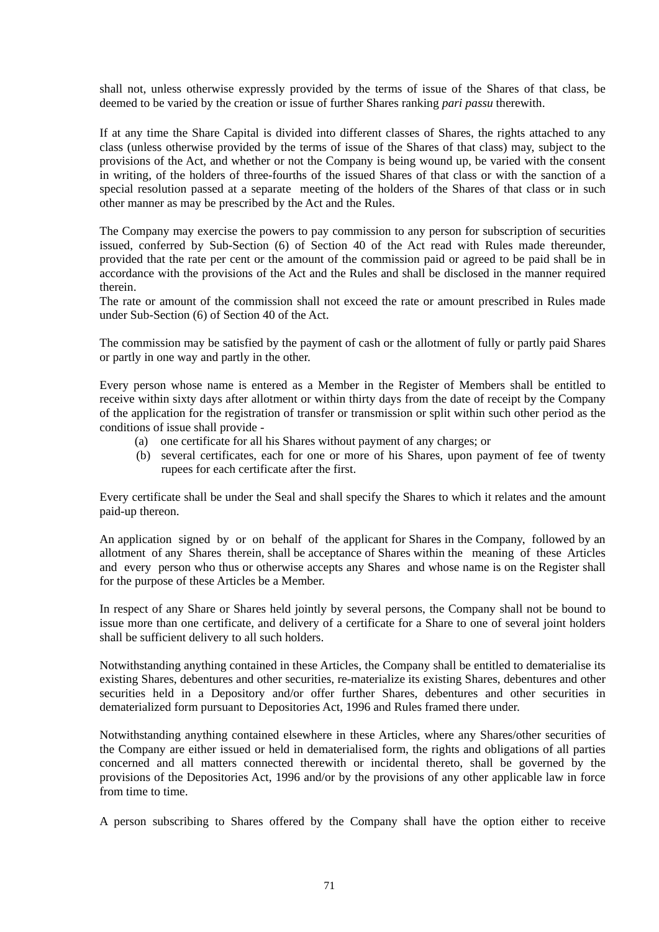shall not, unless otherwise expressly provided by the terms of issue of the Shares of that class, be deemed to be varied by the creation or issue of further Shares ranking *pari passu* therewith.

If at any time the Share Capital is divided into different classes of Shares, the rights attached to any class (unless otherwise provided by the terms of issue of the Shares of that class) may, subject to the provisions of the Act, and whether or not the Company is being wound up, be varied with the consent in writing, of the holders of three-fourths of the issued Shares of that class or with the sanction of a special resolution passed at a separate meeting of the holders of the Shares of that class or in such other manner as may be prescribed by the Act and the Rules.

The Company may exercise the powers to pay commission to any person for subscription of securities issued, conferred by Sub-Section (6) of Section 40 of the Act read with Rules made thereunder, provided that the rate per cent or the amount of the commission paid or agreed to be paid shall be in accordance with the provisions of the Act and the Rules and shall be disclosed in the manner required therein.

The rate or amount of the commission shall not exceed the rate or amount prescribed in Rules made under Sub-Section (6) of Section 40 of the Act.

The commission may be satisfied by the payment of cash or the allotment of fully or partly paid Shares or partly in one way and partly in the other.

Every person whose name is entered as a Member in the Register of Members shall be entitled to receive within sixty days after allotment or within thirty days from the date of receipt by the Company of the application for the registration of transfer or transmission or split within such other period as the conditions of issue shall provide -

- (a) one certificate for all his Shares without payment of any charges; or
- (b) several certificates, each for one or more of his Shares, upon payment of fee of twenty rupees for each certificate after the first.

Every certificate shall be under the Seal and shall specify the Shares to which it relates and the amount paid-up thereon.

An application signed by or on behalf of the applicant for Shares in the Company, followed by an allotment of any Shares therein, shall be acceptance of Shares within the meaning of these Articles and every person who thus or otherwise accepts any Shares and whose name is on the Register shall for the purpose of these Articles be a Member.

In respect of any Share or Shares held jointly by several persons, the Company shall not be bound to issue more than one certificate, and delivery of a certificate for a Share to one of several joint holders shall be sufficient delivery to all such holders.

Notwithstanding anything contained in these Articles, the Company shall be entitled to dematerialise its existing Shares, debentures and other securities, re-materialize its existing Shares, debentures and other securities held in a Depository and/or offer further Shares, debentures and other securities in dematerialized form pursuant to Depositories Act, 1996 and Rules framed there under.

Notwithstanding anything contained elsewhere in these Articles, where any Shares/other securities of the Company are either issued or held in dematerialised form, the rights and obligations of all parties concerned and all matters connected therewith or incidental thereto, shall be governed by the provisions of the Depositories Act, 1996 and/or by the provisions of any other applicable law in force from time to time.

A person subscribing to Shares offered by the Company shall have the option either to receive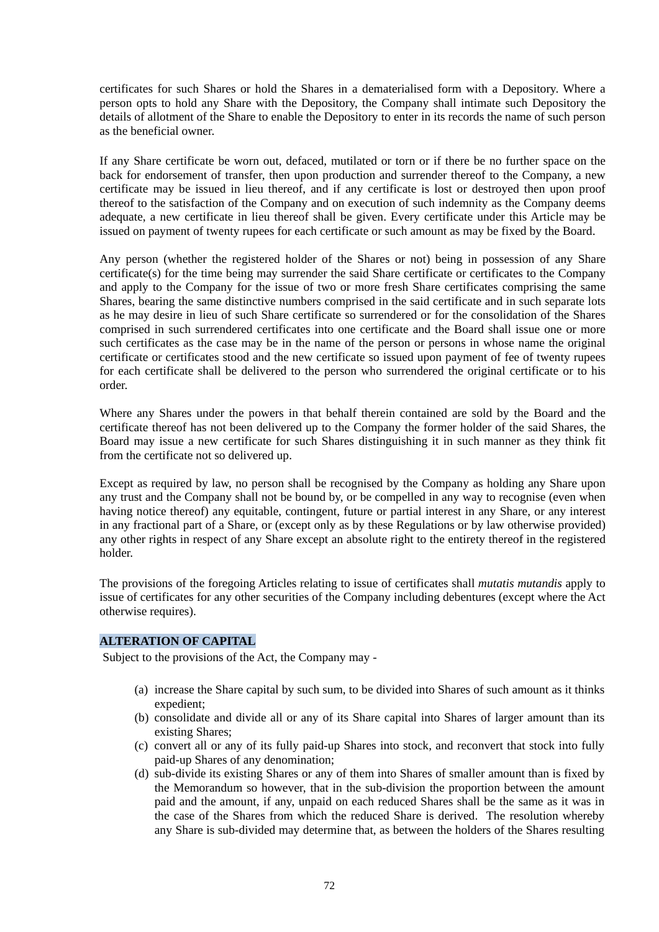certificates for such Shares or hold the Shares in a dematerialised form with a Depository. Where a person opts to hold any Share with the Depository, the Company shall intimate such Depository the details of allotment of the Share to enable the Depository to enter in its records the name of such person as the beneficial owner.

If any Share certificate be worn out, defaced, mutilated or torn or if there be no further space on the back for endorsement of transfer, then upon production and surrender thereof to the Company, a new certificate may be issued in lieu thereof, and if any certificate is lost or destroyed then upon proof thereof to the satisfaction of the Company and on execution of such indemnity as the Company deems adequate, a new certificate in lieu thereof shall be given. Every certificate under this Article may be issued on payment of twenty rupees for each certificate or such amount as may be fixed by the Board.

Any person (whether the registered holder of the Shares or not) being in possession of any Share certificate(s) for the time being may surrender the said Share certificate or certificates to the Company and apply to the Company for the issue of two or more fresh Share certificates comprising the same Shares, bearing the same distinctive numbers comprised in the said certificate and in such separate lots as he may desire in lieu of such Share certificate so surrendered or for the consolidation of the Shares comprised in such surrendered certificates into one certificate and the Board shall issue one or more such certificates as the case may be in the name of the person or persons in whose name the original certificate or certificates stood and the new certificate so issued upon payment of fee of twenty rupees for each certificate shall be delivered to the person who surrendered the original certificate or to his order.

Where any Shares under the powers in that behalf therein contained are sold by the Board and the certificate thereof has not been delivered up to the Company the former holder of the said Shares, the Board may issue a new certificate for such Shares distinguishing it in such manner as they think fit from the certificate not so delivered up.

Except as required by law, no person shall be recognised by the Company as holding any Share upon any trust and the Company shall not be bound by, or be compelled in any way to recognise (even when having notice thereof) any equitable, contingent, future or partial interest in any Share, or any interest in any fractional part of a Share, or (except only as by these Regulations or by law otherwise provided) any other rights in respect of any Share except an absolute right to the entirety thereof in the registered holder.

The provisions of the foregoing Articles relating to issue of certificates shall *mutatis mutandis* apply to issue of certificates for any other securities of the Company including debentures (except where the Act otherwise requires).

## **ALTERATION OF CAPITAL**

Subject to the provisions of the Act, the Company may -

- (a) increase the Share capital by such sum, to be divided into Shares of such amount as it thinks expedient;
- (b) consolidate and divide all or any of its Share capital into Shares of larger amount than its existing Shares;
- (c) convert all or any of its fully paid-up Shares into stock, and reconvert that stock into fully paid-up Shares of any denomination;
- (d) sub-divide its existing Shares or any of them into Shares of smaller amount than is fixed by the Memorandum so however, that in the sub-division the proportion between the amount paid and the amount, if any, unpaid on each reduced Shares shall be the same as it was in the case of the Shares from which the reduced Share is derived. The resolution whereby any Share is sub-divided may determine that, as between the holders of the Shares resulting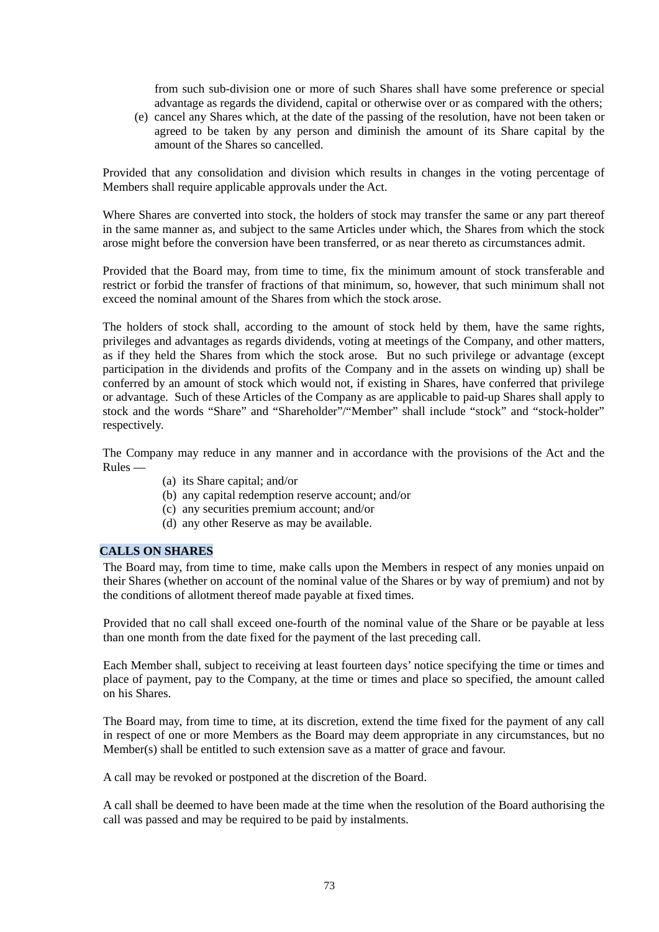from such sub-division one or more of such Shares shall have some preference or special advantage as regards the dividend, capital or otherwise over or as compared with the others;

(e) cancel any Shares which, at the date of the passing of the resolution, have not been taken or agreed to be taken by any person and diminish the amount of its Share capital by the amount of the Shares so cancelled.

Provided that any consolidation and division which results in changes in the voting percentage of Members shall require applicable approvals under the Act.

Where Shares are converted into stock, the holders of stock may transfer the same or any part thereof in the same manner as, and subject to the same Articles under which, the Shares from which the stock arose might before the conversion have been transferred, or as near thereto as circumstances admit.

Provided that the Board may, from time to time, fix the minimum amount of stock transferable and restrict or forbid the transfer of fractions of that minimum, so, however, that such minimum shall not exceed the nominal amount of the Shares from which the stock arose.

The holders of stock shall, according to the amount of stock held by them, have the same rights, privileges and advantages as regards dividends, voting at meetings of the Company, and other matters, as if they held the Shares from which the stock arose. But no such privilege or advantage (except participation in the dividends and profits of the Company and in the assets on winding up) shall be conferred by an amount of stock which would not, if existing in Shares, have conferred that privilege or advantage. Such of these Articles of the Company as are applicable to paid-up Shares shall apply to stock and the words "Share" and "Shareholder"/"Member" shall include "stock" and "stock-holder" respectively.

The Company may reduce in any manner and in accordance with the provisions of the Act and the Rules —

- (a) its Share capital; and/or
- (b) any capital redemption reserve account; and/or
- (c) any securities premium account; and/or
- (d) any other Reserve as may be available.

## **CALLS ON SHARES**

The Board may, from time to time, make calls upon the Members in respect of any monies unpaid on their Shares (whether on account of the nominal value of the Shares or by way of premium) and not by the conditions of allotment thereof made payable at fixed times.

Provided that no call shall exceed one-fourth of the nominal value of the Share or be payable at less than one month from the date fixed for the payment of the last preceding call.

Each Member shall, subject to receiving at least fourteen days' notice specifying the time or times and place of payment, pay to the Company, at the time or times and place so specified, the amount called on his Shares.

The Board may, from time to time, at its discretion, extend the time fixed for the payment of any call in respect of one or more Members as the Board may deem appropriate in any circumstances, but no Member(s) shall be entitled to such extension save as a matter of grace and favour.

A call may be revoked or postponed at the discretion of the Board.

A call shall be deemed to have been made at the time when the resolution of the Board authorising the call was passed and may be required to be paid by instalments.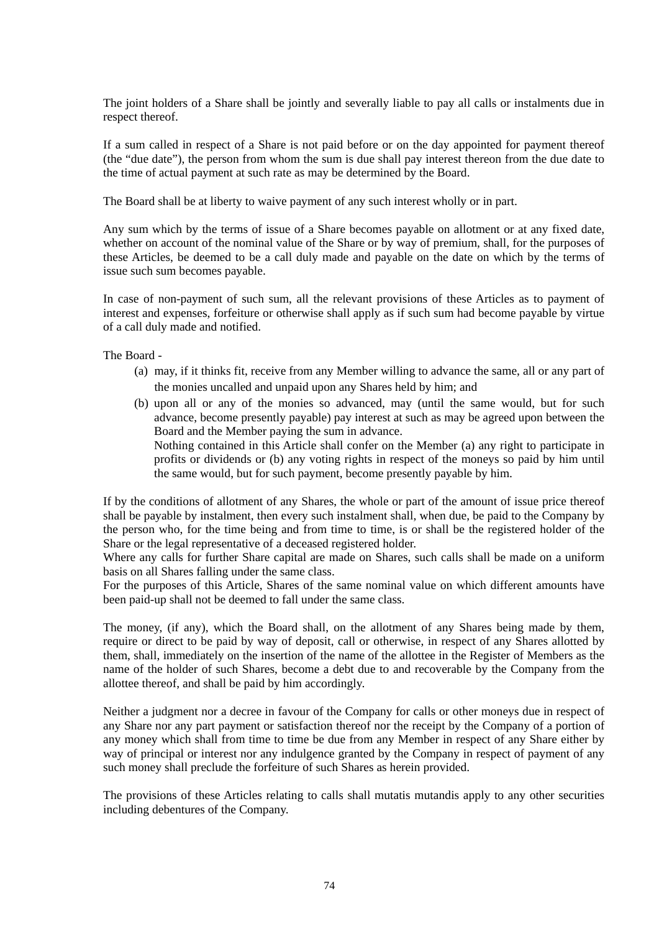The joint holders of a Share shall be jointly and severally liable to pay all calls or instalments due in respect thereof.

If a sum called in respect of a Share is not paid before or on the day appointed for payment thereof (the "due date"), the person from whom the sum is due shall pay interest thereon from the due date to the time of actual payment at such rate as may be determined by the Board.

The Board shall be at liberty to waive payment of any such interest wholly or in part.

Any sum which by the terms of issue of a Share becomes payable on allotment or at any fixed date, whether on account of the nominal value of the Share or by way of premium, shall, for the purposes of these Articles, be deemed to be a call duly made and payable on the date on which by the terms of issue such sum becomes payable.

In case of non-payment of such sum, all the relevant provisions of these Articles as to payment of interest and expenses, forfeiture or otherwise shall apply as if such sum had become payable by virtue of a call duly made and notified.

The Board -

- (a) may, if it thinks fit, receive from any Member willing to advance the same, all or any part of the monies uncalled and unpaid upon any Shares held by him; and
- (b) upon all or any of the monies so advanced, may (until the same would, but for such advance, become presently payable) pay interest at such as may be agreed upon between the Board and the Member paying the sum in advance. Nothing contained in this Article shall confer on the Member (a) any right to participate in profits or dividends or (b) any voting rights in respect of the moneys so paid by him until the same would, but for such payment, become presently payable by him.

If by the conditions of allotment of any Shares, the whole or part of the amount of issue price thereof shall be payable by instalment, then every such instalment shall, when due, be paid to the Company by the person who, for the time being and from time to time, is or shall be the registered holder of the Share or the legal representative of a deceased registered holder.

Where any calls for further Share capital are made on Shares, such calls shall be made on a uniform basis on all Shares falling under the same class.

For the purposes of this Article, Shares of the same nominal value on which different amounts have been paid-up shall not be deemed to fall under the same class.

The money, (if any), which the Board shall, on the allotment of any Shares being made by them, require or direct to be paid by way of deposit, call or otherwise, in respect of any Shares allotted by them, shall, immediately on the insertion of the name of the allottee in the Register of Members as the name of the holder of such Shares, become a debt due to and recoverable by the Company from the allottee thereof, and shall be paid by him accordingly.

Neither a judgment nor a decree in favour of the Company for calls or other moneys due in respect of any Share nor any part payment or satisfaction thereof nor the receipt by the Company of a portion of any money which shall from time to time be due from any Member in respect of any Share either by way of principal or interest nor any indulgence granted by the Company in respect of payment of any such money shall preclude the forfeiture of such Shares as herein provided.

The provisions of these Articles relating to calls shall mutatis mutandis apply to any other securities including debentures of the Company.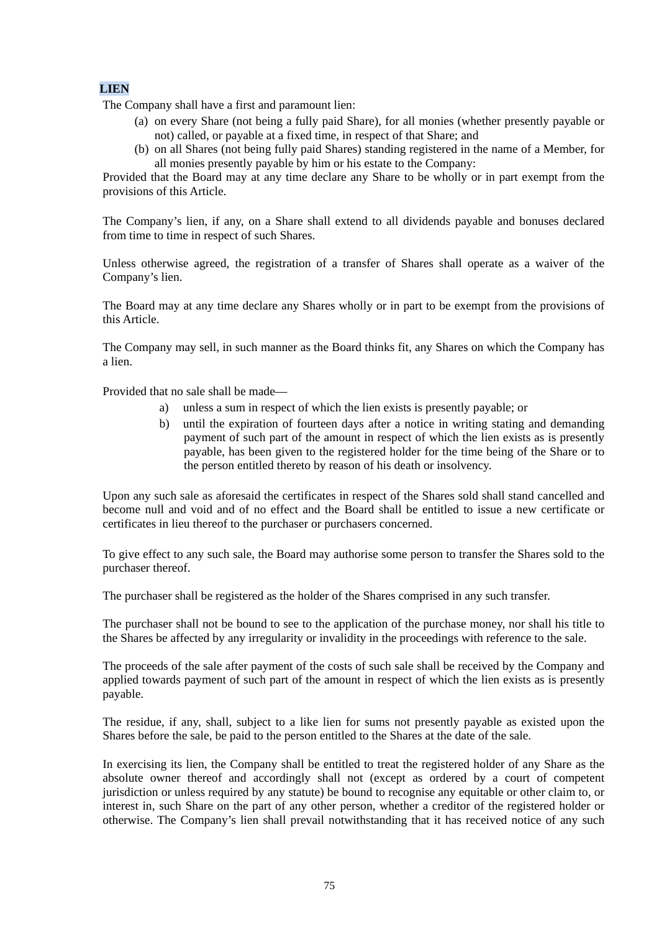## **LIEN**

The Company shall have a first and paramount lien:

- (a) on every Share (not being a fully paid Share), for all monies (whether presently payable or not) called, or payable at a fixed time, in respect of that Share; and
- (b) on all Shares (not being fully paid Shares) standing registered in the name of a Member, for all monies presently payable by him or his estate to the Company:

Provided that the Board may at any time declare any Share to be wholly or in part exempt from the provisions of this Article.

The Company's lien, if any, on a Share shall extend to all dividends payable and bonuses declared from time to time in respect of such Shares.

Unless otherwise agreed, the registration of a transfer of Shares shall operate as a waiver of the Company's lien.

The Board may at any time declare any Shares wholly or in part to be exempt from the provisions of this Article.

The Company may sell, in such manner as the Board thinks fit, any Shares on which the Company has a lien.

Provided that no sale shall be made—

- a) unless a sum in respect of which the lien exists is presently payable; or
- b) until the expiration of fourteen days after a notice in writing stating and demanding payment of such part of the amount in respect of which the lien exists as is presently payable, has been given to the registered holder for the time being of the Share or to the person entitled thereto by reason of his death or insolvency.

Upon any such sale as aforesaid the certificates in respect of the Shares sold shall stand cancelled and become null and void and of no effect and the Board shall be entitled to issue a new certificate or certificates in lieu thereof to the purchaser or purchasers concerned.

To give effect to any such sale, the Board may authorise some person to transfer the Shares sold to the purchaser thereof.

The purchaser shall be registered as the holder of the Shares comprised in any such transfer.

The purchaser shall not be bound to see to the application of the purchase money, nor shall his title to the Shares be affected by any irregularity or invalidity in the proceedings with reference to the sale.

The proceeds of the sale after payment of the costs of such sale shall be received by the Company and applied towards payment of such part of the amount in respect of which the lien exists as is presently payable.

The residue, if any, shall, subject to a like lien for sums not presently payable as existed upon the Shares before the sale, be paid to the person entitled to the Shares at the date of the sale.

In exercising its lien, the Company shall be entitled to treat the registered holder of any Share as the absolute owner thereof and accordingly shall not (except as ordered by a court of competent jurisdiction or unless required by any statute) be bound to recognise any equitable or other claim to, or interest in, such Share on the part of any other person, whether a creditor of the registered holder or otherwise. The Company's lien shall prevail notwithstanding that it has received notice of any such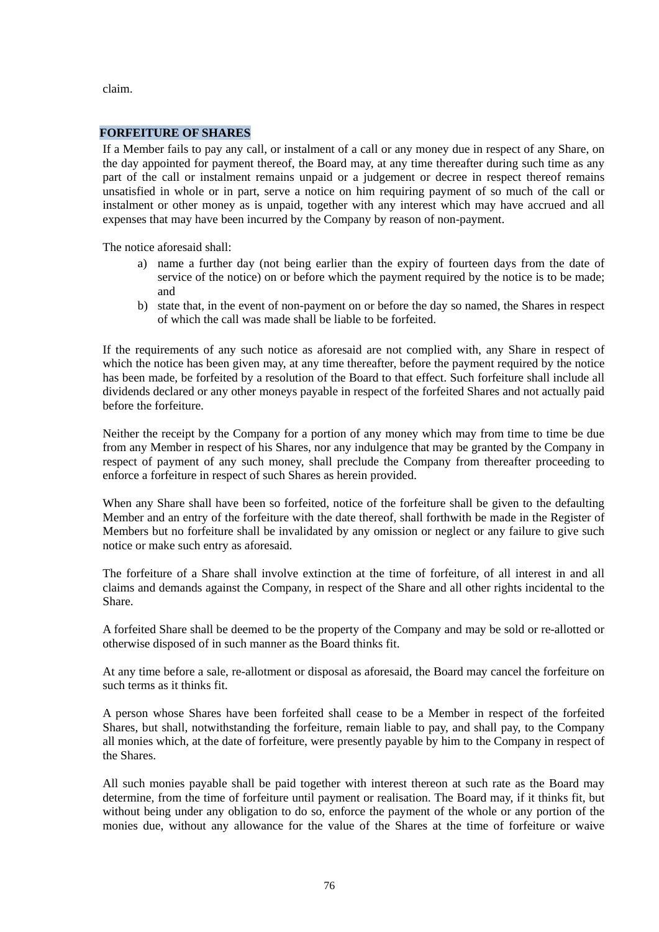claim.

#### **FORFEITURE OF SHARES**

If a Member fails to pay any call, or instalment of a call or any money due in respect of any Share, on the day appointed for payment thereof, the Board may, at any time thereafter during such time as any part of the call or instalment remains unpaid or a judgement or decree in respect thereof remains unsatisfied in whole or in part, serve a notice on him requiring payment of so much of the call or instalment or other money as is unpaid, together with any interest which may have accrued and all expenses that may have been incurred by the Company by reason of non-payment.

The notice aforesaid shall:

- a) name a further day (not being earlier than the expiry of fourteen days from the date of service of the notice) on or before which the payment required by the notice is to be made; and
- b) state that, in the event of non-payment on or before the day so named, the Shares in respect of which the call was made shall be liable to be forfeited.

If the requirements of any such notice as aforesaid are not complied with, any Share in respect of which the notice has been given may, at any time thereafter, before the payment required by the notice has been made, be forfeited by a resolution of the Board to that effect. Such forfeiture shall include all dividends declared or any other moneys payable in respect of the forfeited Shares and not actually paid before the forfeiture.

Neither the receipt by the Company for a portion of any money which may from time to time be due from any Member in respect of his Shares, nor any indulgence that may be granted by the Company in respect of payment of any such money, shall preclude the Company from thereafter proceeding to enforce a forfeiture in respect of such Shares as herein provided.

When any Share shall have been so forfeited, notice of the forfeiture shall be given to the defaulting Member and an entry of the forfeiture with the date thereof, shall forthwith be made in the Register of Members but no forfeiture shall be invalidated by any omission or neglect or any failure to give such notice or make such entry as aforesaid.

The forfeiture of a Share shall involve extinction at the time of forfeiture, of all interest in and all claims and demands against the Company, in respect of the Share and all other rights incidental to the Share.

A forfeited Share shall be deemed to be the property of the Company and may be sold or re-allotted or otherwise disposed of in such manner as the Board thinks fit.

At any time before a sale, re-allotment or disposal as aforesaid, the Board may cancel the forfeiture on such terms as it thinks fit.

A person whose Shares have been forfeited shall cease to be a Member in respect of the forfeited Shares, but shall, notwithstanding the forfeiture, remain liable to pay, and shall pay, to the Company all monies which, at the date of forfeiture, were presently payable by him to the Company in respect of the Shares.

All such monies payable shall be paid together with interest thereon at such rate as the Board may determine, from the time of forfeiture until payment or realisation. The Board may, if it thinks fit, but without being under any obligation to do so, enforce the payment of the whole or any portion of the monies due, without any allowance for the value of the Shares at the time of forfeiture or waive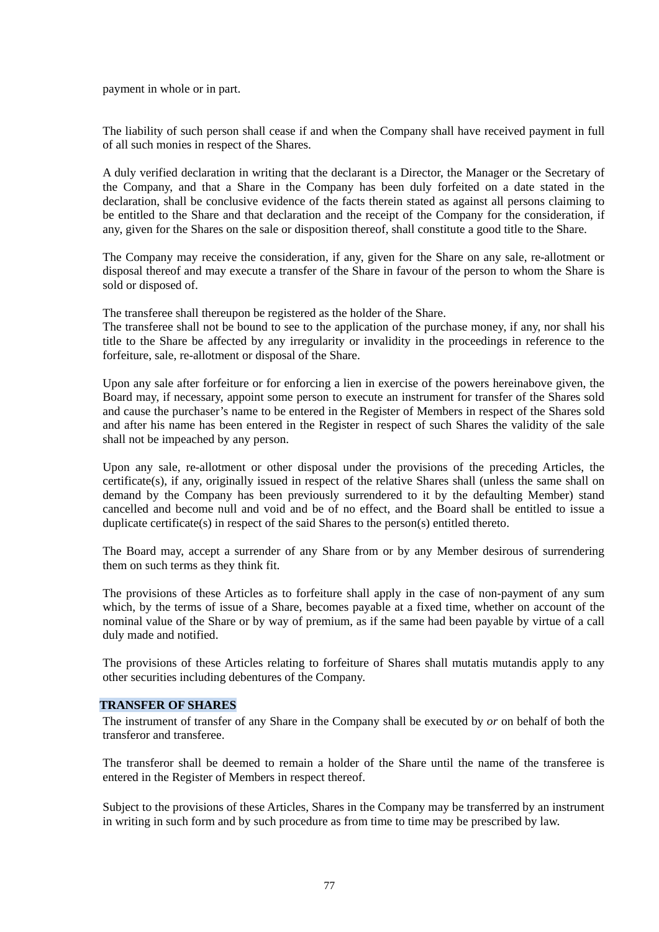payment in whole or in part.

The liability of such person shall cease if and when the Company shall have received payment in full of all such monies in respect of the Shares.

A duly verified declaration in writing that the declarant is a Director, the Manager or the Secretary of the Company, and that a Share in the Company has been duly forfeited on a date stated in the declaration, shall be conclusive evidence of the facts therein stated as against all persons claiming to be entitled to the Share and that declaration and the receipt of the Company for the consideration, if any, given for the Shares on the sale or disposition thereof, shall constitute a good title to the Share.

The Company may receive the consideration, if any, given for the Share on any sale, re-allotment or disposal thereof and may execute a transfer of the Share in favour of the person to whom the Share is sold or disposed of.

The transferee shall thereupon be registered as the holder of the Share.

The transferee shall not be bound to see to the application of the purchase money, if any, nor shall his title to the Share be affected by any irregularity or invalidity in the proceedings in reference to the forfeiture, sale, re-allotment or disposal of the Share.

Upon any sale after forfeiture or for enforcing a lien in exercise of the powers hereinabove given, the Board may, if necessary, appoint some person to execute an instrument for transfer of the Shares sold and cause the purchaser's name to be entered in the Register of Members in respect of the Shares sold and after his name has been entered in the Register in respect of such Shares the validity of the sale shall not be impeached by any person.

Upon any sale, re-allotment or other disposal under the provisions of the preceding Articles, the certificate(s), if any, originally issued in respect of the relative Shares shall (unless the same shall on demand by the Company has been previously surrendered to it by the defaulting Member) stand cancelled and become null and void and be of no effect, and the Board shall be entitled to issue a duplicate certificate(s) in respect of the said Shares to the person(s) entitled thereto.

The Board may, accept a surrender of any Share from or by any Member desirous of surrendering them on such terms as they think fit.

The provisions of these Articles as to forfeiture shall apply in the case of non-payment of any sum which, by the terms of issue of a Share, becomes payable at a fixed time, whether on account of the nominal value of the Share or by way of premium, as if the same had been payable by virtue of a call duly made and notified.

The provisions of these Articles relating to forfeiture of Shares shall mutatis mutandis apply to any other securities including debentures of the Company.

#### **TRANSFER OF SHARES**

The instrument of transfer of any Share in the Company shall be executed by *or* on behalf of both the transferor and transferee.

The transferor shall be deemed to remain a holder of the Share until the name of the transferee is entered in the Register of Members in respect thereof.

Subject to the provisions of these Articles, Shares in the Company may be transferred by an instrument in writing in such form and by such procedure as from time to time may be prescribed by law.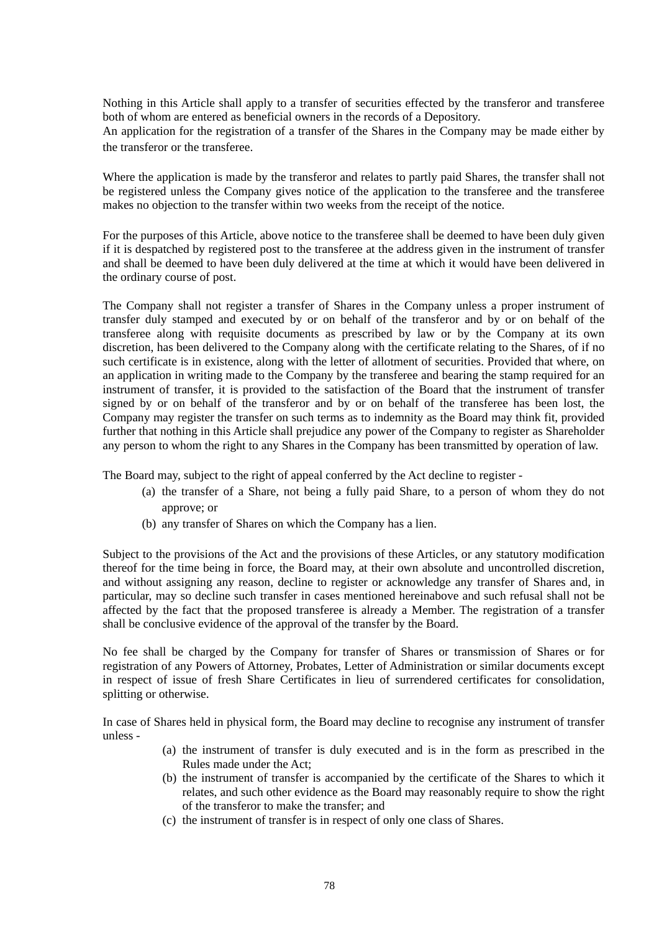Nothing in this Article shall apply to a transfer of securities effected by the transferor and transferee both of whom are entered as beneficial owners in the records of a Depository.

An application for the registration of a transfer of the Shares in the Company may be made either by the transferor or the transferee.

Where the application is made by the transferor and relates to partly paid Shares, the transfer shall not be registered unless the Company gives notice of the application to the transferee and the transferee makes no objection to the transfer within two weeks from the receipt of the notice.

For the purposes of this Article, above notice to the transferee shall be deemed to have been duly given if it is despatched by registered post to the transferee at the address given in the instrument of transfer and shall be deemed to have been duly delivered at the time at which it would have been delivered in the ordinary course of post.

The Company shall not register a transfer of Shares in the Company unless a proper instrument of transfer duly stamped and executed by or on behalf of the transferor and by or on behalf of the transferee along with requisite documents as prescribed by law or by the Company at its own discretion, has been delivered to the Company along with the certificate relating to the Shares, of if no such certificate is in existence, along with the letter of allotment of securities. Provided that where, on an application in writing made to the Company by the transferee and bearing the stamp required for an instrument of transfer, it is provided to the satisfaction of the Board that the instrument of transfer signed by or on behalf of the transferor and by or on behalf of the transferee has been lost, the Company may register the transfer on such terms as to indemnity as the Board may think fit, provided further that nothing in this Article shall prejudice any power of the Company to register as Shareholder any person to whom the right to any Shares in the Company has been transmitted by operation of law.

The Board may, subject to the right of appeal conferred by the Act decline to register -

- (a) the transfer of a Share, not being a fully paid Share, to a person of whom they do not approve; or
- (b) any transfer of Shares on which the Company has a lien.

Subject to the provisions of the Act and the provisions of these Articles, or any statutory modification thereof for the time being in force, the Board may, at their own absolute and uncontrolled discretion, and without assigning any reason, decline to register or acknowledge any transfer of Shares and, in particular, may so decline such transfer in cases mentioned hereinabove and such refusal shall not be affected by the fact that the proposed transferee is already a Member. The registration of a transfer shall be conclusive evidence of the approval of the transfer by the Board.

No fee shall be charged by the Company for transfer of Shares or transmission of Shares or for registration of any Powers of Attorney, Probates, Letter of Administration or similar documents except in respect of issue of fresh Share Certificates in lieu of surrendered certificates for consolidation, splitting or otherwise.

In case of Shares held in physical form, the Board may decline to recognise any instrument of transfer unless -

- (a) the instrument of transfer is duly executed and is in the form as prescribed in the Rules made under the Act;
- (b) the instrument of transfer is accompanied by the certificate of the Shares to which it relates, and such other evidence as the Board may reasonably require to show the right of the transferor to make the transfer; and
- (c) the instrument of transfer is in respect of only one class of Shares.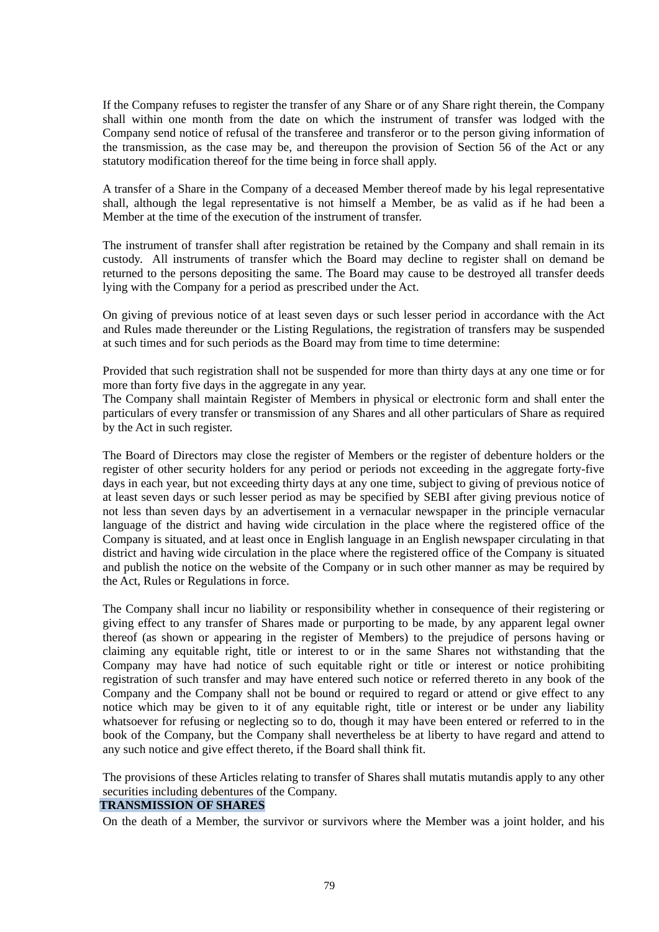If the Company refuses to register the transfer of any Share or of any Share right therein, the Company shall within one month from the date on which the instrument of transfer was lodged with the Company send notice of refusal of the transferee and transferor or to the person giving information of the transmission, as the case may be, and thereupon the provision of Section 56 of the Act or any statutory modification thereof for the time being in force shall apply.

A transfer of a Share in the Company of a deceased Member thereof made by his legal representative shall, although the legal representative is not himself a Member, be as valid as if he had been a Member at the time of the execution of the instrument of transfer.

The instrument of transfer shall after registration be retained by the Company and shall remain in its custody. All instruments of transfer which the Board may decline to register shall on demand be returned to the persons depositing the same. The Board may cause to be destroyed all transfer deeds lying with the Company for a period as prescribed under the Act.

On giving of previous notice of at least seven days or such lesser period in accordance with the Act and Rules made thereunder or the Listing Regulations, the registration of transfers may be suspended at such times and for such periods as the Board may from time to time determine:

Provided that such registration shall not be suspended for more than thirty days at any one time or for more than forty five days in the aggregate in any year.

The Company shall maintain Register of Members in physical or electronic form and shall enter the particulars of every transfer or transmission of any Shares and all other particulars of Share as required by the Act in such register.

The Board of Directors may close the register of Members or the register of debenture holders or the register of other security holders for any period or periods not exceeding in the aggregate forty-five days in each year, but not exceeding thirty days at any one time, subject to giving of previous notice of at least seven days or such lesser period as may be specified by SEBI after giving previous notice of not less than seven days by an advertisement in a vernacular newspaper in the principle vernacular language of the district and having wide circulation in the place where the registered office of the Company is situated, and at least once in English language in an English newspaper circulating in that district and having wide circulation in the place where the registered office of the Company is situated and publish the notice on the website of the Company or in such other manner as may be required by the Act, Rules or Regulations in force.

The Company shall incur no liability or responsibility whether in consequence of their registering or giving effect to any transfer of Shares made or purporting to be made, by any apparent legal owner thereof (as shown or appearing in the register of Members) to the prejudice of persons having or claiming any equitable right, title or interest to or in the same Shares not withstanding that the Company may have had notice of such equitable right or title or interest or notice prohibiting registration of such transfer and may have entered such notice or referred thereto in any book of the Company and the Company shall not be bound or required to regard or attend or give effect to any notice which may be given to it of any equitable right, title or interest or be under any liability whatsoever for refusing or neglecting so to do, though it may have been entered or referred to in the book of the Company, but the Company shall nevertheless be at liberty to have regard and attend to any such notice and give effect thereto, if the Board shall think fit.

The provisions of these Articles relating to transfer of Shares shall mutatis mutandis apply to any other securities including debentures of the Company.

## **TRANSMISSION OF SHARES**

On the death of a Member, the survivor or survivors where the Member was a joint holder, and his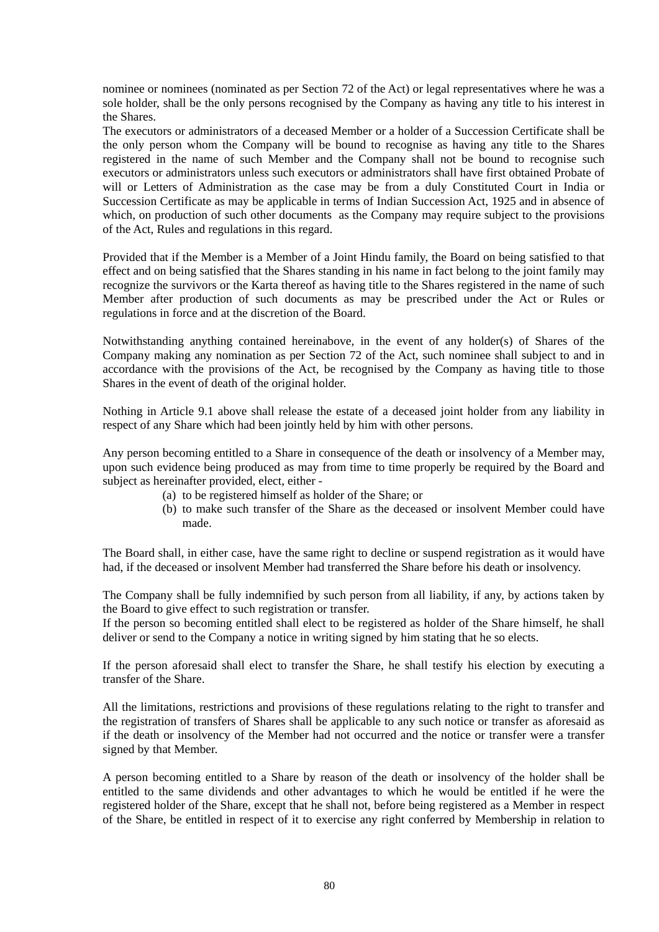nominee or nominees (nominated as per Section 72 of the Act) or legal representatives where he was a sole holder, shall be the only persons recognised by the Company as having any title to his interest in the Shares.

The executors or administrators of a deceased Member or a holder of a Succession Certificate shall be the only person whom the Company will be bound to recognise as having any title to the Shares registered in the name of such Member and the Company shall not be bound to recognise such executors or administrators unless such executors or administrators shall have first obtained Probate of will or Letters of Administration as the case may be from a duly Constituted Court in India or Succession Certificate as may be applicable in terms of Indian Succession Act, 1925 and in absence of which, on production of such other documents as the Company may require subject to the provisions of the Act, Rules and regulations in this regard.

Provided that if the Member is a Member of a Joint Hindu family, the Board on being satisfied to that effect and on being satisfied that the Shares standing in his name in fact belong to the joint family may recognize the survivors or the Karta thereof as having title to the Shares registered in the name of such Member after production of such documents as may be prescribed under the Act or Rules or regulations in force and at the discretion of the Board.

Notwithstanding anything contained hereinabove, in the event of any holder(s) of Shares of the Company making any nomination as per Section 72 of the Act, such nominee shall subject to and in accordance with the provisions of the Act, be recognised by the Company as having title to those Shares in the event of death of the original holder.

Nothing in Article 9.1 above shall release the estate of a deceased joint holder from any liability in respect of any Share which had been jointly held by him with other persons.

Any person becoming entitled to a Share in consequence of the death or insolvency of a Member may, upon such evidence being produced as may from time to time properly be required by the Board and subject as hereinafter provided, elect, either -

- (a) to be registered himself as holder of the Share; or
- (b) to make such transfer of the Share as the deceased or insolvent Member could have made.

The Board shall, in either case, have the same right to decline or suspend registration as it would have had, if the deceased or insolvent Member had transferred the Share before his death or insolvency.

The Company shall be fully indemnified by such person from all liability, if any, by actions taken by the Board to give effect to such registration or transfer.

If the person so becoming entitled shall elect to be registered as holder of the Share himself, he shall deliver or send to the Company a notice in writing signed by him stating that he so elects.

If the person aforesaid shall elect to transfer the Share, he shall testify his election by executing a transfer of the Share.

All the limitations, restrictions and provisions of these regulations relating to the right to transfer and the registration of transfers of Shares shall be applicable to any such notice or transfer as aforesaid as if the death or insolvency of the Member had not occurred and the notice or transfer were a transfer signed by that Member.

A person becoming entitled to a Share by reason of the death or insolvency of the holder shall be entitled to the same dividends and other advantages to which he would be entitled if he were the registered holder of the Share, except that he shall not, before being registered as a Member in respect of the Share, be entitled in respect of it to exercise any right conferred by Membership in relation to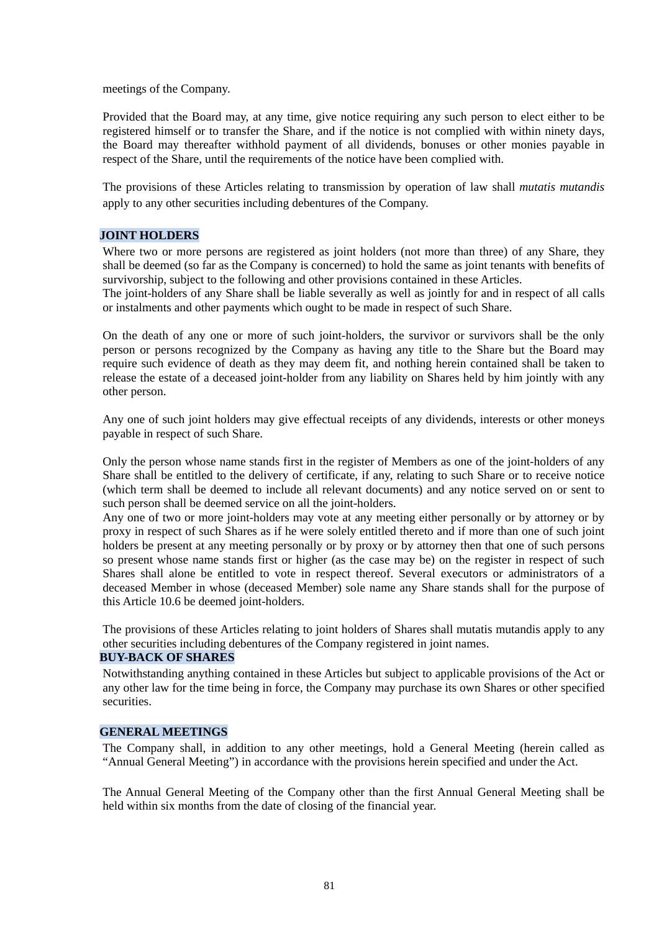meetings of the Company.

Provided that the Board may, at any time, give notice requiring any such person to elect either to be registered himself or to transfer the Share, and if the notice is not complied with within ninety days, the Board may thereafter withhold payment of all dividends, bonuses or other monies payable in respect of the Share, until the requirements of the notice have been complied with.

The provisions of these Articles relating to transmission by operation of law shall *mutatis mutandis* apply to any other securities including debentures of the Company.

## **JOINT HOLDERS**

Where two or more persons are registered as joint holders (not more than three) of any Share, they shall be deemed (so far as the Company is concerned) to hold the same as joint tenants with benefits of survivorship, subject to the following and other provisions contained in these Articles.

The joint-holders of any Share shall be liable severally as well as jointly for and in respect of all calls or instalments and other payments which ought to be made in respect of such Share.

On the death of any one or more of such joint-holders, the survivor or survivors shall be the only person or persons recognized by the Company as having any title to the Share but the Board may require such evidence of death as they may deem fit, and nothing herein contained shall be taken to release the estate of a deceased joint-holder from any liability on Shares held by him jointly with any other person.

Any one of such joint holders may give effectual receipts of any dividends, interests or other moneys payable in respect of such Share.

Only the person whose name stands first in the register of Members as one of the joint-holders of any Share shall be entitled to the delivery of certificate, if any, relating to such Share or to receive notice (which term shall be deemed to include all relevant documents) and any notice served on or sent to such person shall be deemed service on all the joint-holders.

Any one of two or more joint-holders may vote at any meeting either personally or by attorney or by proxy in respect of such Shares as if he were solely entitled thereto and if more than one of such joint holders be present at any meeting personally or by proxy or by attorney then that one of such persons so present whose name stands first or higher (as the case may be) on the register in respect of such Shares shall alone be entitled to vote in respect thereof. Several executors or administrators of a deceased Member in whose (deceased Member) sole name any Share stands shall for the purpose of this Article 10.6 be deemed joint-holders.

The provisions of these Articles relating to joint holders of Shares shall mutatis mutandis apply to any other securities including debentures of the Company registered in joint names.

## **BUY-BACK OF SHARES**

Notwithstanding anything contained in these Articles but subject to applicable provisions of the Act or any other law for the time being in force, the Company may purchase its own Shares or other specified securities.

## **GENERAL MEETINGS**

The Company shall, in addition to any other meetings, hold a General Meeting (herein called as "Annual General Meeting") in accordance with the provisions herein specified and under the Act.

The Annual General Meeting of the Company other than the first Annual General Meeting shall be held within six months from the date of closing of the financial year.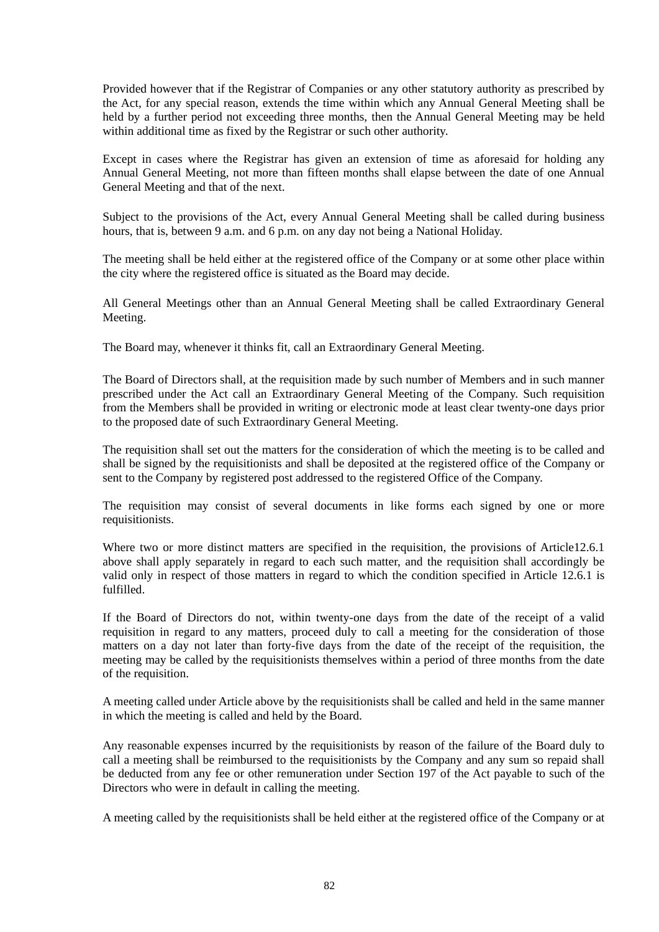Provided however that if the Registrar of Companies or any other statutory authority as prescribed by the Act, for any special reason, extends the time within which any Annual General Meeting shall be held by a further period not exceeding three months, then the Annual General Meeting may be held within additional time as fixed by the Registrar or such other authority.

Except in cases where the Registrar has given an extension of time as aforesaid for holding any Annual General Meeting, not more than fifteen months shall elapse between the date of one Annual General Meeting and that of the next.

Subject to the provisions of the Act, every Annual General Meeting shall be called during business hours, that is, between 9 a.m. and 6 p.m. on any day not being a National Holiday.

The meeting shall be held either at the registered office of the Company or at some other place within the city where the registered office is situated as the Board may decide.

All General Meetings other than an Annual General Meeting shall be called Extraordinary General Meeting.

The Board may, whenever it thinks fit, call an Extraordinary General Meeting.

The Board of Directors shall, at the requisition made by such number of Members and in such manner prescribed under the Act call an Extraordinary General Meeting of the Company. Such requisition from the Members shall be provided in writing or electronic mode at least clear twenty-one days prior to the proposed date of such Extraordinary General Meeting.

The requisition shall set out the matters for the consideration of which the meeting is to be called and shall be signed by the requisitionists and shall be deposited at the registered office of the Company or sent to the Company by registered post addressed to the registered Office of the Company.

The requisition may consist of several documents in like forms each signed by one or more requisitionists.

Where two or more distinct matters are specified in the requisition, the provisions of Article12.6.1 above shall apply separately in regard to each such matter, and the requisition shall accordingly be valid only in respect of those matters in regard to which the condition specified in Article 12.6.1 is fulfilled.

If the Board of Directors do not, within twenty-one days from the date of the receipt of a valid requisition in regard to any matters, proceed duly to call a meeting for the consideration of those matters on a day not later than forty-five days from the date of the receipt of the requisition, the meeting may be called by the requisitionists themselves within a period of three months from the date of the requisition.

A meeting called under Article above by the requisitionists shall be called and held in the same manner in which the meeting is called and held by the Board.

Any reasonable expenses incurred by the requisitionists by reason of the failure of the Board duly to call a meeting shall be reimbursed to the requisitionists by the Company and any sum so repaid shall be deducted from any fee or other remuneration under Section 197 of the Act payable to such of the Directors who were in default in calling the meeting.

A meeting called by the requisitionists shall be held either at the registered office of the Company or at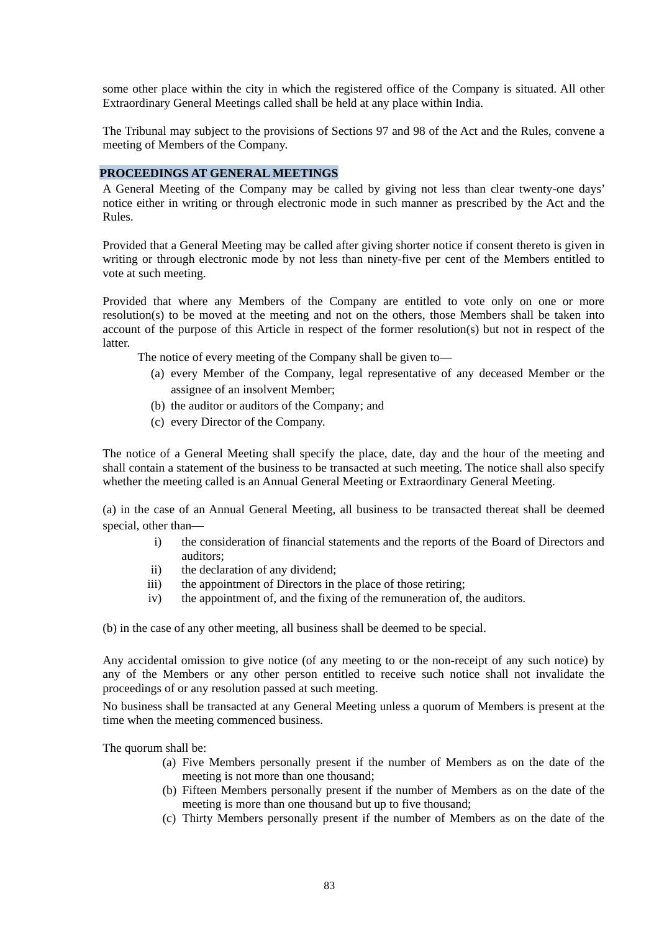some other place within the city in which the registered office of the Company is situated. All other Extraordinary General Meetings called shall be held at any place within India.

The Tribunal may subject to the provisions of Sections 97 and 98 of the Act and the Rules, convene a meeting of Members of the Company.

#### **PROCEEDINGS AT GENERAL MEETINGS**

A General Meeting of the Company may be called by giving not less than clear twenty-one days' notice either in writing or through electronic mode in such manner as prescribed by the Act and the Rules.

Provided that a General Meeting may be called after giving shorter notice if consent thereto is given in writing or through electronic mode by not less than ninety-five per cent of the Members entitled to vote at such meeting.

Provided that where any Members of the Company are entitled to vote only on one or more resolution(s) to be moved at the meeting and not on the others, those Members shall be taken into account of the purpose of this Article in respect of the former resolution(s) but not in respect of the latter.

The notice of every meeting of the Company shall be given to—

- (a) every Member of the Company, legal representative of any deceased Member or the assignee of an insolvent Member;
- (b) the auditor or auditors of the Company; and
- (c) every Director of the Company.

The notice of a General Meeting shall specify the place, date, day and the hour of the meeting and shall contain a statement of the business to be transacted at such meeting. The notice shall also specify whether the meeting called is an Annual General Meeting or Extraordinary General Meeting.

(a) in the case of an Annual General Meeting, all business to be transacted thereat shall be deemed special, other than—

- i) the consideration of financial statements and the reports of the Board of Directors and auditors;
- ii) the declaration of any dividend;
- iii) the appointment of Directors in the place of those retiring;
- iv) the appointment of, and the fixing of the remuneration of, the auditors.

(b) in the case of any other meeting, all business shall be deemed to be special.

Any accidental omission to give notice (of any meeting to or the non-receipt of any such notice) by any of the Members or any other person entitled to receive such notice shall not invalidate the proceedings of or any resolution passed at such meeting.

No business shall be transacted at any General Meeting unless a quorum of Members is present at the time when the meeting commenced business.

The quorum shall be:

- (a) Five Members personally present if the number of Members as on the date of the meeting is not more than one thousand;
- (b) Fifteen Members personally present if the number of Members as on the date of the meeting is more than one thousand but up to five thousand;
- (c) Thirty Members personally present if the number of Members as on the date of the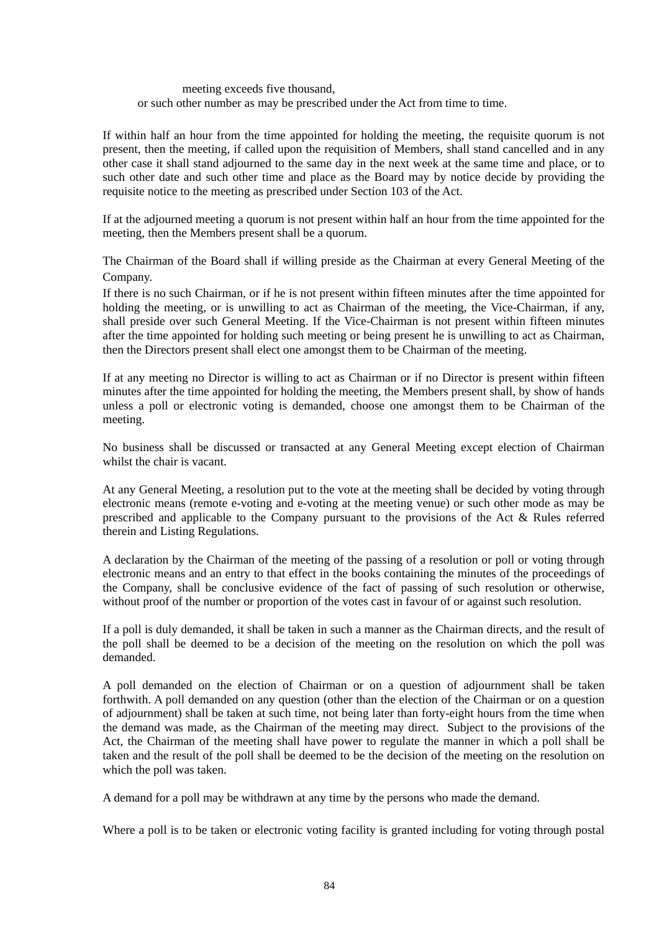#### meeting exceeds five thousand, or such other number as may be prescribed under the Act from time to time.

If within half an hour from the time appointed for holding the meeting, the requisite quorum is not present, then the meeting, if called upon the requisition of Members, shall stand cancelled and in any other case it shall stand adjourned to the same day in the next week at the same time and place, or to such other date and such other time and place as the Board may by notice decide by providing the requisite notice to the meeting as prescribed under Section 103 of the Act.

If at the adjourned meeting a quorum is not present within half an hour from the time appointed for the meeting, then the Members present shall be a quorum.

The Chairman of the Board shall if willing preside as the Chairman at every General Meeting of the Company.

If there is no such Chairman, or if he is not present within fifteen minutes after the time appointed for holding the meeting, or is unwilling to act as Chairman of the meeting, the Vice-Chairman, if any, shall preside over such General Meeting. If the Vice-Chairman is not present within fifteen minutes after the time appointed for holding such meeting or being present he is unwilling to act as Chairman, then the Directors present shall elect one amongst them to be Chairman of the meeting.

If at any meeting no Director is willing to act as Chairman or if no Director is present within fifteen minutes after the time appointed for holding the meeting, the Members present shall, by show of hands unless a poll or electronic voting is demanded, choose one amongst them to be Chairman of the meeting.

No business shall be discussed or transacted at any General Meeting except election of Chairman whilst the chair is vacant.

At any General Meeting, a resolution put to the vote at the meeting shall be decided by voting through electronic means (remote e-voting and e-voting at the meeting venue) or such other mode as may be prescribed and applicable to the Company pursuant to the provisions of the Act & Rules referred therein and Listing Regulations.

A declaration by the Chairman of the meeting of the passing of a resolution or poll or voting through electronic means and an entry to that effect in the books containing the minutes of the proceedings of the Company, shall be conclusive evidence of the fact of passing of such resolution or otherwise, without proof of the number or proportion of the votes cast in favour of or against such resolution.

If a poll is duly demanded, it shall be taken in such a manner as the Chairman directs, and the result of the poll shall be deemed to be a decision of the meeting on the resolution on which the poll was demanded.

A poll demanded on the election of Chairman or on a question of adjournment shall be taken forthwith. A poll demanded on any question (other than the election of the Chairman or on a question of adjournment) shall be taken at such time, not being later than forty-eight hours from the time when the demand was made, as the Chairman of the meeting may direct. Subject to the provisions of the Act, the Chairman of the meeting shall have power to regulate the manner in which a poll shall be taken and the result of the poll shall be deemed to be the decision of the meeting on the resolution on which the poll was taken.

A demand for a poll may be withdrawn at any time by the persons who made the demand.

Where a poll is to be taken or electronic voting facility is granted including for voting through postal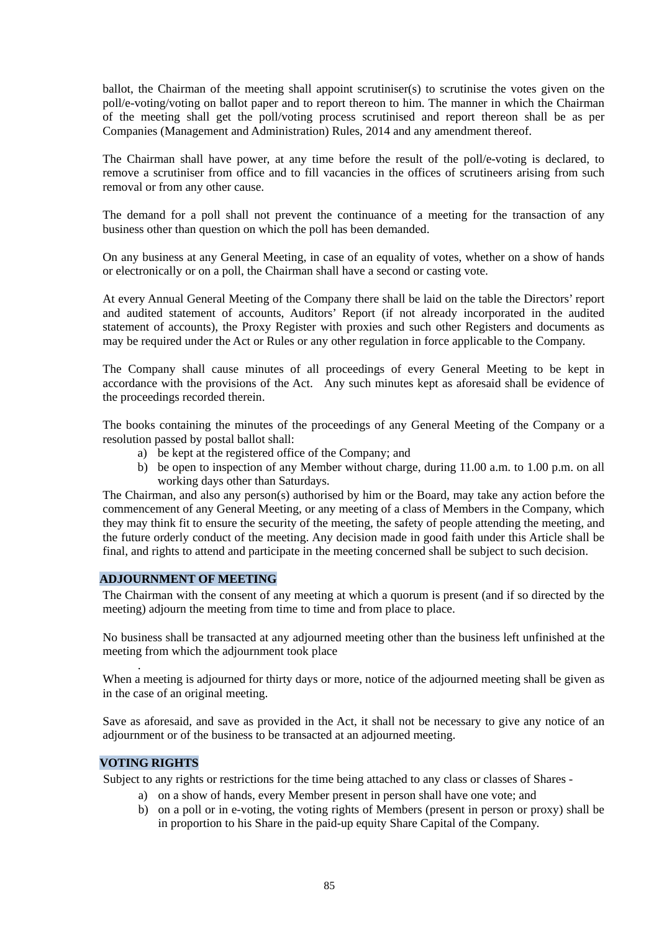ballot, the Chairman of the meeting shall appoint scrutiniser(s) to scrutinise the votes given on the poll/e-voting/voting on ballot paper and to report thereon to him. The manner in which the Chairman of the meeting shall get the poll/voting process scrutinised and report thereon shall be as per Companies (Management and Administration) Rules, 2014 and any amendment thereof.

The Chairman shall have power, at any time before the result of the poll/e-voting is declared, to remove a scrutiniser from office and to fill vacancies in the offices of scrutineers arising from such removal or from any other cause.

The demand for a poll shall not prevent the continuance of a meeting for the transaction of any business other than question on which the poll has been demanded.

On any business at any General Meeting, in case of an equality of votes, whether on a show of hands or electronically or on a poll, the Chairman shall have a second or casting vote.

At every Annual General Meeting of the Company there shall be laid on the table the Directors' report and audited statement of accounts, Auditors' Report (if not already incorporated in the audited statement of accounts), the Proxy Register with proxies and such other Registers and documents as may be required under the Act or Rules or any other regulation in force applicable to the Company.

The Company shall cause minutes of all proceedings of every General Meeting to be kept in accordance with the provisions of the Act. Any such minutes kept as aforesaid shall be evidence of the proceedings recorded therein.

The books containing the minutes of the proceedings of any General Meeting of the Company or a resolution passed by postal ballot shall:

- a) be kept at the registered office of the Company; and
- b) be open to inspection of any Member without charge, during 11.00 a.m. to 1.00 p.m. on all working days other than Saturdays.

The Chairman, and also any person(s) authorised by him or the Board, may take any action before the commencement of any General Meeting, or any meeting of a class of Members in the Company, which they may think fit to ensure the security of the meeting, the safety of people attending the meeting, and the future orderly conduct of the meeting. Any decision made in good faith under this Article shall be final, and rights to attend and participate in the meeting concerned shall be subject to such decision.

#### **ADJOURNMENT OF MEETING**

The Chairman with the consent of any meeting at which a quorum is present (and if so directed by the meeting) adjourn the meeting from time to time and from place to place.

No business shall be transacted at any adjourned meeting other than the business left unfinished at the meeting from which the adjournment took place

When a meeting is adjourned for thirty days or more, notice of the adjourned meeting shall be given as in the case of an original meeting.

Save as aforesaid, and save as provided in the Act, it shall not be necessary to give any notice of an adjournment or of the business to be transacted at an adjourned meeting.

## **VOTING RIGHTS**

.

Subject to any rights or restrictions for the time being attached to any class or classes of Shares -

- a) on a show of hands, every Member present in person shall have one vote; and
- b) on a poll or in e-voting, the voting rights of Members (present in person or proxy) shall be in proportion to his Share in the paid-up equity Share Capital of the Company.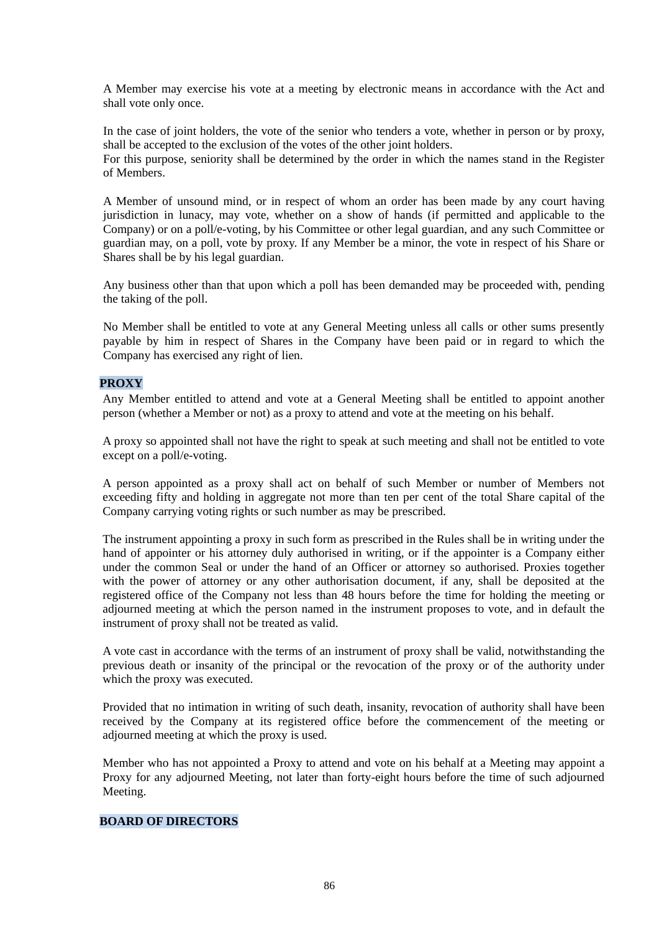A Member may exercise his vote at a meeting by electronic means in accordance with the Act and shall vote only once.

In the case of joint holders, the vote of the senior who tenders a vote, whether in person or by proxy, shall be accepted to the exclusion of the votes of the other joint holders.

For this purpose, seniority shall be determined by the order in which the names stand in the Register of Members.

A Member of unsound mind, or in respect of whom an order has been made by any court having jurisdiction in lunacy, may vote, whether on a show of hands (if permitted and applicable to the Company) or on a poll/e-voting, by his Committee or other legal guardian, and any such Committee or guardian may, on a poll, vote by proxy. If any Member be a minor, the vote in respect of his Share or Shares shall be by his legal guardian.

Any business other than that upon which a poll has been demanded may be proceeded with, pending the taking of the poll.

No Member shall be entitled to vote at any General Meeting unless all calls or other sums presently payable by him in respect of Shares in the Company have been paid or in regard to which the Company has exercised any right of lien.

## **PROXY**

Any Member entitled to attend and vote at a General Meeting shall be entitled to appoint another person (whether a Member or not) as a proxy to attend and vote at the meeting on his behalf.

A proxy so appointed shall not have the right to speak at such meeting and shall not be entitled to vote except on a poll/e-voting.

A person appointed as a proxy shall act on behalf of such Member or number of Members not exceeding fifty and holding in aggregate not more than ten per cent of the total Share capital of the Company carrying voting rights or such number as may be prescribed.

The instrument appointing a proxy in such form as prescribed in the Rules shall be in writing under the hand of appointer or his attorney duly authorised in writing, or if the appointer is a Company either under the common Seal or under the hand of an Officer or attorney so authorised. Proxies together with the power of attorney or any other authorisation document, if any, shall be deposited at the registered office of the Company not less than 48 hours before the time for holding the meeting or adjourned meeting at which the person named in the instrument proposes to vote, and in default the instrument of proxy shall not be treated as valid.

A vote cast in accordance with the terms of an instrument of proxy shall be valid, notwithstanding the previous death or insanity of the principal or the revocation of the proxy or of the authority under which the proxy was executed.

Provided that no intimation in writing of such death, insanity, revocation of authority shall have been received by the Company at its registered office before the commencement of the meeting or adjourned meeting at which the proxy is used.

Member who has not appointed a Proxy to attend and vote on his behalf at a Meeting may appoint a Proxy for any adjourned Meeting, not later than forty-eight hours before the time of such adjourned Meeting.

## **BOARD OF DIRECTORS**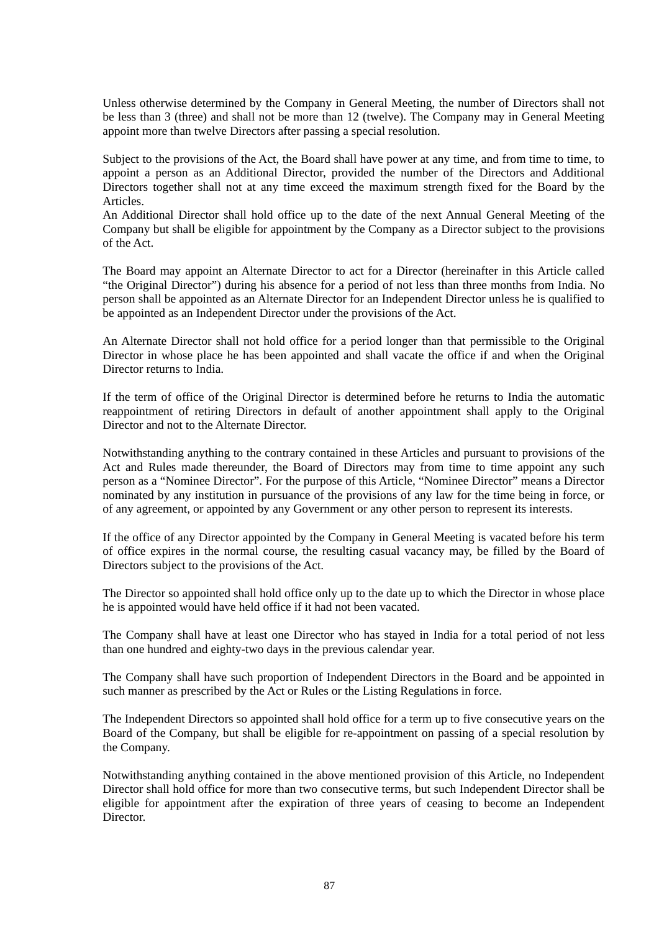Unless otherwise determined by the Company in General Meeting, the number of Directors shall not be less than 3 (three) and shall not be more than 12 (twelve). The Company may in General Meeting appoint more than twelve Directors after passing a special resolution.

Subject to the provisions of the Act, the Board shall have power at any time, and from time to time, to appoint a person as an Additional Director, provided the number of the Directors and Additional Directors together shall not at any time exceed the maximum strength fixed for the Board by the Articles.

An Additional Director shall hold office up to the date of the next Annual General Meeting of the Company but shall be eligible for appointment by the Company as a Director subject to the provisions of the Act.

The Board may appoint an Alternate Director to act for a Director (hereinafter in this Article called "the Original Director") during his absence for a period of not less than three months from India. No person shall be appointed as an Alternate Director for an Independent Director unless he is qualified to be appointed as an Independent Director under the provisions of the Act.

An Alternate Director shall not hold office for a period longer than that permissible to the Original Director in whose place he has been appointed and shall vacate the office if and when the Original Director returns to India.

If the term of office of the Original Director is determined before he returns to India the automatic reappointment of retiring Directors in default of another appointment shall apply to the Original Director and not to the Alternate Director.

Notwithstanding anything to the contrary contained in these Articles and pursuant to provisions of the Act and Rules made thereunder, the Board of Directors may from time to time appoint any such person as a "Nominee Director". For the purpose of this Article, "Nominee Director" means a Director nominated by any institution in pursuance of the provisions of any law for the time being in force, or of any agreement, or appointed by any Government or any other person to represent its interests.

If the office of any Director appointed by the Company in General Meeting is vacated before his term of office expires in the normal course, the resulting casual vacancy may, be filled by the Board of Directors subject to the provisions of the Act.

The Director so appointed shall hold office only up to the date up to which the Director in whose place he is appointed would have held office if it had not been vacated.

The Company shall have at least one Director who has stayed in India for a total period of not less than one hundred and eighty-two days in the previous calendar year.

The Company shall have such proportion of Independent Directors in the Board and be appointed in such manner as prescribed by the Act or Rules or the Listing Regulations in force.

The Independent Directors so appointed shall hold office for a term up to five consecutive years on the Board of the Company, but shall be eligible for re-appointment on passing of a special resolution by the Company.

Notwithstanding anything contained in the above mentioned provision of this Article, no Independent Director shall hold office for more than two consecutive terms, but such Independent Director shall be eligible for appointment after the expiration of three years of ceasing to become an Independent Director.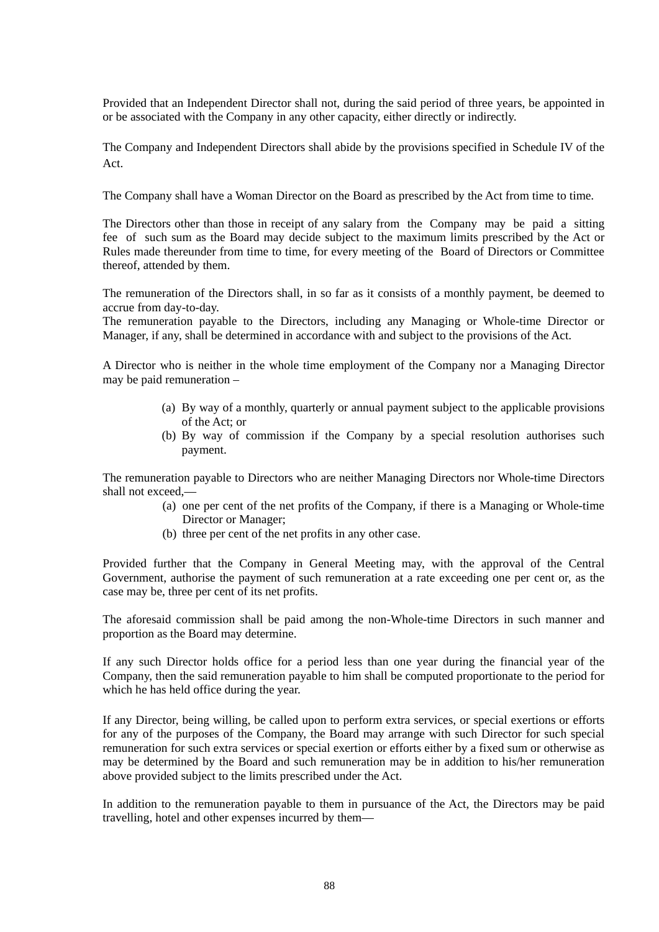Provided that an Independent Director shall not, during the said period of three years, be appointed in or be associated with the Company in any other capacity, either directly or indirectly.

The Company and Independent Directors shall abide by the provisions specified in Schedule IV of the Act.

The Company shall have a Woman Director on the Board as prescribed by the Act from time to time.

The Directors other than those in receipt of any salary from the Company may be paid a sitting fee of such sum as the Board may decide subject to the maximum limits prescribed by the Act or Rules made thereunder from time to time, for every meeting of the Board of Directors or Committee thereof, attended by them.

The remuneration of the Directors shall, in so far as it consists of a monthly payment, be deemed to accrue from day-to-day.

The remuneration payable to the Directors, including any Managing or Whole-time Director or Manager, if any, shall be determined in accordance with and subject to the provisions of the Act.

A Director who is neither in the whole time employment of the Company nor a Managing Director may be paid remuneration –

- (a) By way of a monthly, quarterly or annual payment subject to the applicable provisions of the Act; or
- (b) By way of commission if the Company by a special resolution authorises such payment.

The remuneration payable to Directors who are neither Managing Directors nor Whole-time Directors shall not exceed,—

- (a) one per cent of the net profits of the Company, if there is a Managing or Whole-time Director or Manager;
- (b) three per cent of the net profits in any other case.

Provided further that the Company in General Meeting may, with the approval of the Central Government, authorise the payment of such remuneration at a rate exceeding one per cent or, as the case may be, three per cent of its net profits.

The aforesaid commission shall be paid among the non-Whole-time Directors in such manner and proportion as the Board may determine.

If any such Director holds office for a period less than one year during the financial year of the Company, then the said remuneration payable to him shall be computed proportionate to the period for which he has held office during the year.

If any Director, being willing, be called upon to perform extra services, or special exertions or efforts for any of the purposes of the Company, the Board may arrange with such Director for such special remuneration for such extra services or special exertion or efforts either by a fixed sum or otherwise as may be determined by the Board and such remuneration may be in addition to his/her remuneration above provided subject to the limits prescribed under the Act.

In addition to the remuneration payable to them in pursuance of the Act, the Directors may be paid travelling, hotel and other expenses incurred by them—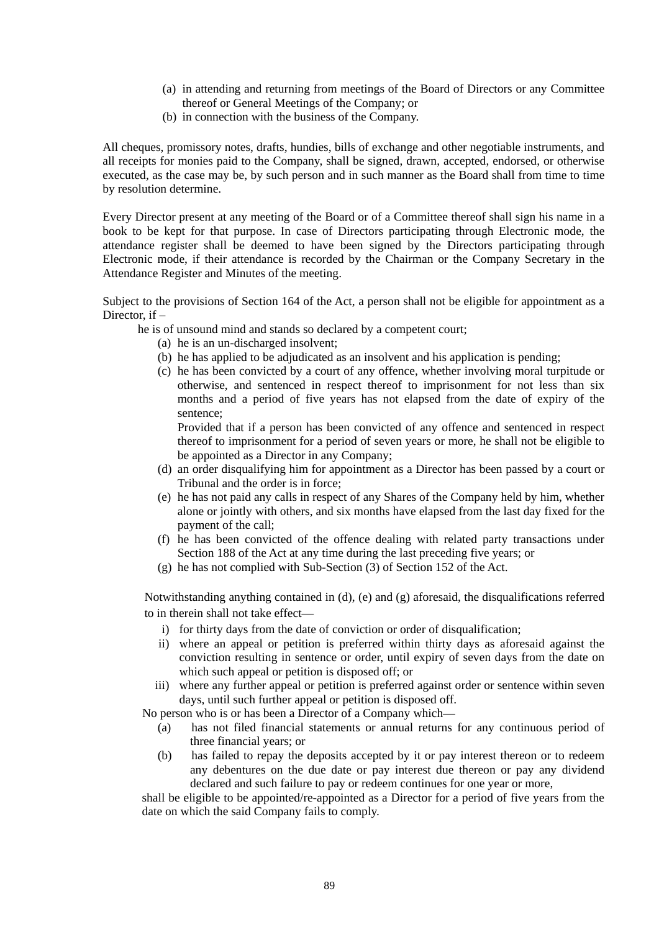- (a) in attending and returning from meetings of the Board of Directors or any Committee thereof or General Meetings of the Company; or
- (b) in connection with the business of the Company.

All cheques, promissory notes, drafts, hundies, bills of exchange and other negotiable instruments, and all receipts for monies paid to the Company, shall be signed, drawn, accepted, endorsed, or otherwise executed, as the case may be, by such person and in such manner as the Board shall from time to time by resolution determine.

Every Director present at any meeting of the Board or of a Committee thereof shall sign his name in a book to be kept for that purpose. In case of Directors participating through Electronic mode, the attendance register shall be deemed to have been signed by the Directors participating through Electronic mode, if their attendance is recorded by the Chairman or the Company Secretary in the Attendance Register and Minutes of the meeting.

Subject to the provisions of Section 164 of the Act, a person shall not be eligible for appointment as a Director, if –

he is of unsound mind and stands so declared by a competent court;

- (a) he is an un-discharged insolvent;
- (b) he has applied to be adjudicated as an insolvent and his application is pending;
- (c) he has been convicted by a court of any offence, whether involving moral turpitude or otherwise, and sentenced in respect thereof to imprisonment for not less than six months and a period of five years has not elapsed from the date of expiry of the sentence;

Provided that if a person has been convicted of any offence and sentenced in respect thereof to imprisonment for a period of seven years or more, he shall not be eligible to be appointed as a Director in any Company;

- (d) an order disqualifying him for appointment as a Director has been passed by a court or Tribunal and the order is in force;
- (e) he has not paid any calls in respect of any Shares of the Company held by him, whether alone or jointly with others, and six months have elapsed from the last day fixed for the payment of the call;
- (f) he has been convicted of the offence dealing with related party transactions under Section 188 of the Act at any time during the last preceding five years; or
- (g) he has not complied with Sub-Section (3) of Section 152 of the Act.

Notwithstanding anything contained in (d), (e) and (g) aforesaid, the disqualifications referred to in therein shall not take effect—

- i) for thirty days from the date of conviction or order of disqualification;
- ii) where an appeal or petition is preferred within thirty days as aforesaid against the conviction resulting in sentence or order, until expiry of seven days from the date on which such appeal or petition is disposed off; or
- iii) where any further appeal or petition is preferred against order or sentence within seven days, until such further appeal or petition is disposed off.

No person who is or has been a Director of a Company which—

- (a) has not filed financial statements or annual returns for any continuous period of three financial years; or
- (b) has failed to repay the deposits accepted by it or pay interest thereon or to redeem any debentures on the due date or pay interest due thereon or pay any dividend declared and such failure to pay or redeem continues for one year or more,

shall be eligible to be appointed/re-appointed as a Director for a period of five years from the date on which the said Company fails to comply.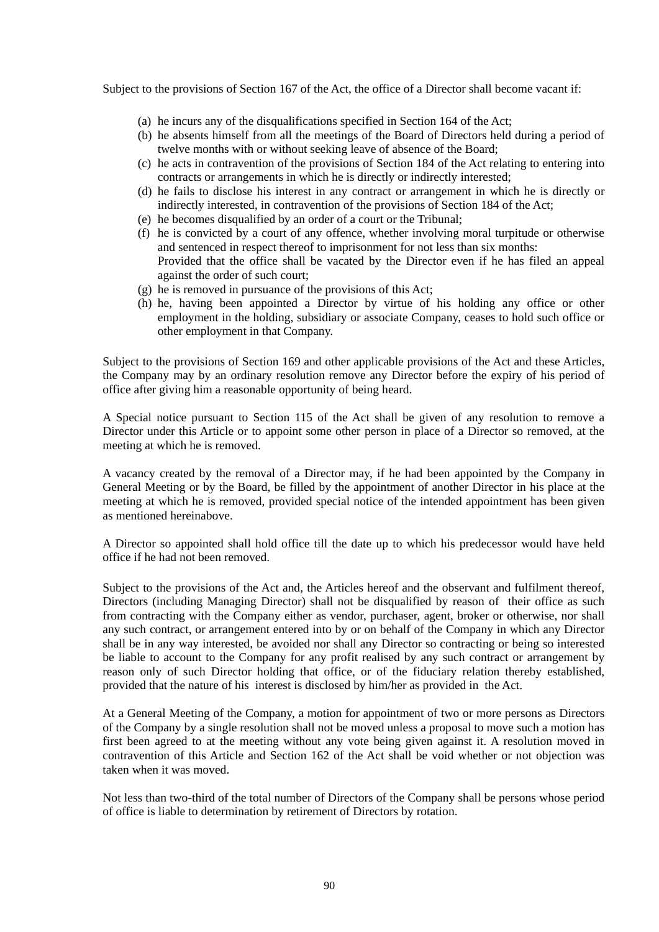Subject to the provisions of Section 167 of the Act, the office of a Director shall become vacant if:

- (a) he incurs any of the disqualifications specified in Section 164 of the Act;
- (b) he absents himself from all the meetings of the Board of Directors held during a period of twelve months with or without seeking leave of absence of the Board;
- (c) he acts in contravention of the provisions of Section 184 of the Act relating to entering into contracts or arrangements in which he is directly or indirectly interested;
- (d) he fails to disclose his interest in any contract or arrangement in which he is directly or indirectly interested, in contravention of the provisions of Section 184 of the Act;
- (e) he becomes disqualified by an order of a court or the Tribunal;
- (f) he is convicted by a court of any offence, whether involving moral turpitude or otherwise and sentenced in respect thereof to imprisonment for not less than six months: Provided that the office shall be vacated by the Director even if he has filed an appeal against the order of such court;
- (g) he is removed in pursuance of the provisions of this Act;
- (h) he, having been appointed a Director by virtue of his holding any office or other employment in the holding, subsidiary or associate Company, ceases to hold such office or other employment in that Company.

Subject to the provisions of Section 169 and other applicable provisions of the Act and these Articles, the Company may by an ordinary resolution remove any Director before the expiry of his period of office after giving him a reasonable opportunity of being heard.

A Special notice pursuant to Section 115 of the Act shall be given of any resolution to remove a Director under this Article or to appoint some other person in place of a Director so removed, at the meeting at which he is removed.

A vacancy created by the removal of a Director may, if he had been appointed by the Company in General Meeting or by the Board, be filled by the appointment of another Director in his place at the meeting at which he is removed, provided special notice of the intended appointment has been given as mentioned hereinabove.

A Director so appointed shall hold office till the date up to which his predecessor would have held office if he had not been removed.

Subject to the provisions of the Act and, the Articles hereof and the observant and fulfilment thereof, Directors (including Managing Director) shall not be disqualified by reason of their office as such from contracting with the Company either as vendor, purchaser, agent, broker or otherwise, nor shall any such contract, or arrangement entered into by or on behalf of the Company in which any Director shall be in any way interested, be avoided nor shall any Director so contracting or being so interested be liable to account to the Company for any profit realised by any such contract or arrangement by reason only of such Director holding that office, or of the fiduciary relation thereby established, provided that the nature of his interest is disclosed by him/her as provided in the Act.

At a General Meeting of the Company, a motion for appointment of two or more persons as Directors of the Company by a single resolution shall not be moved unless a proposal to move such a motion has first been agreed to at the meeting without any vote being given against it. A resolution moved in contravention of this Article and Section 162 of the Act shall be void whether or not objection was taken when it was moved.

Not less than two-third of the total number of Directors of the Company shall be persons whose period of office is liable to determination by retirement of Directors by rotation.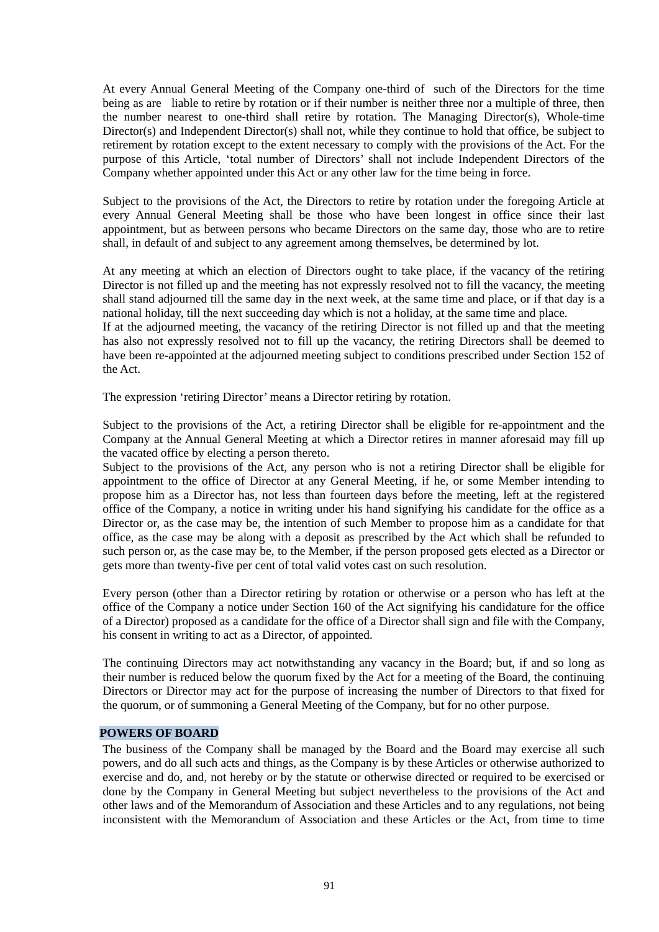At every Annual General Meeting of the Company one-third of such of the Directors for the time being as are liable to retire by rotation or if their number is neither three nor a multiple of three, then the number nearest to one-third shall retire by rotation. The Managing Director(s), Whole-time Director(s) and Independent Director(s) shall not, while they continue to hold that office, be subject to retirement by rotation except to the extent necessary to comply with the provisions of the Act. For the purpose of this Article, 'total number of Directors' shall not include Independent Directors of the Company whether appointed under this Act or any other law for the time being in force.

Subject to the provisions of the Act, the Directors to retire by rotation under the foregoing Article at every Annual General Meeting shall be those who have been longest in office since their last appointment, but as between persons who became Directors on the same day, those who are to retire shall, in default of and subject to any agreement among themselves, be determined by lot.

At any meeting at which an election of Directors ought to take place, if the vacancy of the retiring Director is not filled up and the meeting has not expressly resolved not to fill the vacancy, the meeting shall stand adjourned till the same day in the next week, at the same time and place, or if that day is a national holiday, till the next succeeding day which is not a holiday, at the same time and place.

If at the adjourned meeting, the vacancy of the retiring Director is not filled up and that the meeting has also not expressly resolved not to fill up the vacancy, the retiring Directors shall be deemed to have been re-appointed at the adjourned meeting subject to conditions prescribed under Section 152 of the Act.

The expression 'retiring Director' means a Director retiring by rotation.

Subject to the provisions of the Act, a retiring Director shall be eligible for re-appointment and the Company at the Annual General Meeting at which a Director retires in manner aforesaid may fill up the vacated office by electing a person thereto.

Subject to the provisions of the Act, any person who is not a retiring Director shall be eligible for appointment to the office of Director at any General Meeting, if he, or some Member intending to propose him as a Director has, not less than fourteen days before the meeting, left at the registered office of the Company, a notice in writing under his hand signifying his candidate for the office as a Director or, as the case may be, the intention of such Member to propose him as a candidate for that office, as the case may be along with a deposit as prescribed by the Act which shall be refunded to such person or, as the case may be, to the Member, if the person proposed gets elected as a Director or gets more than twenty-five per cent of total valid votes cast on such resolution.

Every person (other than a Director retiring by rotation or otherwise or a person who has left at the office of the Company a notice under Section 160 of the Act signifying his candidature for the office of a Director) proposed as a candidate for the office of a Director shall sign and file with the Company, his consent in writing to act as a Director, of appointed.

The continuing Directors may act notwithstanding any vacancy in the Board; but, if and so long as their number is reduced below the quorum fixed by the Act for a meeting of the Board, the continuing Directors or Director may act for the purpose of increasing the number of Directors to that fixed for the quorum, or of summoning a General Meeting of the Company, but for no other purpose.

## **POWERS OF BOARD**

The business of the Company shall be managed by the Board and the Board may exercise all such powers, and do all such acts and things, as the Company is by these Articles or otherwise authorized to exercise and do, and, not hereby or by the statute or otherwise directed or required to be exercised or done by the Company in General Meeting but subject nevertheless to the provisions of the Act and other laws and of the Memorandum of Association and these Articles and to any regulations, not being inconsistent with the Memorandum of Association and these Articles or the Act, from time to time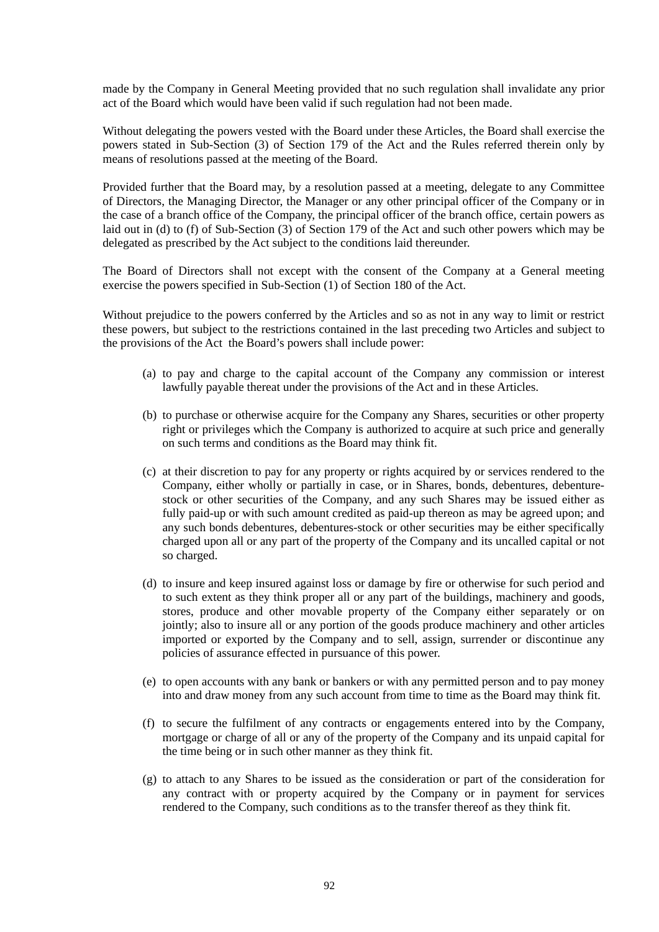made by the Company in General Meeting provided that no such regulation shall invalidate any prior act of the Board which would have been valid if such regulation had not been made.

Without delegating the powers vested with the Board under these Articles, the Board shall exercise the powers stated in Sub-Section (3) of Section 179 of the Act and the Rules referred therein only by means of resolutions passed at the meeting of the Board.

Provided further that the Board may, by a resolution passed at a meeting, delegate to any Committee of Directors, the Managing Director, the Manager or any other principal officer of the Company or in the case of a branch office of the Company, the principal officer of the branch office, certain powers as laid out in (d) to (f) of Sub-Section (3) of Section 179 of the Act and such other powers which may be delegated as prescribed by the Act subject to the conditions laid thereunder.

The Board of Directors shall not except with the consent of the Company at a General meeting exercise the powers specified in Sub-Section (1) of Section 180 of the Act.

Without prejudice to the powers conferred by the Articles and so as not in any way to limit or restrict these powers, but subject to the restrictions contained in the last preceding two Articles and subject to the provisions of the Act the Board's powers shall include power:

- (a) to pay and charge to the capital account of the Company any commission or interest lawfully payable thereat under the provisions of the Act and in these Articles.
- (b) to purchase or otherwise acquire for the Company any Shares, securities or other property right or privileges which the Company is authorized to acquire at such price and generally on such terms and conditions as the Board may think fit.
- (c) at their discretion to pay for any property or rights acquired by or services rendered to the Company, either wholly or partially in case, or in Shares, bonds, debentures, debenturestock or other securities of the Company, and any such Shares may be issued either as fully paid-up or with such amount credited as paid-up thereon as may be agreed upon; and any such bonds debentures, debentures-stock or other securities may be either specifically charged upon all or any part of the property of the Company and its uncalled capital or not so charged.
- (d) to insure and keep insured against loss or damage by fire or otherwise for such period and to such extent as they think proper all or any part of the buildings, machinery and goods, stores, produce and other movable property of the Company either separately or on jointly; also to insure all or any portion of the goods produce machinery and other articles imported or exported by the Company and to sell, assign, surrender or discontinue any policies of assurance effected in pursuance of this power.
- (e) to open accounts with any bank or bankers or with any permitted person and to pay money into and draw money from any such account from time to time as the Board may think fit.
- (f) to secure the fulfilment of any contracts or engagements entered into by the Company, mortgage or charge of all or any of the property of the Company and its unpaid capital for the time being or in such other manner as they think fit.
- (g) to attach to any Shares to be issued as the consideration or part of the consideration for any contract with or property acquired by the Company or in payment for services rendered to the Company, such conditions as to the transfer thereof as they think fit.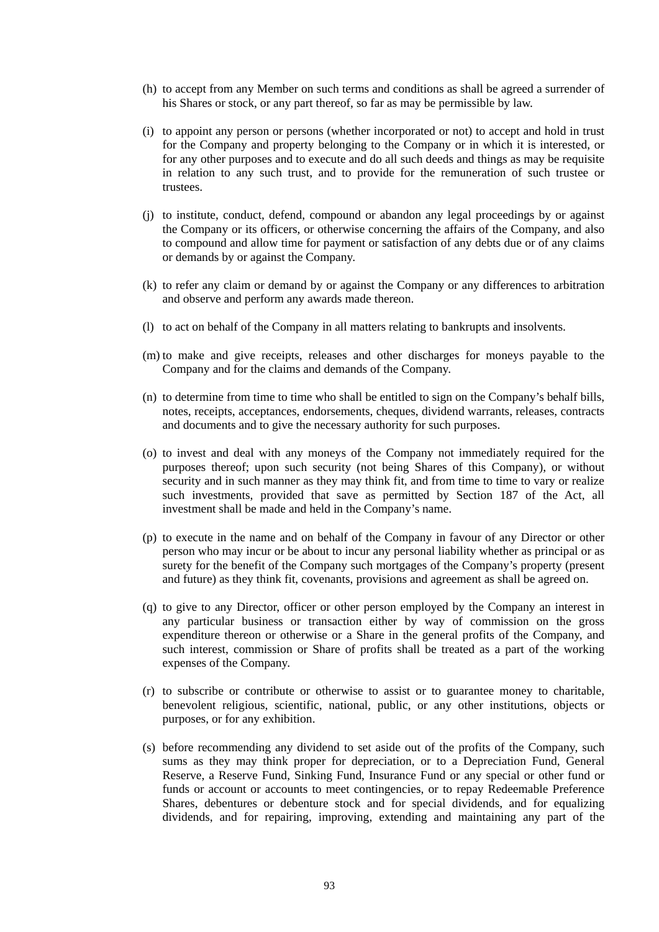- (h) to accept from any Member on such terms and conditions as shall be agreed a surrender of his Shares or stock, or any part thereof, so far as may be permissible by law.
- (i) to appoint any person or persons (whether incorporated or not) to accept and hold in trust for the Company and property belonging to the Company or in which it is interested, or for any other purposes and to execute and do all such deeds and things as may be requisite in relation to any such trust, and to provide for the remuneration of such trustee or trustees.
- (j) to institute, conduct, defend, compound or abandon any legal proceedings by or against the Company or its officers, or otherwise concerning the affairs of the Company, and also to compound and allow time for payment or satisfaction of any debts due or of any claims or demands by or against the Company.
- (k) to refer any claim or demand by or against the Company or any differences to arbitration and observe and perform any awards made thereon.
- (l) to act on behalf of the Company in all matters relating to bankrupts and insolvents.
- (m) to make and give receipts, releases and other discharges for moneys payable to the Company and for the claims and demands of the Company.
- (n) to determine from time to time who shall be entitled to sign on the Company's behalf bills, notes, receipts, acceptances, endorsements, cheques, dividend warrants, releases, contracts and documents and to give the necessary authority for such purposes.
- (o) to invest and deal with any moneys of the Company not immediately required for the purposes thereof; upon such security (not being Shares of this Company), or without security and in such manner as they may think fit, and from time to time to vary or realize such investments, provided that save as permitted by Section 187 of the Act, all investment shall be made and held in the Company's name.
- (p) to execute in the name and on behalf of the Company in favour of any Director or other person who may incur or be about to incur any personal liability whether as principal or as surety for the benefit of the Company such mortgages of the Company's property (present and future) as they think fit, covenants, provisions and agreement as shall be agreed on.
- (q) to give to any Director, officer or other person employed by the Company an interest in any particular business or transaction either by way of commission on the gross expenditure thereon or otherwise or a Share in the general profits of the Company, and such interest, commission or Share of profits shall be treated as a part of the working expenses of the Company.
- (r) to subscribe or contribute or otherwise to assist or to guarantee money to charitable, benevolent religious, scientific, national, public, or any other institutions, objects or purposes, or for any exhibition.
- (s) before recommending any dividend to set aside out of the profits of the Company, such sums as they may think proper for depreciation, or to a Depreciation Fund, General Reserve, a Reserve Fund, Sinking Fund, Insurance Fund or any special or other fund or funds or account or accounts to meet contingencies, or to repay Redeemable Preference Shares, debentures or debenture stock and for special dividends, and for equalizing dividends, and for repairing, improving, extending and maintaining any part of the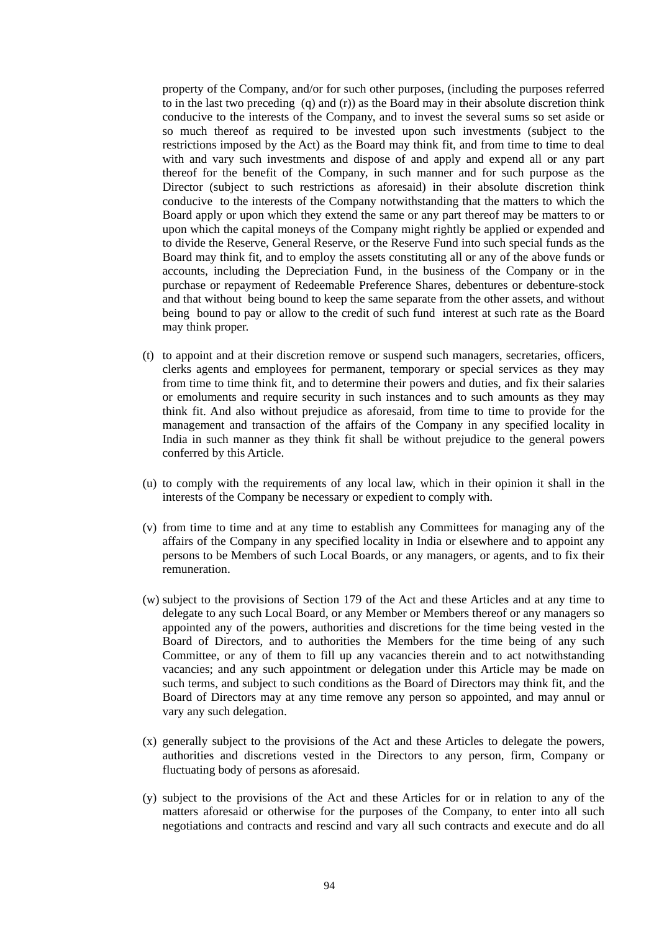property of the Company, and/or for such other purposes, (including the purposes referred to in the last two preceding (q) and (r)) as the Board may in their absolute discretion think conducive to the interests of the Company, and to invest the several sums so set aside or so much thereof as required to be invested upon such investments (subject to the restrictions imposed by the Act) as the Board may think fit, and from time to time to deal with and vary such investments and dispose of and apply and expend all or any part thereof for the benefit of the Company, in such manner and for such purpose as the Director (subject to such restrictions as aforesaid) in their absolute discretion think conducive to the interests of the Company notwithstanding that the matters to which the Board apply or upon which they extend the same or any part thereof may be matters to or upon which the capital moneys of the Company might rightly be applied or expended and to divide the Reserve, General Reserve, or the Reserve Fund into such special funds as the Board may think fit, and to employ the assets constituting all or any of the above funds or accounts, including the Depreciation Fund, in the business of the Company or in the purchase or repayment of Redeemable Preference Shares, debentures or debenture-stock and that without being bound to keep the same separate from the other assets, and without being bound to pay or allow to the credit of such fund interest at such rate as the Board may think proper.

- (t) to appoint and at their discretion remove or suspend such managers, secretaries, officers, clerks agents and employees for permanent, temporary or special services as they may from time to time think fit, and to determine their powers and duties, and fix their salaries or emoluments and require security in such instances and to such amounts as they may think fit. And also without prejudice as aforesaid, from time to time to provide for the management and transaction of the affairs of the Company in any specified locality in India in such manner as they think fit shall be without prejudice to the general powers conferred by this Article.
- (u) to comply with the requirements of any local law, which in their opinion it shall in the interests of the Company be necessary or expedient to comply with.
- (v) from time to time and at any time to establish any Committees for managing any of the affairs of the Company in any specified locality in India or elsewhere and to appoint any persons to be Members of such Local Boards, or any managers, or agents, and to fix their remuneration.
- (w) subject to the provisions of Section 179 of the Act and these Articles and at any time to delegate to any such Local Board, or any Member or Members thereof or any managers so appointed any of the powers, authorities and discretions for the time being vested in the Board of Directors, and to authorities the Members for the time being of any such Committee, or any of them to fill up any vacancies therein and to act notwithstanding vacancies; and any such appointment or delegation under this Article may be made on such terms, and subject to such conditions as the Board of Directors may think fit, and the Board of Directors may at any time remove any person so appointed, and may annul or vary any such delegation.
- (x) generally subject to the provisions of the Act and these Articles to delegate the powers, authorities and discretions vested in the Directors to any person, firm, Company or fluctuating body of persons as aforesaid.
- (y) subject to the provisions of the Act and these Articles for or in relation to any of the matters aforesaid or otherwise for the purposes of the Company, to enter into all such negotiations and contracts and rescind and vary all such contracts and execute and do all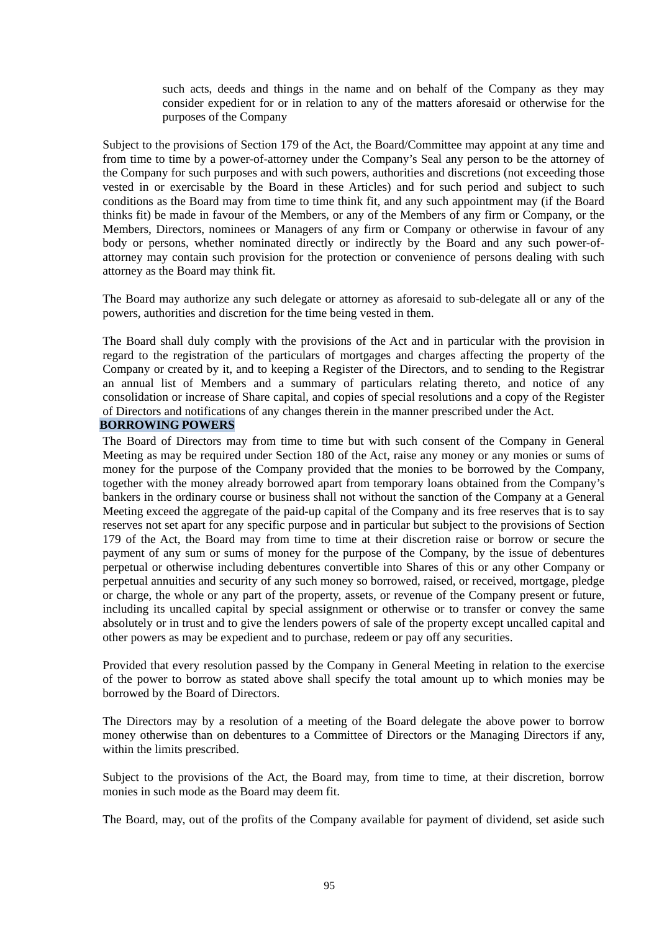such acts, deeds and things in the name and on behalf of the Company as they may consider expedient for or in relation to any of the matters aforesaid or otherwise for the purposes of the Company

Subject to the provisions of Section 179 of the Act, the Board/Committee may appoint at any time and from time to time by a power-of-attorney under the Company's Seal any person to be the attorney of the Company for such purposes and with such powers, authorities and discretions (not exceeding those vested in or exercisable by the Board in these Articles) and for such period and subject to such conditions as the Board may from time to time think fit, and any such appointment may (if the Board thinks fit) be made in favour of the Members, or any of the Members of any firm or Company, or the Members, Directors, nominees or Managers of any firm or Company or otherwise in favour of any body or persons, whether nominated directly or indirectly by the Board and any such power-ofattorney may contain such provision for the protection or convenience of persons dealing with such attorney as the Board may think fit.

The Board may authorize any such delegate or attorney as aforesaid to sub-delegate all or any of the powers, authorities and discretion for the time being vested in them.

The Board shall duly comply with the provisions of the Act and in particular with the provision in regard to the registration of the particulars of mortgages and charges affecting the property of the Company or created by it, and to keeping a Register of the Directors, and to sending to the Registrar an annual list of Members and a summary of particulars relating thereto, and notice of any consolidation or increase of Share capital, and copies of special resolutions and a copy of the Register of Directors and notifications of any changes therein in the manner prescribed under the Act.

#### **BORROWING POWERS**

The Board of Directors may from time to time but with such consent of the Company in General Meeting as may be required under Section 180 of the Act, raise any money or any monies or sums of money for the purpose of the Company provided that the monies to be borrowed by the Company, together with the money already borrowed apart from temporary loans obtained from the Company's bankers in the ordinary course or business shall not without the sanction of the Company at a General Meeting exceed the aggregate of the paid-up capital of the Company and its free reserves that is to say reserves not set apart for any specific purpose and in particular but subject to the provisions of Section 179 of the Act, the Board may from time to time at their discretion raise or borrow or secure the payment of any sum or sums of money for the purpose of the Company, by the issue of debentures perpetual or otherwise including debentures convertible into Shares of this or any other Company or perpetual annuities and security of any such money so borrowed, raised, or received, mortgage, pledge or charge, the whole or any part of the property, assets, or revenue of the Company present or future, including its uncalled capital by special assignment or otherwise or to transfer or convey the same absolutely or in trust and to give the lenders powers of sale of the property except uncalled capital and other powers as may be expedient and to purchase, redeem or pay off any securities.

Provided that every resolution passed by the Company in General Meeting in relation to the exercise of the power to borrow as stated above shall specify the total amount up to which monies may be borrowed by the Board of Directors.

The Directors may by a resolution of a meeting of the Board delegate the above power to borrow money otherwise than on debentures to a Committee of Directors or the Managing Directors if any, within the limits prescribed.

Subject to the provisions of the Act, the Board may, from time to time, at their discretion, borrow monies in such mode as the Board may deem fit.

The Board, may, out of the profits of the Company available for payment of dividend, set aside such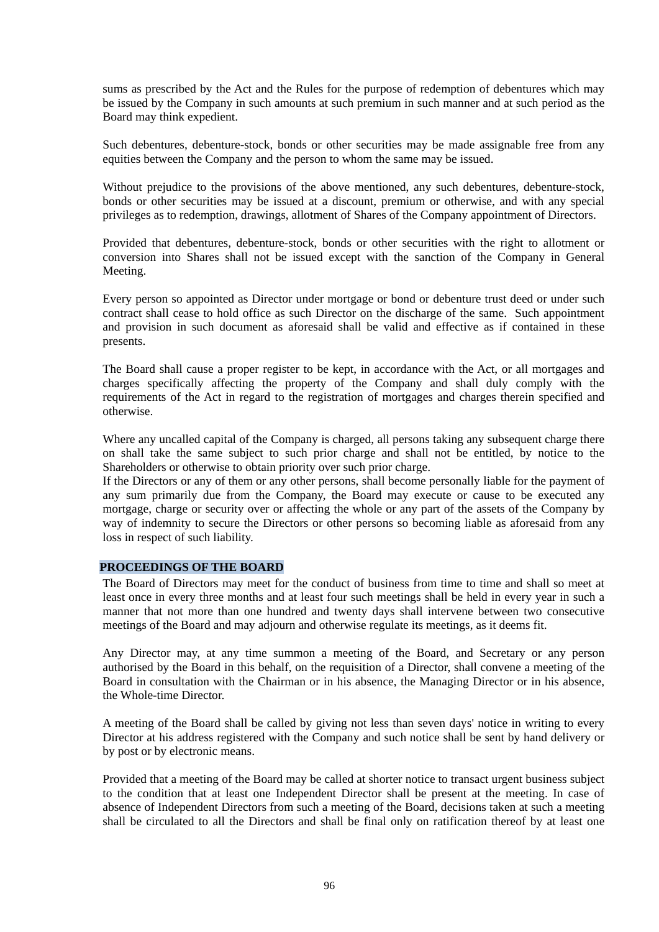sums as prescribed by the Act and the Rules for the purpose of redemption of debentures which may be issued by the Company in such amounts at such premium in such manner and at such period as the Board may think expedient.

Such debentures, debenture-stock, bonds or other securities may be made assignable free from any equities between the Company and the person to whom the same may be issued.

Without prejudice to the provisions of the above mentioned, any such debentures, debenture-stock, bonds or other securities may be issued at a discount, premium or otherwise, and with any special privileges as to redemption, drawings, allotment of Shares of the Company appointment of Directors.

Provided that debentures, debenture-stock, bonds or other securities with the right to allotment or conversion into Shares shall not be issued except with the sanction of the Company in General Meeting.

Every person so appointed as Director under mortgage or bond or debenture trust deed or under such contract shall cease to hold office as such Director on the discharge of the same. Such appointment and provision in such document as aforesaid shall be valid and effective as if contained in these presents.

The Board shall cause a proper register to be kept, in accordance with the Act, or all mortgages and charges specifically affecting the property of the Company and shall duly comply with the requirements of the Act in regard to the registration of mortgages and charges therein specified and otherwise.

Where any uncalled capital of the Company is charged, all persons taking any subsequent charge there on shall take the same subject to such prior charge and shall not be entitled, by notice to the Shareholders or otherwise to obtain priority over such prior charge.

If the Directors or any of them or any other persons, shall become personally liable for the payment of any sum primarily due from the Company, the Board may execute or cause to be executed any mortgage, charge or security over or affecting the whole or any part of the assets of the Company by way of indemnity to secure the Directors or other persons so becoming liable as aforesaid from any loss in respect of such liability.

## **PROCEEDINGS OF THE BOARD**

The Board of Directors may meet for the conduct of business from time to time and shall so meet at least once in every three months and at least four such meetings shall be held in every year in such a manner that not more than one hundred and twenty days shall intervene between two consecutive meetings of the Board and may adjourn and otherwise regulate its meetings, as it deems fit.

Any Director may, at any time summon a meeting of the Board, and Secretary or any person authorised by the Board in this behalf, on the requisition of a Director, shall convene a meeting of the Board in consultation with the Chairman or in his absence, the Managing Director or in his absence, the Whole-time Director.

A meeting of the Board shall be called by giving not less than seven days' notice in writing to every Director at his address registered with the Company and such notice shall be sent by hand delivery or by post or by electronic means.

Provided that a meeting of the Board may be called at shorter notice to transact urgent business subject to the condition that at least one Independent Director shall be present at the meeting. In case of absence of Independent Directors from such a meeting of the Board, decisions taken at such a meeting shall be circulated to all the Directors and shall be final only on ratification thereof by at least one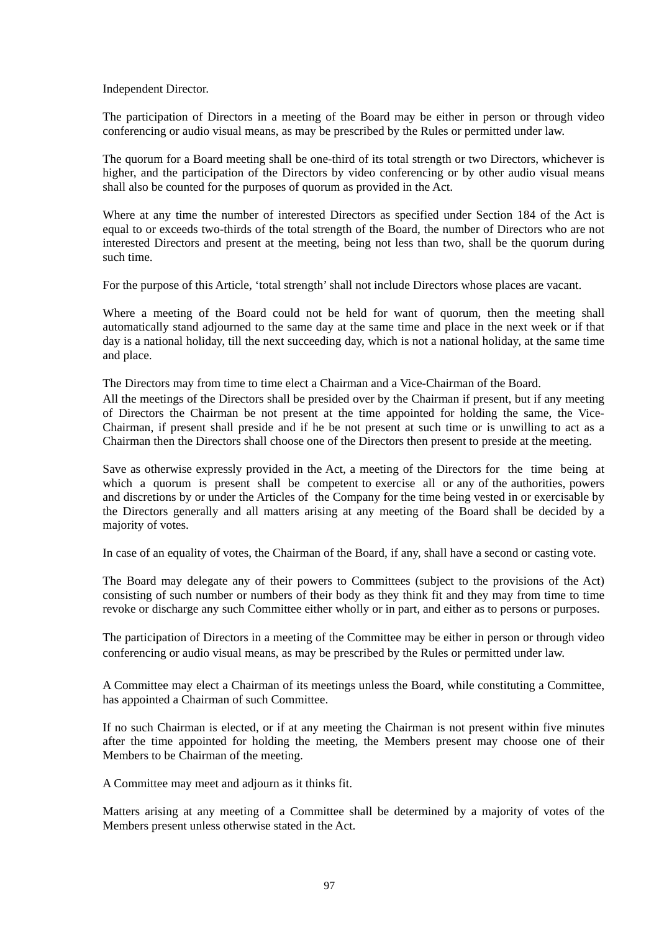Independent Director.

The participation of Directors in a meeting of the Board may be either in person or through video conferencing or audio visual means, as may be prescribed by the Rules or permitted under law.

The quorum for a Board meeting shall be one-third of its total strength or two Directors, whichever is higher, and the participation of the Directors by video conferencing or by other audio visual means shall also be counted for the purposes of quorum as provided in the Act.

Where at any time the number of interested Directors as specified under Section 184 of the Act is equal to or exceeds two-thirds of the total strength of the Board, the number of Directors who are not interested Directors and present at the meeting, being not less than two, shall be the quorum during such time.

For the purpose of this Article, 'total strength' shall not include Directors whose places are vacant.

Where a meeting of the Board could not be held for want of quorum, then the meeting shall automatically stand adjourned to the same day at the same time and place in the next week or if that day is a national holiday, till the next succeeding day, which is not a national holiday, at the same time and place.

The Directors may from time to time elect a Chairman and a Vice-Chairman of the Board.

All the meetings of the Directors shall be presided over by the Chairman if present, but if any meeting of Directors the Chairman be not present at the time appointed for holding the same, the Vice-Chairman, if present shall preside and if he be not present at such time or is unwilling to act as a Chairman then the Directors shall choose one of the Directors then present to preside at the meeting.

Save as otherwise expressly provided in the Act, a meeting of the Directors for the time being at which a quorum is present shall be competent to exercise all or any of the authorities, powers and discretions by or under the Articles of the Company for the time being vested in or exercisable by the Directors generally and all matters arising at any meeting of the Board shall be decided by a majority of votes.

In case of an equality of votes, the Chairman of the Board, if any, shall have a second or casting vote.

The Board may delegate any of their powers to Committees (subject to the provisions of the Act) consisting of such number or numbers of their body as they think fit and they may from time to time revoke or discharge any such Committee either wholly or in part, and either as to persons or purposes.

The participation of Directors in a meeting of the Committee may be either in person or through video conferencing or audio visual means, as may be prescribed by the Rules or permitted under law.

A Committee may elect a Chairman of its meetings unless the Board, while constituting a Committee, has appointed a Chairman of such Committee.

If no such Chairman is elected, or if at any meeting the Chairman is not present within five minutes after the time appointed for holding the meeting, the Members present may choose one of their Members to be Chairman of the meeting.

A Committee may meet and adjourn as it thinks fit.

Matters arising at any meeting of a Committee shall be determined by a majority of votes of the Members present unless otherwise stated in the Act.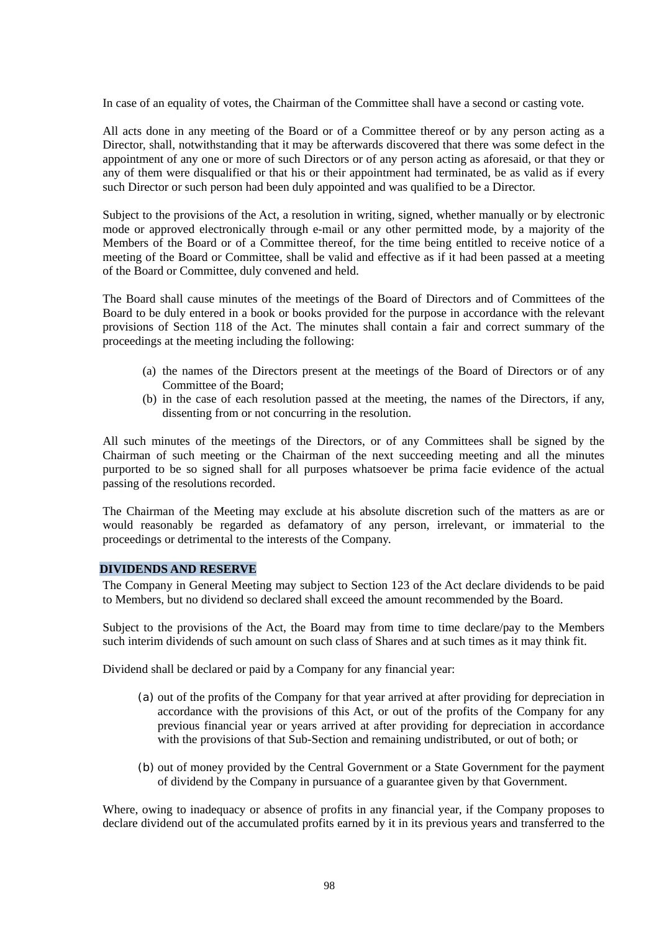In case of an equality of votes, the Chairman of the Committee shall have a second or casting vote.

All acts done in any meeting of the Board or of a Committee thereof or by any person acting as a Director, shall, notwithstanding that it may be afterwards discovered that there was some defect in the appointment of any one or more of such Directors or of any person acting as aforesaid, or that they or any of them were disqualified or that his or their appointment had terminated, be as valid as if every such Director or such person had been duly appointed and was qualified to be a Director.

Subject to the provisions of the Act, a resolution in writing, signed, whether manually or by electronic mode or approved electronically through e-mail or any other permitted mode, by a majority of the Members of the Board or of a Committee thereof, for the time being entitled to receive notice of a meeting of the Board or Committee, shall be valid and effective as if it had been passed at a meeting of the Board or Committee, duly convened and held.

The Board shall cause minutes of the meetings of the Board of Directors and of Committees of the Board to be duly entered in a book or books provided for the purpose in accordance with the relevant provisions of Section 118 of the Act. The minutes shall contain a fair and correct summary of the proceedings at the meeting including the following:

- (a) the names of the Directors present at the meetings of the Board of Directors or of any Committee of the Board;
- (b) in the case of each resolution passed at the meeting, the names of the Directors, if any, dissenting from or not concurring in the resolution.

All such minutes of the meetings of the Directors, or of any Committees shall be signed by the Chairman of such meeting or the Chairman of the next succeeding meeting and all the minutes purported to be so signed shall for all purposes whatsoever be prima facie evidence of the actual passing of the resolutions recorded.

The Chairman of the Meeting may exclude at his absolute discretion such of the matters as are or would reasonably be regarded as defamatory of any person, irrelevant, or immaterial to the proceedings or detrimental to the interests of the Company.

#### **DIVIDENDS AND RESERVE**

The Company in General Meeting may subject to Section 123 of the Act declare dividends to be paid to Members, but no dividend so declared shall exceed the amount recommended by the Board.

Subject to the provisions of the Act, the Board may from time to time declare/pay to the Members such interim dividends of such amount on such class of Shares and at such times as it may think fit.

Dividend shall be declared or paid by a Company for any financial year:

- (a) out of the profits of the Company for that year arrived at after providing for depreciation in accordance with the provisions of this Act, or out of the profits of the Company for any previous financial year or years arrived at after providing for depreciation in accordance with the provisions of that Sub-Section and remaining undistributed, or out of both; or
- (b) out of money provided by the Central Government or a State Government for the payment of dividend by the Company in pursuance of a guarantee given by that Government.

Where, owing to inadequacy or absence of profits in any financial year, if the Company proposes to declare dividend out of the accumulated profits earned by it in its previous years and transferred to the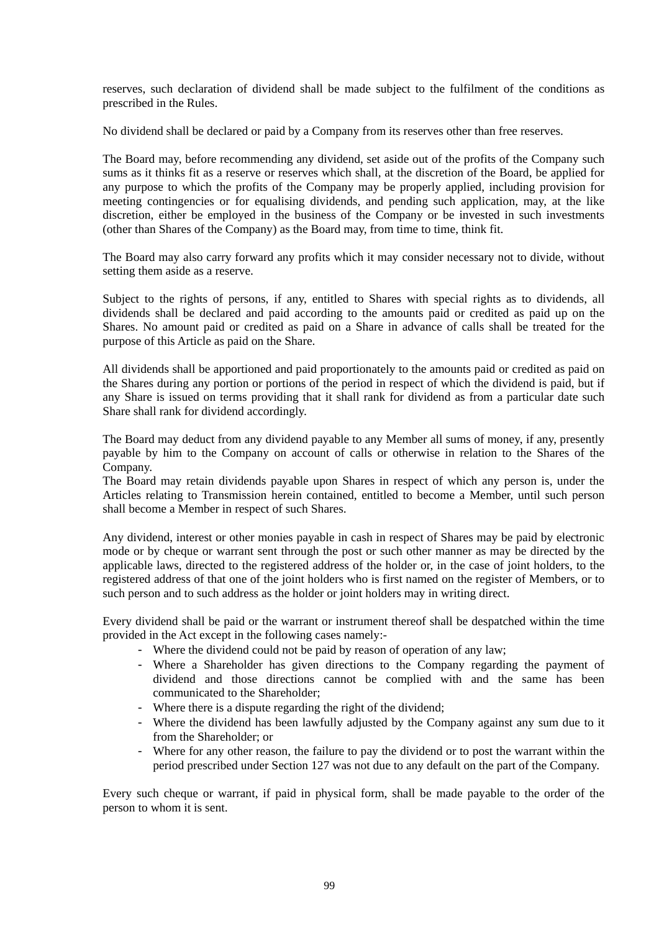reserves, such declaration of dividend shall be made subject to the fulfilment of the conditions as prescribed in the Rules.

No dividend shall be declared or paid by a Company from its reserves other than free reserves.

The Board may, before recommending any dividend, set aside out of the profits of the Company such sums as it thinks fit as a reserve or reserves which shall, at the discretion of the Board, be applied for any purpose to which the profits of the Company may be properly applied, including provision for meeting contingencies or for equalising dividends, and pending such application, may, at the like discretion, either be employed in the business of the Company or be invested in such investments (other than Shares of the Company) as the Board may, from time to time, think fit.

The Board may also carry forward any profits which it may consider necessary not to divide, without setting them aside as a reserve.

Subject to the rights of persons, if any, entitled to Shares with special rights as to dividends, all dividends shall be declared and paid according to the amounts paid or credited as paid up on the Shares. No amount paid or credited as paid on a Share in advance of calls shall be treated for the purpose of this Article as paid on the Share.

All dividends shall be apportioned and paid proportionately to the amounts paid or credited as paid on the Shares during any portion or portions of the period in respect of which the dividend is paid, but if any Share is issued on terms providing that it shall rank for dividend as from a particular date such Share shall rank for dividend accordingly.

The Board may deduct from any dividend payable to any Member all sums of money, if any, presently payable by him to the Company on account of calls or otherwise in relation to the Shares of the Company.

The Board may retain dividends payable upon Shares in respect of which any person is, under the Articles relating to Transmission herein contained, entitled to become a Member, until such person shall become a Member in respect of such Shares.

Any dividend, interest or other monies payable in cash in respect of Shares may be paid by electronic mode or by cheque or warrant sent through the post or such other manner as may be directed by the applicable laws, directed to the registered address of the holder or, in the case of joint holders, to the registered address of that one of the joint holders who is first named on the register of Members, or to such person and to such address as the holder or joint holders may in writing direct.

Every dividend shall be paid or the warrant or instrument thereof shall be despatched within the time provided in the Act except in the following cases namely:-

- Where the dividend could not be paid by reason of operation of any law;
- Where a Shareholder has given directions to the Company regarding the payment of dividend and those directions cannot be complied with and the same has been communicated to the Shareholder;
- Where there is a dispute regarding the right of the dividend;
- Where the dividend has been lawfully adjusted by the Company against any sum due to it from the Shareholder; or
- Where for any other reason, the failure to pay the dividend or to post the warrant within the period prescribed under Section 127 was not due to any default on the part of the Company.

Every such cheque or warrant, if paid in physical form, shall be made payable to the order of the person to whom it is sent.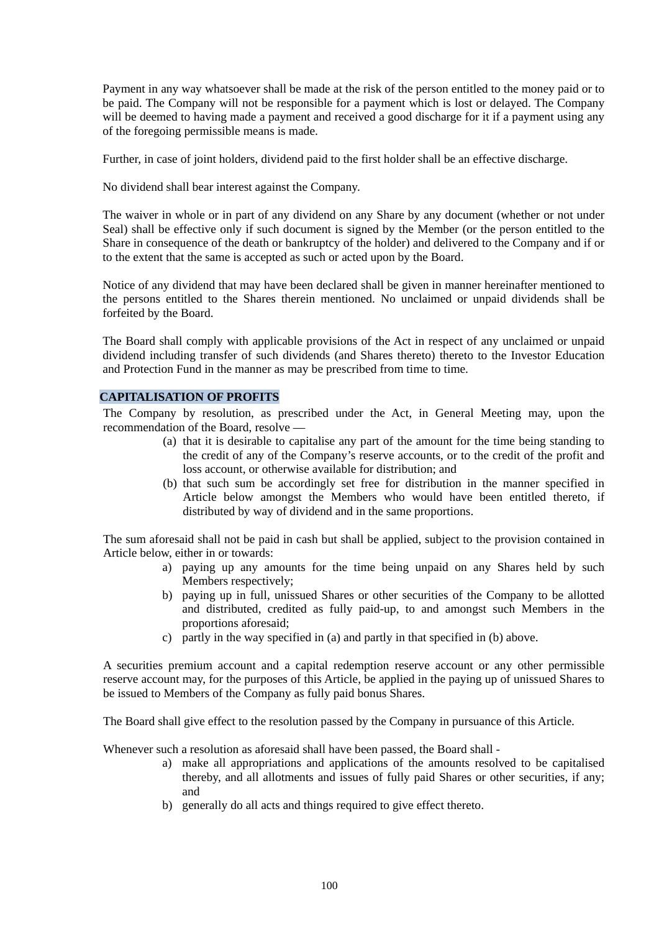Payment in any way whatsoever shall be made at the risk of the person entitled to the money paid or to be paid. The Company will not be responsible for a payment which is lost or delayed. The Company will be deemed to having made a payment and received a good discharge for it if a payment using any of the foregoing permissible means is made.

Further, in case of joint holders, dividend paid to the first holder shall be an effective discharge.

No dividend shall bear interest against the Company.

The waiver in whole or in part of any dividend on any Share by any document (whether or not under Seal) shall be effective only if such document is signed by the Member (or the person entitled to the Share in consequence of the death or bankruptcy of the holder) and delivered to the Company and if or to the extent that the same is accepted as such or acted upon by the Board.

Notice of any dividend that may have been declared shall be given in manner hereinafter mentioned to the persons entitled to the Shares therein mentioned. No unclaimed or unpaid dividends shall be forfeited by the Board.

The Board shall comply with applicable provisions of the Act in respect of any unclaimed or unpaid dividend including transfer of such dividends (and Shares thereto) thereto to the Investor Education and Protection Fund in the manner as may be prescribed from time to time.

## **CAPITALISATION OF PROFITS**

The Company by resolution, as prescribed under the Act, in General Meeting may, upon the recommendation of the Board, resolve —

- (a) that it is desirable to capitalise any part of the amount for the time being standing to the credit of any of the Company's reserve accounts, or to the credit of the profit and loss account, or otherwise available for distribution; and
- (b) that such sum be accordingly set free for distribution in the manner specified in Article below amongst the Members who would have been entitled thereto, if distributed by way of dividend and in the same proportions.

The sum aforesaid shall not be paid in cash but shall be applied, subject to the provision contained in Article below, either in or towards:

- a) paying up any amounts for the time being unpaid on any Shares held by such Members respectively;
- b) paying up in full, unissued Shares or other securities of the Company to be allotted and distributed, credited as fully paid-up, to and amongst such Members in the proportions aforesaid;
- c) partly in the way specified in (a) and partly in that specified in (b) above.

A securities premium account and a capital redemption reserve account or any other permissible reserve account may, for the purposes of this Article, be applied in the paying up of unissued Shares to be issued to Members of the Company as fully paid bonus Shares.

The Board shall give effect to the resolution passed by the Company in pursuance of this Article.

Whenever such a resolution as aforesaid shall have been passed, the Board shall -

- a) make all appropriations and applications of the amounts resolved to be capitalised thereby, and all allotments and issues of fully paid Shares or other securities, if any; and
- b) generally do all acts and things required to give effect thereto.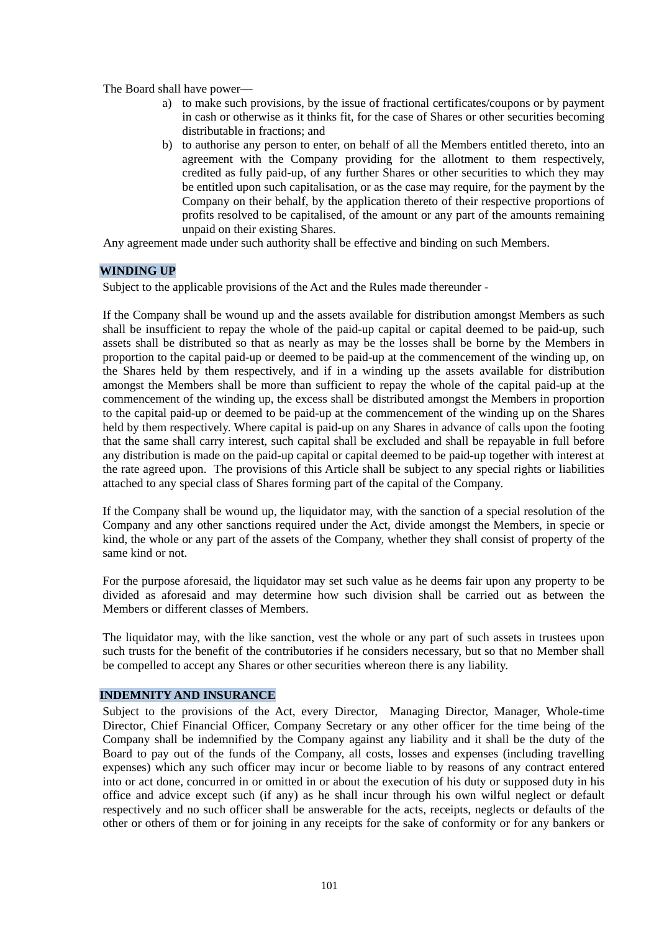The Board shall have power—

- a) to make such provisions, by the issue of fractional certificates/coupons or by payment in cash or otherwise as it thinks fit, for the case of Shares or other securities becoming distributable in fractions; and
- b) to authorise any person to enter, on behalf of all the Members entitled thereto, into an agreement with the Company providing for the allotment to them respectively, credited as fully paid-up, of any further Shares or other securities to which they may be entitled upon such capitalisation, or as the case may require, for the payment by the Company on their behalf, by the application thereto of their respective proportions of profits resolved to be capitalised, of the amount or any part of the amounts remaining unpaid on their existing Shares.

Any agreement made under such authority shall be effective and binding on such Members.

## **WINDING UP**

Subject to the applicable provisions of the Act and the Rules made thereunder -

If the Company shall be wound up and the assets available for distribution amongst Members as such shall be insufficient to repay the whole of the paid-up capital or capital deemed to be paid-up, such assets shall be distributed so that as nearly as may be the losses shall be borne by the Members in proportion to the capital paid-up or deemed to be paid-up at the commencement of the winding up, on the Shares held by them respectively, and if in a winding up the assets available for distribution amongst the Members shall be more than sufficient to repay the whole of the capital paid-up at the commencement of the winding up, the excess shall be distributed amongst the Members in proportion to the capital paid-up or deemed to be paid-up at the commencement of the winding up on the Shares held by them respectively. Where capital is paid-up on any Shares in advance of calls upon the footing that the same shall carry interest, such capital shall be excluded and shall be repayable in full before any distribution is made on the paid-up capital or capital deemed to be paid-up together with interest at the rate agreed upon. The provisions of this Article shall be subject to any special rights or liabilities attached to any special class of Shares forming part of the capital of the Company.

If the Company shall be wound up, the liquidator may, with the sanction of a special resolution of the Company and any other sanctions required under the Act, divide amongst the Members, in specie or kind, the whole or any part of the assets of the Company, whether they shall consist of property of the same kind or not.

For the purpose aforesaid, the liquidator may set such value as he deems fair upon any property to be divided as aforesaid and may determine how such division shall be carried out as between the Members or different classes of Members.

The liquidator may, with the like sanction, vest the whole or any part of such assets in trustees upon such trusts for the benefit of the contributories if he considers necessary, but so that no Member shall be compelled to accept any Shares or other securities whereon there is any liability.

#### **INDEMNITY AND INSURANCE**

Subject to the provisions of the Act, every Director, Managing Director, Manager, Whole-time Director, Chief Financial Officer, Company Secretary or any other officer for the time being of the Company shall be indemnified by the Company against any liability and it shall be the duty of the Board to pay out of the funds of the Company, all costs, losses and expenses (including travelling expenses) which any such officer may incur or become liable to by reasons of any contract entered into or act done, concurred in or omitted in or about the execution of his duty or supposed duty in his office and advice except such (if any) as he shall incur through his own wilful neglect or default respectively and no such officer shall be answerable for the acts, receipts, neglects or defaults of the other or others of them or for joining in any receipts for the sake of conformity or for any bankers or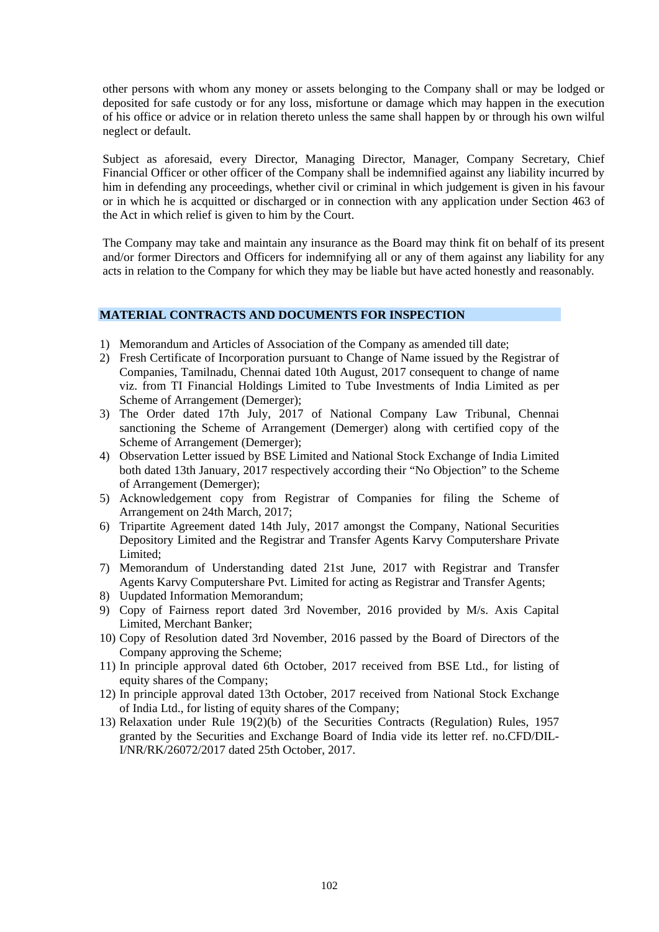other persons with whom any money or assets belonging to the Company shall or may be lodged or deposited for safe custody or for any loss, misfortune or damage which may happen in the execution of his office or advice or in relation thereto unless the same shall happen by or through his own wilful neglect or default.

Subject as aforesaid, every Director, Managing Director, Manager, Company Secretary, Chief Financial Officer or other officer of the Company shall be indemnified against any liability incurred by him in defending any proceedings, whether civil or criminal in which judgement is given in his favour or in which he is acquitted or discharged or in connection with any application under Section 463 of the Act in which relief is given to him by the Court.

The Company may take and maintain any insurance as the Board may think fit on behalf of its present and/or former Directors and Officers for indemnifying all or any of them against any liability for any acts in relation to the Company for which they may be liable but have acted honestly and reasonably.

### **MATERIAL CONTRACTS AND DOCUMENTS FOR INSPECTION**

- 1) Memorandum and Articles of Association of the Company as amended till date;
- 2) Fresh Certificate of Incorporation pursuant to Change of Name issued by the Registrar of Companies, Tamilnadu, Chennai dated 10th August, 2017 consequent to change of name viz. from TI Financial Holdings Limited to Tube Investments of India Limited as per Scheme of Arrangement (Demerger);
- 3) The Order dated 17th July, 2017 of National Company Law Tribunal, Chennai sanctioning the Scheme of Arrangement (Demerger) along with certified copy of the Scheme of Arrangement (Demerger);
- 4) Observation Letter issued by BSE Limited and National Stock Exchange of India Limited both dated 13th January, 2017 respectively according their "No Objection" to the Scheme of Arrangement (Demerger);
- 5) Acknowledgement copy from Registrar of Companies for filing the Scheme of Arrangement on 24th March, 2017;
- 6) Tripartite Agreement dated 14th July, 2017 amongst the Company, National Securities Depository Limited and the Registrar and Transfer Agents Karvy Computershare Private Limited;
- 7) Memorandum of Understanding dated 21st June, 2017 with Registrar and Transfer Agents Karvy Computershare Pvt. Limited for acting as Registrar and Transfer Agents;
- 8) Uupdated Information Memorandum;
- 9) Copy of Fairness report dated 3rd November, 2016 provided by M/s. Axis Capital Limited, Merchant Banker;
- 10) Copy of Resolution dated 3rd November, 2016 passed by the Board of Directors of the Company approving the Scheme;
- 11) In principle approval dated 6th October, 2017 received from BSE Ltd., for listing of equity shares of the Company;
- 12) In principle approval dated 13th October, 2017 received from National Stock Exchange of India Ltd., for listing of equity shares of the Company;
- 13) Relaxation under Rule 19(2)(b) of the Securities Contracts (Regulation) Rules, 1957 granted by the Securities and Exchange Board of India vide its letter ref. no.CFD/DIL-I/NR/RK/26072/2017 dated 25th October, 2017.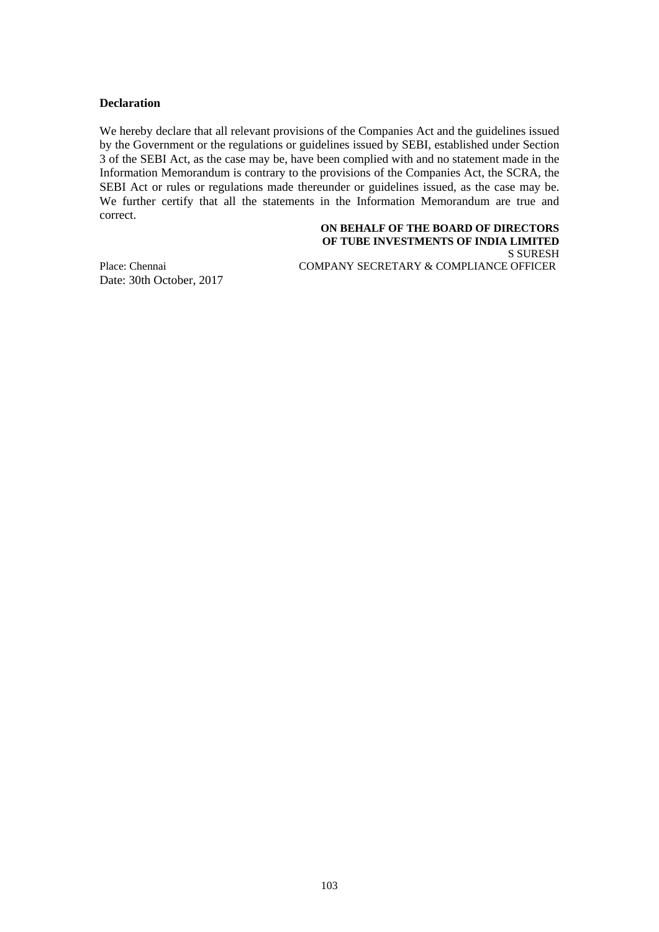#### **Declaration**

We hereby declare that all relevant provisions of the Companies Act and the guidelines issued by the Government or the regulations or guidelines issued by SEBI, established under Section 3 of the SEBI Act, as the case may be, have been complied with and no statement made in the Information Memorandum is contrary to the provisions of the Companies Act, the SCRA, the SEBI Act or rules or regulations made thereunder or guidelines issued, as the case may be. We further certify that all the statements in the Information Memorandum are true and correct.

#### **ON BEHALF OF THE BOARD OF DIRECTORS OF TUBE INVESTMENTS OF INDIA LIMITED** S SURESH

Date: 30th October, 2017

Place: Chennai COMPANY SECRETARY & COMPLIANCE OFFICER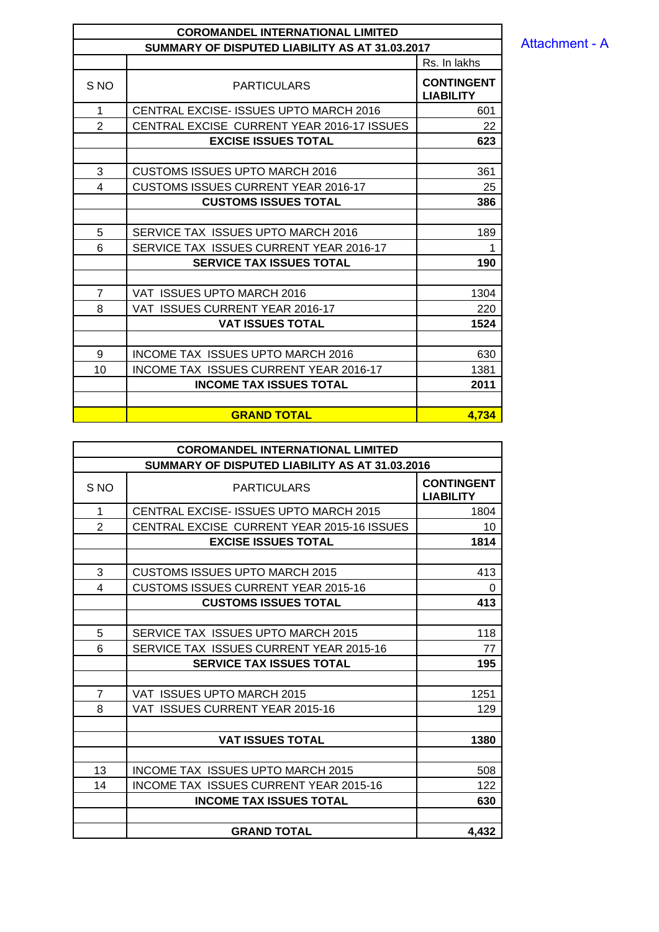Attachment - A

| <b>COROMANDEL INTERNATIONAL LIMITED</b>        |                                               |                                       |  |  |  |
|------------------------------------------------|-----------------------------------------------|---------------------------------------|--|--|--|
| SUMMARY OF DISPUTED LIABILITY AS AT 31.03.2017 |                                               |                                       |  |  |  |
|                                                | Rs. In lakhs                                  |                                       |  |  |  |
| S <sub>NO</sub>                                | <b>PARTICULARS</b>                            | <b>CONTINGENT</b><br><b>LIABILITY</b> |  |  |  |
| 1                                              | <b>CENTRAL EXCISE- ISSUES UPTO MARCH 2016</b> | 601                                   |  |  |  |
| $\mathfrak{p}$                                 | CENTRAL EXCISE CURRENT YEAR 2016-17 ISSUES    | 22                                    |  |  |  |
|                                                | <b>EXCISE ISSUES TOTAL</b>                    | 623                                   |  |  |  |
|                                                |                                               |                                       |  |  |  |
| 3                                              | CUSTOMS ISSUES UPTO MARCH 2016                | 361                                   |  |  |  |
| 4                                              | <b>CUSTOMS ISSUES CURRENT YEAR 2016-17</b>    | 25                                    |  |  |  |
|                                                | <b>CUSTOMS ISSUES TOTAL</b>                   | 386                                   |  |  |  |
|                                                |                                               |                                       |  |  |  |
| 5                                              | SERVICE TAX ISSUES UPTO MARCH 2016            | 189                                   |  |  |  |
| 6                                              | SERVICE TAX ISSUES CURRENT YEAR 2016-17       |                                       |  |  |  |
|                                                | <b>SERVICE TAX ISSUES TOTAL</b>               | 190                                   |  |  |  |
|                                                |                                               |                                       |  |  |  |
| $\overline{7}$                                 | VAT ISSUES UPTO MARCH 2016                    | 1304                                  |  |  |  |
| 8                                              | VAT ISSUES CURRENT YEAR 2016-17               | 220                                   |  |  |  |
|                                                | <b>VAT ISSUES TOTAL</b>                       | 1524                                  |  |  |  |
|                                                |                                               |                                       |  |  |  |
| 9                                              | INCOME TAX ISSUES UPTO MARCH 2016             | 630                                   |  |  |  |
| 10                                             | <b>INCOME TAX ISSUES CURRENT YEAR 2016-17</b> | 1381                                  |  |  |  |
|                                                | <b>INCOME TAX ISSUES TOTAL</b>                | 2011                                  |  |  |  |
|                                                |                                               |                                       |  |  |  |
|                                                | <b>GRAND TOTAL</b>                            | 4,734                                 |  |  |  |

| <b>COROMANDEL INTERNATIONAL LIMITED</b>        |                                               |                                       |  |  |  |
|------------------------------------------------|-----------------------------------------------|---------------------------------------|--|--|--|
| SUMMARY OF DISPUTED LIABILITY AS AT 31.03.2016 |                                               |                                       |  |  |  |
| S <sub>NO</sub>                                | <b>PARTICULARS</b>                            | <b>CONTINGENT</b><br><b>LIABILITY</b> |  |  |  |
| 1                                              | <b>CENTRAL EXCISE- ISSUES UPTO MARCH 2015</b> | 1804                                  |  |  |  |
| $\overline{2}$                                 | CENTRAL EXCISE CURRENT YEAR 2015-16 ISSUES    | 10                                    |  |  |  |
|                                                | <b>EXCISE ISSUES TOTAL</b>                    | 1814                                  |  |  |  |
|                                                |                                               |                                       |  |  |  |
| 3                                              | CUSTOMS ISSUES UPTO MARCH 2015                | 413                                   |  |  |  |
| 4                                              | <b>CUSTOMS ISSUES CURRENT YEAR 2015-16</b>    | $\Omega$                              |  |  |  |
|                                                | <b>CUSTOMS ISSUES TOTAL</b>                   | 413                                   |  |  |  |
|                                                |                                               |                                       |  |  |  |
| 5                                              | SERVICE TAX ISSUES UPTO MARCH 2015            | 118                                   |  |  |  |
| 6                                              | SERVICE TAX ISSUES CURRENT YEAR 2015-16       | 77                                    |  |  |  |
|                                                | <b>SERVICE TAX ISSUES TOTAL</b>               | 195                                   |  |  |  |
|                                                |                                               |                                       |  |  |  |
| $\overline{7}$                                 | VAT ISSUES UPTO MARCH 2015                    | 1251                                  |  |  |  |
| 8                                              | VAT ISSUES CURRENT YEAR 2015-16               | 129                                   |  |  |  |
|                                                |                                               |                                       |  |  |  |
|                                                | <b>VAT ISSUES TOTAL</b>                       | 1380                                  |  |  |  |
|                                                |                                               |                                       |  |  |  |
| 13                                             | INCOME TAX ISSUES UPTO MARCH 2015             | 508                                   |  |  |  |
| 14                                             | <b>INCOME TAX ISSUES CURRENT YEAR 2015-16</b> | 122                                   |  |  |  |
|                                                | <b>INCOME TAX ISSUES TOTAL</b>                | 630                                   |  |  |  |
|                                                |                                               |                                       |  |  |  |
|                                                | <b>GRAND TOTAL</b>                            | 4,432                                 |  |  |  |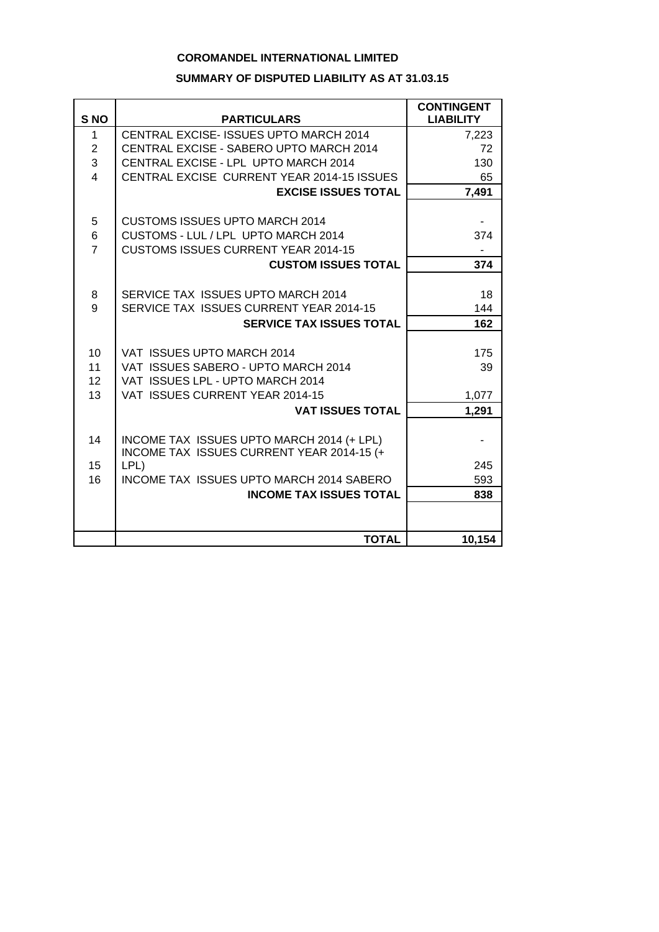## **COROMANDEL INTERNATIONAL LIMITED**

#### **SUMMARY OF DISPUTED LIABILITY AS AT 31.03.15**

| S <sub>NO</sub> | <b>PARTICULARS</b>                              | <b>CONTINGENT</b><br><b>LIABILITY</b> |
|-----------------|-------------------------------------------------|---------------------------------------|
| 1               | CENTRAL EXCISE- ISSUES UPTO MARCH 2014          | 7,223                                 |
| $\overline{2}$  | CENTRAL EXCISE - SABERO UPTO MARCH 2014         | 72                                    |
| 3               | CENTRAL EXCISE - LPL UPTO MARCH 2014            | 130                                   |
| 4               | CENTRAL EXCISE CURRENT YEAR 2014-15 ISSUES      | 65                                    |
|                 | <b>EXCISE ISSUES TOTAL</b>                      | 7,491                                 |
| 5               | <b>CUSTOMS ISSUES UPTO MARCH 2014</b>           |                                       |
| 6               | CUSTOMS - LUL / LPL UPTO MARCH 2014             | 374                                   |
| $\overline{7}$  | <b>CUSTOMS ISSUES CURRENT YEAR 2014-15</b>      |                                       |
|                 | <b>CUSTOM ISSUES TOTAL</b>                      | 374                                   |
|                 |                                                 |                                       |
| 8               | SERVICE TAX ISSUES UPTO MARCH 2014              | 18                                    |
| 9               | SERVICE TAX ISSUES CURRENT YEAR 2014-15         | 144                                   |
|                 | <b>SERVICE TAX ISSUES TOTAL</b>                 | 162                                   |
|                 |                                                 |                                       |
| 10              | VAT ISSUES UPTO MARCH 2014                      | 175                                   |
| 11              | VAT ISSUES SABERO - UPTO MARCH 2014             | 39                                    |
| 12              | VAT ISSUES LPL - UPTO MARCH 2014                |                                       |
| 13              | VAT ISSUES CURRENT YEAR 2014-15                 | 1,077                                 |
|                 | <b>VAT ISSUES TOTAL</b>                         | 1,291                                 |
| 14              | INCOME TAX ISSUES UPTO MARCH 2014 (+ LPL)       |                                       |
|                 | INCOME TAX ISSUES CURRENT YEAR 2014-15 (+       |                                       |
| 15              | LPL)                                            | 245                                   |
| 16              | <b>INCOME TAX ISSUES UPTO MARCH 2014 SABERO</b> | 593                                   |
|                 | <b>INCOME TAX ISSUES TOTAL</b>                  | 838                                   |
|                 |                                                 |                                       |
|                 |                                                 |                                       |
|                 | <b>TOTAL</b>                                    | 10,154                                |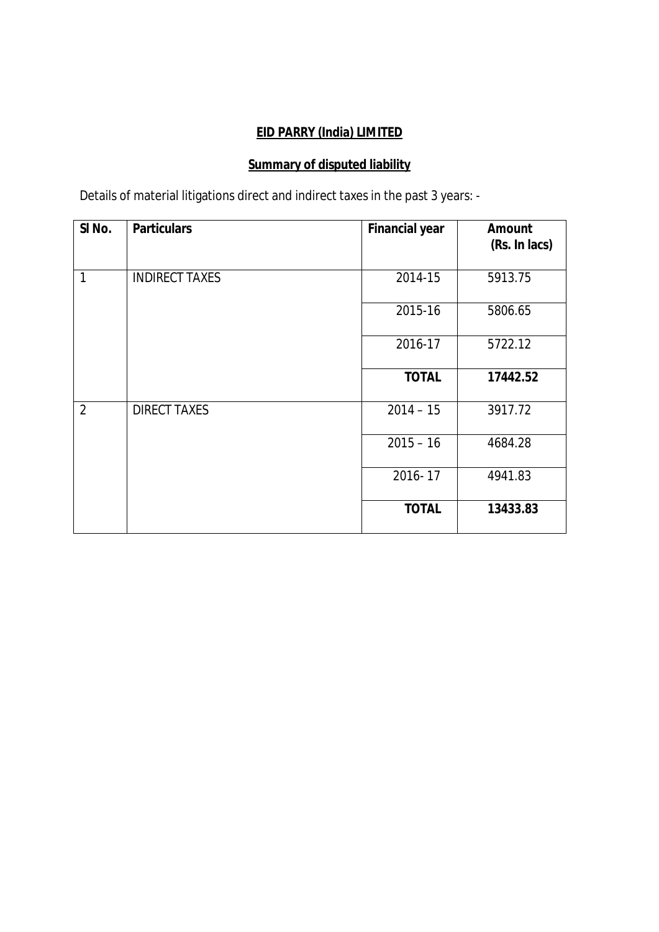# **EID PARRY (India) LIMITED**

# **Summary of disputed liability**

Details of material litigations direct and indirect taxes in the past 3 years: -

| SI <sub>No.</sub> | <b>Particulars</b>    | <b>Financial year</b> | Amount<br>(Rs. In lacs) |
|-------------------|-----------------------|-----------------------|-------------------------|
| 1                 | <b>INDIRECT TAXES</b> | 2014-15               | 5913.75                 |
|                   |                       | 2015-16               | 5806.65                 |
|                   |                       | 2016-17               | 5722.12                 |
|                   |                       | <b>TOTAL</b>          | 17442.52                |
| $\overline{2}$    | <b>DIRECT TAXES</b>   | $2014 - 15$           | 3917.72                 |
|                   |                       | $2015 - 16$           | 4684.28                 |
|                   |                       | 2016-17               | 4941.83                 |
|                   |                       | <b>TOTAL</b>          | 13433.83                |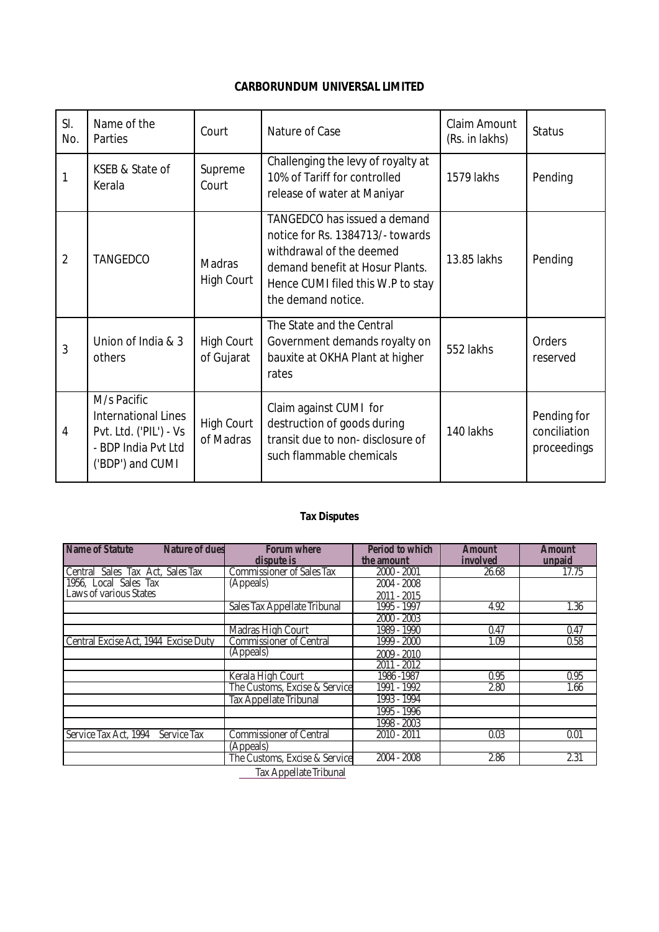## **CARBORUNDUM UNIVERSAL LIMITED**

| SI.<br>No.     | Name of the<br>Parties                                                                                         | Court                           | Nature of Case                                                                                                                                                                             | Claim Amount<br>(Rs. in lakhs) | <b>Status</b>                              |
|----------------|----------------------------------------------------------------------------------------------------------------|---------------------------------|--------------------------------------------------------------------------------------------------------------------------------------------------------------------------------------------|--------------------------------|--------------------------------------------|
| 1              | KSEB & State of<br>Kerala                                                                                      | Supreme<br>Court                | Challenging the levy of royalty at<br>10% of Tariff for controlled<br>release of water at Maniyar                                                                                          | 1579 lakhs                     | Pending                                    |
| $\overline{2}$ | <b>TANGEDCO</b>                                                                                                | Madras<br><b>High Court</b>     | TANGEDCO has issued a demand<br>notice for Rs. 1384713/- towards<br>withdrawal of the deemed<br>demand benefit at Hosur Plants.<br>Hence CUMI filed this W.P to stay<br>the demand notice. | 13.85 lakhs                    | Pending                                    |
| 3              | Union of India & 3<br>others                                                                                   | <b>High Court</b><br>of Gujarat | The State and the Central<br>Government demands royalty on<br>bauxite at OKHA Plant at higher<br>rates                                                                                     | 552 lakhs                      | Orders<br>reserved                         |
| $\overline{4}$ | M/s Pacific<br><b>International Lines</b><br>Pvt. Ltd. ('PIL') - Vs<br>- BDP India Pvt Ltd<br>('BDP') and CUMI | <b>High Court</b><br>of Madras  | Claim against CUMI for<br>destruction of goods during<br>transit due to non-disclosure of<br>such flammable chemicals                                                                      | 140 lakhs                      | Pending for<br>conciliation<br>proceedings |

## **Tax Disputes**

| <b>Name of Statute</b>               | <b>Nature of dues</b>  | <b>Forum where</b><br>dispute is | <b>Period to which</b><br>the amount | <b>Amount</b><br>involved | <b>Amount</b><br>unpaid |  |  |
|--------------------------------------|------------------------|----------------------------------|--------------------------------------|---------------------------|-------------------------|--|--|
| Central Sales Tax Act, Sales Tax     |                        | <b>Commissioner of Sales Tax</b> | $2000 - 2001$                        | 26.68                     | 17.75                   |  |  |
| 1956, Local Sales Tax                |                        | (Appeals)                        | $2004 - 2008$                        |                           |                         |  |  |
| Laws of various States               |                        |                                  | $2011 - 2015$                        |                           |                         |  |  |
|                                      |                        | Sales Tax Appellate Tribunal     | 1995 - 1997                          | 4.92                      | 1.36                    |  |  |
|                                      |                        |                                  | $2000 - 2003$                        |                           |                         |  |  |
|                                      |                        | Madras High Court                | 1989 - 1990                          | 0.47                      | 0.47                    |  |  |
| Central Excise Act, 1944 Excise Duty |                        | <b>Commissioner of Central</b>   | 1999 - 2000                          | 1.09                      | 0.58                    |  |  |
|                                      |                        | (Appeals)                        | $2009 - 2010$                        |                           |                         |  |  |
|                                      |                        |                                  | $2011 - 2012$                        |                           |                         |  |  |
|                                      |                        | Kerala High Court                | 1986 - 1987                          | 0.95                      | 0.95                    |  |  |
|                                      |                        | The Customs, Excise & Service    | 1991 - 1992                          | 2.80                      | 1.66                    |  |  |
|                                      |                        | <b>Tax Appellate Tribunal</b>    | 1993 - 1994                          |                           |                         |  |  |
|                                      |                        |                                  | 1995 - 1996                          |                           |                         |  |  |
|                                      |                        |                                  | 1998 - 2003                          |                           |                         |  |  |
| Service Tax Act, 1994                | Service Tax            | <b>Commissioner of Central</b>   | 2010 - 2011                          | 0.03                      | 0.01                    |  |  |
|                                      |                        | (Appeals)                        |                                      |                           |                         |  |  |
|                                      |                        | The Customs, Excise & Service    | $2004 - 2008$                        | 2.86                      | 2.31                    |  |  |
|                                      | Tax Appellate Tribunal |                                  |                                      |                           |                         |  |  |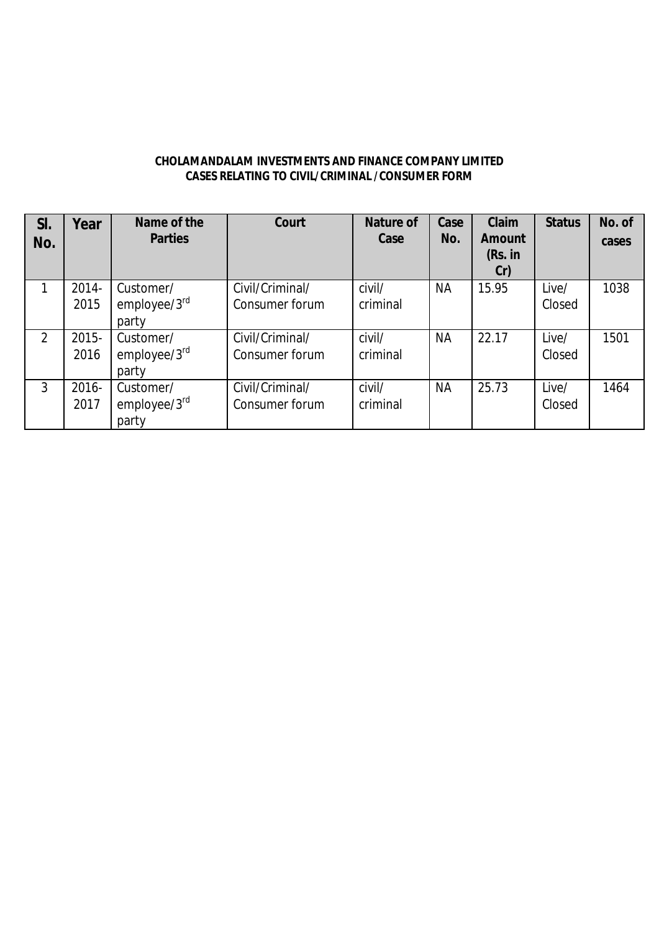| CHOLAMANDALAM INVESTMENTS AND FINANCE COMPANY LIMITED |
|-------------------------------------------------------|
| CASES RELATING TO CIVIL/CRIMINAL /CONSUMER FORM       |

| SI.<br>No.     | Year             | Name of the<br><b>Parties</b>      | Court                             | Nature of<br>Case  | Case<br>No. | Claim<br>Amount<br>(Rs. in<br>Cr) | <b>Status</b>   | No. of<br>cases |
|----------------|------------------|------------------------------------|-----------------------------------|--------------------|-------------|-----------------------------------|-----------------|-----------------|
|                | 2014-<br>2015    | Customer/<br>employee/3rd<br>party | Civil/Criminal/<br>Consumer forum | civil/<br>criminal | <b>NA</b>   | 15.95                             | Live/<br>Closed | 1038            |
| $\overline{2}$ | 2015-<br>2016    | Customer/<br>employee/3rd<br>party | Civil/Criminal/<br>Consumer forum | civil/<br>criminal | <b>NA</b>   | 22.17                             | Live/<br>Closed | 1501            |
| 3              | $2016 -$<br>2017 | Customer/<br>employee/3rd<br>party | Civil/Criminal/<br>Consumer forum | civil/<br>criminal | <b>NA</b>   | 25.73                             | Live/<br>Closed | 1464            |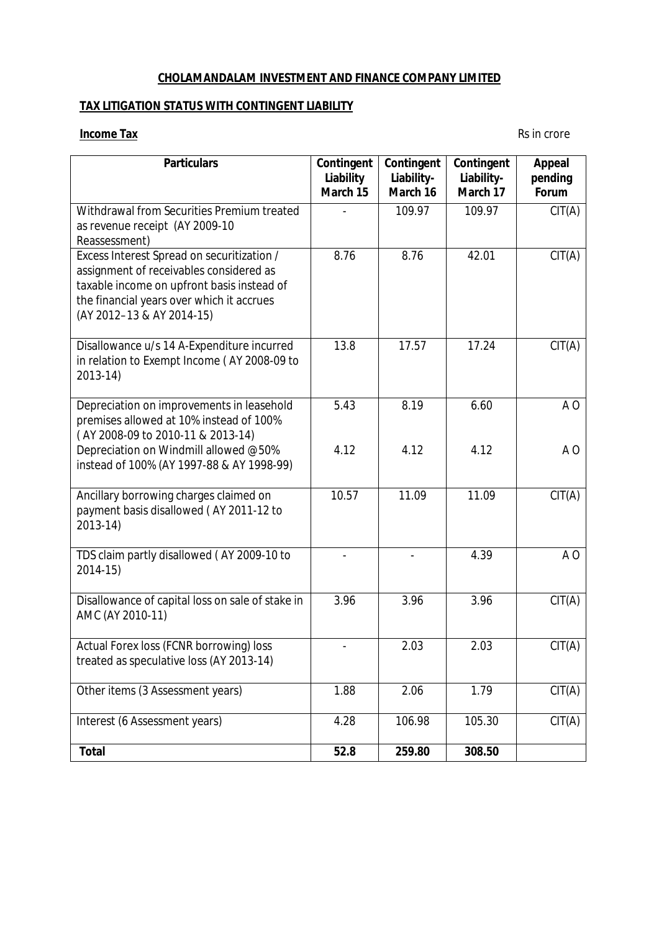### **CHOLAMANDALAM INVESTMENT AND FINANCE COMPANY LIMITED**

### **TAX LITIGATION STATUS WITH CONTINGENT LIABILITY**

### **Income Tax** Rs in crore

| <b>Particulars</b>                                                                                                                                                                                            | Contingent<br>Liability<br>March 15 | Contingent<br>Liability-<br>March 16 | Contingent<br>Liability-<br>March 17 | Appeal<br>pending<br>Forum |
|---------------------------------------------------------------------------------------------------------------------------------------------------------------------------------------------------------------|-------------------------------------|--------------------------------------|--------------------------------------|----------------------------|
| Withdrawal from Securities Premium treated<br>as revenue receipt (AY 2009-10<br>Reassessment)                                                                                                                 |                                     | 109.97                               | 109.97                               | CIT(A)                     |
| Excess Interest Spread on securitization /<br>assignment of receivables considered as<br>taxable income on upfront basis instead of<br>the financial years over which it accrues<br>(AY 2012-13 & AY 2014-15) | 8.76                                | 8.76                                 | 42.01                                | CIT(A)                     |
| Disallowance u/s 14 A-Expenditure incurred<br>in relation to Exempt Income (AY 2008-09 to<br>2013-14)                                                                                                         | 13.8                                | 17.57                                | 17.24                                | CIT(A)                     |
| Depreciation on improvements in leasehold<br>premises allowed at 10% instead of 100%<br>(AY 2008-09 to 2010-11 & 2013-14)                                                                                     | 5.43                                | 8.19                                 | 6.60                                 | A <sub>O</sub>             |
| Depreciation on Windmill allowed @50%<br>instead of 100% (AY 1997-88 & AY 1998-99)                                                                                                                            | 4.12                                | 4.12                                 | 4.12                                 | A <sub>O</sub>             |
| Ancillary borrowing charges claimed on<br>payment basis disallowed (AY 2011-12 to<br>2013-14)                                                                                                                 | 10.57                               | 11.09                                | 11.09                                | CIT(A)                     |
| TDS claim partly disallowed (AY 2009-10 to<br>2014-15)                                                                                                                                                        |                                     |                                      | 4.39                                 | A <sub>O</sub>             |
| Disallowance of capital loss on sale of stake in<br>AMC (AY 2010-11)                                                                                                                                          | 3.96                                | 3.96                                 | 3.96                                 | CIT(A)                     |
| Actual Forex loss (FCNR borrowing) loss<br>treated as speculative loss (AY 2013-14)                                                                                                                           |                                     | 2.03                                 | 2.03                                 | CIT(A)                     |
| Other items (3 Assessment years)                                                                                                                                                                              | 1.88                                | 2.06                                 | 1.79                                 | CIT(A)                     |
| Interest (6 Assessment years)                                                                                                                                                                                 | 4.28                                | 106.98                               | 105.30                               | CIT(A)                     |
| <b>Total</b>                                                                                                                                                                                                  | 52.8                                | 259.80                               | 308.50                               |                            |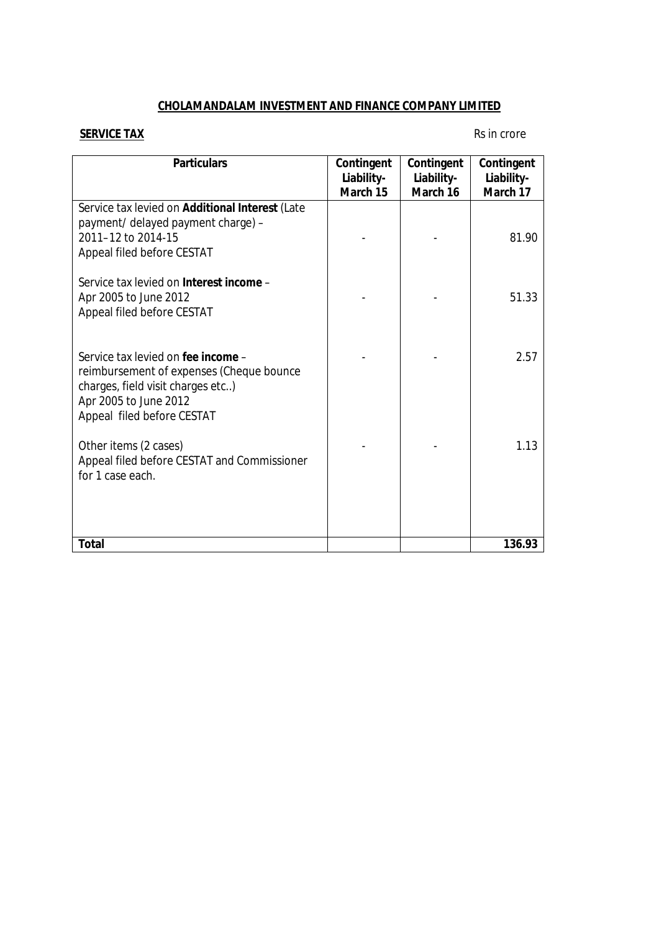### **CHOLAMANDALAM INVESTMENT AND FINANCE COMPANY LIMITED**

#### **SERVICE TAX** Rs in crore

| <b>Particulars</b>                                                                                                                                                         | Contingent<br>Liability-<br>March 15 | Contingent<br>Liability-<br>March 16 | Contingent<br>Liability-<br>March 17 |
|----------------------------------------------------------------------------------------------------------------------------------------------------------------------------|--------------------------------------|--------------------------------------|--------------------------------------|
| Service tax levied on Additional Interest (Late<br>payment/ delayed payment charge) -<br>2011-12 to 2014-15<br>Appeal filed before CESTAT                                  |                                      |                                      | 81.90                                |
| Service tax levied on Interest income -<br>Apr 2005 to June 2012<br>Appeal filed before CESTAT                                                                             |                                      |                                      | 51.33                                |
| Service tax levied on fee income -<br>reimbursement of expenses (Cheque bounce<br>charges, field visit charges etc)<br>Apr 2005 to June 2012<br>Appeal filed before CESTAT |                                      |                                      | 2.57                                 |
| Other items (2 cases)<br>Appeal filed before CESTAT and Commissioner<br>for 1 case each.                                                                                   |                                      |                                      | 1.13                                 |
| Total                                                                                                                                                                      |                                      |                                      | 136.93                               |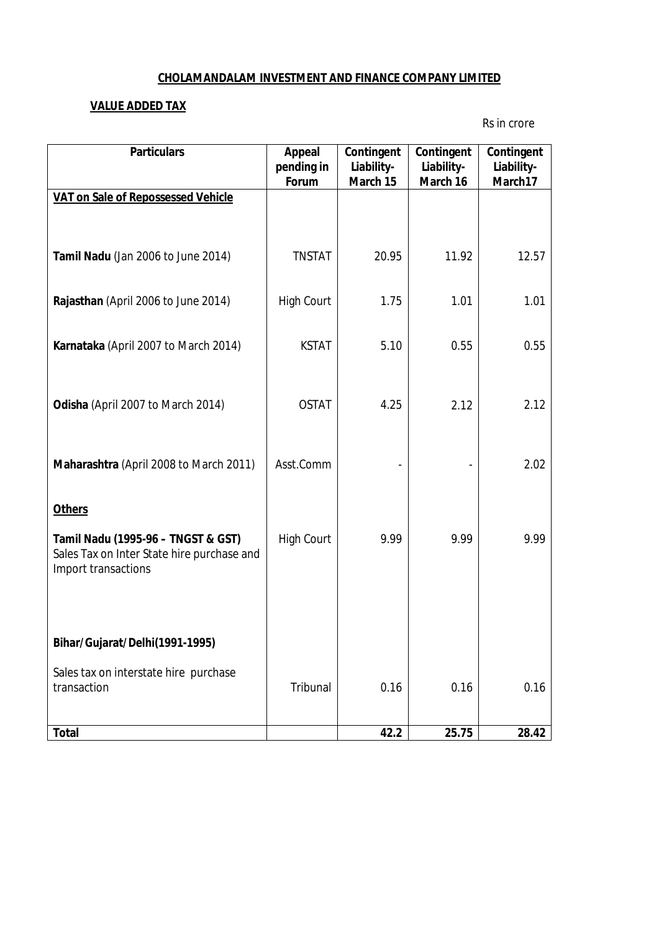#### **CHOLAMANDALAM INVESTMENT AND FINANCE COMPANY LIMITED**

### **VALUE ADDED TAX**

Rs in crore

| <b>Particulars</b>                                                                                      | Appeal<br>pending in<br>Forum | Contingent<br>Liability-<br>March 15 | Contingent<br>Liability-<br>March 16 | Contingent<br>Liability-<br>March17 |
|---------------------------------------------------------------------------------------------------------|-------------------------------|--------------------------------------|--------------------------------------|-------------------------------------|
| VAT on Sale of Repossessed Vehicle                                                                      |                               |                                      |                                      |                                     |
| Tamil Nadu (Jan 2006 to June 2014)                                                                      | <b>TNSTAT</b>                 | 20.95                                | 11.92                                | 12.57                               |
| Rajasthan (April 2006 to June 2014)                                                                     | <b>High Court</b>             | 1.75                                 | 1.01                                 | 1.01                                |
| Karnataka (April 2007 to March 2014)                                                                    | <b>KSTAT</b>                  | 5.10                                 | 0.55                                 | 0.55                                |
| Odisha (April 2007 to March 2014)                                                                       | <b>OSTAT</b>                  | 4.25                                 | 2.12                                 | 2.12                                |
| Maharashtra (April 2008 to March 2011)                                                                  | Asst.Comm                     |                                      |                                      | 2.02                                |
| <b>Others</b>                                                                                           |                               |                                      |                                      |                                     |
| Tamil Nadu (1995-96 - TNGST & GST)<br>Sales Tax on Inter State hire purchase and<br>Import transactions | <b>High Court</b>             | 9.99                                 | 9.99                                 | 9.99                                |
|                                                                                                         |                               |                                      |                                      |                                     |
| Bihar/Gujarat/Delhi(1991-1995)                                                                          |                               |                                      |                                      |                                     |
| Sales tax on interstate hire purchase<br>transaction                                                    | Tribunal                      | 0.16                                 | 0.16                                 | 0.16                                |
| Total                                                                                                   |                               | 42.2                                 | 25.75                                | 28.42                               |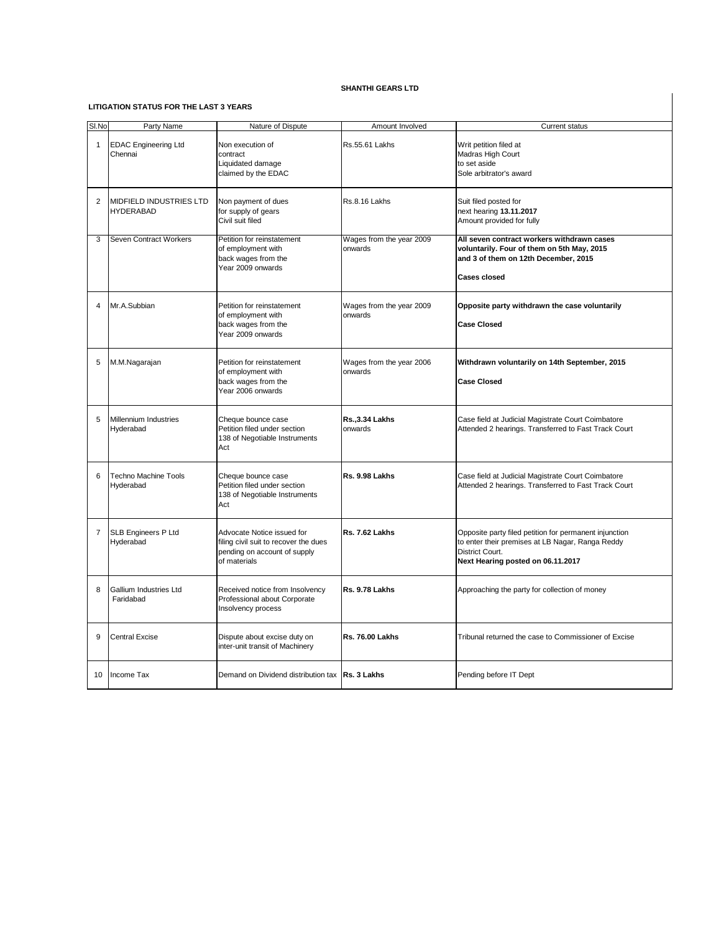#### **LITIGATION STATUS FOR THE LAST 3 YEARS**

| SI.No       | Party Name                                         | Nature of Dispute                                                                                                   | Amount Involved                     | <b>Current status</b>                                                                                                                                              |
|-------------|----------------------------------------------------|---------------------------------------------------------------------------------------------------------------------|-------------------------------------|--------------------------------------------------------------------------------------------------------------------------------------------------------------------|
| $\mathbf 1$ | <b>EDAC Engineering Ltd</b><br>Chennai             | Non execution of<br>contract<br>Liquidated damage<br>claimed by the EDAC                                            | <b>Rs.55.61 Lakhs</b>               | Writ petition filed at<br>Madras High Court<br>to set aside<br>Sole arbitrator's award                                                                             |
| 2           | <b>MIDFIELD INDUSTRIES LTD</b><br><b>HYDERABAD</b> | Non payment of dues<br>for supply of gears<br>Civil suit filed                                                      | Rs.8.16 Lakhs                       | Suit filed posted for<br>next hearing 13.11.2017<br>Amount provided for fully                                                                                      |
| 3           | <b>Seven Contract Workers</b>                      | Petition for reinstatement<br>of employment with<br>back wages from the<br>Year 2009 onwards                        | Wages from the year 2009<br>onwards | All seven contract workers withdrawn cases<br>voluntarily. Four of them on 5th May, 2015<br>and 3 of them on 12th December, 2015<br><b>Cases closed</b>            |
| 4           | Mr.A.Subbian                                       | Petition for reinstatement<br>of employment with<br>back wages from the<br>Year 2009 onwards                        | Wages from the year 2009<br>onwards | Opposite party withdrawn the case voluntarily<br><b>Case Closed</b>                                                                                                |
| 5           | M.M.Nagarajan                                      | Petition for reinstatement<br>of employment with<br>back wages from the<br>Year 2006 onwards                        | Wages from the year 2006<br>onwards | Withdrawn voluntarily on 14th September, 2015<br><b>Case Closed</b>                                                                                                |
| 5           | Millennium Industries<br>Hyderabad                 | Cheque bounce case<br>Petition filed under section<br>138 of Negotiable Instruments<br>Act                          | <b>Rs., 3.34 Lakhs</b><br>onwards   | Case field at Judicial Magistrate Court Coimbatore<br>Attended 2 hearings. Transferred to Fast Track Court                                                         |
| 6           | <b>Techno Machine Tools</b><br>Hyderabad           | Cheque bounce case<br>Petition filed under section<br>138 of Negotiable Instruments<br>Act                          | Rs. 9.98 Lakhs                      | Case field at Judicial Magistrate Court Coimbatore<br>Attended 2 hearings. Transferred to Fast Track Court                                                         |
| 7           | <b>SLB Engineers P Ltd</b><br>Hyderabad            | Advocate Notice issued for<br>filing civil suit to recover the dues<br>pending on account of supply<br>of materials | Rs. 7.62 Lakhs                      | Opposite party filed petition for permanent injunction<br>to enter their premises at LB Nagar, Ranga Reddy<br>District Court.<br>Next Hearing posted on 06.11.2017 |
| 8           | <b>Gallium Industries Ltd</b><br>Faridabad         | Received notice from Insolvency<br>Professional about Corporate<br>Insolvency process                               | Rs. 9.78 Lakhs                      | Approaching the party for collection of money                                                                                                                      |
| 9           | <b>Central Excise</b>                              | Dispute about excise duty on<br>inter-unit transit of Machinery                                                     | <b>Rs. 76.00 Lakhs</b>              | Tribunal returned the case to Commissioner of Excise                                                                                                               |
| 10          | Income Tax                                         | Demand on Dividend distribution tax   Rs. 3 Lakhs                                                                   |                                     | Pending before IT Dept                                                                                                                                             |

#### **SHANTHI GEARS LTD**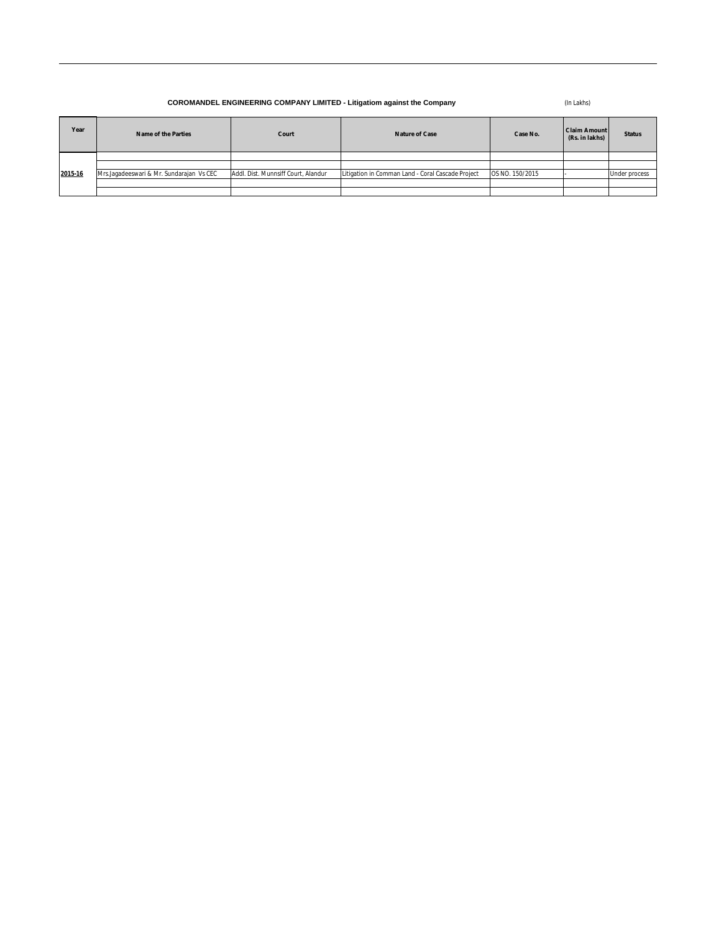(In Lakhs)

| Year    | <b>Name of the Parties</b>               | Court                               | <b>Nature of Case</b>                             | Case No.        | <b>Claim Amount</b><br>(Rs. in lakhs) | <b>Status</b>        |
|---------|------------------------------------------|-------------------------------------|---------------------------------------------------|-----------------|---------------------------------------|----------------------|
|         |                                          |                                     |                                                   |                 |                                       |                      |
|         |                                          |                                     |                                                   |                 |                                       |                      |
| 2015-16 | Mrs.Jagadeeswari & Mr. Sundarajan Vs CEC | Addl. Dist. Munnsiff Court, Alandur | Litigation in Comman Land - Coral Cascade Project | OS NO. 150/2015 |                                       | <b>Under process</b> |
|         |                                          |                                     |                                                   |                 |                                       |                      |
|         |                                          |                                     |                                                   |                 |                                       |                      |

# **COROMANDEL ENGINEERING COMPANY LIMITED - Litigatiom against the Company**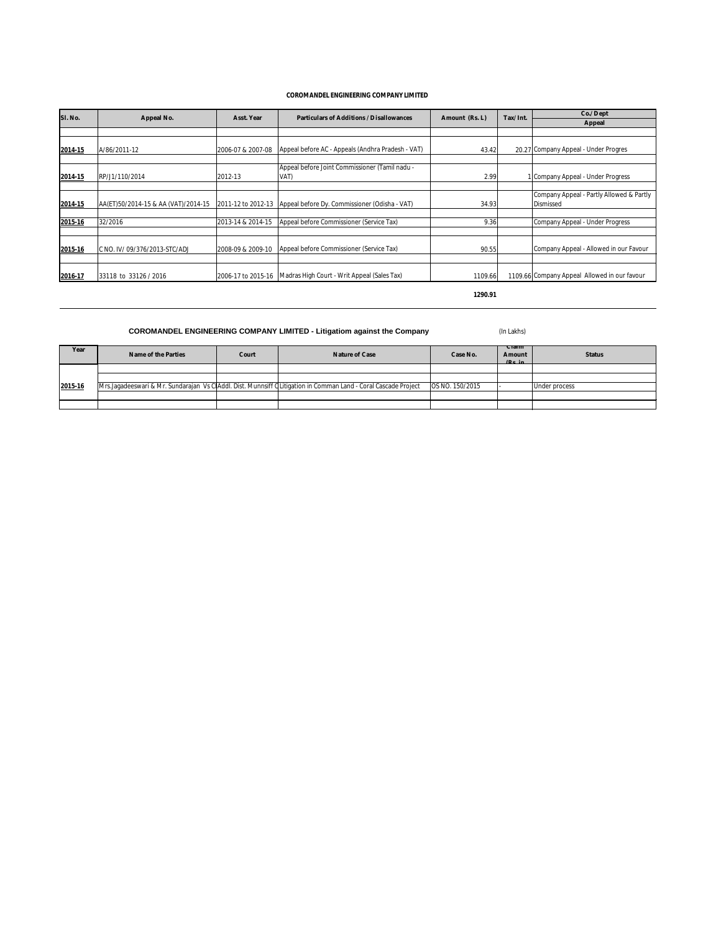| Sl. No. | <b>Appeal No.</b>                   | <b>Asst. Year</b>  | <b>Particulars of Additions / Disallowances</b>        | Amount (Rs. L) | Tax/Int. | Co./ Dept                                                    |
|---------|-------------------------------------|--------------------|--------------------------------------------------------|----------------|----------|--------------------------------------------------------------|
|         |                                     |                    |                                                        |                |          | <b>Appeal</b>                                                |
|         |                                     |                    |                                                        |                |          |                                                              |
| 2014-15 | A/86/2011-12                        | 2006-07 & 2007-08  | Appeal before AC - Appeals (Andhra Pradesh - VAT)      | 43.42          |          | 20.27 Company Appeal - Under Progres                         |
|         |                                     |                    |                                                        |                |          |                                                              |
| 2014-15 | RP/J1/110/2014                      | 2012-13            | Appeal before Joint Commissioner (Tamil nadu -<br>VAT) | 2.99           |          | Company Appeal - Under Progress                              |
|         |                                     |                    |                                                        |                |          |                                                              |
| 2014-15 | AA(ET)50/2014-15 & AA (VAT)/2014-15 | 2011-12 to 2012-13 | Appeal before Dy. Commissioner (Odisha - VAT)          | 34.93          |          | Company Appeal - Partly Allowed & Partly<br><b>Dismissed</b> |
|         |                                     |                    |                                                        |                |          |                                                              |
| 2015-16 | 32/2016                             | 2013-14 & 2014-15  | Appeal before Commissioner (Service Tax)               | 9.36           |          | Company Appeal - Under Progress                              |
|         |                                     |                    |                                                        |                |          |                                                              |
| 2015-16 | C NO. IV/09/376/2013-STC/ADJ        | 2008-09 & 2009-10  | Appeal before Commissioner (Service Tax)               | 90.55          |          | Company Appeal - Allowed in our Favour                       |
|         |                                     |                    |                                                        |                |          |                                                              |
| 2016-17 | 33118 to 33126 / 2016               | 2006-17 to 2015-16 | Madras High Court - Writ Appeal (Sales Tax)            | 1109.66        |          | 1109.66 Company Appeal Allowed in our favour                 |

**1290.91**

(In Lakhs)

### **COROMANDEL ENGINEERING COMPANY LIMITED**

| Year    | <b>Name of the Parties</b> | Court | <b>Nature of Case</b>                                                                                          | Case No.        | <b>Ulaim</b><br><b>Amount</b><br>(Rs in | <b>Status</b>        |
|---------|----------------------------|-------|----------------------------------------------------------------------------------------------------------------|-----------------|-----------------------------------------|----------------------|
|         |                            |       |                                                                                                                |                 |                                         |                      |
|         |                            |       |                                                                                                                |                 |                                         |                      |
| 2015-16 |                            |       | Mrs.Jagadeeswari & Mr. Sundarajan Vs ClAddl. Dist. Munnsiff Clitigation in Comman Land - Coral Cascade Project | OS NO. 150/2015 |                                         | <b>Under process</b> |
|         |                            |       |                                                                                                                |                 |                                         |                      |
|         |                            |       |                                                                                                                |                 |                                         |                      |

# **COROMANDEL ENGINEERING COMPANY LIMITED - Litigatiom against the Company**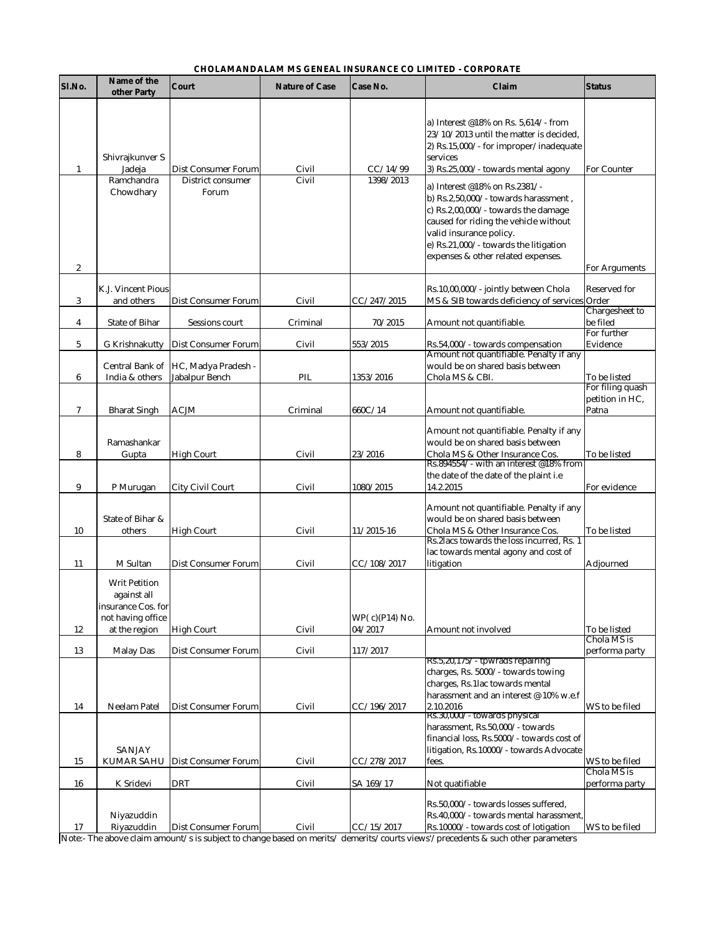| Sl.No.           | Name of the<br>other Party                                                                      | <b>Court</b>                                             | <b>Nature of Case</b> | <b>Case No.</b>                 | Claim                                                                                                                                                                                                                                                                                                                                                                                                                                                                  | <b>Status</b>                               |
|------------------|-------------------------------------------------------------------------------------------------|----------------------------------------------------------|-----------------------|---------------------------------|------------------------------------------------------------------------------------------------------------------------------------------------------------------------------------------------------------------------------------------------------------------------------------------------------------------------------------------------------------------------------------------------------------------------------------------------------------------------|---------------------------------------------|
| $\mathbf{1}$     | Shivrajkunver S<br>Jadeja<br>Ramchandra<br>Chowdhary                                            | <b>Dist Consumer Forum</b><br>District consumer<br>Forum | Civil<br>Civil        | CC/14/99<br>1398/2013           | a) Interest @18% on Rs. 5,614/- from<br>23/10/2013 until the matter is decided,<br>$ 2)$ Rs.15,000/- for improper/inadequate<br>services<br>$ 3\rangle$ Rs.25,000/- towards mental agony<br>a) Interest @18% on Rs.2381/-<br>$\vert$ b) Rs.2,50,000/- towards harassment,<br>c) Rs.2,00,000/- towards the damage<br>caused for riding the vehicle without<br>valid insurance policy.<br>e) $Rs.21,000/$ - towards the litigation<br>expenses & other related expenses. | <b>For Counter</b>                          |
| $\boldsymbol{2}$ | <b>K.J. Vincent Pious</b>                                                                       |                                                          |                       |                                 | Rs.10,00,000/- jointly between Chola                                                                                                                                                                                                                                                                                                                                                                                                                                   | <b>For Arguments</b><br><b>Reserved for</b> |
| 3                | and others                                                                                      | <b>Dist Consumer Forum</b>                               | Civil                 | CC/247/2015                     | MS & SIB towards deficiency of services Order                                                                                                                                                                                                                                                                                                                                                                                                                          | <b>Chargesheet to</b>                       |
| $\boldsymbol{4}$ | <b>State of Bihar</b>                                                                           | <b>Sessions court</b>                                    | Criminal              | 70/2015                         | Amount not quantifiable.                                                                                                                                                                                                                                                                                                                                                                                                                                               | be filed                                    |
| $5\phantom{.0}$  | <b>G</b> Krishnakutty                                                                           | <b>Dist Consumer Forum</b>                               | Civil                 | 553/2015                        | Rs.54,000/- towards compensation                                                                                                                                                                                                                                                                                                                                                                                                                                       | For further<br>Evidence                     |
| $6\phantom{.}6$  | India & others                                                                                  | Central Bank of  HC, Madya Pradesh -<br>Jabalpur Bench   | PIL                   | 1353/2016                       | Amount not quantifiable. Penalty if any<br>would be on shared basis between<br>Chola MS & CBI.                                                                                                                                                                                                                                                                                                                                                                         | To be listed<br>For filing quash            |
| $\overline{7}$   | <b>Bharat Singh</b>                                                                             | <b>ACJM</b>                                              | Criminal              | 660C/14                         | Amount not quantifiable.                                                                                                                                                                                                                                                                                                                                                                                                                                               | petition in HC,<br>Patna                    |
| 8                | Ramashankar<br>Gupta                                                                            | <b>High Court</b>                                        | Civil                 | 23/2016                         | Amount not quantifiable. Penalty if any<br>would be on shared basis between<br>Chola MS & Other Insurance Cos.<br>Rs.894554/- with an interest @18% from                                                                                                                                                                                                                                                                                                               | To be listed                                |
| 9                | P Murugan                                                                                       | <b>City Civil Court</b>                                  | Civil                 | 1080/2015                       | the date of the date of the plaint i.e<br>14.2.2015                                                                                                                                                                                                                                                                                                                                                                                                                    | For evidence                                |
| 10               | State of Bihar &<br>others                                                                      | <b>High Court</b>                                        | Civil                 | $11/2015 - 16$                  | Amount not quantifiable. Penalty if any<br>would be on shared basis between<br>Chola MS & Other Insurance Cos.<br>Rs. 2lacs towards the loss incurred, Rs. 1                                                                                                                                                                                                                                                                                                           | To be listed                                |
| 11               | <b>M</b> Sultan                                                                                 | <b>Dist Consumer Forum</b>                               | Civil                 | CC/108/2017                     | lac towards mental agony and cost of<br>litigation                                                                                                                                                                                                                                                                                                                                                                                                                     | Adjourned                                   |
| 12               | <b>Writ Petition</b><br>against all<br>insurance Cos. for<br>not having office<br>at the region | <b>High Court</b>                                        | Civil                 | WP $(c)$ $(P14)$ No.<br>04/2017 | Amount not involved                                                                                                                                                                                                                                                                                                                                                                                                                                                    | To be listed<br>Chola MS is                 |
| 13               | <b>Malay Das</b>                                                                                | <b>Dist Consumer Forum</b>                               | Civil                 | 117/2017                        | Rs.5,20,1757 - tpwrads repairing                                                                                                                                                                                                                                                                                                                                                                                                                                       | performa party                              |
| 14               | <b>Neelam Patel</b>                                                                             | <b>Dist Consumer Forum</b>                               | Civil                 | CC/196/2017                     | charges, Rs. 5000/- towards towing<br>charges, Rs.1lac towards mental<br>harassment and an interest @ 10% w.e.f<br>2.10.2016<br>Rs.30,000/ - towards physical<br>harassment, Rs.50,000/- towards<br>financial loss, Rs.5000/- towards cost of                                                                                                                                                                                                                          | WS to be filed                              |
|                  | <b>SANJAY</b>                                                                                   |                                                          |                       |                                 | litigation, Rs.10000/- towards Advocate                                                                                                                                                                                                                                                                                                                                                                                                                                |                                             |
| 15               | <b>KUMAR SAHU</b>                                                                               | <b>Dist Consumer Forum</b>                               | Civil                 | CC/278/2017                     | fees.                                                                                                                                                                                                                                                                                                                                                                                                                                                                  | WS to be filed<br>Chola MS is               |
| 16               | K Sridevi                                                                                       | <b>DRT</b>                                               | Civil                 | SA 169/17                       | Not quatifiable<br>Rs.50,000/- towards losses suffered,                                                                                                                                                                                                                                                                                                                                                                                                                | performa party                              |
| 17               | Niyazuddin<br>Riyazuddin                                                                        | <b>Dist Consumer Forum</b>                               | Civil                 | CC/15/2017                      | Rs.40,000/- towards mental harassment,<br>Rs.10000/- towards cost of lotigation                                                                                                                                                                                                                                                                                                                                                                                        | WS to be filed                              |

## **CHOLAMANDALAM MS GENEAL INSURANCE CO LIMITED - CORPORATE**

Note:- The above claim amount/s is subject to change based on merits/ demerits/courts views'/precedents & such other parameters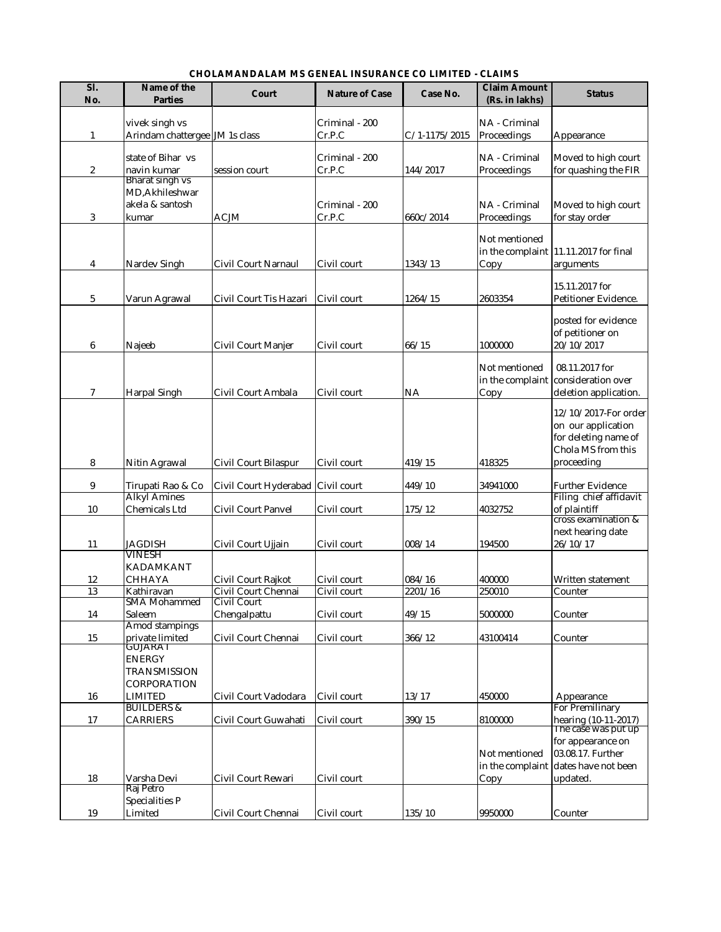| Sl.<br>No.       | Name of the<br><b>Parties</b>                                                           | <b>Court</b>                              | <b>Nature of Case</b>      | <b>Case No.</b>   | <b>Claim Amount</b><br>(Rs. in lakhs) | <b>Status</b>                                                                                                            |
|------------------|-----------------------------------------------------------------------------------------|-------------------------------------------|----------------------------|-------------------|---------------------------------------|--------------------------------------------------------------------------------------------------------------------------|
| $\mathbf{1}$     | vivek singh vs<br>Arindam chattergee JM 1s class                                        |                                           | Criminal - 200<br>Cr.P.C   | $C/1-1175/2015$   | NA - Criminal<br>Proceedings          | Appearance                                                                                                               |
| $\boldsymbol{2}$ | state of Bihar vs<br>navin kumar                                                        | session court                             | Criminal - 200<br>Cr.P.C   | 144/2017          | NA - Criminal<br>Proceedings          | Moved to high court<br>for quashing the FIR                                                                              |
| 3                | Bharat singh vs<br>MD, Akhileshwar<br>akela & santosh<br>kumar                          | <b>ACJM</b>                               | Criminal - 200<br>Cr.P.C   | 660c/2014         | NA - Criminal<br>Proceedings          | Moved to high court<br>for stay order                                                                                    |
| $\overline{4}$   | Nardev Singh                                                                            | <b>Civil Court Narnaul</b>                | Civil court                | 1343/13           | Not mentioned<br>Copy                 | in the complaint  11.11.2017 for final<br>arguments                                                                      |
| $5\phantom{.0}$  | Varun Agrawal                                                                           | Civil Court Tis Hazari                    | Civil court                | 1264/15           | 2603354                               | 15.11.2017 for<br>Petitioner Evidence.                                                                                   |
| $6\phantom{1}6$  | Najeeb                                                                                  | <b>Civil Court Manjer</b>                 | Civil court                | 66/15             | 1000000                               | posted for evidence<br>of petitioner on<br>20/10/2017                                                                    |
| 7                | <b>Harpal Singh</b>                                                                     | Civil Court Ambala                        | Civil court                | <b>NA</b>         | Not mentioned<br>Copy                 | 08.11.2017 for<br>in the complaint consideration over<br>deletion application.                                           |
| 8                | Nitin Agrawal                                                                           | <b>Civil Court Bilaspur</b>               | Civil court                | 419/15            | 418325                                | 12/10/2017-For order<br>on our application<br>for deleting name of<br>Chola MS from this<br>proceeding                   |
| $9\phantom{.0}$  | Tirupati Rao & Co                                                                       | Civil Court Hyderabad Civil court         |                            | 449/10            | 34941000                              | <b>Further Evidence</b>                                                                                                  |
| 10               | <b>Alkyl Amines</b><br><b>Chemicals Ltd</b>                                             | <b>Civil Court Panyel</b>                 | Civil court                | 175/12            | 4032752                               | Filing chief affidavit<br>of plaintiff                                                                                   |
| 11               | <b>JAGDISH</b>                                                                          | Civil Court Ujjain                        | Civil court                | 008/14            | 194500                                | cross examination &<br>next hearing date<br>26/10/17                                                                     |
| 12<br>13         | VINESH<br><b>KADAMKANT</b><br><b>CHHAYA</b><br>Kathiravan                               | Civil Court Rajkot<br>Civil Court Chennai | Civil court<br>Civil court | 084/16<br>2201/16 | 400000<br>250010                      | Written statement<br>Counter                                                                                             |
|                  | <b>SMA Mohammed</b><br><b>Saleem</b>                                                    | <b>Civil Court</b>                        | Civil court                | 49/15             | 5000000                               | Counter                                                                                                                  |
| 14<br>15         | <b>Amod stampings</b><br>private limited                                                | Chengalpattu<br>Civil Court Chennai       | Civil court                | 366/12            | 43100414                              | Counter                                                                                                                  |
| 16               | GUJARAT<br><b>ENERGY</b><br><b>TRANSMISSION</b><br><b>CORPORATION</b><br><b>LIMITED</b> | Civil Court Vadodara                      | Civil court                | 13/17             | 450000                                | Appearance                                                                                                               |
| 17               | <b>BUILDERS &amp;</b><br><b>CARRIERS</b>                                                | Civil Court Guwahati                      | Civil court                | 390/15            | 8100000                               | <b>For Premilinary</b>                                                                                                   |
| 18               | Varsha Devi                                                                             | Civil Court Rewari                        | Civil court                |                   | Not mentioned<br>in the complaint     | hearing (10-11-2017)<br>The case was put up<br>for appearance on<br>03.08.17. Further<br>dates have not been<br>updated. |
|                  | Raj Petro                                                                               |                                           |                            |                   | Copy                                  |                                                                                                                          |
| 19               | <b>Specialities P</b><br>Limited                                                        | Civil Court Chennai                       | Civil court                | 135/10            | 9950000                               | Counter                                                                                                                  |

**CHOLAMANDALAM MS GENEAL INSURANCE CO LIMITED - CLAIMS**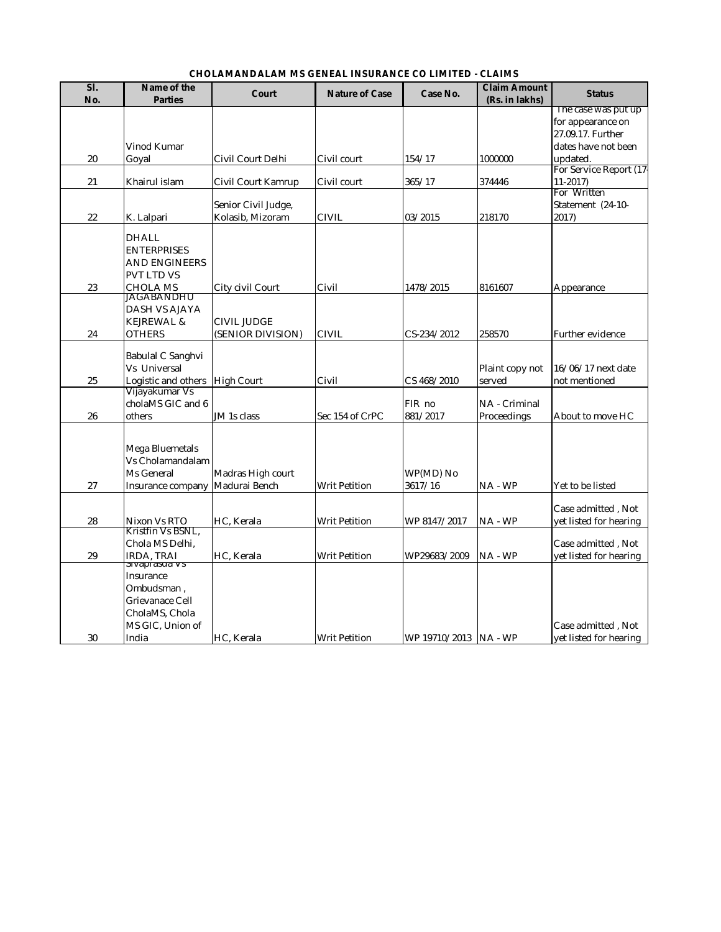### **CHOLAMANDALAM MS GENEAL INSURANCE CO LIMITED - CLAIMS**

| Sl.<br>No. | Name of the<br><b>Parties</b>    | <b>Court</b>              | <b>Nature of Case</b> | Case No.                | <b>Claim Amount</b><br>(Rs. in lakhs) | <b>Status</b>                                |
|------------|----------------------------------|---------------------------|-----------------------|-------------------------|---------------------------------------|----------------------------------------------|
|            |                                  |                           |                       |                         |                                       | The case was put up                          |
|            |                                  |                           |                       |                         |                                       | for appearance on                            |
|            |                                  |                           |                       |                         |                                       | 27.09.17. Further                            |
|            | <b>Vinod Kumar</b>               |                           |                       |                         |                                       | dates have not been                          |
| 20         | Goyal                            | Civil Court Delhi         | Civil court           | 154/17                  | 1000000                               | updated.                                     |
|            | Khairul islam                    |                           |                       |                         | 374446                                | For Service Report (17-                      |
| 21         |                                  | <b>Civil Court Kamrup</b> | Civil court           | 365/17                  |                                       | $11-2017$<br>For Written                     |
|            |                                  | Senior Civil Judge,       |                       |                         |                                       | Statement (24-10-                            |
| 22         | K. Lalpari                       | Kolasib, Mizoram          | <b>CIVIL</b>          | 03/2015                 | 218170                                | 2017)                                        |
|            |                                  |                           |                       |                         |                                       |                                              |
|            | <b>DHALL</b>                     |                           |                       |                         |                                       |                                              |
|            | <b>ENTERPRISES</b>               |                           |                       |                         |                                       |                                              |
|            | <b>AND ENGINEERS</b>             |                           |                       |                         |                                       |                                              |
|            | <b>PVT LTD VS</b>                |                           |                       |                         |                                       |                                              |
| 23         | <b>CHOLA MS</b><br>JAGABANDHU    | City civil Court          | Civil                 | 1478/2015               | 8161607                               | Appearance                                   |
|            | <b>DASH VS AJAYA</b>             |                           |                       |                         |                                       |                                              |
|            | <b>KEJREWAL &amp;</b>            | <b>CIVIL JUDGE</b>        |                       |                         |                                       |                                              |
| 24         | <b>OTHERS</b>                    | (SENIOR DIVISION)         | <b>CIVIL</b>          | CS-234/2012             | 258570                                | <b>Further evidence</b>                      |
|            |                                  |                           |                       |                         |                                       |                                              |
|            | <b>Babulal C Sanghvi</b>         |                           |                       |                         |                                       |                                              |
|            | <b>Vs Universal</b>              |                           |                       |                         | Plaint copy not                       | 16/06/17 next date                           |
| 25         | Logistic and others   High Court |                           | Civil                 | CS 468/2010             | served                                | not mentioned                                |
|            | Vijayakumar Vs                   |                           |                       |                         |                                       |                                              |
|            | cholaMS GIC and 6                |                           |                       | FIR no                  | NA - Criminal                         |                                              |
| 26         | others                           | JM 1s class               | Sec 154 of CrPC       | 881/2017                | Proceedings                           | About to move HC                             |
|            |                                  |                           |                       |                         |                                       |                                              |
|            | Mega Bluemetals                  |                           |                       |                         |                                       |                                              |
|            | Vs Cholamandalam                 |                           |                       |                         |                                       |                                              |
|            | Ms General                       | Madras High court         |                       | $WP(MD)$ No             |                                       |                                              |
| 27         | Insurance company                | Madurai Bench             | <b>Writ Petition</b>  | 3617/16                 | $NA - WP$                             | Yet to be listed                             |
|            |                                  |                           |                       |                         |                                       |                                              |
|            |                                  |                           |                       |                         |                                       | Case admitted, Not                           |
| 28         | Nixon Vs RTO                     | HC, Kerala                | <b>Writ Petition</b>  | WP 8147/2017            | $NA - WP$                             | yet listed for hearing                       |
|            | Kristfin Vs BSNL,                |                           |                       |                         |                                       |                                              |
| 29         | Chola MS Delhi,<br>IRDA, TRAI    |                           | <b>Writ Petition</b>  | WP29683/2009            | $NA - WP$                             | Case admitted, Not<br>yet listed for hearing |
|            | sivaprasua vs                    | HC, Kerala                |                       |                         |                                       |                                              |
|            | Insurance                        |                           |                       |                         |                                       |                                              |
|            | Ombudsman,                       |                           |                       |                         |                                       |                                              |
|            | <b>Grievanace Cell</b>           |                           |                       |                         |                                       |                                              |
|            | CholaMS, Chola                   |                           |                       |                         |                                       |                                              |
|            | MS GIC, Union of                 |                           |                       |                         |                                       | Case admitted, Not                           |
| 30         | India                            | HC, Kerala                | <b>Writ Petition</b>  | WP 19710/2013   NA - WP |                                       | yet listed for hearing                       |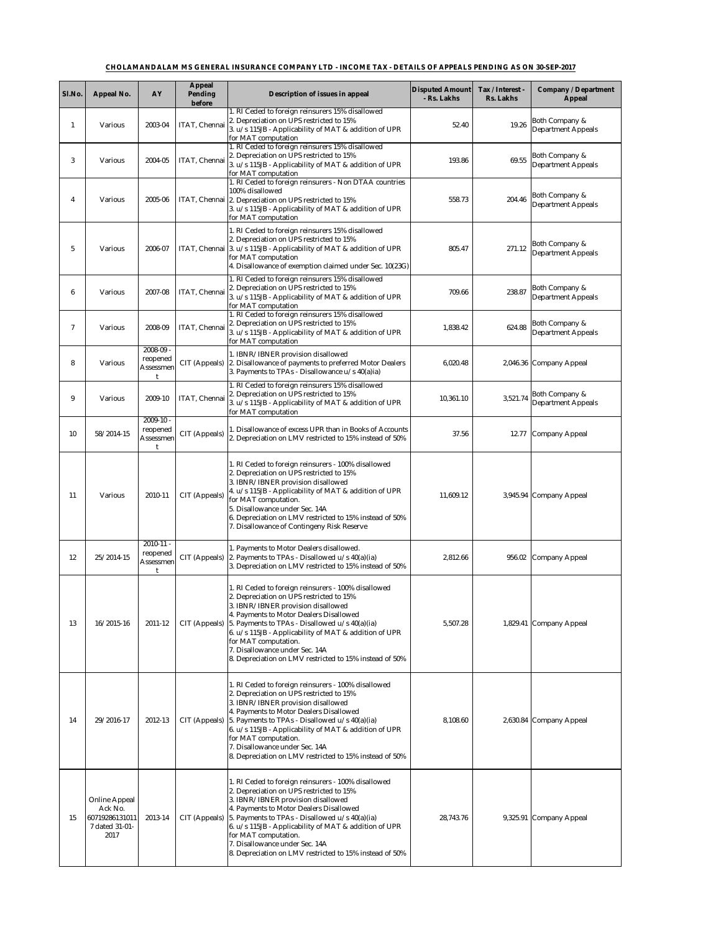| Sl.No.    | <b>Appeal No.</b>                                                           | <b>AY</b>                              | <b>Appeal</b><br><b>Pending</b><br><b>before</b> | <b>Description of issues in appeal</b>                                                                                                                                                                                                                                                                                                                                                                                                             | <b>Disputed Amount</b><br>- Rs. Lakhs | Tax / Interest -<br><b>Rs. Lakhs</b> | <b>Company / Department</b><br><b>Appeal</b>           |
|-----------|-----------------------------------------------------------------------------|----------------------------------------|--------------------------------------------------|----------------------------------------------------------------------------------------------------------------------------------------------------------------------------------------------------------------------------------------------------------------------------------------------------------------------------------------------------------------------------------------------------------------------------------------------------|---------------------------------------|--------------------------------------|--------------------------------------------------------|
|           | <b>Various</b>                                                              | 2003-04                                | ITAT, Chennai                                    | . RI Ceded to foreign reinsurers 15% disallowed<br>2. Depreciation on UPS restricted to 15%<br>3. $u/s$ 115JB - Applicability of MAT & addition of UPR<br>for MAT computation                                                                                                                                                                                                                                                                      | 52.40                                 | 19.26                                | <b>Both Company &amp;</b><br><b>Department Appeals</b> |
| 3         | <b>Various</b>                                                              | 2004-05                                | ITAT, Chennai                                    | . RI Ceded to foreign reinsurers 15% disallowed<br>2. Depreciation on UPS restricted to 15%<br>3. $u/s$ 115JB - Applicability of MAT & addition of UPR<br>for MAT computation                                                                                                                                                                                                                                                                      | 193.86                                | 69.55                                | Both Company &<br><b>Department Appeals</b>            |
|           | <b>Various</b>                                                              | 2005-06                                |                                                  | 1. RI Ceded to foreign reinsurers - Non DTAA countries<br>100% disallowed<br>ITAT, Chennai   2. Depreciation on UPS restricted to 15%<br>$\vert 3. u/s 115JB - \text{Applicability of MAT}$ & addition of UPR<br>for MAT computation                                                                                                                                                                                                               | 558.73                                | 204.46                               | Both Company &<br><b>Department Appeals</b>            |
|           | <b>Various</b>                                                              | 2006-07                                |                                                  | RI Ceded to foreign reinsurers 15% disallowed<br>2. Depreciation on UPS restricted to 15%<br>ITAT, Chennai 3. u/s 115JB - Applicability of MAT & addition of UPR<br>for MAT computation<br>4. Disallowance of exemption claimed under Sec. $10(23G)$                                                                                                                                                                                               | 805.47                                | 271.12                               | <b>Both Company &amp;</b><br><b>Department Appeals</b> |
| 6         | <b>Various</b>                                                              | 2007-08                                | ITAT, Chennai                                    | RI Ceded to foreign reinsurers 15% disallowed<br>2. Depreciation on UPS restricted to 15%<br>3. $u/s$ 115JB - Applicability of MAT & addition of UPR<br>for MAT computation                                                                                                                                                                                                                                                                        | 709.66                                | 238.87                               | <b>Both Company &amp;</b><br><b>Department Appeals</b> |
|           | <b>Various</b>                                                              | 2008-09                                | ITAT, Chennai                                    | . RI Ceded to foreign reinsurers 15% disallowed<br>2. Depreciation on UPS restricted to 15%<br>3. u/s 115JB - Applicability of MAT & addition of UPR<br>for MAT computation                                                                                                                                                                                                                                                                        | 1,838.42                              | 624.88                               | <b>Both Company &amp;</b><br><b>Department Appeals</b> |
| 8         | <b>Various</b>                                                              | $2008 - 09$ -<br>reopened<br>Assessmen | <b>CIT</b> (Appeals)                             | 1. IBNR/IBNER provision disallowed<br>2. Disallowance of payments to preferred Motor Dealers<br>3. Payments to TPAs - Disallowance $u/s$ 40(a)ia)                                                                                                                                                                                                                                                                                                  | 6,020.48                              |                                      | 2,046.36 Company Appeal                                |
| 9         | <b>Various</b>                                                              | 2009-10                                | ITAT, Chennai                                    | I. RI Ceded to foreign reinsurers 15% disallowed<br>2. Depreciation on UPS restricted to 15%<br>3. $u/s$ 115JB - Applicability of MAT & addition of UPR<br>for MAT computation                                                                                                                                                                                                                                                                     | 10,361.10                             | 3,521.74                             | Both Company &<br><b>Department Appeals</b>            |
| 10        | 58/2014-15                                                                  | $2009-10$ -<br>reopened<br>Assessmen   | <b>CIT</b> (Appeals)                             | I. Disallowance of excess UPR than in Books of Accounts<br>2. Depreciation on LMV restricted to 15% instead of 50%                                                                                                                                                                                                                                                                                                                                 | 37.56                                 | 12.77                                | Company Appeal                                         |
| <b>11</b> | <b>Various</b>                                                              | 2010-11                                | <b>CIT</b> (Appeals)                             | RI Ceded to foreign reinsurers - 100% disallowed<br>2. Depreciation on UPS restricted to 15%<br>3. IBNR/IBNER provision disallowed<br>4. $u/s$ 115JB - Applicability of MAT & addition of UPR<br>for MAT computation.<br>5. Disallowance under Sec. 14A<br>6. Depreciation on LMV restricted to 15% instead of 50%<br>7. Disallowance of Contingeny Risk Reserve                                                                                   | 11,609.12                             |                                      | 3,945.94 Company Appeal                                |
| 12        | $25/2014-15$                                                                | $2010 - 11 -$<br>reopened<br>Assessmen | CIT (Appeals)                                    | 1. Payments to Motor Dealers disallowed.<br>2. Payments to TPAs - Disallowed $u/s$ 40(a)(ia)<br>3. Depreciation on LMV restricted to 15% instead of 50%                                                                                                                                                                                                                                                                                            | 2,812.66                              | 956.02                               | Company Appeal                                         |
| 13        | $16/2015 - 16$                                                              | $2011 - 12$                            | CIT (Appeals)                                    | I. RI Ceded to foreign reinsurers - 100% disallowed<br>2. Depreciation on UPS restricted to 15%<br>3. IBNR/IBNER provision disallowed<br>4. Payments to Motor Dealers Disallowed<br>5. Payments to TPAs - Disallowed $u/s$ 40(a)(ia)<br>$\left  6. u/s 115JB - \text{Applicability of MAT} \& \text{addition of UPR} \right $<br>for MAT computation.<br>7. Disallowance under Sec. 14A<br>8. Depreciation on LMV restricted to 15% instead of 50% | 5,507.28                              |                                      | 1,829.41 Company Appeal                                |
| 14        | 29/2016-17                                                                  | 2012-13                                | CIT (Appeals)                                    | . RI Ceded to foreign reinsurers - 100% disallowed<br>2. Depreciation on UPS restricted to 15%<br>3. IBNR/IBNER provision disallowed<br>4. Payments to Motor Dealers Disallowed<br>[5. Payments to TPAs - Disallowed $u/s$ 40(a)(ia)<br>$\left  6. u/s 115JB - \text{Applicability of MAT} \& \text{addition of UPR} \right $<br>for MAT computation.<br>7. Disallowance under Sec. 14A<br>8. Depreciation on LMV restricted to 15% instead of 50% | 8,108.60                              |                                      | 2,630.84 Company Appeal                                |
| 15        | <b>Online Appeal</b><br>Ack No.<br>60719286131011<br>7 dated 31-01-<br>2017 | 2013-14                                | CIT (Appeals)                                    | . RI Ceded to foreign reinsurers - 100% disallowed<br>2. Depreciation on UPS restricted to 15%<br>3. IBNR/IBNER provision disallowed<br>4. Payments to Motor Dealers Disallowed<br>[5. Payments to TPAs - Disallowed $u/s$ 40(a)(ia)<br>$\left  6. u/s 115JB - \text{Applicability of MAT} \& \text{addition of UPR} \right $<br>for MAT computation.<br>7. Disallowance under Sec. 14A<br>8. Depreciation on LMV restricted to 15% instead of 50% | 28,743.76                             |                                      | 9,325.91 Company Appeal                                |

# **CHOLAMANDALAM MS GENERAL INSURANCE COMPANY LTD - INCOME TAX - DETAILS OF APPEALS PENDING AS ON 30-SEP-2017**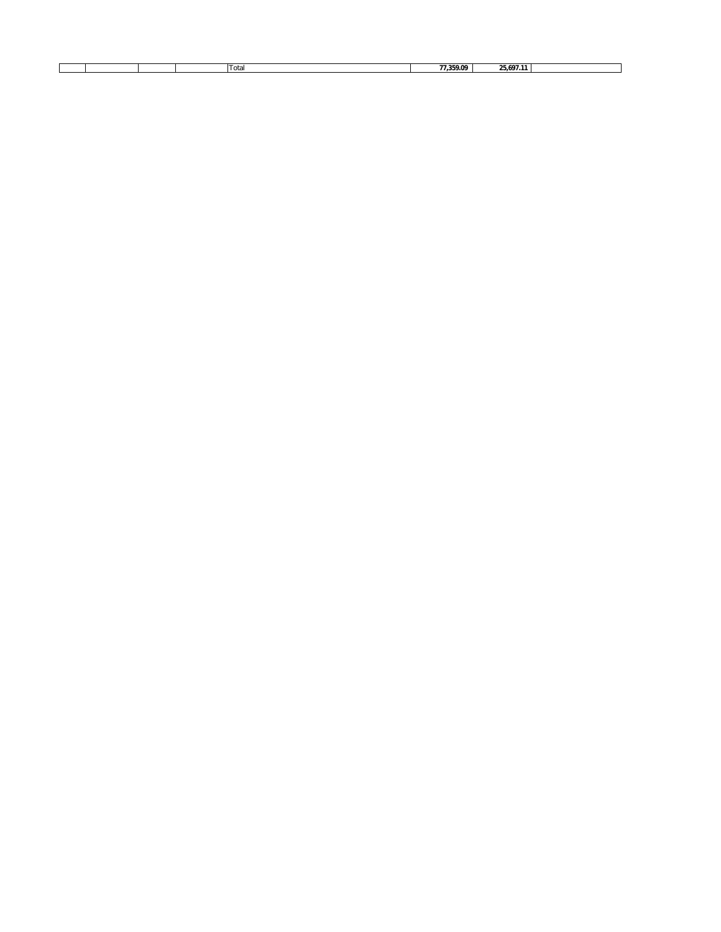|  |  |  |  |  | Im<br>$\cdot$ of $\cdot$<br>.<br>$\ddotsc$ | 77.359.09 | 25.697 |  |
|--|--|--|--|--|--------------------------------------------|-----------|--------|--|
|--|--|--|--|--|--------------------------------------------|-----------|--------|--|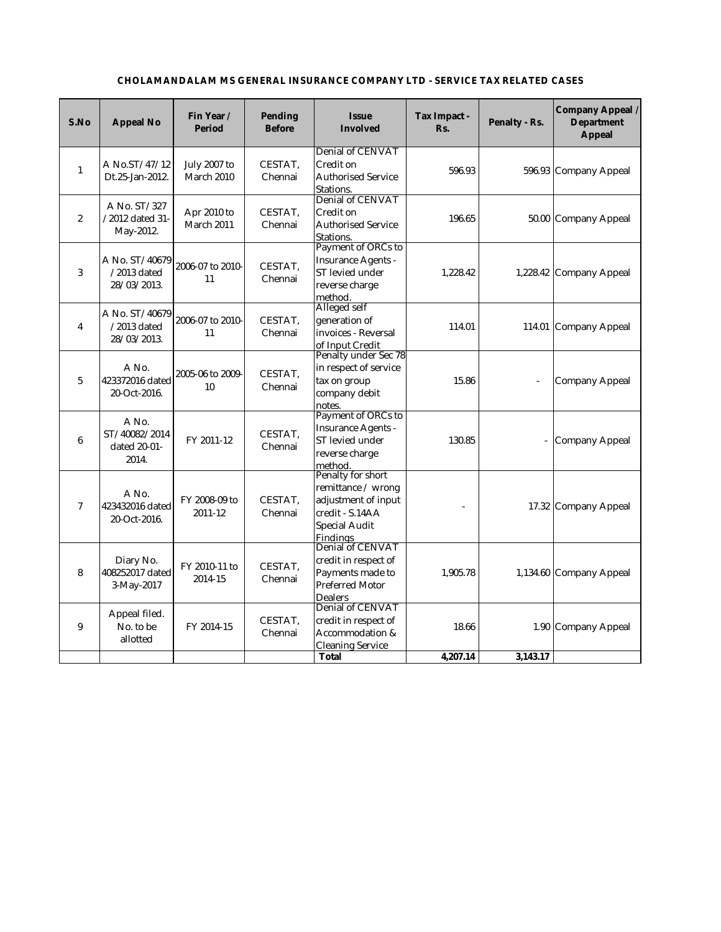| S.No             | <b>Appeal No</b>                                                    | Fin Year/<br><b>Period</b>               | <b>Pending</b><br><b>Before</b> | <b>Issue</b><br><b>Involved</b>                                                                                                                  | <b>Tax Impact -</b><br>Rs. | <b>Penalty - Rs.</b>         | Company Appeal /<br><b>Department</b><br><b>Appeal</b> |
|------------------|---------------------------------------------------------------------|------------------------------------------|---------------------------------|--------------------------------------------------------------------------------------------------------------------------------------------------|----------------------------|------------------------------|--------------------------------------------------------|
| $\mathbf{1}$     | A No.ST/47/12<br>Dt.25-Jan-2012.                                    | <b>July 2007 to</b><br><b>March 2010</b> | CESTAT,<br>Chennai              | <b>Denial of CENVAT</b><br><b>Credit on</b><br><b>Authorised Service</b><br>Stations.                                                            | 596.93                     |                              | 596.93 Company Appeal                                  |
| $\boldsymbol{2}$ | A No. ST/327<br>/2012 dated 31-<br>May-2012.                        | Apr 2010 to<br>March 2011                | CESTAT,<br>Chennai              | <b>Denial of CENVAT</b><br><b>Credit on</b><br><b>Authorised Service</b><br>Stations.                                                            | 196.65                     |                              | 50.00 Company Appeal                                   |
| 3                | A No. ST/40679 $ 2006$ -07 to 2010-<br>$/2013$ dated<br>28/03/2013. | 11                                       | CESTAT,<br>Chennai              | Payment of ORCs to<br><b>Insurance Agents -</b><br><b>ST</b> levied under<br>reverse charge<br>method.                                           | 1,228.42                   |                              | 1,228.42 Company Appeal                                |
| $\boldsymbol{4}$ | A No. $ST/40679$ 2006-07 to 2010-<br>$/2013$ dated<br>28/03/2013.   | 11                                       | CESTAT,<br>Chennai              | Alleged self<br>generation of<br>invoices - Reversal<br>of Input Credit                                                                          | 114.01                     |                              | 114.01 Company Appeal                                  |
| $5\overline{)}$  | A No.<br>423372016 dated<br>20-Oct-2016.                            | 2005-06 to 2009-<br>10                   | CESTAT,<br>Chennai              | Penalty under Sec 78<br>in respect of service<br>tax on group<br>company debit<br>notes.                                                         | 15.86                      | $\qquad \qquad \blacksquare$ | <b>Company Appeal</b>                                  |
| $6\phantom{.}6$  | A No.<br>ST/40082/2014<br>dated 20-01-<br>2014.                     | FY 2011-12                               | CESTAT,<br>Chennai              | Payment of ORCs to<br><b>Insurance Agents -</b><br>ST levied under<br>reverse charge<br>method.                                                  | 130.85                     | $\qquad \qquad \blacksquare$ | Company Appeal                                         |
| $\overline{7}$   | A No.<br>423432016 dated<br>20-Oct-2016.                            | FY 2008-09 to<br>2011-12                 | CESTAT,<br>Chennai              | <b>Penalty for short</b><br>remittance / wrong<br>adjustment of input<br>credit - S.14AA<br><b>Special Audit</b><br>Findings<br>Denial of CENVAT |                            |                              | 17.32 Company Appeal                                   |
| 8                | Diary No.<br>408252017 dated<br>3-May-2017                          | FY 2010-11 to<br>2014-15                 | CESTAT,<br>Chennai              | credit in respect of<br>Payments made to<br><b>Preferred Motor</b><br><b>Dealers</b>                                                             | 1,905.78                   |                              | 1,134.60 Company Appeal                                |
| 9                | Appeal filed.<br>No. to be<br>allotted                              | FY 2014-15                               | CESTAT,<br>Chennai              | <b>Denial of CENVAT</b><br>credit in respect of<br>Accommodation &<br><b>Cleaning Service</b>                                                    | 18.66                      |                              | 1.90 Company Appeal                                    |
|                  |                                                                     |                                          |                                 | <b>Total</b>                                                                                                                                     | 4,207.14                   | 3,143.17                     |                                                        |

## **CHOLAMANDALAM MS GENERAL INSURANCE COMPANY LTD - SERVICE TAX RELATED CASES**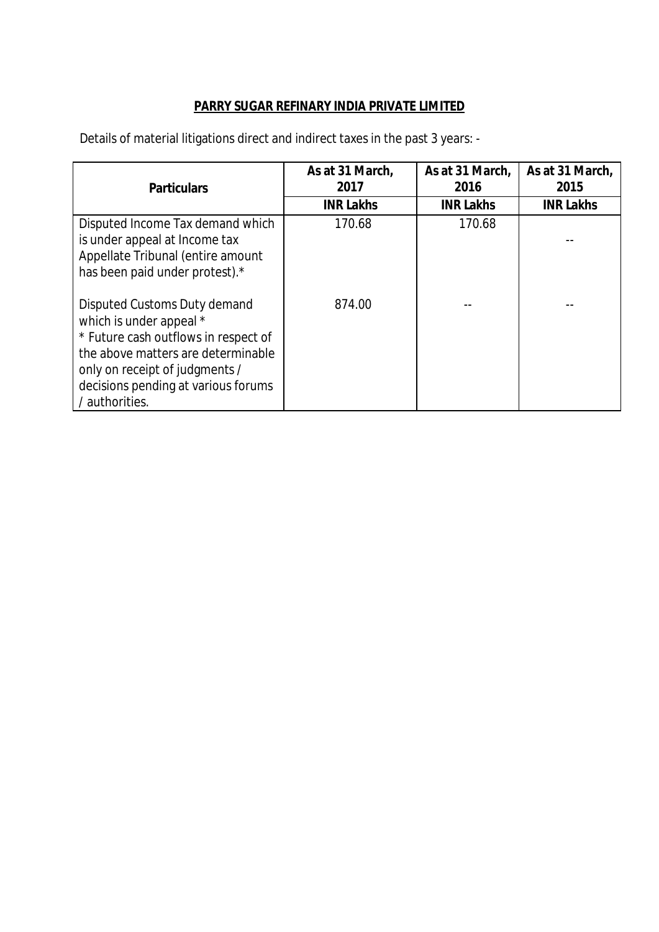# **PARRY SUGAR REFINARY INDIA PRIVATE LIMITED**

Details of material litigations direct and indirect taxes in the past 3 years: -

| <b>Particulars</b>                                                                                                                                                                                                               | As at 31 March,<br>2017 | As at 31 March,<br>2016 | As at 31 March,<br>2015 |
|----------------------------------------------------------------------------------------------------------------------------------------------------------------------------------------------------------------------------------|-------------------------|-------------------------|-------------------------|
|                                                                                                                                                                                                                                  | <b>INR Lakhs</b>        | <b>INR Lakhs</b>        | <b>INR Lakhs</b>        |
| Disputed Income Tax demand which<br>is under appeal at Income tax<br>Appellate Tribunal (entire amount<br>has been paid under protest).*                                                                                         | 170.68                  | 170.68                  |                         |
| Disputed Customs Duty demand<br>which is under appeal *<br>* Future cash outflows in respect of<br>the above matters are determinable<br>only on receipt of judgments /<br>decisions pending at various forums<br>/ authorities. | 874.00                  |                         |                         |